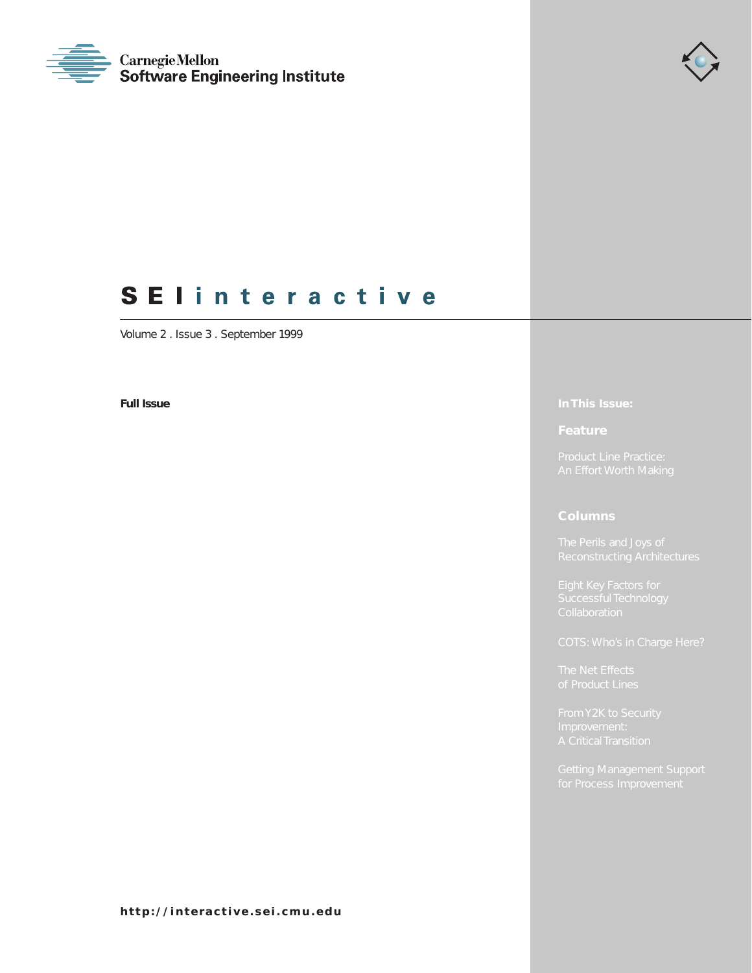



# **SElinteractive**

Volume 2 . Issue 3 . September 1999

#### **Full Issue**

#### **Feature**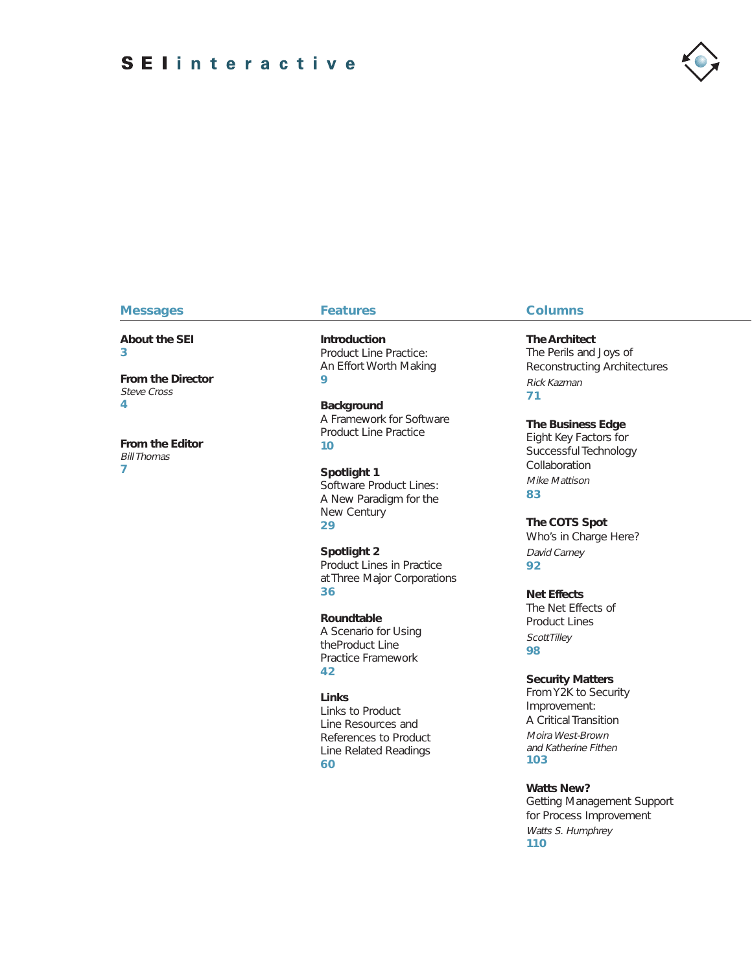

#### **Messages**

**[About the SEI](#page-3-0) 3**

**[From the Direc](#page-4-0)tor** Steve Cross **4**

**[From the Edi](#page-7-0)tor** Bill Thomas **7**

#### **Features**

**Int roduction** Product Line Practice: An E f fort [Worth Making](#page-9-0) **9**

**Background** A Fram e work for So f t ware [Product Line](#page-10-0)  Practice **1 0**

**Spotlight 1** Software [Product Lines:](#page-29-0) A N ew Paradigm for the New Century **29**

**Spotlight 2** Product Lines in Practice at Three Major Corporations **36**

**Roundtable** A Scenario for Using the Product Line Practice Fram e work **42**

**Links** Links to Product Line Resources and R e ferences to Product Line Related Readings **60**

#### **Columns**

**The A r chi tect** The Perils and J o ys of Reconstructing Architectures Rick Kazman **71**

**The Business Ed g e** Eight K ey Factors for Successful Technology Collaboration Mike Mattison **83**

**The C OTS Spot** Wh o 's in Charge Here? David Carney

**92**

**Net E f fects** The Net E f fects of Product Lines **ScottTilley 98**

**Security Matters** From Y2K to Security Impr o vement: A Critical Transition Moira West-Brown and Katherine Fithen

**103**

**Watts New?**

Ge tting Management Support for Process Improvement Watts S. Humphrey **110**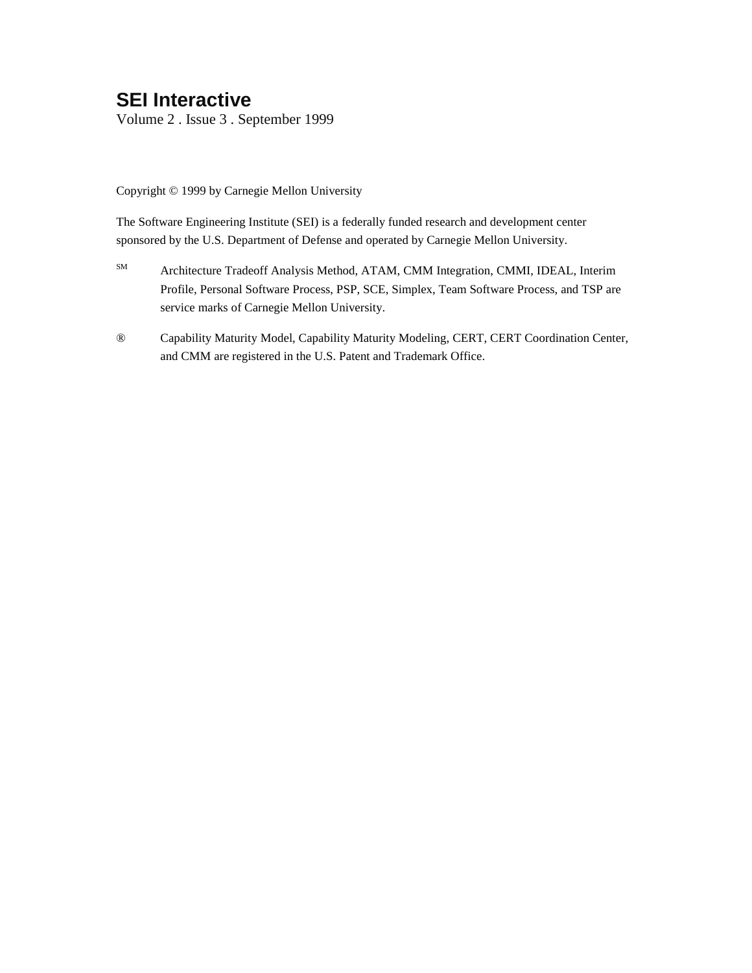# **SEI Interactive**

Volume 2 . Issue 3 . September 1999

Copyright © 1999 by Carnegie Mellon University

The Software Engineering Institute (SEI) is a federally funded research and development center sponsored by the U.S. Department of Defense and operated by Carnegie Mellon University.

- SM Architecture Tradeoff Analysis Method, ATAM, CMM Integration, CMMI, IDEAL, Interim Profile, Personal Software Process, PSP, SCE, Simplex, Team Software Process, and TSP are service marks of Carnegie Mellon University.
- ® Capability Maturity Model, Capability Maturity Modeling, CERT, CERT Coordination Center, and CMM are registered in the U.S. Patent and Trademark Office.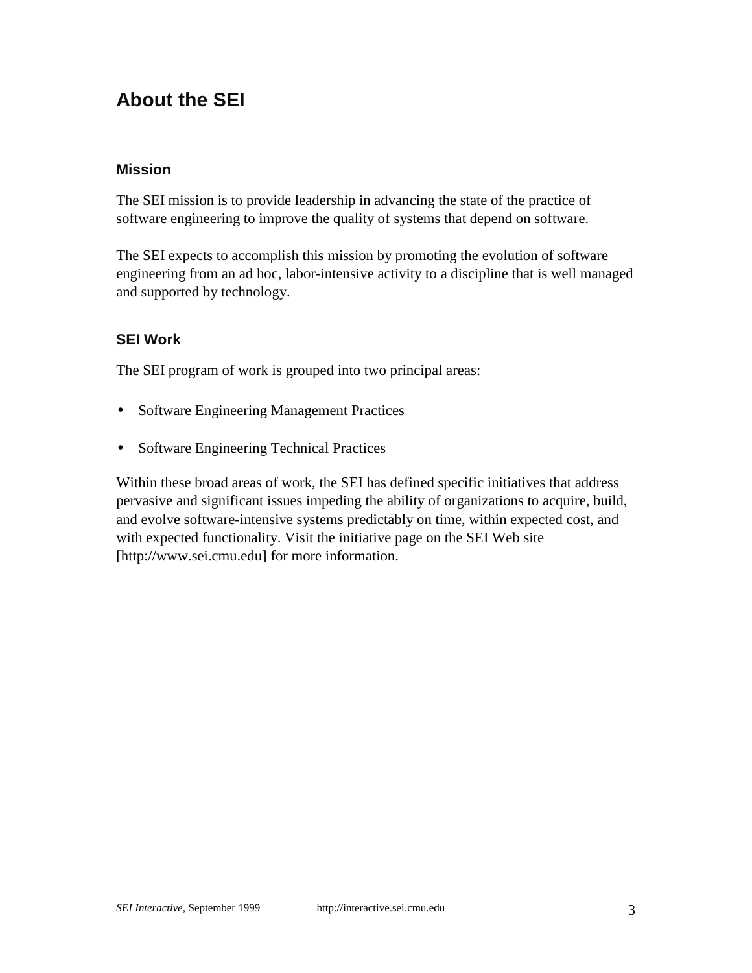# <span id="page-3-0"></span>**About the SEI**

#### **Mission**

The SEI mission is to provide leadership in advancing the state of the practice of software engineering to improve the quality of systems that depend on software.

The SEI expects to accomplish this mission by promoting the evolution of software engineering from an ad hoc, labor-intensive activity to a discipline that is well managed and supported by technology.

### **SEI Work**

The SEI program of work is grouped into two principal areas:

- Software Engineering Management Practices
- Software Engineering Technical Practices

Within these broad areas of work, the SEI has defined specific initiatives that address pervasive and significant issues impeding the ability of organizations to acquire, build, and evolve software-intensive systems predictably on time, within expected cost, and with expected functionality. Visit the initiative page on the SEI Web site [http://www.sei.cmu.edu] for more information.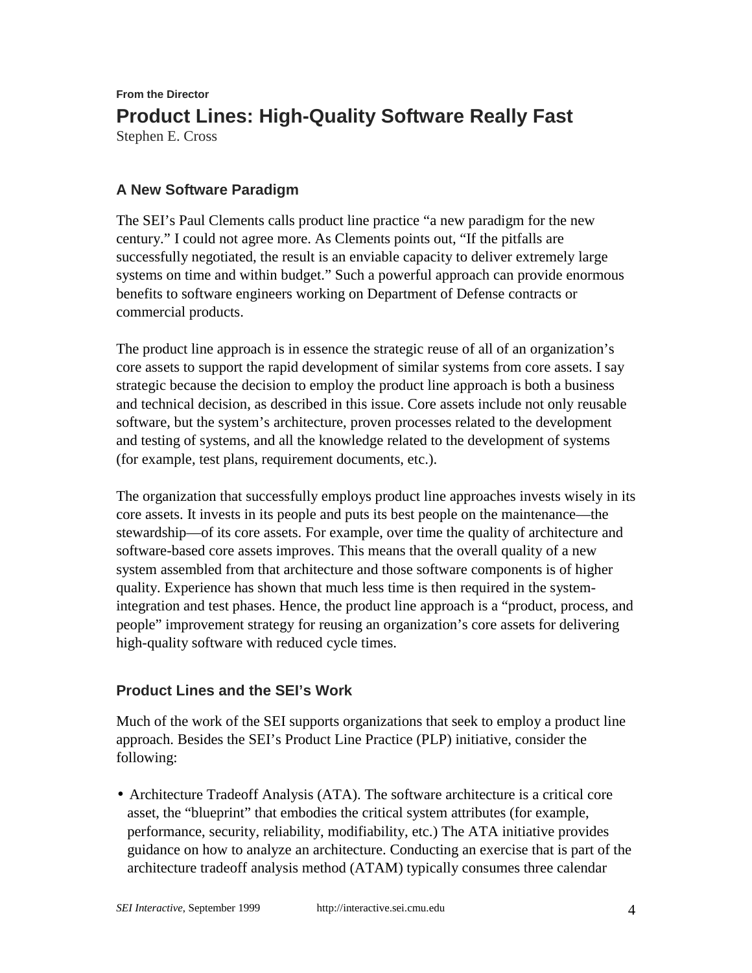## <span id="page-4-0"></span>**From the Director Product Lines: High-Quality Software Really Fast** Stephen E. Cross

#### **A New Software Paradigm**

The SEI's Paul Clements calls product line practice "a new paradigm for the new century." I could not agree more. As Clements points out, "If the pitfalls are successfully negotiated, the result is an enviable capacity to deliver extremely large systems on time and within budget." Such a powerful approach can provide enormous benefits to software engineers working on Department of Defense contracts or commercial products.

The product line approach is in essence the strategic reuse of all of an organization's core assets to support the rapid development of similar systems from core assets. I say strategic because the decision to employ the product line approach is both a business and technical decision, as described in this issue. Core assets include not only reusable software, but the system's architecture, proven processes related to the development and testing of systems, and all the knowledge related to the development of systems (for example, test plans, requirement documents, etc.).

The organization that successfully employs product line approaches invests wisely in its core assets. It invests in its people and puts its best people on the maintenance—the stewardship—of its core assets. For example, over time the quality of architecture and software-based core assets improves. This means that the overall quality of a new system assembled from that architecture and those software components is of higher quality. Experience has shown that much less time is then required in the systemintegration and test phases. Hence, the product line approach is a "product, process, and people" improvement strategy for reusing an organization's core assets for delivering high-quality software with reduced cycle times.

#### **Product Lines and the SEI's Work**

Much of the work of the SEI supports organizations that seek to employ a product line approach. Besides the SEI's Product Line Practice (PLP) initiative, consider the following:

• Architecture Tradeoff Analysis (ATA). The software architecture is a critical core asset, the "blueprint" that embodies the critical system attributes (for example, performance, security, reliability, modifiability, etc.) The ATA initiative provides guidance on how to analyze an architecture. Conducting an exercise that is part of the architecture tradeoff analysis method (ATAM) typically consumes three calendar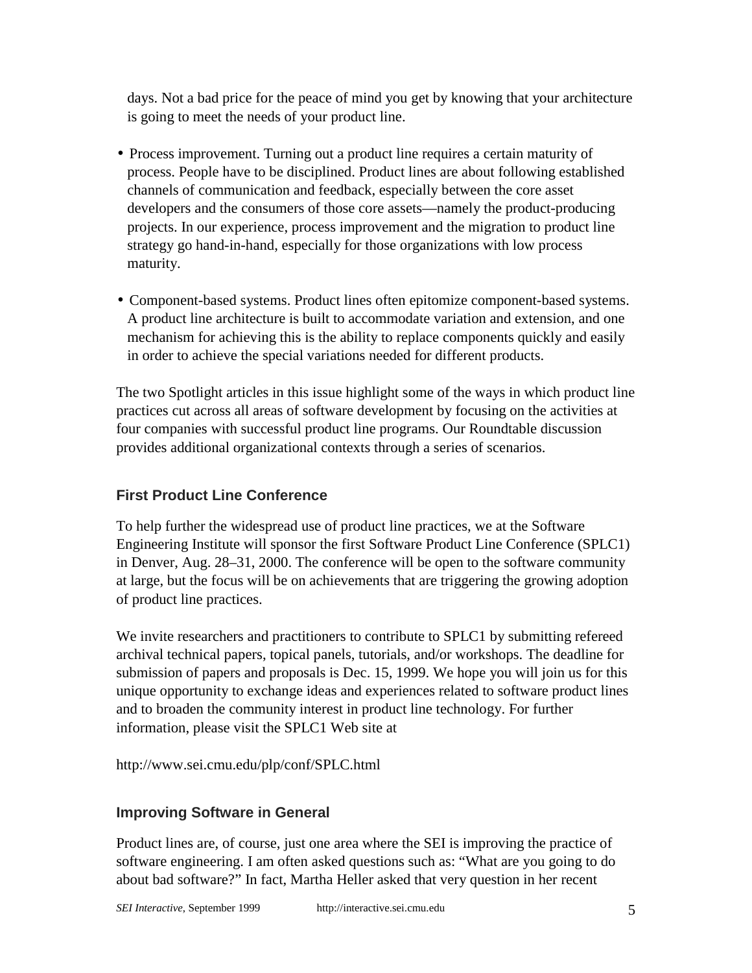days. Not a bad price for the peace of mind you get by knowing that your architecture is going to meet the needs of your product line.

- Process improvement. Turning out a product line requires a certain maturity of process. People have to be disciplined. Product lines are about following established channels of communication and feedback, especially between the core asset developers and the consumers of those core assets—namely the product-producing projects. In our experience, process improvement and the migration to product line strategy go hand-in-hand, especially for those organizations with low process maturity.
- Component-based systems. Product lines often epitomize component-based systems. A product line architecture is built to accommodate variation and extension, and one mechanism for achieving this is the ability to replace components quickly and easily in order to achieve the special variations needed for different products.

The two Spotlight articles in this issue highlight some of the ways in which product line practices cut across all areas of software development by focusing on the activities at four companies with successful product line programs. Our Roundtable discussion provides additional organizational contexts through a series of scenarios.

## **First Product Line Conference**

To help further the widespread use of product line practices, we at the Software Engineering Institute will sponsor the first Software Product Line Conference (SPLC1) in Denver, Aug. 28–31, 2000. The conference will be open to the software community at large, but the focus will be on achievements that are triggering the growing adoption of product line practices.

We invite researchers and practitioners to contribute to SPLC1 by submitting refereed archival technical papers, topical panels, tutorials, and/or workshops. The deadline for submission of papers and proposals is Dec. 15, 1999. We hope you will join us for this unique opportunity to exchange ideas and experiences related to software product lines and to broaden the community interest in product line technology. For further information, please visit the SPLC1 Web site at

http://www.sei.cmu.edu/plp/conf/SPLC.html

## **Improving Software in General**

Product lines are, of course, just one area where the SEI is improving the practice of software engineering. I am often asked questions such as: "What are you going to do about bad software?" In fact, Martha Heller asked that very question in her recent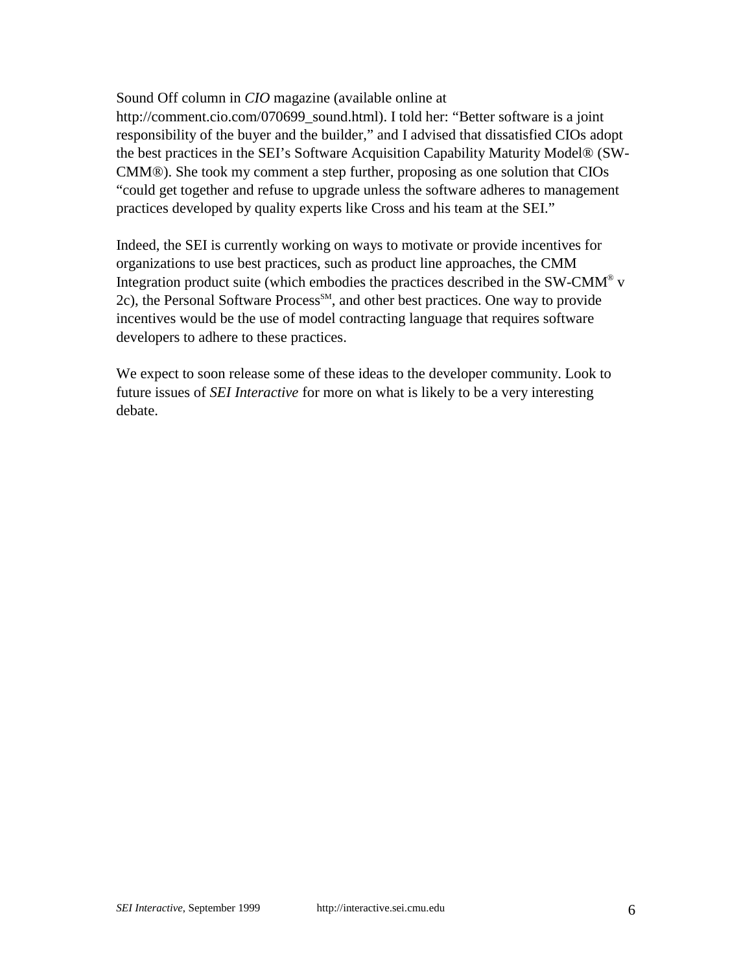Sound Off column in *CIO* magazine (available online at

http://comment.cio.com/070699\_sound.html). I told her: "Better software is a joint responsibility of the buyer and the builder," and I advised that dissatisfied CIOs adopt the best practices in the SEI's Software Acquisition Capability Maturity Model® (SW-CMM®). She took my comment a step further, proposing as one solution that CIOs "could get together and refuse to upgrade unless the software adheres to management practices developed by quality experts like Cross and his team at the SEI."

Indeed, the SEI is currently working on ways to motivate or provide incentives for organizations to use best practices, such as product line approaches, the CMM Integration product suite (which embodies the practices described in the  $SW\text{-}\text{CMM}^{\circ}$  v 2c), the Personal Software Process<sup>SM</sup>, and other best practices. One way to provide incentives would be the use of model contracting language that requires software developers to adhere to these practices.

We expect to soon release some of these ideas to the developer community. Look to future issues of *SEI Interactive* for more on what is likely to be a very interesting debate.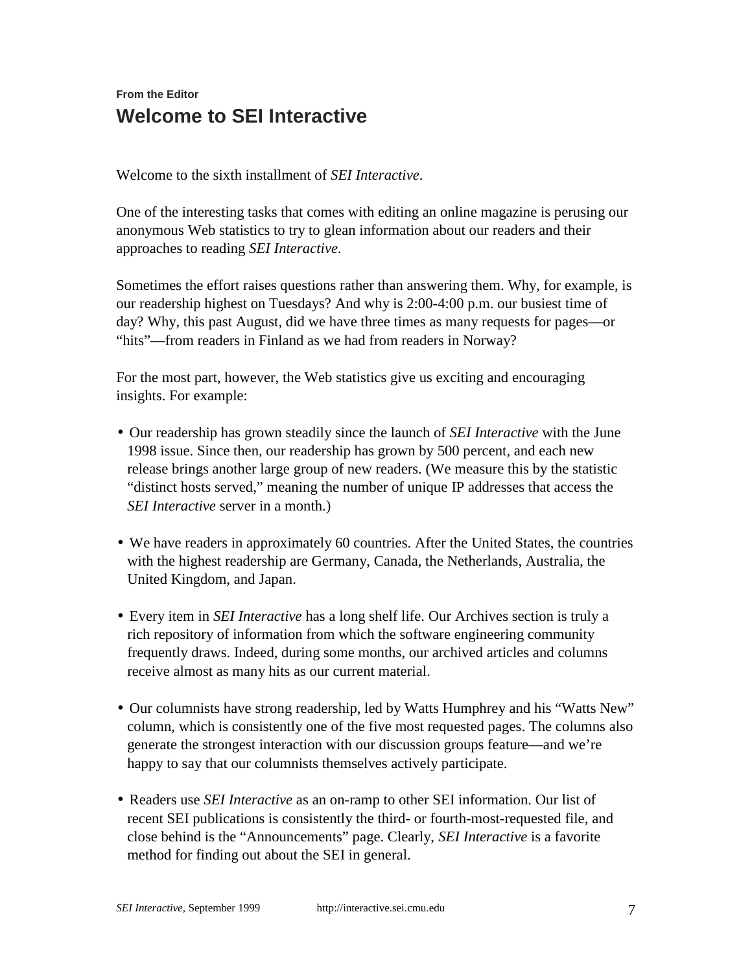# <span id="page-7-0"></span>**From the Editor Welcome to SEI Interactive**

Welcome to the sixth installment of *SEI Interactive*.

One of the interesting tasks that comes with editing an online magazine is perusing our anonymous Web statistics to try to glean information about our readers and their approaches to reading *SEI Interactive*.

Sometimes the effort raises questions rather than answering them. Why, for example, is our readership highest on Tuesdays? And why is 2:00-4:00 p.m. our busiest time of day? Why, this past August, did we have three times as many requests for pages—or "hits"—from readers in Finland as we had from readers in Norway?

For the most part, however, the Web statistics give us exciting and encouraging insights. For example:

- Our readership has grown steadily since the launch of *SEI Interactive* with the June 1998 issue. Since then, our readership has grown by 500 percent, and each new release brings another large group of new readers. (We measure this by the statistic "distinct hosts served," meaning the number of unique IP addresses that access the *SEI Interactive* server in a month.)
- We have readers in approximately 60 countries. After the United States, the countries with the highest readership are Germany, Canada, the Netherlands, Australia, the United Kingdom, and Japan.
- Every item in *SEI Interactive* has a long shelf life. Our Archives section is truly a rich repository of information from which the software engineering community frequently draws. Indeed, during some months, our archived articles and columns receive almost as many hits as our current material.
- Our columnists have strong readership, led by Watts Humphrey and his "Watts New" column, which is consistently one of the five most requested pages. The columns also generate the strongest interaction with our discussion groups feature—and we're happy to say that our columnists themselves actively participate.
- Readers use *SEI Interactive* as an on-ramp to other SEI information. Our list of recent SEI publications is consistently the third- or fourth-most-requested file, and close behind is the "Announcements" page. Clearly, *SEI Interactive* is a favorite method for finding out about the SEI in general.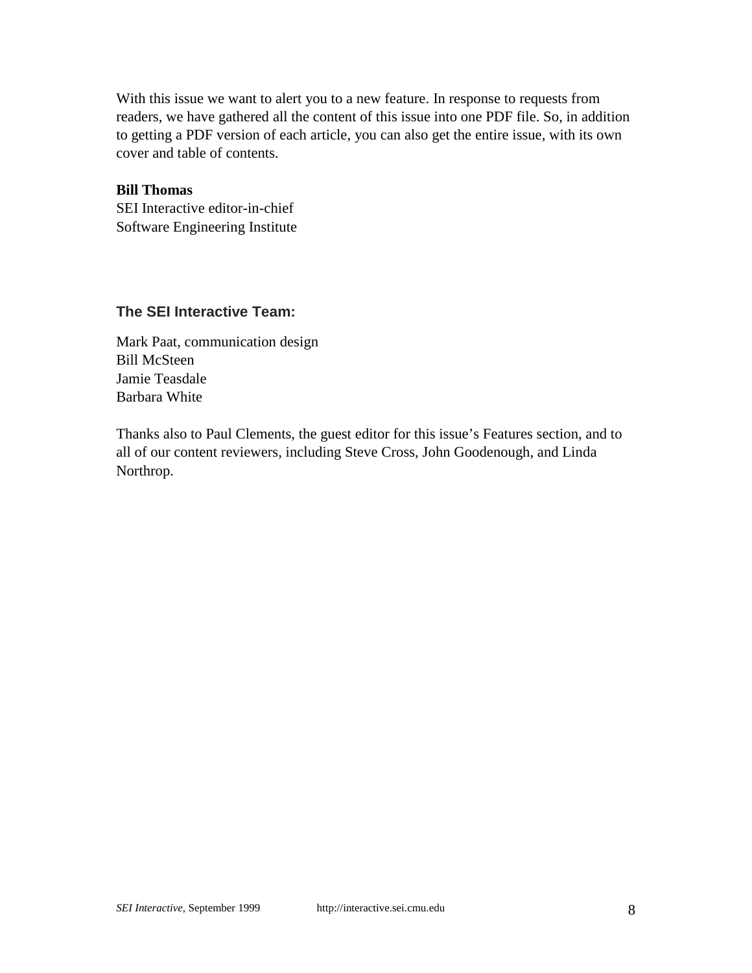With this issue we want to alert you to a new feature. In response to requests from readers, we have gathered all the content of this issue into one PDF file. So, in addition to getting a PDF version of each article, you can also get the entire issue, with its own cover and table of contents.

#### **Bill Thomas**

SEI Interactive editor-in-chief Software Engineering Institute

#### **The SEI Interactive Team:**

Mark Paat, communication design Bill McSteen Jamie Teasdale Barbara White

Thanks also to Paul Clements, the guest editor for this issue's Features section, and to all of our content reviewers, including Steve Cross, John Goodenough, and Linda Northrop.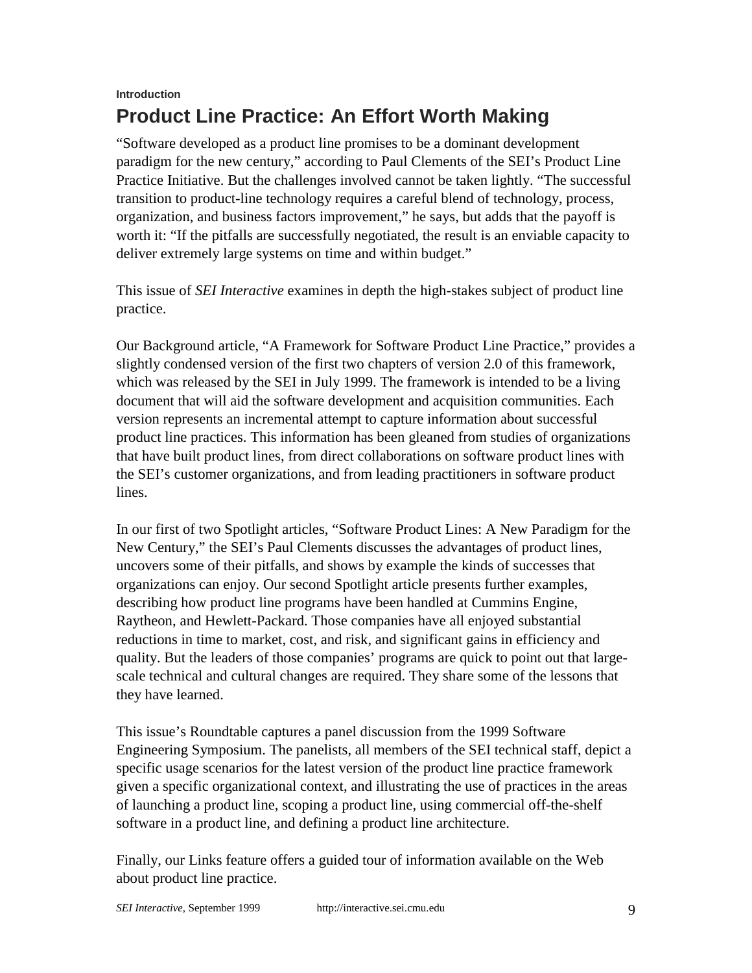## <span id="page-9-0"></span>**Introduction Product Line Practice: An Effort Worth Making**

"Software developed as a product line promises to be a dominant development paradigm for the new century," according to Paul Clements of the SEI's Product Line Practice Initiative. But the challenges involved cannot be taken lightly. "The successful transition to product-line technology requires a careful blend of technology, process, organization, and business factors improvement," he says, but adds that the payoff is worth it: "If the pitfalls are successfully negotiated, the result is an enviable capacity to deliver extremely large systems on time and within budget."

This issue of *SEI Interactive* examines in depth the high-stakes subject of product line practice.

Our Background article, "A Framework for Software Product Line Practice," provides a slightly condensed version of the first two chapters of version 2.0 of this framework, which was released by the SEI in July 1999. The framework is intended to be a living document that will aid the software development and acquisition communities. Each version represents an incremental attempt to capture information about successful product line practices. This information has been gleaned from studies of organizations that have built product lines, from direct collaborations on software product lines with the SEI's customer organizations, and from leading practitioners in software product lines.

In our first of two Spotlight articles, "Software Product Lines: A New Paradigm for the New Century," the SEI's Paul Clements discusses the advantages of product lines, uncovers some of their pitfalls, and shows by example the kinds of successes that organizations can enjoy. Our second Spotlight article presents further examples, describing how product line programs have been handled at Cummins Engine, Raytheon, and Hewlett-Packard. Those companies have all enjoyed substantial reductions in time to market, cost, and risk, and significant gains in efficiency and quality. But the leaders of those companies' programs are quick to point out that largescale technical and cultural changes are required. They share some of the lessons that they have learned.

This issue's Roundtable captures a panel discussion from the 1999 Software Engineering Symposium. The panelists, all members of the SEI technical staff, depict a specific usage scenarios for the latest version of the product line practice framework given a specific organizational context, and illustrating the use of practices in the areas of launching a product line, scoping a product line, using commercial off-the-shelf software in a product line, and defining a product line architecture.

Finally, our Links feature offers a guided tour of information available on the Web about product line practice.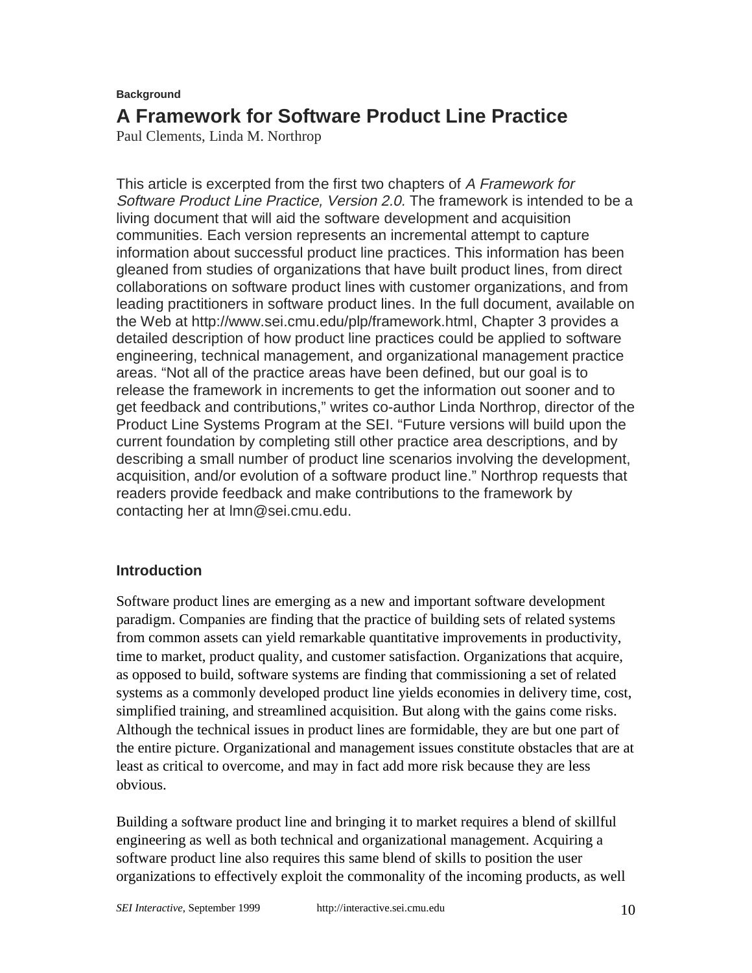#### <span id="page-10-0"></span>**Background**

# **A Framework for Software Product Line Practice**

Paul Clements, Linda M. Northrop

This article is excerpted from the first two chapters of A Framework for Software Product Line Practice, Version 2.0. The framework is intended to be a living document that will aid the software development and acquisition communities. Each version represents an incremental attempt to capture information about successful product line practices. This information has been gleaned from studies of organizations that have built product lines, from direct collaborations on software product lines with customer organizations, and from leading practitioners in software product lines. In the full document, available on the Web at http://www.sei.cmu.edu/plp/framework.html, Chapter 3 provides a detailed description of how product line practices could be applied to software engineering, technical management, and organizational management practice areas. "Not all of the practice areas have been defined, but our goal is to release the framework in increments to get the information out sooner and to get feedback and contributions," writes co-author Linda Northrop, director of the Product Line Systems Program at the SEI. "Future versions will build upon the current foundation by completing still other practice area descriptions, and by describing a small number of product line scenarios involving the development, acquisition, and/or evolution of a software product line." Northrop requests that readers provide feedback and make contributions to the framework by contacting her at lmn@sei.cmu.edu.

#### **Introduction**

Software product lines are emerging as a new and important software development paradigm. Companies are finding that the practice of building sets of related systems from common assets can yield remarkable quantitative improvements in productivity, time to market, product quality, and customer satisfaction. Organizations that acquire, as opposed to build, software systems are finding that commissioning a set of related systems as a commonly developed product line yields economies in delivery time, cost, simplified training, and streamlined acquisition. But along with the gains come risks. Although the technical issues in product lines are formidable, they are but one part of the entire picture. Organizational and management issues constitute obstacles that are at least as critical to overcome, and may in fact add more risk because they are less obvious.

Building a software product line and bringing it to market requires a blend of skillful engineering as well as both technical and organizational management. Acquiring a software product line also requires this same blend of skills to position the user organizations to effectively exploit the commonality of the incoming products, as well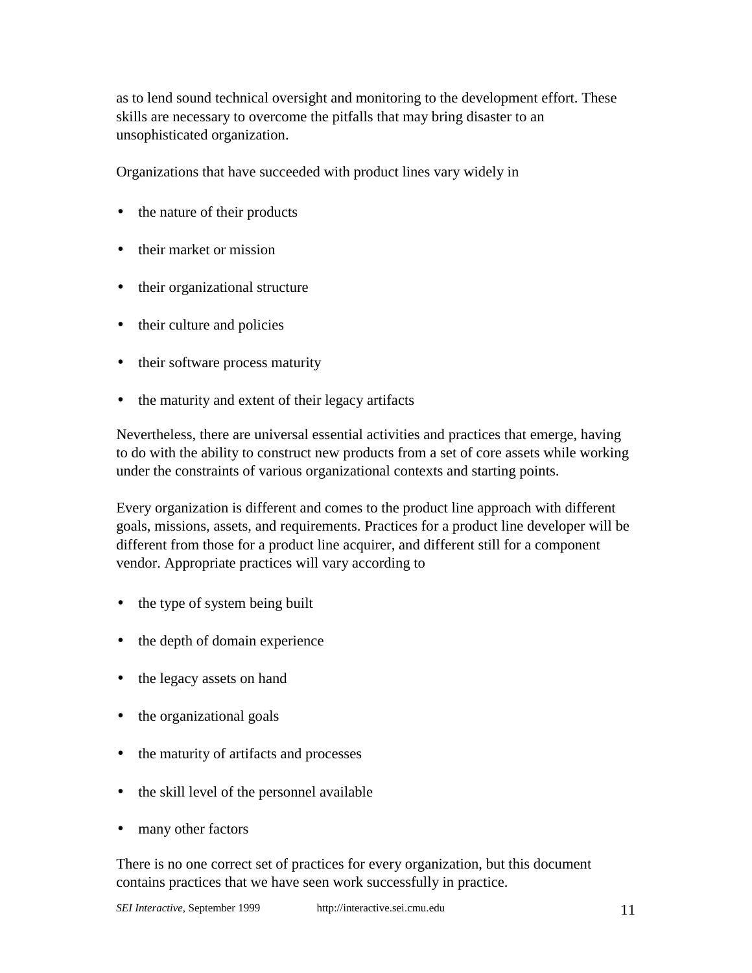as to lend sound technical oversight and monitoring to the development effort. These skills are necessary to overcome the pitfalls that may bring disaster to an unsophisticated organization.

Organizations that have succeeded with product lines vary widely in

- the nature of their products
- their market or mission
- their organizational structure
- their culture and policies
- their software process maturity
- the maturity and extent of their legacy artifacts

Nevertheless, there are universal essential activities and practices that emerge, having to do with the ability to construct new products from a set of core assets while working under the constraints of various organizational contexts and starting points.

Every organization is different and comes to the product line approach with different goals, missions, assets, and requirements. Practices for a product line developer will be different from those for a product line acquirer, and different still for a component vendor. Appropriate practices will vary according to

- the type of system being built
- the depth of domain experience
- the legacy assets on hand
- the organizational goals
- the maturity of artifacts and processes
- the skill level of the personnel available
- many other factors

There is no one correct set of practices for every organization, but this document contains practices that we have seen work successfully in practice.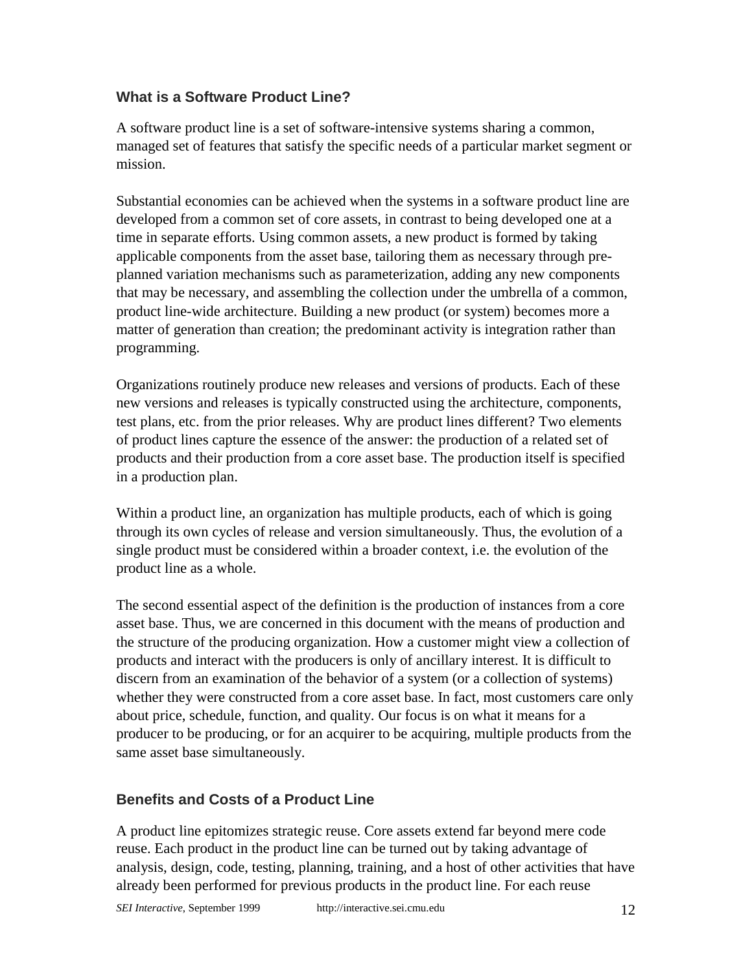#### **What is a Software Product Line?**

A software product line is a set of software-intensive systems sharing a common, managed set of features that satisfy the specific needs of a particular market segment or mission.

Substantial economies can be achieved when the systems in a software product line are developed from a common set of core assets, in contrast to being developed one at a time in separate efforts. Using common assets, a new product is formed by taking applicable components from the asset base, tailoring them as necessary through preplanned variation mechanisms such as parameterization, adding any new components that may be necessary, and assembling the collection under the umbrella of a common, product line-wide architecture. Building a new product (or system) becomes more a matter of generation than creation; the predominant activity is integration rather than programming.

Organizations routinely produce new releases and versions of products. Each of these new versions and releases is typically constructed using the architecture, components, test plans, etc. from the prior releases. Why are product lines different? Two elements of product lines capture the essence of the answer: the production of a related set of products and their production from a core asset base. The production itself is specified in a production plan.

Within a product line, an organization has multiple products, each of which is going through its own cycles of release and version simultaneously. Thus, the evolution of a single product must be considered within a broader context, i.e. the evolution of the product line as a whole.

The second essential aspect of the definition is the production of instances from a core asset base. Thus, we are concerned in this document with the means of production and the structure of the producing organization. How a customer might view a collection of products and interact with the producers is only of ancillary interest. It is difficult to discern from an examination of the behavior of a system (or a collection of systems) whether they were constructed from a core asset base. In fact, most customers care only about price, schedule, function, and quality. Our focus is on what it means for a producer to be producing, or for an acquirer to be acquiring, multiple products from the same asset base simultaneously.

#### **Benefits and Costs of a Product Line**

A product line epitomizes strategic reuse. Core assets extend far beyond mere code reuse. Each product in the product line can be turned out by taking advantage of analysis, design, code, testing, planning, training, and a host of other activities that have already been performed for previous products in the product line. For each reuse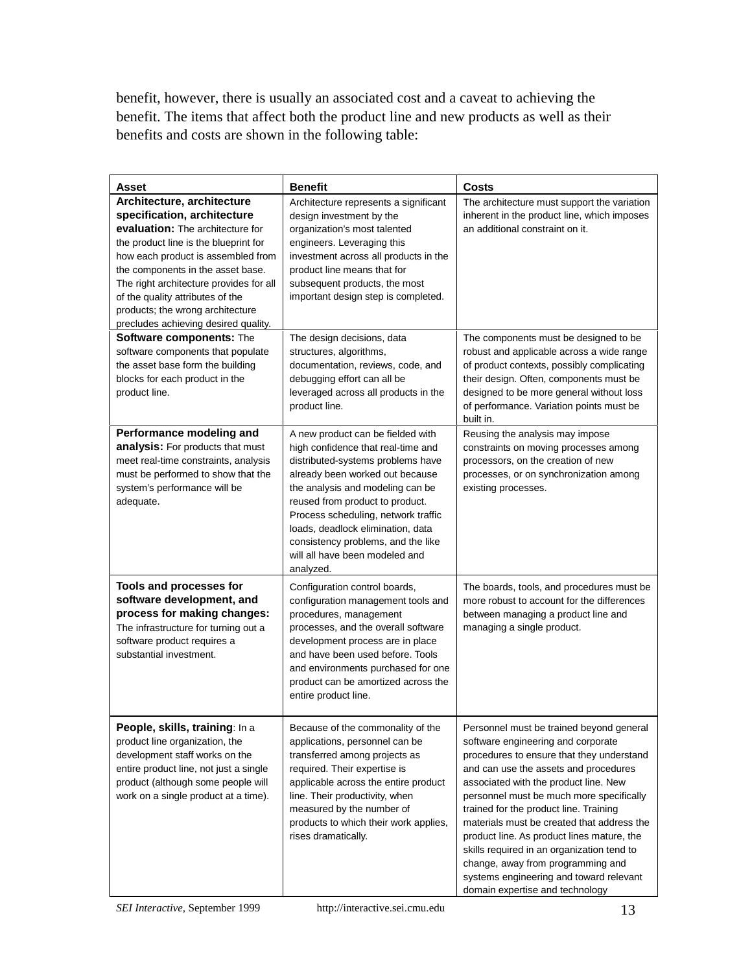benefit, however, there is usually an associated cost and a caveat to achieving the benefit. The items that affect both the product line and new products as well as their benefits and costs are shown in the following table:

| Asset                                                                                                                                                                                                                                                                                                                                                                        | <b>Benefit</b>                                                                                                                                                                                                                                                                                                                                                                          | Costs                                                                                                                                                                                                                                                                                                                                                                                                                                                                                                                                                            |
|------------------------------------------------------------------------------------------------------------------------------------------------------------------------------------------------------------------------------------------------------------------------------------------------------------------------------------------------------------------------------|-----------------------------------------------------------------------------------------------------------------------------------------------------------------------------------------------------------------------------------------------------------------------------------------------------------------------------------------------------------------------------------------|------------------------------------------------------------------------------------------------------------------------------------------------------------------------------------------------------------------------------------------------------------------------------------------------------------------------------------------------------------------------------------------------------------------------------------------------------------------------------------------------------------------------------------------------------------------|
| Architecture, architecture<br>specification, architecture<br>evaluation: The architecture for<br>the product line is the blueprint for<br>how each product is assembled from<br>the components in the asset base.<br>The right architecture provides for all<br>of the quality attributes of the<br>products; the wrong architecture<br>precludes achieving desired quality. | Architecture represents a significant<br>design investment by the<br>organization's most talented<br>engineers. Leveraging this<br>investment across all products in the<br>product line means that for<br>subsequent products, the most<br>important design step is completed.                                                                                                         | The architecture must support the variation<br>inherent in the product line, which imposes<br>an additional constraint on it.                                                                                                                                                                                                                                                                                                                                                                                                                                    |
| Software components: The<br>software components that populate<br>the asset base form the building<br>blocks for each product in the<br>product line.                                                                                                                                                                                                                         | The design decisions, data<br>structures, algorithms,<br>documentation, reviews, code, and<br>debugging effort can all be<br>leveraged across all products in the<br>product line.                                                                                                                                                                                                      | The components must be designed to be<br>robust and applicable across a wide range<br>of product contexts, possibly complicating<br>their design. Often, components must be<br>designed to be more general without loss<br>of performance. Variation points must be<br>built in.                                                                                                                                                                                                                                                                                 |
| Performance modeling and<br>analysis: For products that must<br>meet real-time constraints, analysis<br>must be performed to show that the<br>system's performance will be<br>adequate.                                                                                                                                                                                      | A new product can be fielded with<br>high confidence that real-time and<br>distributed-systems problems have<br>already been worked out because<br>the analysis and modeling can be<br>reused from product to product.<br>Process scheduling, network traffic<br>loads, deadlock elimination, data<br>consistency problems, and the like<br>will all have been modeled and<br>analyzed. | Reusing the analysis may impose<br>constraints on moving processes among<br>processors, on the creation of new<br>processes, or on synchronization among<br>existing processes.                                                                                                                                                                                                                                                                                                                                                                                  |
| Tools and processes for<br>software development, and<br>process for making changes:<br>The infrastructure for turning out a<br>software product requires a<br>substantial investment.                                                                                                                                                                                        | Configuration control boards,<br>configuration management tools and<br>procedures, management<br>processes, and the overall software<br>development process are in place<br>and have been used before. Tools<br>and environments purchased for one<br>product can be amortized across the<br>entire product line.                                                                       | The boards, tools, and procedures must be<br>more robust to account for the differences<br>between managing a product line and<br>managing a single product.                                                                                                                                                                                                                                                                                                                                                                                                     |
| People, skills, training: In a<br>product line organization, the<br>development staff works on the<br>entire product line, not just a single<br>product (although some people will<br>work on a single product at a time).                                                                                                                                                   | Because of the commonality of the<br>applications, personnel can be<br>transferred among projects as<br>required. Their expertise is<br>applicable across the entire product<br>line. Their productivity, when<br>measured by the number of<br>products to which their work applies,<br>rises dramatically.                                                                             | Personnel must be trained beyond general<br>software engineering and corporate<br>procedures to ensure that they understand<br>and can use the assets and procedures<br>associated with the product line. New<br>personnel must be much more specifically<br>trained for the product line. Training<br>materials must be created that address the<br>product line. As product lines mature, the<br>skills required in an organization tend to<br>change, away from programming and<br>systems engineering and toward relevant<br>domain expertise and technology |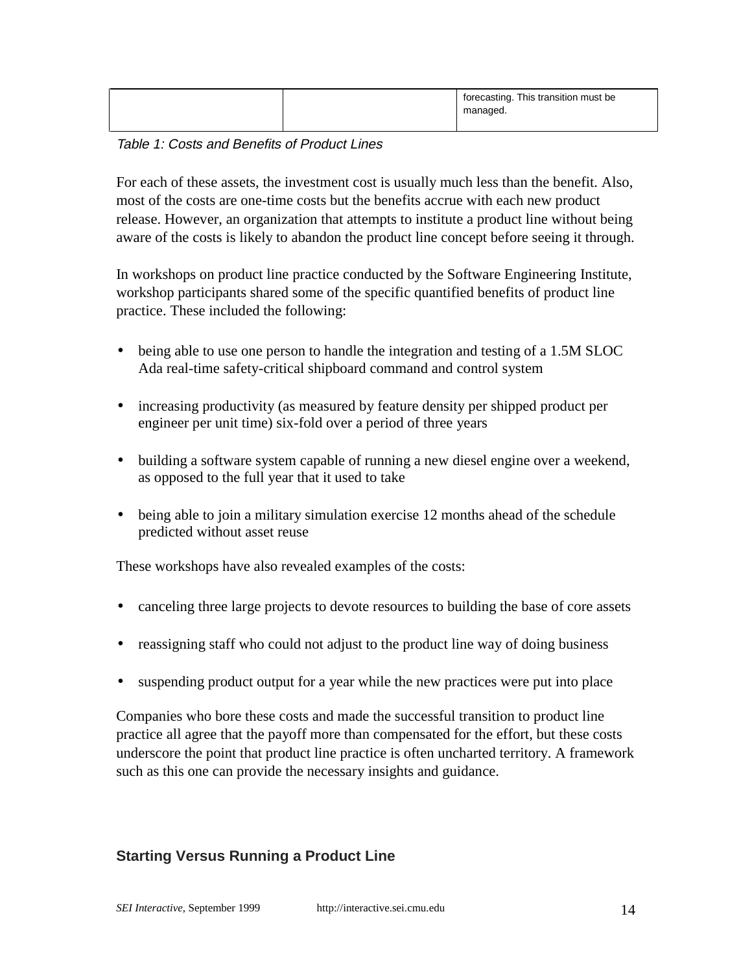|  | forecasting. This transition must be<br>managed. |
|--|--------------------------------------------------|
|  |                                                  |

Table 1: Costs and Benefits of Product Lines

For each of these assets, the investment cost is usually much less than the benefit. Also, most of the costs are one-time costs but the benefits accrue with each new product release. However, an organization that attempts to institute a product line without being aware of the costs is likely to abandon the product line concept before seeing it through.

In workshops on product line practice conducted by the Software Engineering Institute, workshop participants shared some of the specific quantified benefits of product line practice. These included the following:

- being able to use one person to handle the integration and testing of a 1.5M SLOC Ada real-time safety-critical shipboard command and control system
- increasing productivity (as measured by feature density per shipped product per engineer per unit time) six-fold over a period of three years
- building a software system capable of running a new diesel engine over a weekend, as opposed to the full year that it used to take
- being able to join a military simulation exercise 12 months ahead of the schedule predicted without asset reuse

These workshops have also revealed examples of the costs:

- canceling three large projects to devote resources to building the base of core assets
- reassigning staff who could not adjust to the product line way of doing business
- suspending product output for a year while the new practices were put into place

Companies who bore these costs and made the successful transition to product line practice all agree that the payoff more than compensated for the effort, but these costs underscore the point that product line practice is often uncharted territory. A framework such as this one can provide the necessary insights and guidance.

## **Starting Versus Running a Product Line**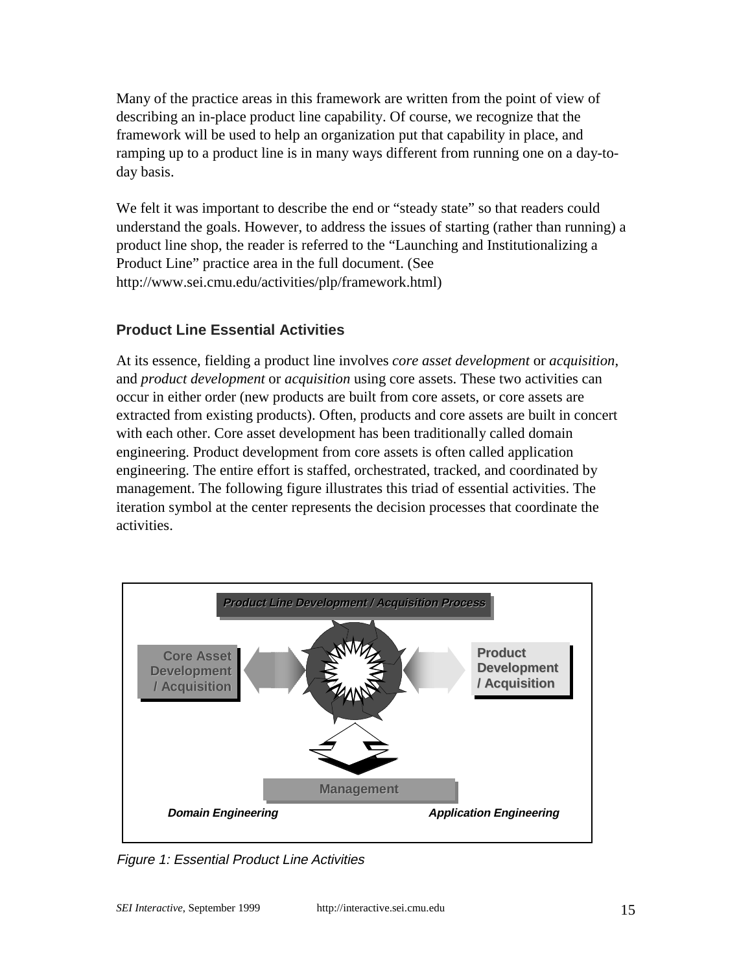Many of the practice areas in this framework are written from the point of view of describing an in-place product line capability. Of course, we recognize that the framework will be used to help an organization put that capability in place, and ramping up to a product line is in many ways different from running one on a day-today basis.

We felt it was important to describe the end or "steady state" so that readers could understand the goals. However, to address the issues of starting (rather than running) a product line shop, the reader is referred to the "Launching and Institutionalizing a Product Line" practice area in the full document. (See http://www.sei.cmu.edu/activities/plp/framework.html)

#### **Product Line Essential Activities**

At its essence, fielding a product line involves *core asset development* or *acquisition*, and *product development* or *acquisition* using core assets. These two activities can occur in either order (new products are built from core assets, or core assets are extracted from existing products). Often, products and core assets are built in concert with each other. Core asset development has been traditionally called domain engineering. Product development from core assets is often called application engineering. The entire effort is staffed, orchestrated, tracked, and coordinated by management. The following figure illustrates this triad of essential activities. The iteration symbol at the center represents the decision processes that coordinate the activities.



Figure 1: Essential Product Line Activities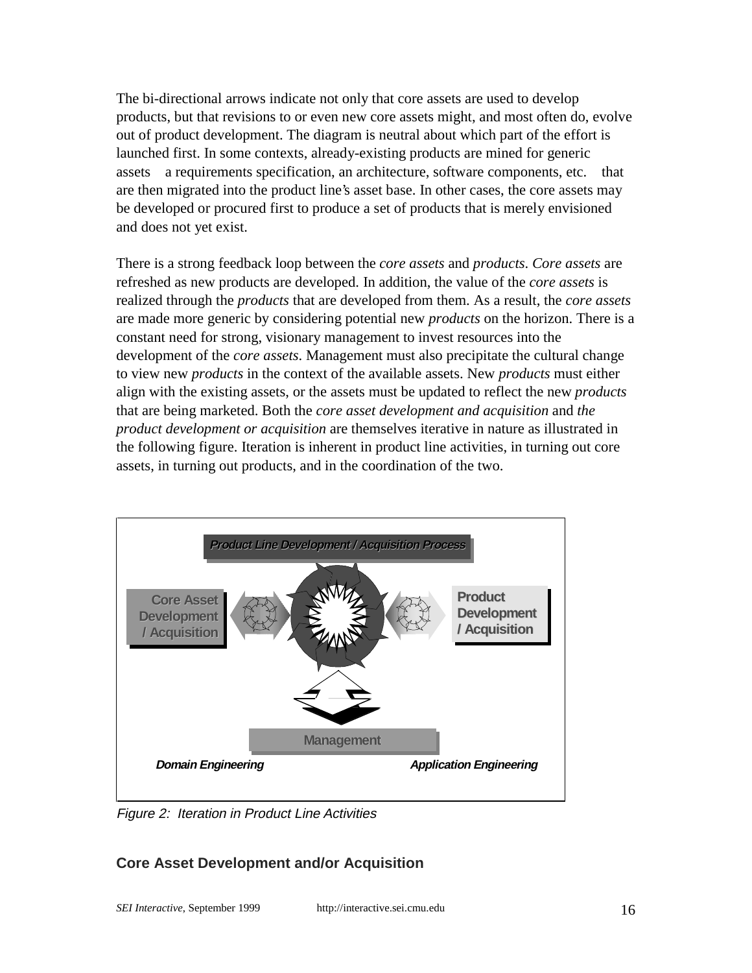The bi-directional arrows indicate not only that core assets are used to develop products, but that revisions to or even new core assets might, and most often do, evolve out of product development. The diagram is neutral about which part of the effort is launched first. In some contexts, already-existing products are mined for generic assets—a requirements specification, an architecture, software components, etc.—that are then migrated into the product line's asset base. In other cases, the core assets may be developed or procured first to produce a set of products that is merely envisioned and does not yet exist.

There is a strong feedback loop between the *core assets* and *products*. *Core assets* are refreshed as new products are developed. In addition, the value of the *core assets* is realized through the *products* that are developed from them. As a result, the *core assets* are made more generic by considering potential new *products* on the horizon. There is a constant need for strong, visionary management to invest resources into the development of the *core assets*. Management must also precipitate the cultural change to view new *products* in the context of the available assets. New *products* must either align with the existing assets, or the assets must be updated to reflect the new *products* that are being marketed. Both the *core asset development and acquisition* and *the product development or acquisition* are themselves iterative in nature as illustrated in the following figure. Iteration is inherent in product line activities, in turning out core assets, in turning out products, and in the coordination of the two.



Figure 2: Iteration in Product Line Activities

#### **Core Asset Development and/or Acquisition**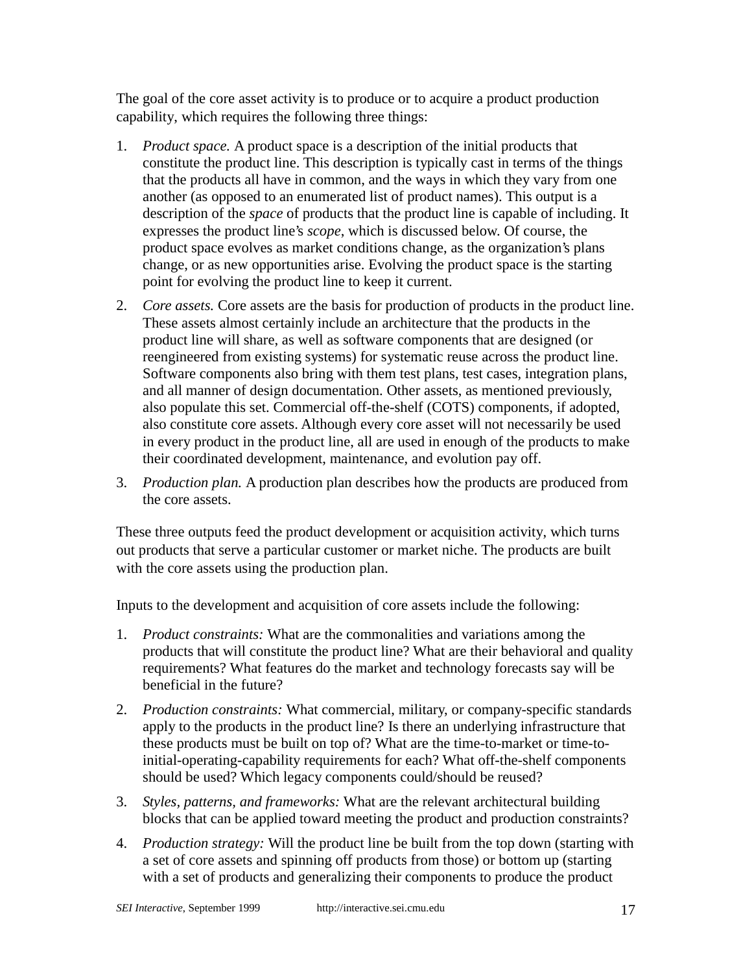The goal of the core asset activity is to produce or to acquire a product production capability, which requires the following three things:

- 1. *Product space.* A product space is a description of the initial products that constitute the product line. This description is typically cast in terms of the things that the products all have in common, and the ways in which they vary from one another (as opposed to an enumerated list of product names). This output is a description of the *space* of products that the product line is capable of including. It expresses the product line's *scope*, which is discussed below. Of course, the product space evolves as market conditions change, as the organization's plans change, or as new opportunities arise. Evolving the product space is the starting point for evolving the product line to keep it current.
- 2. *Core assets.* Core assets are the basis for production of products in the product line. These assets almost certainly include an architecture that the products in the product line will share, as well as software components that are designed (or reengineered from existing systems) for systematic reuse across the product line. Software components also bring with them test plans, test cases, integration plans, and all manner of design documentation. Other assets, as mentioned previously, also populate this set. Commercial off-the-shelf (COTS) components, if adopted, also constitute core assets. Although every core asset will not necessarily be used in every product in the product line, all are used in enough of the products to make their coordinated development, maintenance, and evolution pay off.
- 3. *Production plan.* A production plan describes how the products are produced from the core assets.

These three outputs feed the product development or acquisition activity, which turns out products that serve a particular customer or market niche. The products are built with the core assets using the production plan.

Inputs to the development and acquisition of core assets include the following:

- 1. *Product constraints:* What are the commonalities and variations among the products that will constitute the product line? What are their behavioral and quality requirements? What features do the market and technology forecasts say will be beneficial in the future?
- 2. *Production constraints:* What commercial, military, or company-specific standards apply to the products in the product line? Is there an underlying infrastructure that these products must be built on top of? What are the time-to-market or time-toinitial-operating-capability requirements for each? What off-the-shelf components should be used? Which legacy components could/should be reused?
- 3. *Styles, patterns, and frameworks:* What are the relevant architectural building blocks that can be applied toward meeting the product and production constraints?
- 4. *Production strategy:* Will the product line be built from the top down (starting with a set of core assets and spinning off products from those) or bottom up (starting with a set of products and generalizing their components to produce the product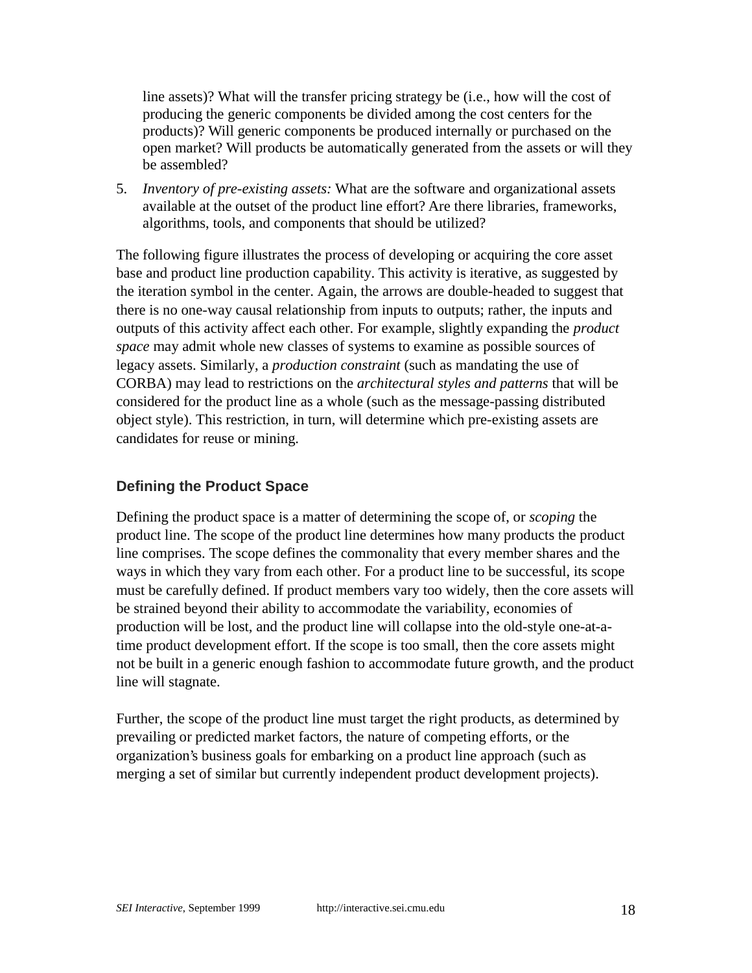line assets)? What will the transfer pricing strategy be (i.e., how will the cost of producing the generic components be divided among the cost centers for the products)? Will generic components be produced internally or purchased on the open market? Will products be automatically generated from the assets or will they be assembled?

5. *Inventory of pre-existing assets:* What are the software and organizational assets available at the outset of the product line effort? Are there libraries, frameworks, algorithms, tools, and components that should be utilized?

The following figure illustrates the process of developing or acquiring the core asset base and product line production capability. This activity is iterative, as suggested by the iteration symbol in the center. Again, the arrows are double-headed to suggest that there is no one-way causal relationship from inputs to outputs; rather, the inputs and outputs of this activity affect each other. For example, slightly expanding the *product space* may admit whole new classes of systems to examine as possible sources of legacy assets. Similarly, a *production constraint* (such as mandating the use of CORBA) may lead to restrictions on the *architectural styles and patterns* that will be considered for the product line as a whole (such as the message-passing distributed object style). This restriction, in turn, will determine which pre-existing assets are candidates for reuse or mining.

#### **Defining the Product Space**

Defining the product space is a matter of determining the scope of, or *scoping* the product line. The scope of the product line determines how many products the product line comprises. The scope defines the commonality that every member shares and the ways in which they vary from each other. For a product line to be successful, its scope must be carefully defined. If product members vary too widely, then the core assets will be strained beyond their ability to accommodate the variability, economies of production will be lost, and the product line will collapse into the old-style one-at-atime product development effort. If the scope is too small, then the core assets might not be built in a generic enough fashion to accommodate future growth, and the product line will stagnate.

Further, the scope of the product line must target the right products, as determined by prevailing or predicted market factors, the nature of competing efforts, or the organization's business goals for embarking on a product line approach (such as merging a set of similar but currently independent product development projects).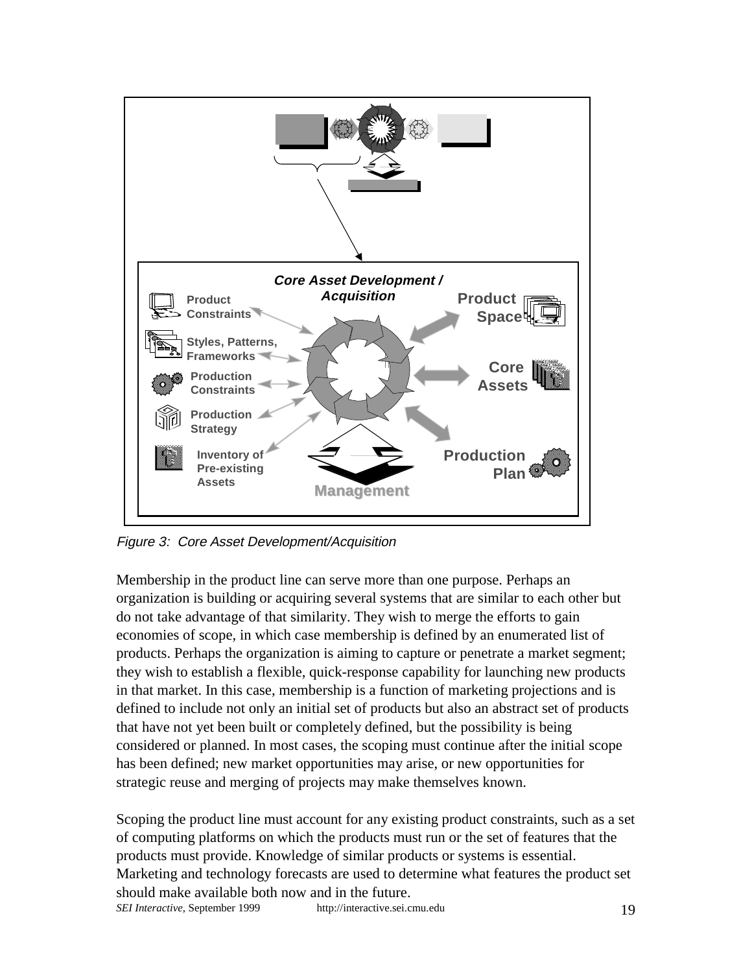

Figure 3: Core Asset Development/Acquisition

Membership in the product line can serve more than one purpose. Perhaps an organization is building or acquiring several systems that are similar to each other but do not take advantage of that similarity. They wish to merge the efforts to gain economies of scope, in which case membership is defined by an enumerated list of products. Perhaps the organization is aiming to capture or penetrate a market segment; they wish to establish a flexible, quick-response capability for launching new products in that market. In this case, membership is a function of marketing projections and is defined to include not only an initial set of products but also an abstract set of products that have not yet been built or completely defined, but the possibility is being considered or planned. In most cases, the scoping must continue after the initial scope has been defined; new market opportunities may arise, or new opportunities for strategic reuse and merging of projects may make themselves known.

Scoping the product line must account for any existing product constraints, such as a set of computing platforms on which the products must run or the set of features that the products must provide. Knowledge of similar products or systems is essential. Marketing and technology forecasts are used to determine what features the product set should make available both now and in the future.

*SEI Interactive*, September 1999 http://interactive.sei.cmu.edu 19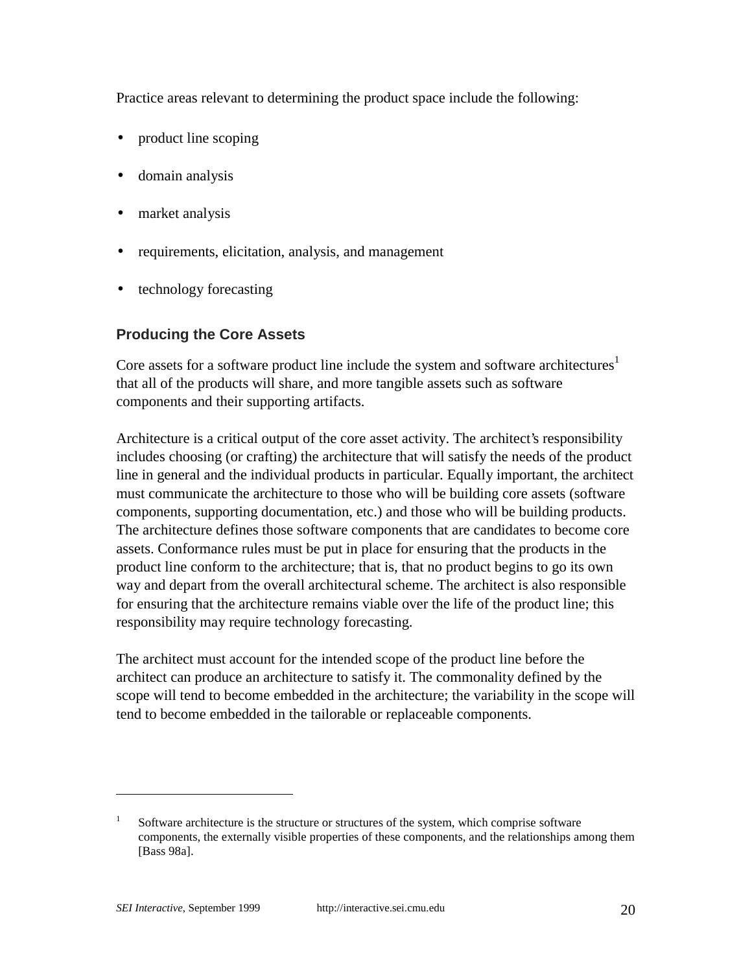Practice areas relevant to determining the product space include the following:

- product line scoping
- domain analysis
- market analysis
- requirements, elicitation, analysis, and management
- technology forecasting

#### **Producing the Core Assets**

Core assets for a software product line include the system and software architectures<sup>1</sup> that all of the products will share, and more tangible assets such as software components and their supporting artifacts.

Architecture is a critical output of the core asset activity. The architect's responsibility includes choosing (or crafting) the architecture that will satisfy the needs of the product line in general and the individual products in particular. Equally important, the architect must communicate the architecture to those who will be building core assets (software components, supporting documentation, etc.) and those who will be building products. The architecture defines those software components that are candidates to become core assets. Conformance rules must be put in place for ensuring that the products in the product line conform to the architecture; that is, that no product begins to go its own way and depart from the overall architectural scheme. The architect is also responsible for ensuring that the architecture remains viable over the life of the product line; this responsibility may require technology forecasting.

The architect must account for the intended scope of the product line before the architect can produce an architecture to satisfy it. The commonality defined by the scope will tend to become embedded in the architecture; the variability in the scope will tend to become embedded in the tailorable or replaceable components.

 $\overline{a}$ 

<sup>1</sup> Software architecture is the structure or structures of the system, which comprise software components, the externally visible properties of these components, and the relationships among them [Bass 98a].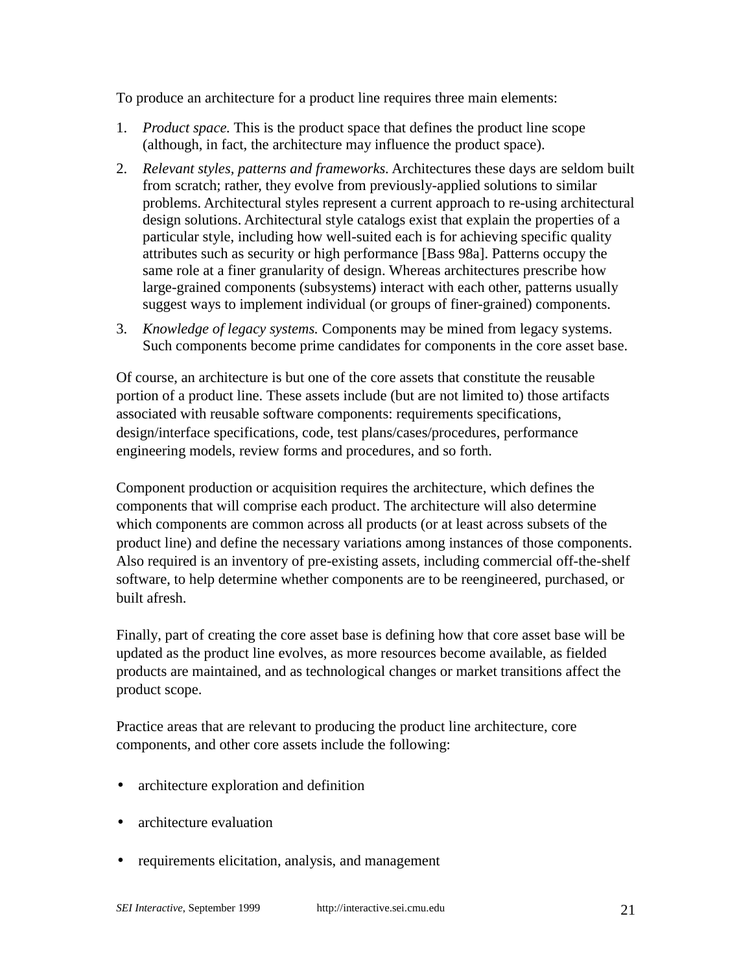To produce an architecture for a product line requires three main elements:

- 1. *Product space.* This is the product space that defines the product line scope (although, in fact, the architecture may influence the product space).
- 2. *Relevant styles, patterns and frameworks.* Architectures these days are seldom built from scratch; rather, they evolve from previously-applied solutions to similar problems. Architectural styles represent a current approach to re-using architectural design solutions. Architectural style catalogs exist that explain the properties of a particular style, including how well-suited each is for achieving specific quality attributes such as security or high performance [Bass 98a]. Patterns occupy the same role at a finer granularity of design. Whereas architectures prescribe how large-grained components (subsystems) interact with each other, patterns usually suggest ways to implement individual (or groups of finer-grained) components.
- 3. *Knowledge of legacy systems.* Components may be mined from legacy systems. Such components become prime candidates for components in the core asset base.

Of course, an architecture is but one of the core assets that constitute the reusable portion of a product line. These assets include (but are not limited to) those artifacts associated with reusable software components: requirements specifications, design/interface specifications, code, test plans/cases/procedures, performance engineering models, review forms and procedures, and so forth.

Component production or acquisition requires the architecture, which defines the components that will comprise each product. The architecture will also determine which components are common across all products (or at least across subsets of the product line) and define the necessary variations among instances of those components. Also required is an inventory of pre-existing assets, including commercial off-the-shelf software, to help determine whether components are to be reengineered, purchased, or built afresh.

Finally, part of creating the core asset base is defining how that core asset base will be updated as the product line evolves, as more resources become available, as fielded products are maintained, and as technological changes or market transitions affect the product scope.

Practice areas that are relevant to producing the product line architecture, core components, and other core assets include the following:

- architecture exploration and definition
- architecture evaluation
- requirements elicitation, analysis, and management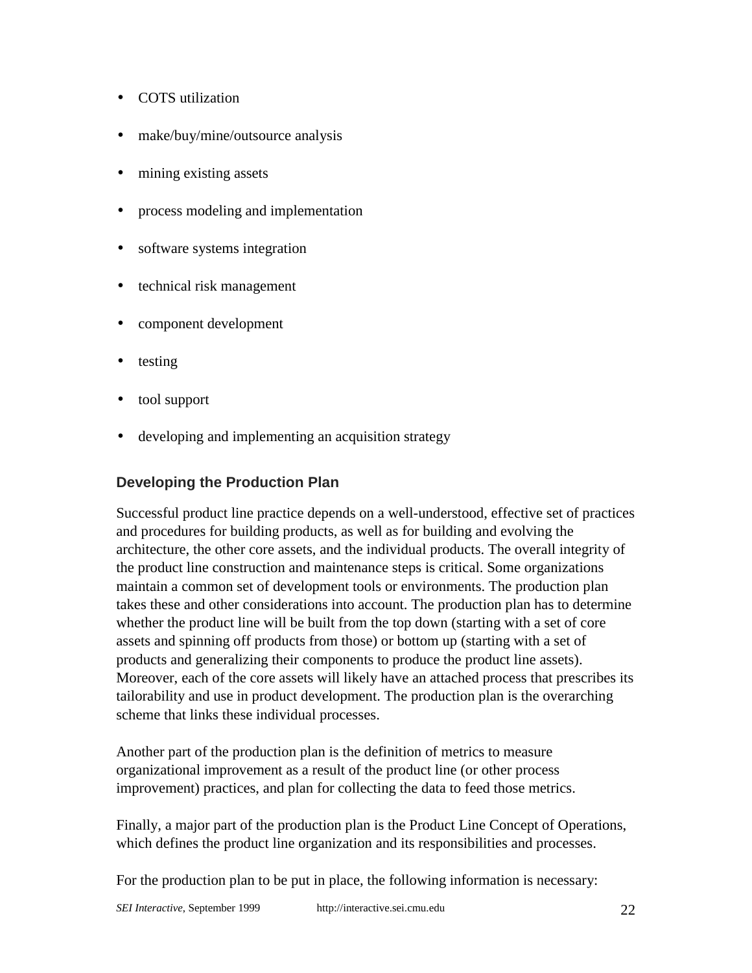- COTS utilization
- make/buy/mine/outsource analysis
- mining existing assets
- process modeling and implementation
- software systems integration
- technical risk management
- component development
- testing
- tool support
- developing and implementing an acquisition strategy

#### **Developing the Production Plan**

Successful product line practice depends on a well-understood, effective set of practices and procedures for building products, as well as for building and evolving the architecture, the other core assets, and the individual products. The overall integrity of the product line construction and maintenance steps is critical. Some organizations maintain a common set of development tools or environments. The production plan takes these and other considerations into account. The production plan has to determine whether the product line will be built from the top down (starting with a set of core assets and spinning off products from those) or bottom up (starting with a set of products and generalizing their components to produce the product line assets). Moreover, each of the core assets will likely have an attached process that prescribes its tailorability and use in product development. The production plan is the overarching scheme that links these individual processes.

Another part of the production plan is the definition of metrics to measure organizational improvement as a result of the product line (or other process improvement) practices, and plan for collecting the data to feed those metrics.

Finally, a major part of the production plan is the Product Line Concept of Operations, which defines the product line organization and its responsibilities and processes.

For the production plan to be put in place, the following information is necessary: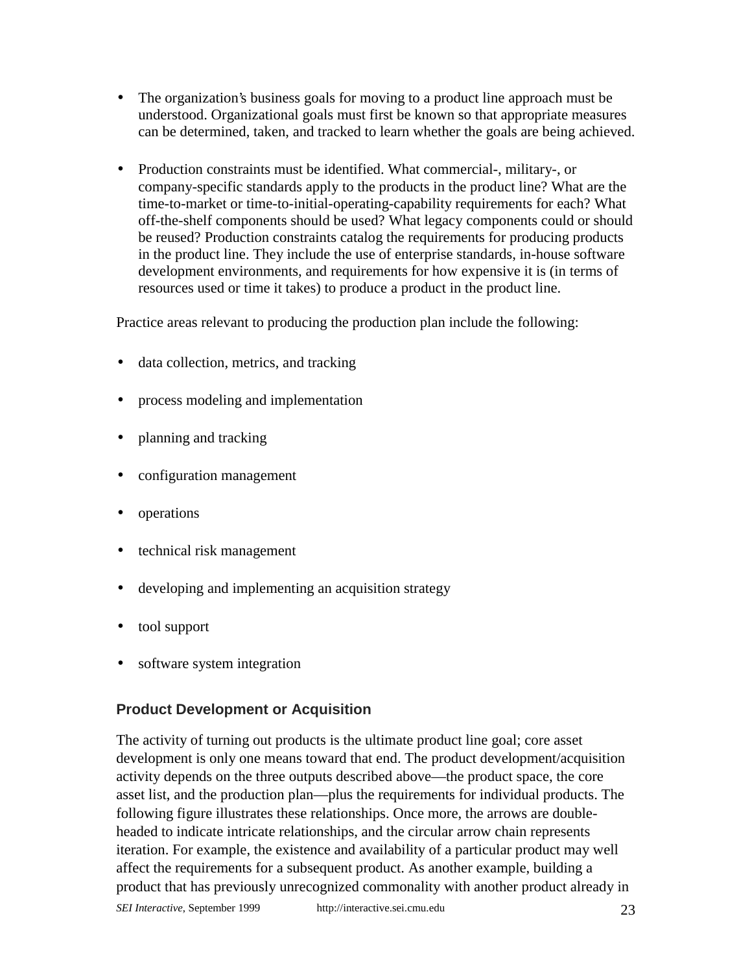- The organization's business goals for moving to a product line approach must be understood. Organizational goals must first be known so that appropriate measures can be determined, taken, and tracked to learn whether the goals are being achieved.
- Production constraints must be identified. What commercial-, military-, or company-specific standards apply to the products in the product line? What are the time-to-market or time-to-initial-operating-capability requirements for each? What off-the-shelf components should be used? What legacy components could or should be reused? Production constraints catalog the requirements for producing products in the product line. They include the use of enterprise standards, in-house software development environments, and requirements for how expensive it is (in terms of resources used or time it takes) to produce a product in the product line.

Practice areas relevant to producing the production plan include the following:

- data collection, metrics, and tracking
- process modeling and implementation
- planning and tracking
- configuration management
- operations
- technical risk management
- developing and implementing an acquisition strategy
- tool support
- software system integration

#### **Product Development or Acquisition**

*SEI Interactive*, September 1999 http://interactive.sei.cmu.edu 23 The activity of turning out products is the ultimate product line goal; core asset development is only one means toward that end. The product development/acquisition activity depends on the three outputs described above—the product space, the core asset list, and the production plan—plus the requirements for individual products. The following figure illustrates these relationships. Once more, the arrows are doubleheaded to indicate intricate relationships, and the circular arrow chain represents iteration. For example, the existence and availability of a particular product may well affect the requirements for a subsequent product. As another example, building a product that has previously unrecognized commonality with another product already in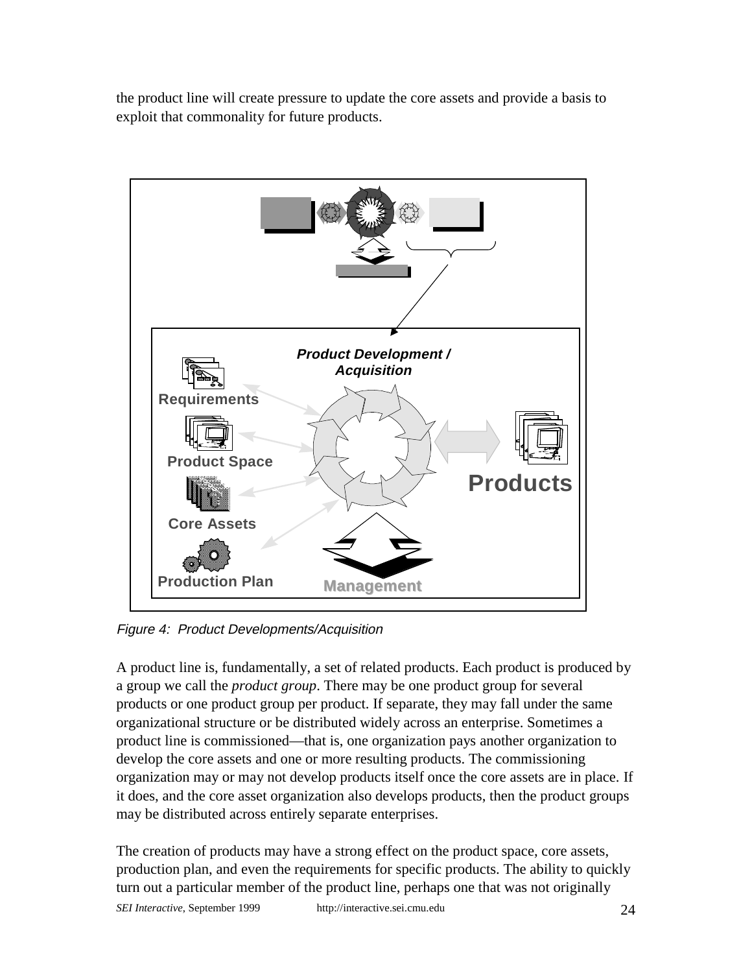the product line will create pressure to update the core assets and provide a basis to exploit that commonality for future products.



Figure 4: Product Developments/Acquisition

A product line is, fundamentally, a set of related products. Each product is produced by a group we call the *product group*. There may be one product group for several products or one product group per product. If separate, they may fall under the same organizational structure or be distributed widely across an enterprise. Sometimes a product line is commissioned—that is, one organization pays another organization to develop the core assets and one or more resulting products. The commissioning organization may or may not develop products itself once the core assets are in place. If it does, and the core asset organization also develops products, then the product groups may be distributed across entirely separate enterprises.

*SEI Interactive*, September 1999 http://interactive.sei.cmu.edu 24 The creation of products may have a strong effect on the product space, core assets, production plan, and even the requirements for specific products. The ability to quickly turn out a particular member of the product line, perhaps one that was not originally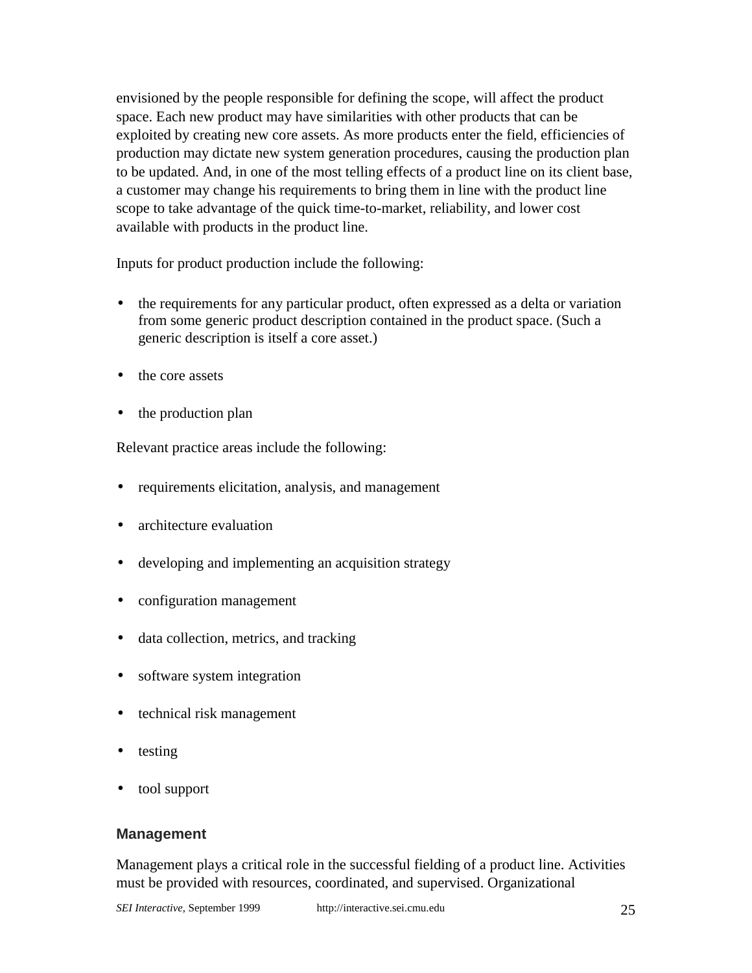envisioned by the people responsible for defining the scope, will affect the product space. Each new product may have similarities with other products that can be exploited by creating new core assets. As more products enter the field, efficiencies of production may dictate new system generation procedures, causing the production plan to be updated. And, in one of the most telling effects of a product line on its client base, a customer may change his requirements to bring them in line with the product line scope to take advantage of the quick time-to-market, reliability, and lower cost available with products in the product line.

Inputs for product production include the following:

- the requirements for any particular product, often expressed as a delta or variation from some generic product description contained in the product space. (Such a generic description is itself a core asset.)
- the core assets
- the production plan

Relevant practice areas include the following:

- requirements elicitation, analysis, and management
- architecture evaluation
- developing and implementing an acquisition strategy
- configuration management
- data collection, metrics, and tracking
- software system integration
- technical risk management
- testing
- tool support

#### **Management**

Management plays a critical role in the successful fielding of a product line. Activities must be provided with resources, coordinated, and supervised. Organizational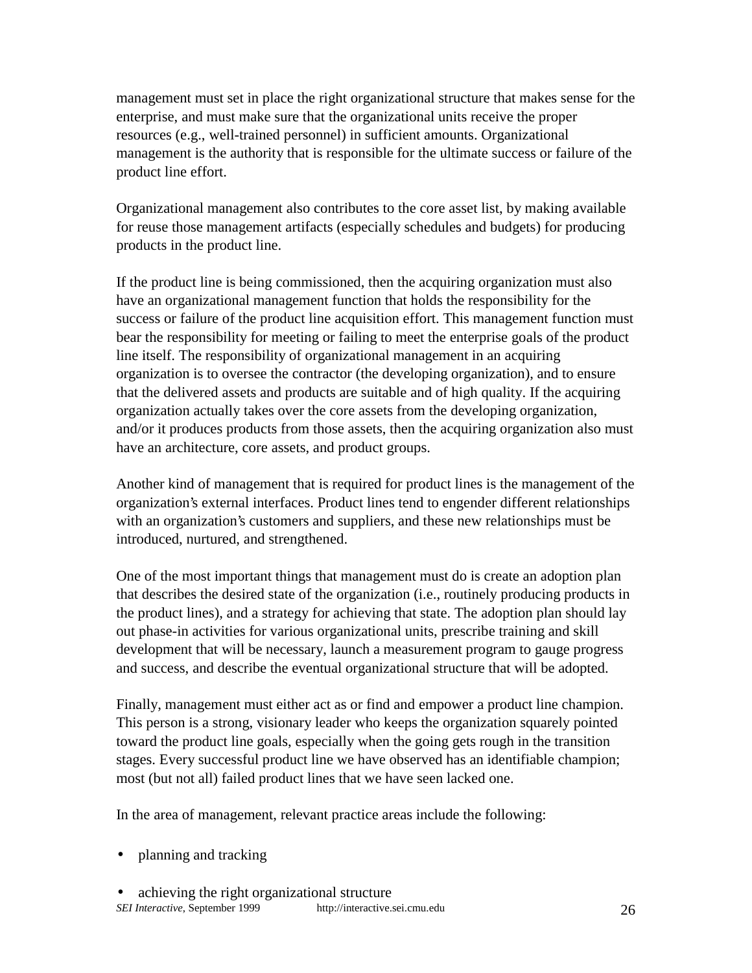management must set in place the right organizational structure that makes sense for the enterprise, and must make sure that the organizational units receive the proper resources (e.g., well-trained personnel) in sufficient amounts. Organizational management is the authority that is responsible for the ultimate success or failure of the product line effort.

Organizational management also contributes to the core asset list, by making available for reuse those management artifacts (especially schedules and budgets) for producing products in the product line.

If the product line is being commissioned, then the acquiring organization must also have an organizational management function that holds the responsibility for the success or failure of the product line acquisition effort. This management function must bear the responsibility for meeting or failing to meet the enterprise goals of the product line itself. The responsibility of organizational management in an acquiring organization is to oversee the contractor (the developing organization), and to ensure that the delivered assets and products are suitable and of high quality. If the acquiring organization actually takes over the core assets from the developing organization, and/or it produces products from those assets, then the acquiring organization also must have an architecture, core assets, and product groups.

Another kind of management that is required for product lines is the management of the organization's external interfaces. Product lines tend to engender different relationships with an organization's customers and suppliers, and these new relationships must be introduced, nurtured, and strengthened.

One of the most important things that management must do is create an adoption plan that describes the desired state of the organization (i.e., routinely producing products in the product lines), and a strategy for achieving that state. The adoption plan should lay out phase-in activities for various organizational units, prescribe training and skill development that will be necessary, launch a measurement program to gauge progress and success, and describe the eventual organizational structure that will be adopted.

Finally, management must either act as or find and empower a product line champion. This person is a strong, visionary leader who keeps the organization squarely pointed toward the product line goals, especially when the going gets rough in the transition stages. Every successful product line we have observed has an identifiable champion; most (but not all) failed product lines that we have seen lacked one.

In the area of management, relevant practice areas include the following:

• planning and tracking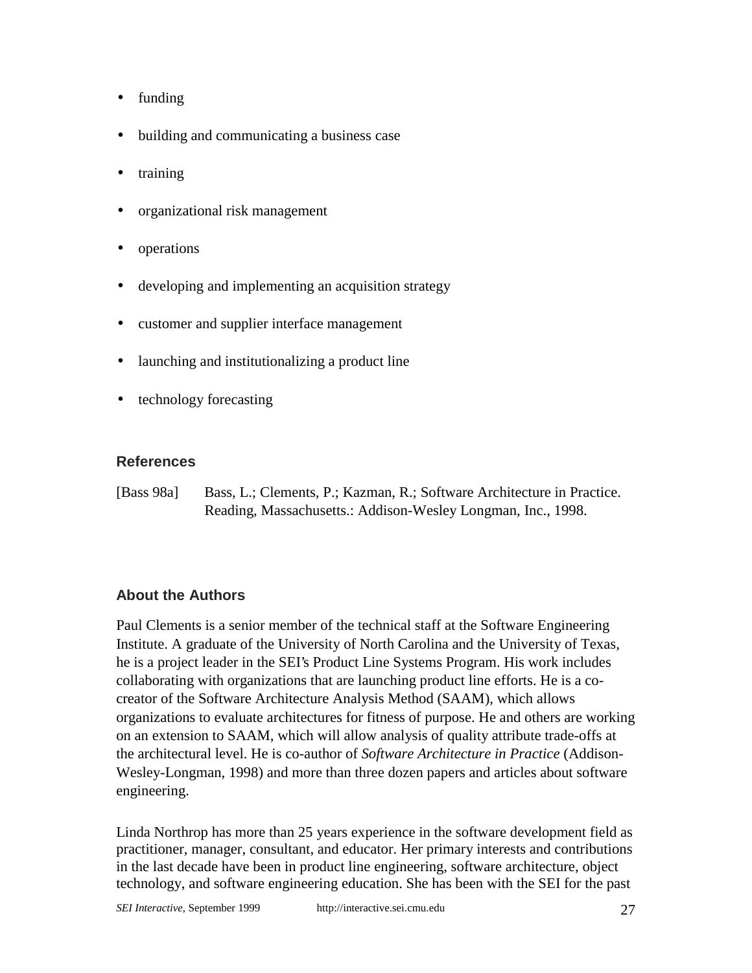- funding
- building and communicating a business case
- training
- organizational risk management
- operations
- developing and implementing an acquisition strategy
- customer and supplier interface management
- launching and institutionalizing a product line
- technology forecasting

#### **References**

[Bass 98a] Bass, L.; Clements, P.; Kazman, R.; Software Architecture in Practice. Reading, Massachusetts.: Addison-Wesley Longman, Inc., 1998.

#### **About the Authors**

Paul Clements is a senior member of the technical staff at the Software Engineering Institute. A graduate of the University of North Carolina and the University of Texas, he is a project leader in the SEI's Product Line Systems Program. His work includes collaborating with organizations that are launching product line efforts. He is a cocreator of the Software Architecture Analysis Method (SAAM), which allows organizations to evaluate architectures for fitness of purpose. He and others are working on an extension to SAAM, which will allow analysis of quality attribute trade-offs at the architectural level. He is co-author of *Software Architecture in Practice* (Addison-Wesley-Longman, 1998) and more than three dozen papers and articles about software engineering.

Linda Northrop has more than 25 years experience in the software development field as practitioner, manager, consultant, and educator. Her primary interests and contributions in the last decade have been in product line engineering, software architecture, object technology, and software engineering education. She has been with the SEI for the past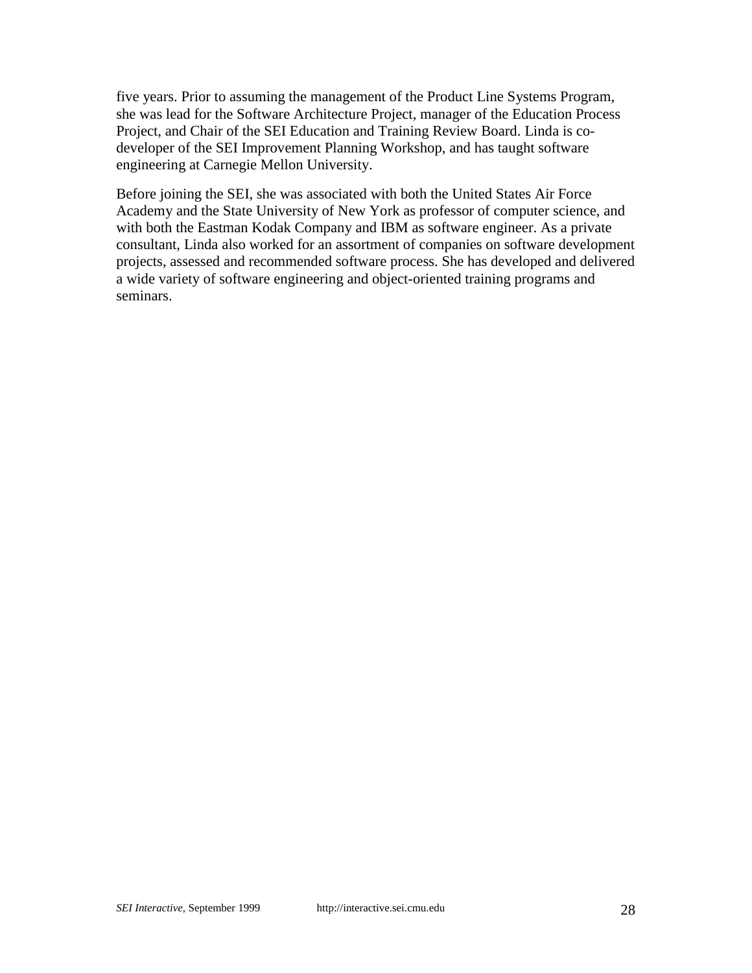five years. Prior to assuming the management of the Product Line Systems Program, she was lead for the Software Architecture Project, manager of the Education Process Project, and Chair of the SEI Education and Training Review Board. Linda is codeveloper of the SEI Improvement Planning Workshop, and has taught software engineering at Carnegie Mellon University.

Before joining the SEI, she was associated with both the United States Air Force Academy and the State University of New York as professor of computer science, and with both the Eastman Kodak Company and IBM as software engineer. As a private consultant, Linda also worked for an assortment of companies on software development projects, assessed and recommended software process. She has developed and delivered a wide variety of software engineering and object-oriented training programs and seminars.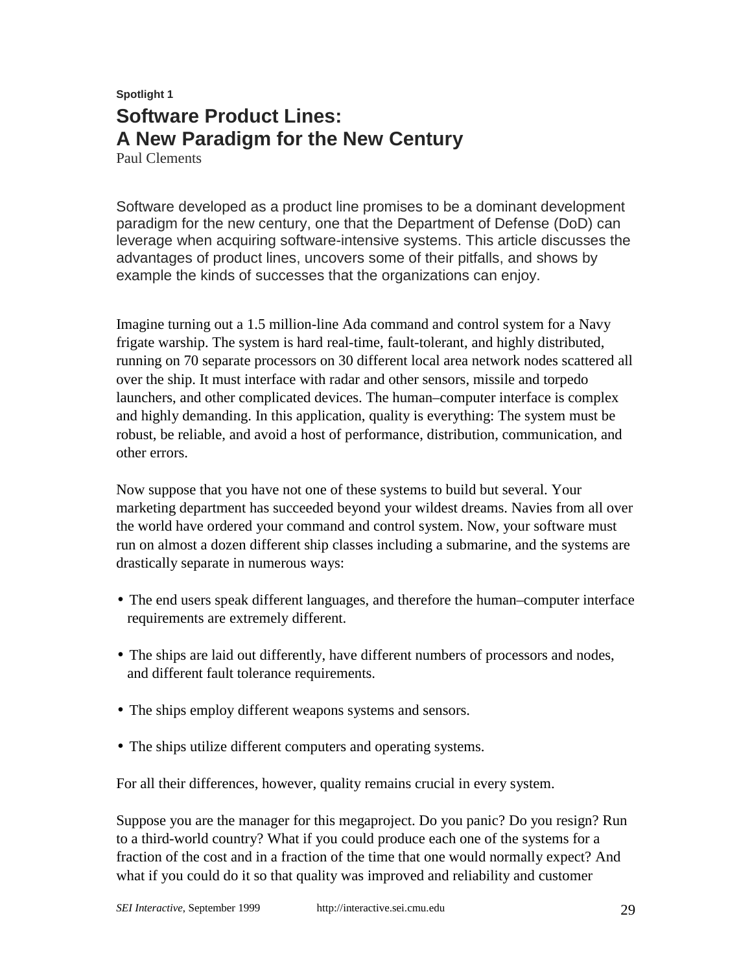## <span id="page-29-0"></span>**Spotlight 1 Software Product Lines: A New Paradigm for the New Century** Paul Clements

Software developed as a product line promises to be a dominant development paradigm for the new century, one that the Department of Defense (DoD) can leverage when acquiring software-intensive systems. This article discusses the advantages of product lines, uncovers some of their pitfalls, and shows by example the kinds of successes that the organizations can enjoy.

Imagine turning out a 1.5 million-line Ada command and control system for a Navy frigate warship. The system is hard real-time, fault-tolerant, and highly distributed, running on 70 separate processors on 30 different local area network nodes scattered all over the ship. It must interface with radar and other sensors, missile and torpedo launchers, and other complicated devices. The human–computer interface is complex and highly demanding. In this application, quality is everything: The system must be robust, be reliable, and avoid a host of performance, distribution, communication, and other errors.

Now suppose that you have not one of these systems to build but several. Your marketing department has succeeded beyond your wildest dreams. Navies from all over the world have ordered your command and control system. Now, your software must run on almost a dozen different ship classes including a submarine, and the systems are drastically separate in numerous ways:

- The end users speak different languages, and therefore the human–computer interface requirements are extremely different.
- The ships are laid out differently, have different numbers of processors and nodes, and different fault tolerance requirements.
- The ships employ different weapons systems and sensors.
- The ships utilize different computers and operating systems.

For all their differences, however, quality remains crucial in every system.

Suppose you are the manager for this megaproject. Do you panic? Do you resign? Run to a third-world country? What if you could produce each one of the systems for a fraction of the cost and in a fraction of the time that one would normally expect? And what if you could do it so that quality was improved and reliability and customer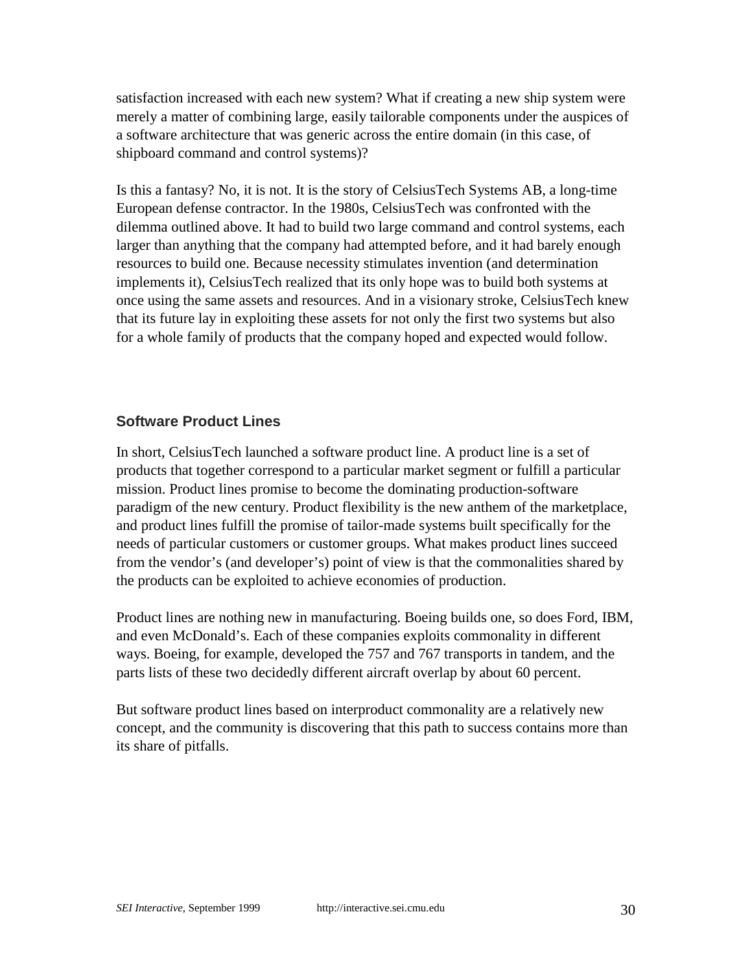satisfaction increased with each new system? What if creating a new ship system were merely a matter of combining large, easily tailorable components under the auspices of a software architecture that was generic across the entire domain (in this case, of shipboard command and control systems)?

Is this a fantasy? No, it is not. It is the story of CelsiusTech Systems AB, a long-time European defense contractor. In the 1980s, CelsiusTech was confronted with the dilemma outlined above. It had to build two large command and control systems, each larger than anything that the company had attempted before, and it had barely enough resources to build one. Because necessity stimulates invention (and determination implements it), CelsiusTech realized that its only hope was to build both systems at once using the same assets and resources. And in a visionary stroke, CelsiusTech knew that its future lay in exploiting these assets for not only the first two systems but also for a whole family of products that the company hoped and expected would follow.

#### **Software Product Lines**

In short, CelsiusTech launched a software product line. A product line is a set of products that together correspond to a particular market segment or fulfill a particular mission. Product lines promise to become the dominating production-software paradigm of the new century. Product flexibility is the new anthem of the marketplace, and product lines fulfill the promise of tailor-made systems built specifically for the needs of particular customers or customer groups. What makes product lines succeed from the vendor's (and developer's) point of view is that the commonalities shared by the products can be exploited to achieve economies of production.

Product lines are nothing new in manufacturing. Boeing builds one, so does Ford, IBM, and even McDonald's. Each of these companies exploits commonality in different ways. Boeing, for example, developed the 757 and 767 transports in tandem, and the parts lists of these two decidedly different aircraft overlap by about 60 percent.

But software product lines based on interproduct commonality are a relatively new concept, and the community is discovering that this path to success contains more than its share of pitfalls.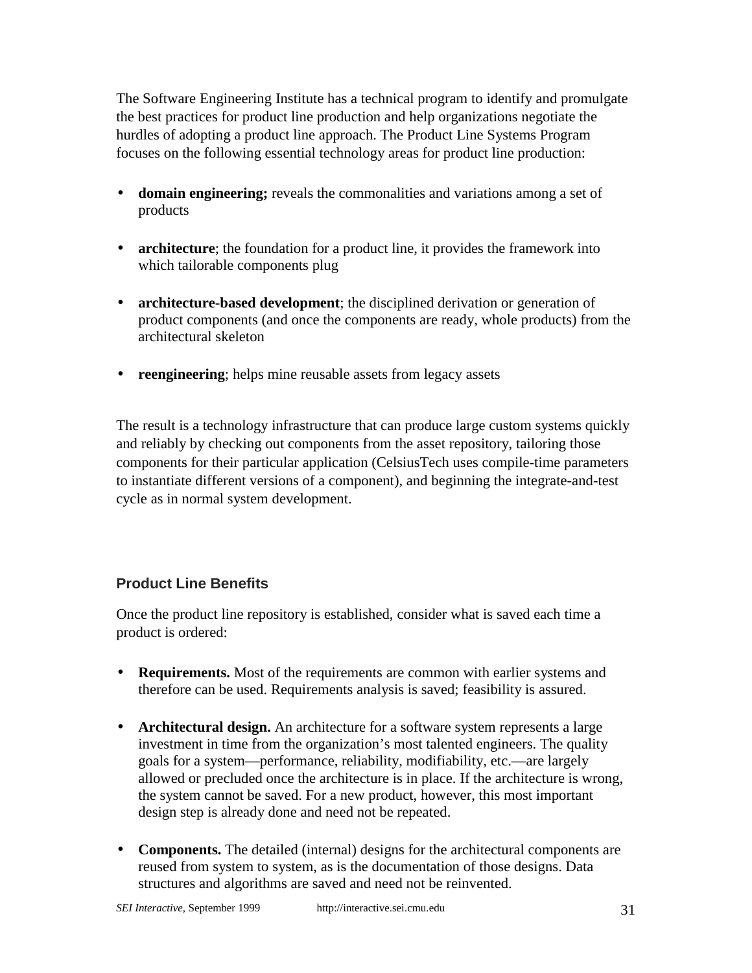The Software Engineering Institute has a technical program to identify and promulgate the best practices for product line production and help organizations negotiate the hurdles of adopting a product line approach. The Product Line Systems Program focuses on the following essential technology areas for product line production:

- **domain engineering;** reveals the commonalities and variations among a set of products
- **architecture**; the foundation for a product line, it provides the framework into which tailorable components plug
- **architecture-based development**; the disciplined derivation or generation of product components (and once the components are ready, whole products) from the architectural skeleton
- **reengineering**; helps mine reusable assets from legacy assets

The result is a technology infrastructure that can produce large custom systems quickly and reliably by checking out components from the asset repository, tailoring those components for their particular application (CelsiusTech uses compile-time parameters to instantiate different versions of a component), and beginning the integrate-and-test cycle as in normal system development.

#### **Product Line Benefits**

Once the product line repository is established, consider what is saved each time a product is ordered:

- **Requirements.** Most of the requirements are common with earlier systems and therefore can be used. Requirements analysis is saved; feasibility is assured.
- **Architectural design.** An architecture for a software system represents a large investment in time from the organization's most talented engineers. The quality goals for a system—performance, reliability, modifiability, etc.—are largely allowed or precluded once the architecture is in place. If the architecture is wrong, the system cannot be saved. For a new product, however, this most important design step is already done and need not be repeated.
- **Components.** The detailed (internal) designs for the architectural components are reused from system to system, as is the documentation of those designs. Data structures and algorithms are saved and need not be reinvented.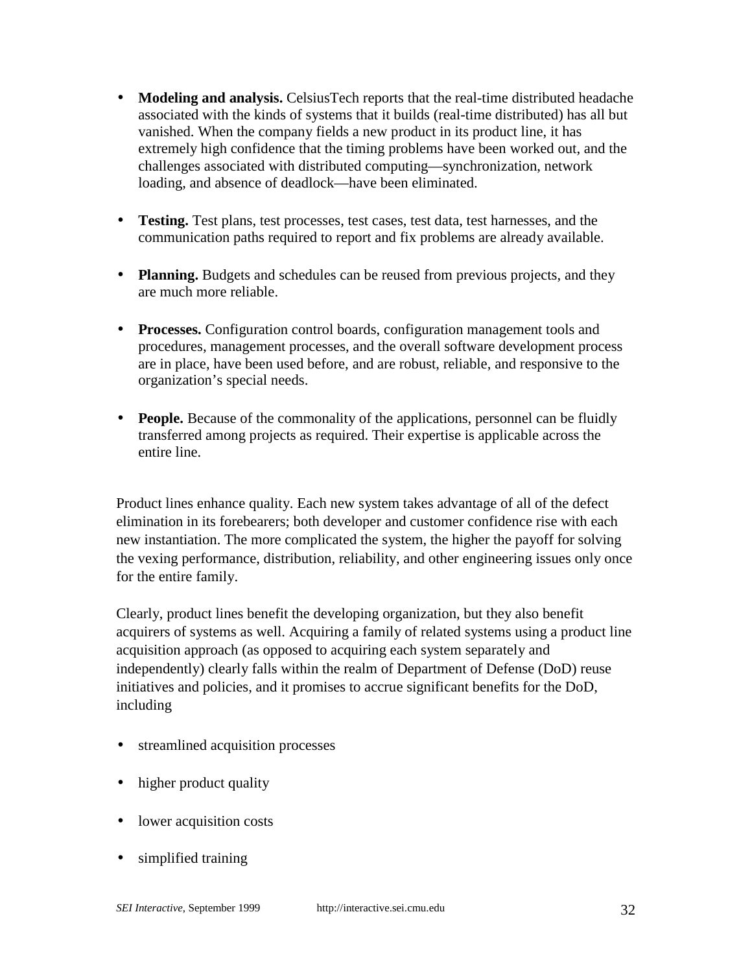- **Modeling and analysis.** CelsiusTech reports that the real-time distributed headache associated with the kinds of systems that it builds (real-time distributed) has all but vanished. When the company fields a new product in its product line, it has extremely high confidence that the timing problems have been worked out, and the challenges associated with distributed computing—synchronization, network loading, and absence of deadlock—have been eliminated.
- **Testing.** Test plans, test processes, test cases, test data, test harnesses, and the communication paths required to report and fix problems are already available.
- **Planning.** Budgets and schedules can be reused from previous projects, and they are much more reliable.
- **Processes.** Configuration control boards, configuration management tools and procedures, management processes, and the overall software development process are in place, have been used before, and are robust, reliable, and responsive to the organization's special needs.
- **People.** Because of the commonality of the applications, personnel can be fluidly transferred among projects as required. Their expertise is applicable across the entire line.

Product lines enhance quality. Each new system takes advantage of all of the defect elimination in its forebearers; both developer and customer confidence rise with each new instantiation. The more complicated the system, the higher the payoff for solving the vexing performance, distribution, reliability, and other engineering issues only once for the entire family.

Clearly, product lines benefit the developing organization, but they also benefit acquirers of systems as well. Acquiring a family of related systems using a product line acquisition approach (as opposed to acquiring each system separately and independently) clearly falls within the realm of Department of Defense (DoD) reuse initiatives and policies, and it promises to accrue significant benefits for the DoD, including

- streamlined acquisition processes
- higher product quality
- lower acquisition costs
- simplified training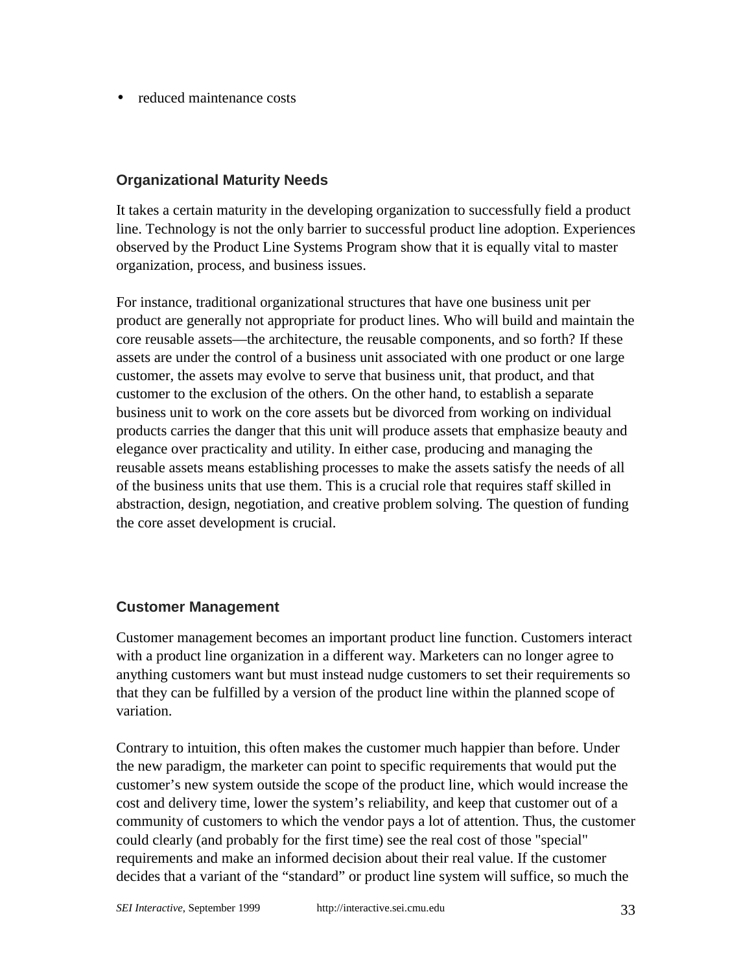• reduced maintenance costs

#### **Organizational Maturity Needs**

It takes a certain maturity in the developing organization to successfully field a product line. Technology is not the only barrier to successful product line adoption. Experiences observed by the Product Line Systems Program show that it is equally vital to master organization, process, and business issues.

For instance, traditional organizational structures that have one business unit per product are generally not appropriate for product lines. Who will build and maintain the core reusable assets—the architecture, the reusable components, and so forth? If these assets are under the control of a business unit associated with one product or one large customer, the assets may evolve to serve that business unit, that product, and that customer to the exclusion of the others. On the other hand, to establish a separate business unit to work on the core assets but be divorced from working on individual products carries the danger that this unit will produce assets that emphasize beauty and elegance over practicality and utility. In either case, producing and managing the reusable assets means establishing processes to make the assets satisfy the needs of all of the business units that use them. This is a crucial role that requires staff skilled in abstraction, design, negotiation, and creative problem solving. The question of funding the core asset development is crucial.

#### **Customer Management**

Customer management becomes an important product line function. Customers interact with a product line organization in a different way. Marketers can no longer agree to anything customers want but must instead nudge customers to set their requirements so that they can be fulfilled by a version of the product line within the planned scope of variation.

Contrary to intuition, this often makes the customer much happier than before. Under the new paradigm, the marketer can point to specific requirements that would put the customer's new system outside the scope of the product line, which would increase the cost and delivery time, lower the system's reliability, and keep that customer out of a community of customers to which the vendor pays a lot of attention. Thus, the customer could clearly (and probably for the first time) see the real cost of those "special" requirements and make an informed decision about their real value. If the customer decides that a variant of the "standard" or product line system will suffice, so much the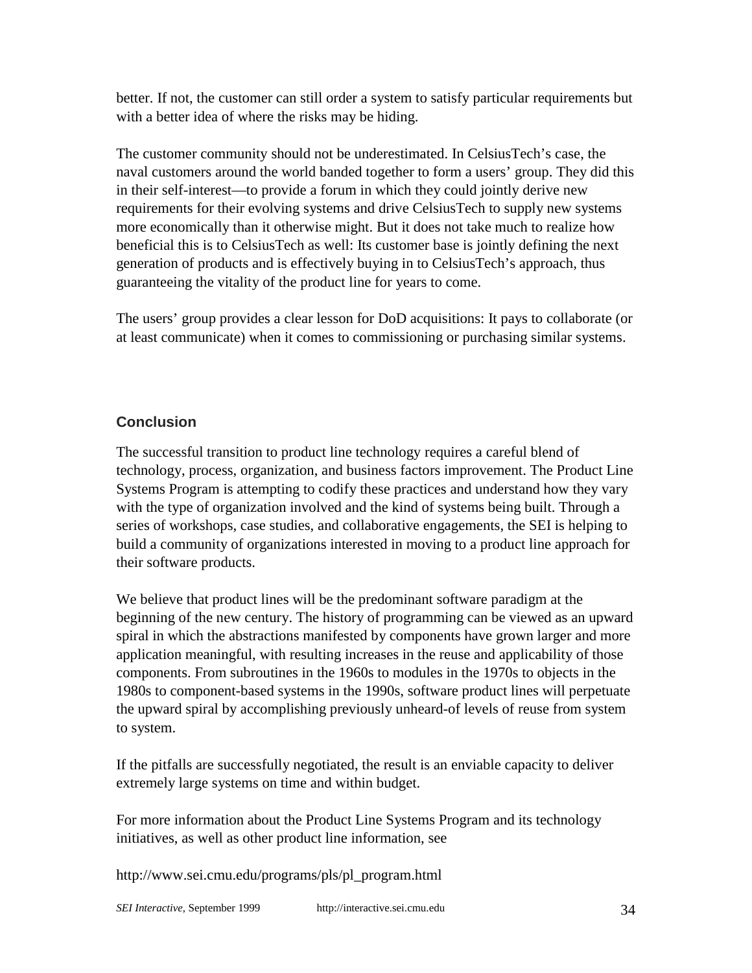better. If not, the customer can still order a system to satisfy particular requirements but with a better idea of where the risks may be hiding.

The customer community should not be underestimated. In CelsiusTech's case, the naval customers around the world banded together to form a users' group. They did this in their self-interest—to provide a forum in which they could jointly derive new requirements for their evolving systems and drive CelsiusTech to supply new systems more economically than it otherwise might. But it does not take much to realize how beneficial this is to CelsiusTech as well: Its customer base is jointly defining the next generation of products and is effectively buying in to CelsiusTech's approach, thus guaranteeing the vitality of the product line for years to come.

The users' group provides a clear lesson for DoD acquisitions: It pays to collaborate (or at least communicate) when it comes to commissioning or purchasing similar systems.

### **Conclusion**

The successful transition to product line technology requires a careful blend of technology, process, organization, and business factors improvement. The Product Line Systems Program is attempting to codify these practices and understand how they vary with the type of organization involved and the kind of systems being built. Through a series of workshops, case studies, and collaborative engagements, the SEI is helping to build a community of organizations interested in moving to a product line approach for their software products.

We believe that product lines will be the predominant software paradigm at the beginning of the new century. The history of programming can be viewed as an upward spiral in which the abstractions manifested by components have grown larger and more application meaningful, with resulting increases in the reuse and applicability of those components. From subroutines in the 1960s to modules in the 1970s to objects in the 1980s to component-based systems in the 1990s, software product lines will perpetuate the upward spiral by accomplishing previously unheard-of levels of reuse from system to system.

If the pitfalls are successfully negotiated, the result is an enviable capacity to deliver extremely large systems on time and within budget.

For more information about the Product Line Systems Program and its technology initiatives, as well as other product line information, see

http://www.sei.cmu.edu/programs/pls/pl\_program.html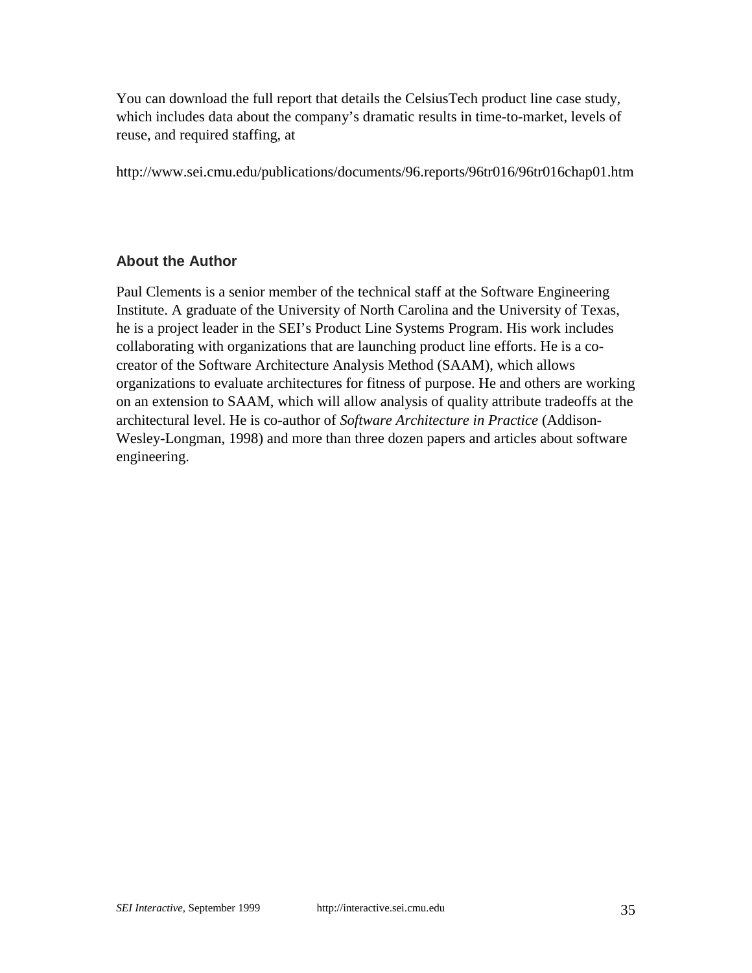You can download the full report that details the CelsiusTech product line case study, which includes data about the company's dramatic results in time-to-market, levels of reuse, and required staffing, at

http://www.sei.cmu.edu/publications/documents/96.reports/96tr016/96tr016chap01.htm

#### **About the Author**

Paul Clements is a senior member of the technical staff at the Software Engineering Institute. A graduate of the University of North Carolina and the University of Texas, he is a project leader in the SEI's Product Line Systems Program. His work includes collaborating with organizations that are launching product line efforts. He is a cocreator of the Software Architecture Analysis Method (SAAM), which allows organizations to evaluate architectures for fitness of purpose. He and others are working on an extension to SAAM, which will allow analysis of quality attribute tradeoffs at the architectural level. He is co-author of *Software Architecture in Practice* (Addison-Wesley-Longman, 1998) and more than three dozen papers and articles about software engineering.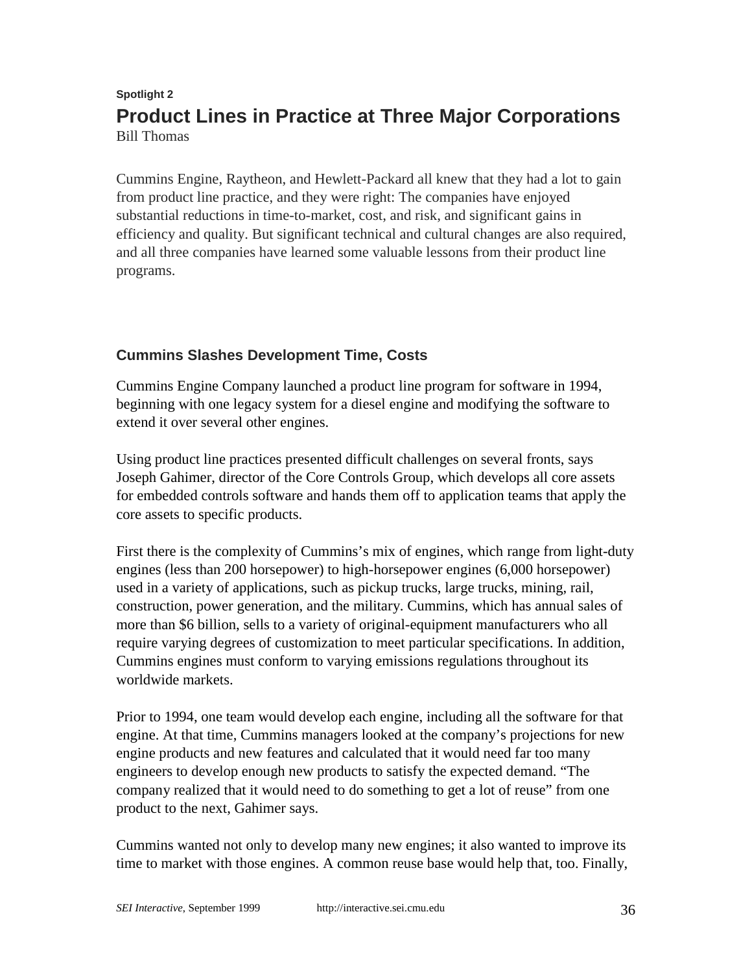# **Spotlight 2 Product Lines in Practice at Three Major Corporations** Bill Thomas

Cummins Engine, Raytheon, and Hewlett-Packard all knew that they had a lot to gain from product line practice, and they were right: The companies have enjoyed substantial reductions in time-to-market, cost, and risk, and significant gains in efficiency and quality. But significant technical and cultural changes are also required, and all three companies have learned some valuable lessons from their product line programs.

### **Cummins Slashes Development Time, Costs**

Cummins Engine Company launched a product line program for software in 1994, beginning with one legacy system for a diesel engine and modifying the software to extend it over several other engines.

Using product line practices presented difficult challenges on several fronts, says Joseph Gahimer, director of the Core Controls Group, which develops all core assets for embedded controls software and hands them off to application teams that apply the core assets to specific products.

First there is the complexity of Cummins's mix of engines, which range from light-duty engines (less than 200 horsepower) to high-horsepower engines (6,000 horsepower) used in a variety of applications, such as pickup trucks, large trucks, mining, rail, construction, power generation, and the military. Cummins, which has annual sales of more than \$6 billion, sells to a variety of original-equipment manufacturers who all require varying degrees of customization to meet particular specifications. In addition, Cummins engines must conform to varying emissions regulations throughout its worldwide markets.

Prior to 1994, one team would develop each engine, including all the software for that engine. At that time, Cummins managers looked at the company's projections for new engine products and new features and calculated that it would need far too many engineers to develop enough new products to satisfy the expected demand. "The company realized that it would need to do something to get a lot of reuse" from one product to the next, Gahimer says.

Cummins wanted not only to develop many new engines; it also wanted to improve its time to market with those engines. A common reuse base would help that, too. Finally,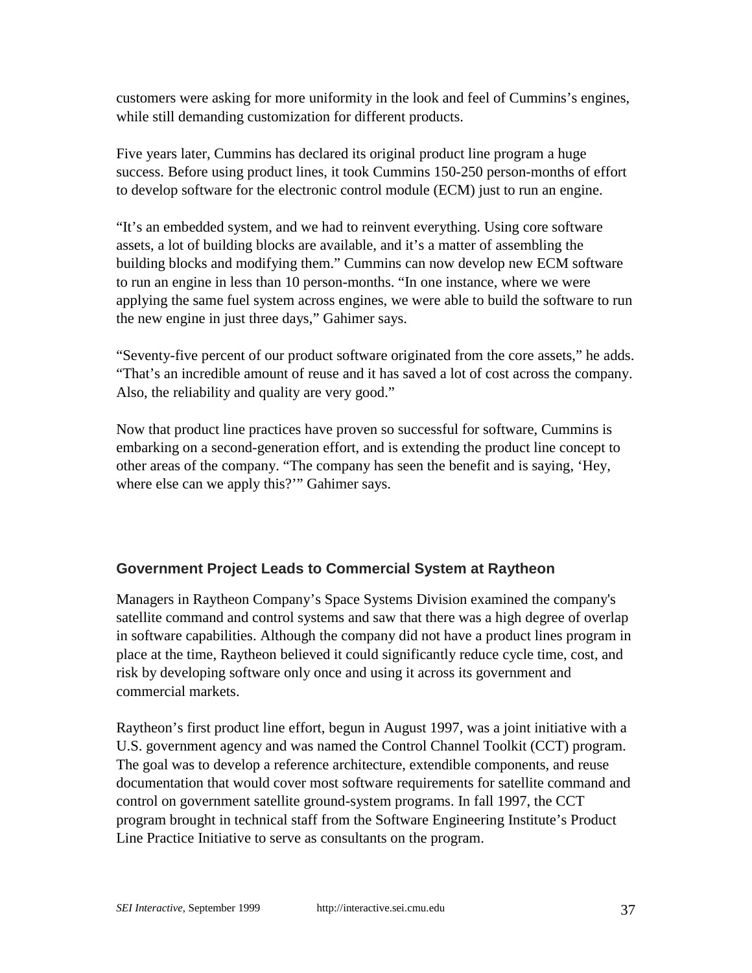customers were asking for more uniformity in the look and feel of Cummins's engines, while still demanding customization for different products.

Five years later, Cummins has declared its original product line program a huge success. Before using product lines, it took Cummins 150-250 person-months of effort to develop software for the electronic control module (ECM) just to run an engine.

"It's an embedded system, and we had to reinvent everything. Using core software assets, a lot of building blocks are available, and it's a matter of assembling the building blocks and modifying them." Cummins can now develop new ECM software to run an engine in less than 10 person-months. "In one instance, where we were applying the same fuel system across engines, we were able to build the software to run the new engine in just three days," Gahimer says.

"Seventy-five percent of our product software originated from the core assets," he adds. "That's an incredible amount of reuse and it has saved a lot of cost across the company. Also, the reliability and quality are very good."

Now that product line practices have proven so successful for software, Cummins is embarking on a second-generation effort, and is extending the product line concept to other areas of the company. "The company has seen the benefit and is saying, 'Hey, where else can we apply this?'" Gahimer says.

### **Government Project Leads to Commercial System at Raytheon**

Managers in Raytheon Company's Space Systems Division examined the company's satellite command and control systems and saw that there was a high degree of overlap in software capabilities. Although the company did not have a product lines program in place at the time, Raytheon believed it could significantly reduce cycle time, cost, and risk by developing software only once and using it across its government and commercial markets.

Raytheon's first product line effort, begun in August 1997, was a joint initiative with a U.S. government agency and was named the Control Channel Toolkit (CCT) program. The goal was to develop a reference architecture, extendible components, and reuse documentation that would cover most software requirements for satellite command and control on government satellite ground-system programs. In fall 1997, the CCT program brought in technical staff from the Software Engineering Institute's Product Line Practice Initiative to serve as consultants on the program.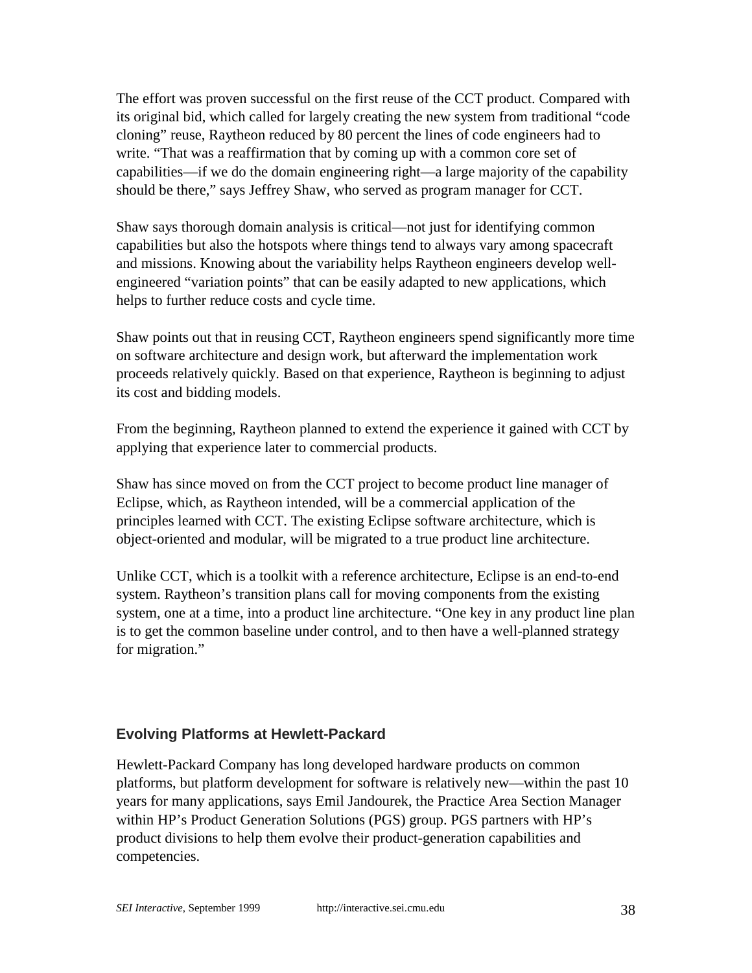The effort was proven successful on the first reuse of the CCT product. Compared with its original bid, which called for largely creating the new system from traditional "code cloning" reuse, Raytheon reduced by 80 percent the lines of code engineers had to write. "That was a reaffirmation that by coming up with a common core set of capabilities—if we do the domain engineering right—a large majority of the capability should be there," says Jeffrey Shaw, who served as program manager for CCT.

Shaw says thorough domain analysis is critical—not just for identifying common capabilities but also the hotspots where things tend to always vary among spacecraft and missions. Knowing about the variability helps Raytheon engineers develop wellengineered "variation points" that can be easily adapted to new applications, which helps to further reduce costs and cycle time.

Shaw points out that in reusing CCT, Raytheon engineers spend significantly more time on software architecture and design work, but afterward the implementation work proceeds relatively quickly. Based on that experience, Raytheon is beginning to adjust its cost and bidding models.

From the beginning, Raytheon planned to extend the experience it gained with CCT by applying that experience later to commercial products.

Shaw has since moved on from the CCT project to become product line manager of Eclipse, which, as Raytheon intended, will be a commercial application of the principles learned with CCT. The existing Eclipse software architecture, which is object-oriented and modular, will be migrated to a true product line architecture.

Unlike CCT, which is a toolkit with a reference architecture, Eclipse is an end-to-end system. Raytheon's transition plans call for moving components from the existing system, one at a time, into a product line architecture. "One key in any product line plan is to get the common baseline under control, and to then have a well-planned strategy for migration."

### **Evolving Platforms at Hewlett-Packard**

Hewlett-Packard Company has long developed hardware products on common platforms, but platform development for software is relatively new—within the past 10 years for many applications, says Emil Jandourek, the Practice Area Section Manager within HP's Product Generation Solutions (PGS) group. PGS partners with HP's product divisions to help them evolve their product-generation capabilities and competencies.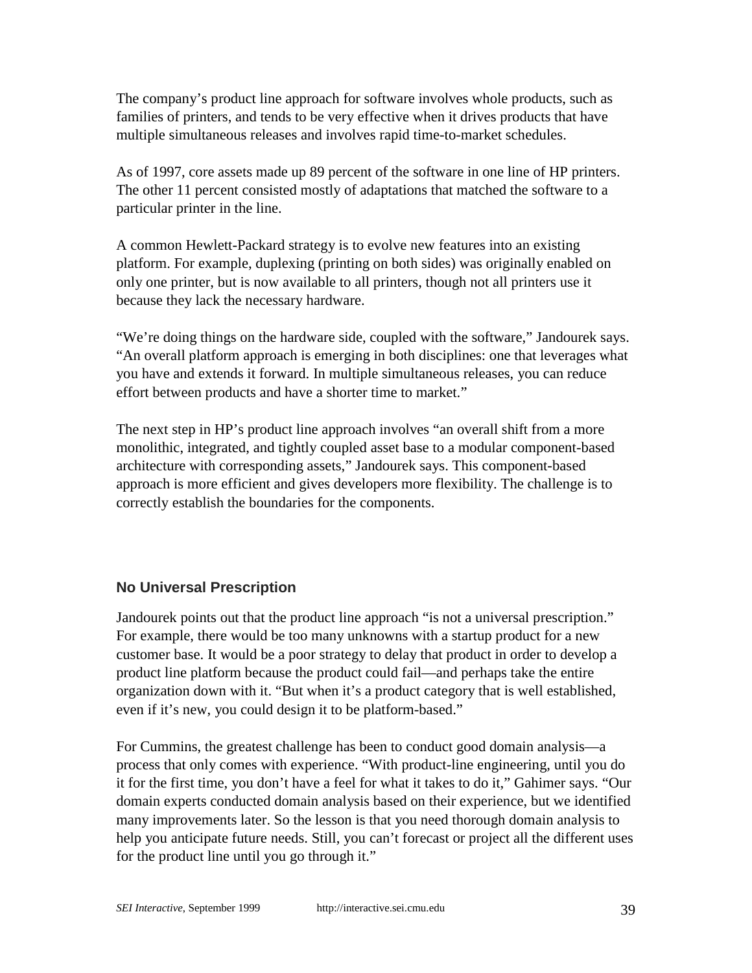The company's product line approach for software involves whole products, such as families of printers, and tends to be very effective when it drives products that have multiple simultaneous releases and involves rapid time-to-market schedules.

As of 1997, core assets made up 89 percent of the software in one line of HP printers. The other 11 percent consisted mostly of adaptations that matched the software to a particular printer in the line.

A common Hewlett-Packard strategy is to evolve new features into an existing platform. For example, duplexing (printing on both sides) was originally enabled on only one printer, but is now available to all printers, though not all printers use it because they lack the necessary hardware.

"We're doing things on the hardware side, coupled with the software," Jandourek says. "An overall platform approach is emerging in both disciplines: one that leverages what you have and extends it forward. In multiple simultaneous releases, you can reduce effort between products and have a shorter time to market."

The next step in HP's product line approach involves "an overall shift from a more monolithic, integrated, and tightly coupled asset base to a modular component-based architecture with corresponding assets," Jandourek says. This component-based approach is more efficient and gives developers more flexibility. The challenge is to correctly establish the boundaries for the components.

### **No Universal Prescription**

Jandourek points out that the product line approach "is not a universal prescription." For example, there would be too many unknowns with a startup product for a new customer base. It would be a poor strategy to delay that product in order to develop a product line platform because the product could fail—and perhaps take the entire organization down with it. "But when it's a product category that is well established, even if it's new, you could design it to be platform-based."

For Cummins, the greatest challenge has been to conduct good domain analysis—a process that only comes with experience. "With product-line engineering, until you do it for the first time, you don't have a feel for what it takes to do it," Gahimer says. "Our domain experts conducted domain analysis based on their experience, but we identified many improvements later. So the lesson is that you need thorough domain analysis to help you anticipate future needs. Still, you can't forecast or project all the different uses for the product line until you go through it."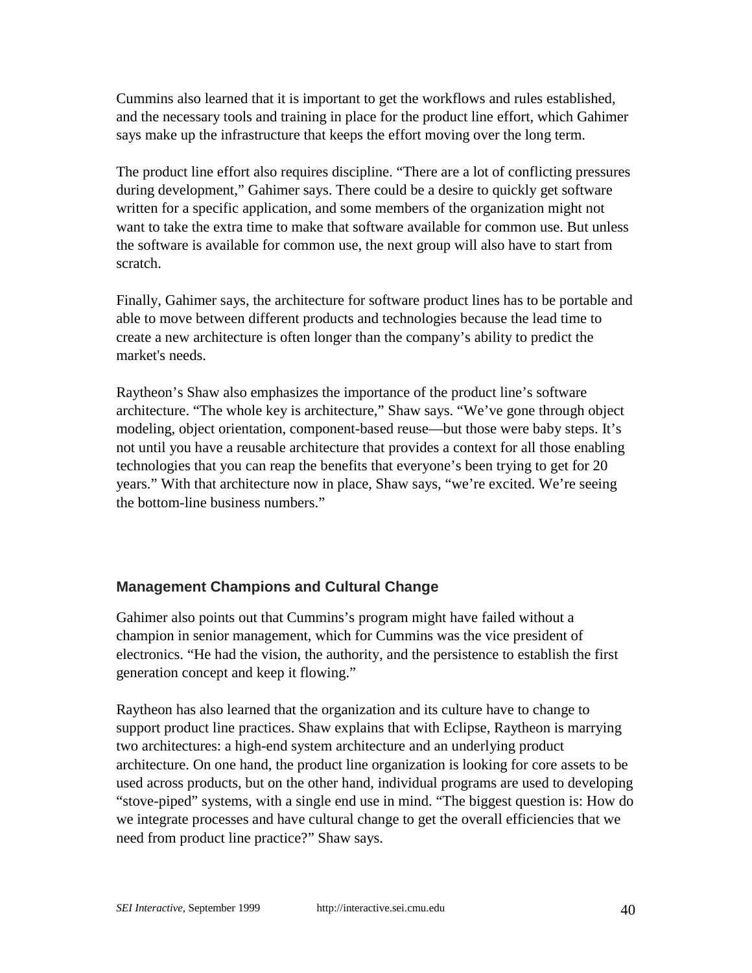Cummins also learned that it is important to get the workflows and rules established, and the necessary tools and training in place for the product line effort, which Gahimer says make up the infrastructure that keeps the effort moving over the long term.

The product line effort also requires discipline. "There are a lot of conflicting pressures during development," Gahimer says. There could be a desire to quickly get software written for a specific application, and some members of the organization might not want to take the extra time to make that software available for common use. But unless the software is available for common use, the next group will also have to start from scratch.

Finally, Gahimer says, the architecture for software product lines has to be portable and able to move between different products and technologies because the lead time to create a new architecture is often longer than the company's ability to predict the market's needs.

Raytheon's Shaw also emphasizes the importance of the product line's software architecture. "The whole key is architecture," Shaw says. "We've gone through object modeling, object orientation, component-based reuse—but those were baby steps. It's not until you have a reusable architecture that provides a context for all those enabling technologies that you can reap the benefits that everyone's been trying to get for 20 years." With that architecture now in place, Shaw says, "we're excited. We're seeing the bottom-line business numbers."

#### **Management Champions and Cultural Change**

Gahimer also points out that Cummins's program might have failed without a champion in senior management, which for Cummins was the vice president of electronics. "He had the vision, the authority, and the persistence to establish the first generation concept and keep it flowing."

Raytheon has also learned that the organization and its culture have to change to support product line practices. Shaw explains that with Eclipse, Raytheon is marrying two architectures: a high-end system architecture and an underlying product architecture. On one hand, the product line organization is looking for core assets to be used across products, but on the other hand, individual programs are used to developing "stove-piped" systems, with a single end use in mind. "The biggest question is: How do we integrate processes and have cultural change to get the overall efficiencies that we need from product line practice?" Shaw says.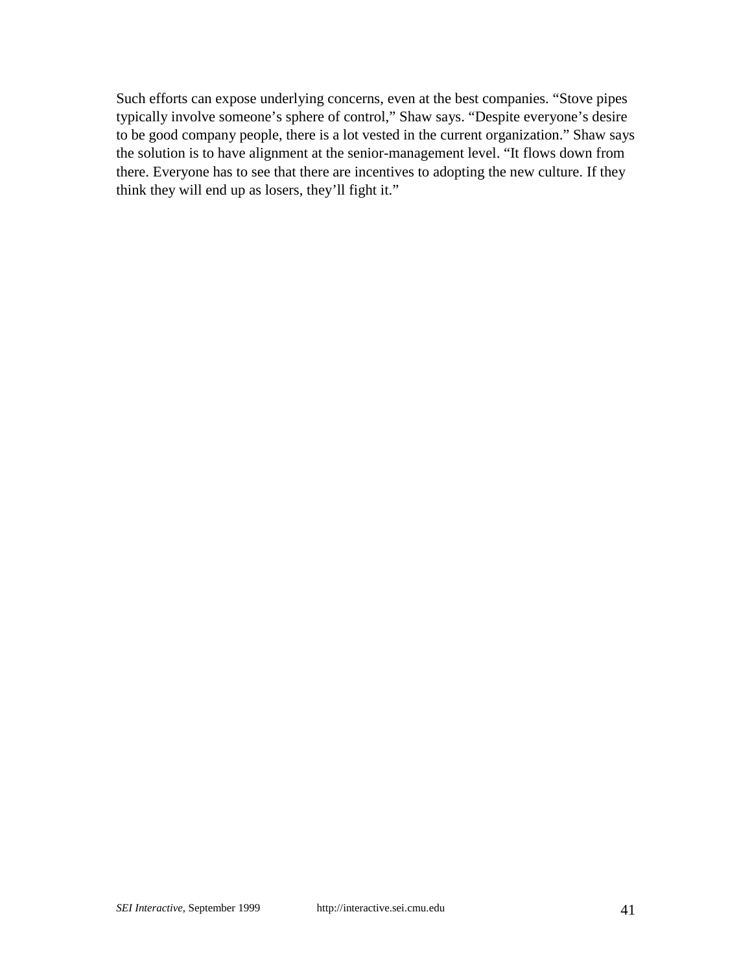Such efforts can expose underlying concerns, even at the best companies. "Stove pipes typically involve someone's sphere of control," Shaw says. "Despite everyone's desire to be good company people, there is a lot vested in the current organization." Shaw says the solution is to have alignment at the senior-management level. "It flows down from there. Everyone has to see that there are incentives to adopting the new culture. If they think they will end up as losers, they'll fight it."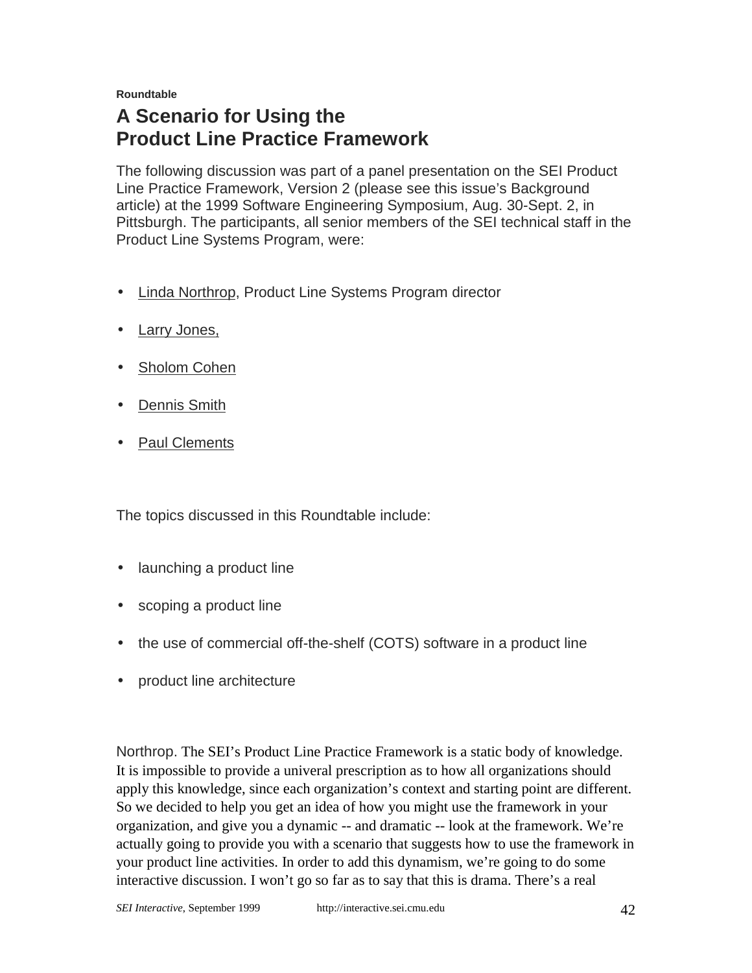**Roundtable**

# **A Scenario for Using the Product Line Practice Framework**

The following discussion was part of a panel presentation on the SEI Product Line Practice Framework, Version 2 (please see this issue's Background article) at the 1999 Software Engineering Symposium, Aug. 30-Sept. 2, in Pittsburgh. The participants, all senior members of the SEI technical staff in the Product Line Systems Program, were:

- Linda Northrop, Product Line Systems Program director
- **Larry Jones,**
- Sholom Cohen
- Dennis Smith
- Paul Clements

The topics discussed in this Roundtable include:

- launching a product line
- scoping a product line
- the use of commercial off-the-shelf (COTS) software in a product line
- product line architecture

Northrop. The SEI's Product Line Practice Framework is a static body of knowledge. It is impossible to provide a univeral prescription as to how all organizations should apply this knowledge, since each organization's context and starting point are different. So we decided to help you get an idea of how you might use the framework in your organization, and give you a dynamic -- and dramatic -- look at the framework. We're actually going to provide you with a scenario that suggests how to use the framework in your product line activities. In order to add this dynamism, we're going to do some interactive discussion. I won't go so far as to say that this is drama. There's a real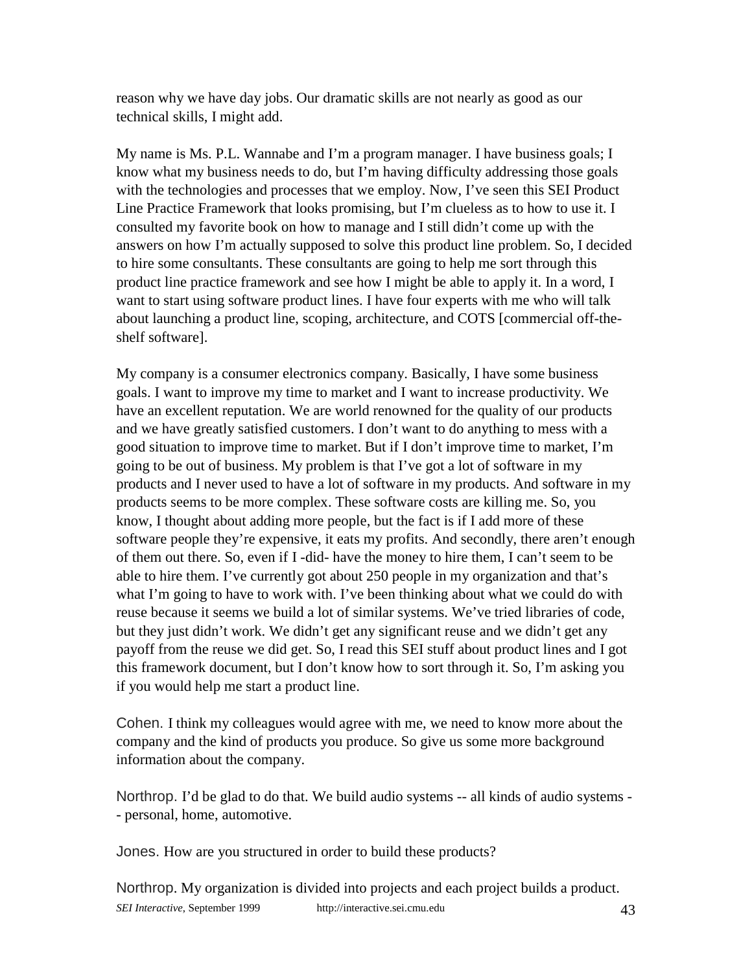reason why we have day jobs. Our dramatic skills are not nearly as good as our technical skills, I might add.

My name is Ms. P.L. Wannabe and I'm a program manager. I have business goals; I know what my business needs to do, but I'm having difficulty addressing those goals with the technologies and processes that we employ. Now, I've seen this SEI Product Line Practice Framework that looks promising, but I'm clueless as to how to use it. I consulted my favorite book on how to manage and I still didn't come up with the answers on how I'm actually supposed to solve this product line problem. So, I decided to hire some consultants. These consultants are going to help me sort through this product line practice framework and see how I might be able to apply it. In a word, I want to start using software product lines. I have four experts with me who will talk about launching a product line, scoping, architecture, and COTS [commercial off-theshelf software].

My company is a consumer electronics company. Basically, I have some business goals. I want to improve my time to market and I want to increase productivity. We have an excellent reputation. We are world renowned for the quality of our products and we have greatly satisfied customers. I don't want to do anything to mess with a good situation to improve time to market. But if I don't improve time to market, I'm going to be out of business. My problem is that I've got a lot of software in my products and I never used to have a lot of software in my products. And software in my products seems to be more complex. These software costs are killing me. So, you know, I thought about adding more people, but the fact is if I add more of these software people they're expensive, it eats my profits. And secondly, there aren't enough of them out there. So, even if I -did- have the money to hire them, I can't seem to be able to hire them. I've currently got about 250 people in my organization and that's what I'm going to have to work with. I've been thinking about what we could do with reuse because it seems we build a lot of similar systems. We've tried libraries of code, but they just didn't work. We didn't get any significant reuse and we didn't get any payoff from the reuse we did get. So, I read this SEI stuff about product lines and I got this framework document, but I don't know how to sort through it. So, I'm asking you if you would help me start a product line.

Cohen. I think my colleagues would agree with me, we need to know more about the company and the kind of products you produce. So give us some more background information about the company.

Northrop. I'd be glad to do that. We build audio systems -- all kinds of audio systems - - personal, home, automotive.

Jones. How are you structured in order to build these products?

*SEI Interactive*, September 1999 http://interactive.sei.cmu.edu 43 Northrop. My organization is divided into projects and each project builds a product.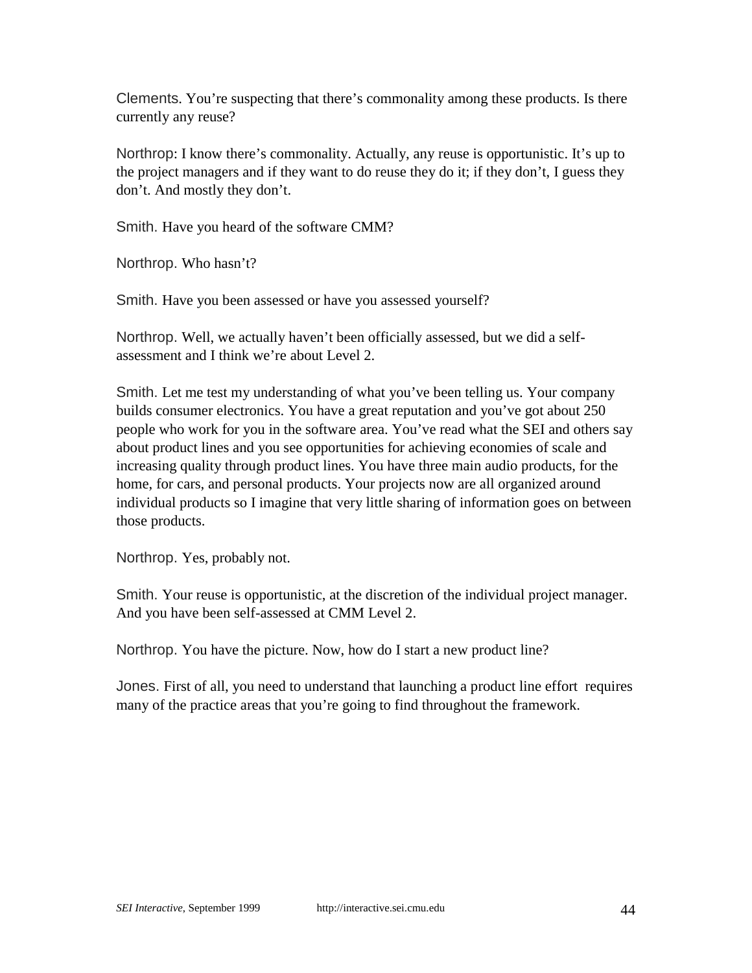Clements. You're suspecting that there's commonality among these products. Is there currently any reuse?

Northrop: I know there's commonality. Actually, any reuse is opportunistic. It's up to the project managers and if they want to do reuse they do it; if they don't, I guess they don't. And mostly they don't.

Smith. Have you heard of the software CMM?

Northrop. Who hasn't?

Smith. Have you been assessed or have you assessed yourself?

Northrop. Well, we actually haven't been officially assessed, but we did a selfassessment and I think we're about Level 2.

Smith. Let me test my understanding of what you've been telling us. Your company builds consumer electronics. You have a great reputation and you've got about 250 people who work for you in the software area. You've read what the SEI and others say about product lines and you see opportunities for achieving economies of scale and increasing quality through product lines. You have three main audio products, for the home, for cars, and personal products. Your projects now are all organized around individual products so I imagine that very little sharing of information goes on between those products.

Northrop. Yes, probably not.

Smith. Your reuse is opportunistic, at the discretion of the individual project manager. And you have been self-assessed at CMM Level 2.

Northrop. You have the picture. Now, how do I start a new product line?

Jones. First of all, you need to understand that launching a product line effort requires many of the practice areas that you're going to find throughout the framework.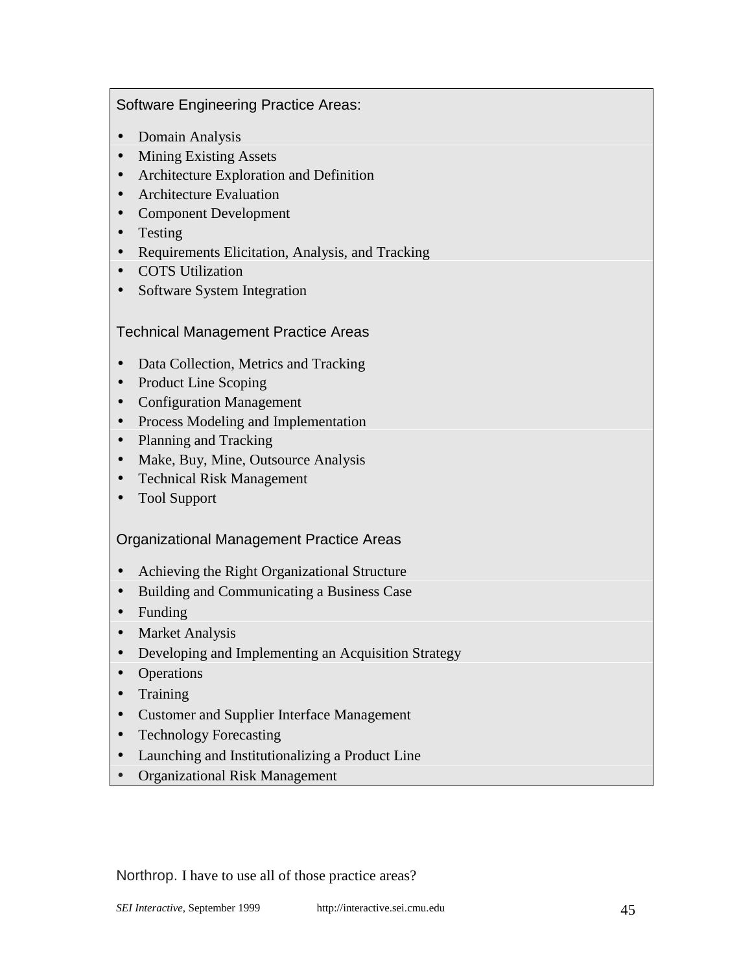### Software Engineering Practice Areas:

- Domain Analysis
- Mining Existing Assets
- Architecture Exploration and Definition
- Architecture Evaluation
- Component Development
- Testing
- Requirements Elicitation, Analysis, and Tracking
- COTS Utilization
- Software System Integration

### Technical Management Practice Areas

- Data Collection, Metrics and Tracking
- Product Line Scoping
- Configuration Management
- Process Modeling and Implementation
- Planning and Tracking
- Make, Buy, Mine, Outsource Analysis
- Technical Risk Management
- Tool Support

### Organizational Management Practice Areas

- Achieving the Right Organizational Structure
- Building and Communicating a Business Case
- Funding
- Market Analysis
- Developing and Implementing an Acquisition Strategy
- Operations
- Training
- Customer and Supplier Interface Management
- Technology Forecasting
- Launching and Institutionalizing a Product Line
- Organizational Risk Management

Northrop. I have to use all of those practice areas?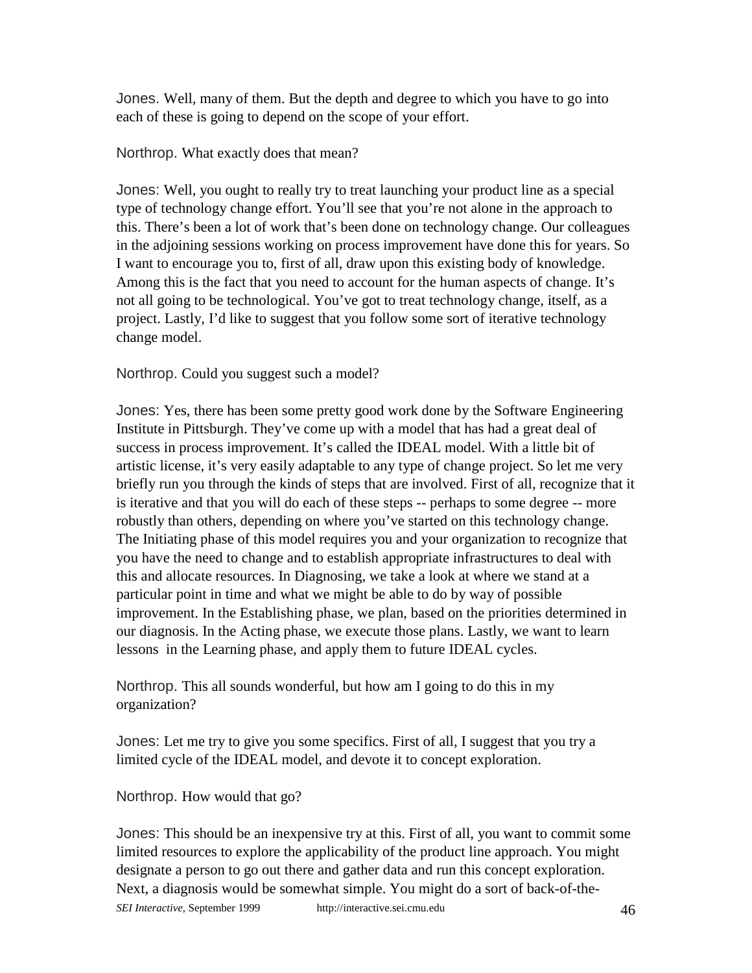Jones. Well, many of them. But the depth and degree to which you have to go into each of these is going to depend on the scope of your effort.

#### Northrop. What exactly does that mean?

Jones: Well, you ought to really try to treat launching your product line as a special type of technology change effort. You'll see that you're not alone in the approach to this. There's been a lot of work that's been done on technology change. Our colleagues in the adjoining sessions working on process improvement have done this for years. So I want to encourage you to, first of all, draw upon this existing body of knowledge. Among this is the fact that you need to account for the human aspects of change. It's not all going to be technological. You've got to treat technology change, itself, as a project. Lastly, I'd like to suggest that you follow some sort of iterative technology change model.

### Northrop. Could you suggest such a model?

Jones: Yes, there has been some pretty good work done by the Software Engineering Institute in Pittsburgh. They've come up with a model that has had a great deal of success in process improvement. It's called the IDEAL model. With a little bit of artistic license, it's very easily adaptable to any type of change project. So let me very briefly run you through the kinds of steps that are involved. First of all, recognize that it is iterative and that you will do each of these steps -- perhaps to some degree -- more robustly than others, depending on where you've started on this technology change. The Initiating phase of this model requires you and your organization to recognize that you have the need to change and to establish appropriate infrastructures to deal with this and allocate resources. In Diagnosing, we take a look at where we stand at a particular point in time and what we might be able to do by way of possible improvement. In the Establishing phase, we plan, based on the priorities determined in our diagnosis. In the Acting phase, we execute those plans. Lastly, we want to learn lessons in the Learning phase, and apply them to future IDEAL cycles.

Northrop. This all sounds wonderful, but how am I going to do this in my organization?

Jones: Let me try to give you some specifics. First of all, I suggest that you try a limited cycle of the IDEAL model, and devote it to concept exploration.

Northrop. How would that go?

*SEI Interactive*, September 1999 http://interactive.sei.cmu.edu 46 Jones: This should be an inexpensive try at this. First of all, you want to commit some limited resources to explore the applicability of the product line approach. You might designate a person to go out there and gather data and run this concept exploration. Next, a diagnosis would be somewhat simple. You might do a sort of back-of-the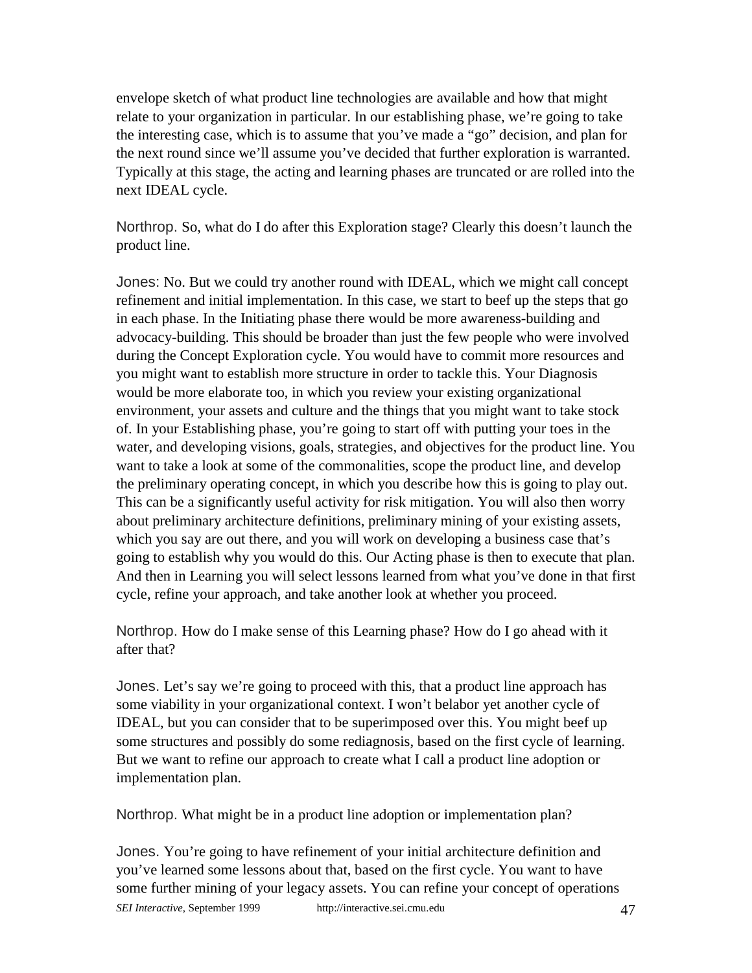envelope sketch of what product line technologies are available and how that might relate to your organization in particular. In our establishing phase, we're going to take the interesting case, which is to assume that you've made a "go" decision, and plan for the next round since we'll assume you've decided that further exploration is warranted. Typically at this stage, the acting and learning phases are truncated or are rolled into the next IDEAL cycle.

Northrop. So, what do I do after this Exploration stage? Clearly this doesn't launch the product line.

Jones: No. But we could try another round with IDEAL, which we might call concept refinement and initial implementation. In this case, we start to beef up the steps that go in each phase. In the Initiating phase there would be more awareness-building and advocacy-building. This should be broader than just the few people who were involved during the Concept Exploration cycle. You would have to commit more resources and you might want to establish more structure in order to tackle this. Your Diagnosis would be more elaborate too, in which you review your existing organizational environment, your assets and culture and the things that you might want to take stock of. In your Establishing phase, you're going to start off with putting your toes in the water, and developing visions, goals, strategies, and objectives for the product line. You want to take a look at some of the commonalities, scope the product line, and develop the preliminary operating concept, in which you describe how this is going to play out. This can be a significantly useful activity for risk mitigation. You will also then worry about preliminary architecture definitions, preliminary mining of your existing assets, which you say are out there, and you will work on developing a business case that's going to establish why you would do this. Our Acting phase is then to execute that plan. And then in Learning you will select lessons learned from what you've done in that first cycle, refine your approach, and take another look at whether you proceed.

Northrop. How do I make sense of this Learning phase? How do I go ahead with it after that?

Jones. Let's say we're going to proceed with this, that a product line approach has some viability in your organizational context. I won't belabor yet another cycle of IDEAL, but you can consider that to be superimposed over this. You might beef up some structures and possibly do some rediagnosis, based on the first cycle of learning. But we want to refine our approach to create what I call a product line adoption or implementation plan.

Northrop. What might be in a product line adoption or implementation plan?

*SEI Interactive*, September 1999 http://interactive.sei.cmu.edu 47 Jones. You're going to have refinement of your initial architecture definition and you've learned some lessons about that, based on the first cycle. You want to have some further mining of your legacy assets. You can refine your concept of operations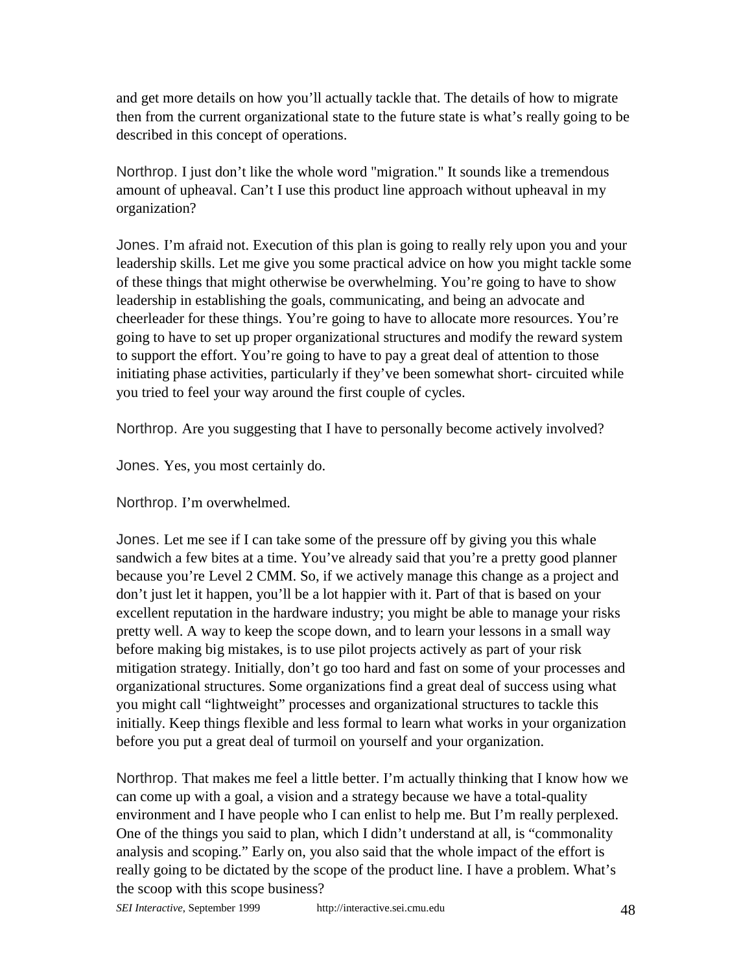and get more details on how you'll actually tackle that. The details of how to migrate then from the current organizational state to the future state is what's really going to be described in this concept of operations.

Northrop. I just don't like the whole word "migration." It sounds like a tremendous amount of upheaval. Can't I use this product line approach without upheaval in my organization?

Jones. I'm afraid not. Execution of this plan is going to really rely upon you and your leadership skills. Let me give you some practical advice on how you might tackle some of these things that might otherwise be overwhelming. You're going to have to show leadership in establishing the goals, communicating, and being an advocate and cheerleader for these things. You're going to have to allocate more resources. You're going to have to set up proper organizational structures and modify the reward system to support the effort. You're going to have to pay a great deal of attention to those initiating phase activities, particularly if they've been somewhat short- circuited while you tried to feel your way around the first couple of cycles.

Northrop. Are you suggesting that I have to personally become actively involved?

Jones. Yes, you most certainly do.

Northrop. I'm overwhelmed.

Jones. Let me see if I can take some of the pressure off by giving you this whale sandwich a few bites at a time. You've already said that you're a pretty good planner because you're Level 2 CMM. So, if we actively manage this change as a project and don't just let it happen, you'll be a lot happier with it. Part of that is based on your excellent reputation in the hardware industry; you might be able to manage your risks pretty well. A way to keep the scope down, and to learn your lessons in a small way before making big mistakes, is to use pilot projects actively as part of your risk mitigation strategy. Initially, don't go too hard and fast on some of your processes and organizational structures. Some organizations find a great deal of success using what you might call "lightweight" processes and organizational structures to tackle this initially. Keep things flexible and less formal to learn what works in your organization before you put a great deal of turmoil on yourself and your organization.

Northrop. That makes me feel a little better. I'm actually thinking that I know how we can come up with a goal, a vision and a strategy because we have a total-quality environment and I have people who I can enlist to help me. But I'm really perplexed. One of the things you said to plan, which I didn't understand at all, is "commonality analysis and scoping." Early on, you also said that the whole impact of the effort is really going to be dictated by the scope of the product line. I have a problem. What's the scoop with this scope business?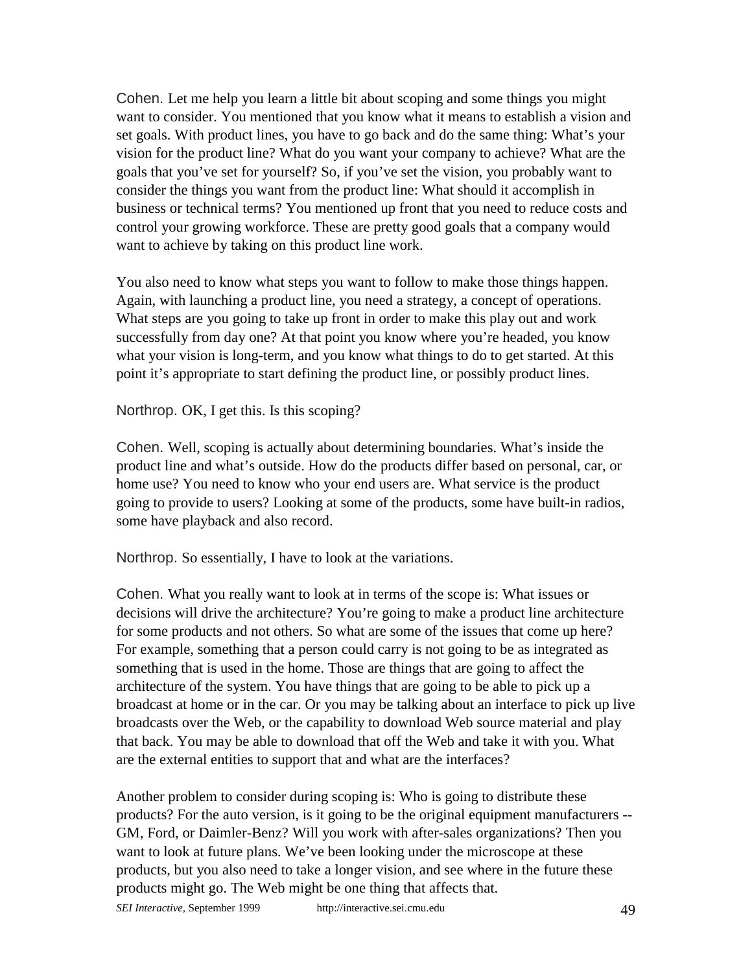Cohen. Let me help you learn a little bit about scoping and some things you might want to consider. You mentioned that you know what it means to establish a vision and set goals. With product lines, you have to go back and do the same thing: What's your vision for the product line? What do you want your company to achieve? What are the goals that you've set for yourself? So, if you've set the vision, you probably want to consider the things you want from the product line: What should it accomplish in business or technical terms? You mentioned up front that you need to reduce costs and control your growing workforce. These are pretty good goals that a company would want to achieve by taking on this product line work.

You also need to know what steps you want to follow to make those things happen. Again, with launching a product line, you need a strategy, a concept of operations. What steps are you going to take up front in order to make this play out and work successfully from day one? At that point you know where you're headed, you know what your vision is long-term, and you know what things to do to get started. At this point it's appropriate to start defining the product line, or possibly product lines.

Northrop. OK, I get this. Is this scoping?

Cohen. Well, scoping is actually about determining boundaries. What's inside the product line and what's outside. How do the products differ based on personal, car, or home use? You need to know who your end users are. What service is the product going to provide to users? Looking at some of the products, some have built-in radios, some have playback and also record.

Northrop. So essentially, I have to look at the variations.

Cohen. What you really want to look at in terms of the scope is: What issues or decisions will drive the architecture? You're going to make a product line architecture for some products and not others. So what are some of the issues that come up here? For example, something that a person could carry is not going to be as integrated as something that is used in the home. Those are things that are going to affect the architecture of the system. You have things that are going to be able to pick up a broadcast at home or in the car. Or you may be talking about an interface to pick up live broadcasts over the Web, or the capability to download Web source material and play that back. You may be able to download that off the Web and take it with you. What are the external entities to support that and what are the interfaces?

Another problem to consider during scoping is: Who is going to distribute these products? For the auto version, is it going to be the original equipment manufacturers -- GM, Ford, or Daimler-Benz? Will you work with after-sales organizations? Then you want to look at future plans. We've been looking under the microscope at these products, but you also need to take a longer vision, and see where in the future these products might go. The Web might be one thing that affects that.

*SEI Interactive*, September 1999 http://interactive.sei.cmu.edu 49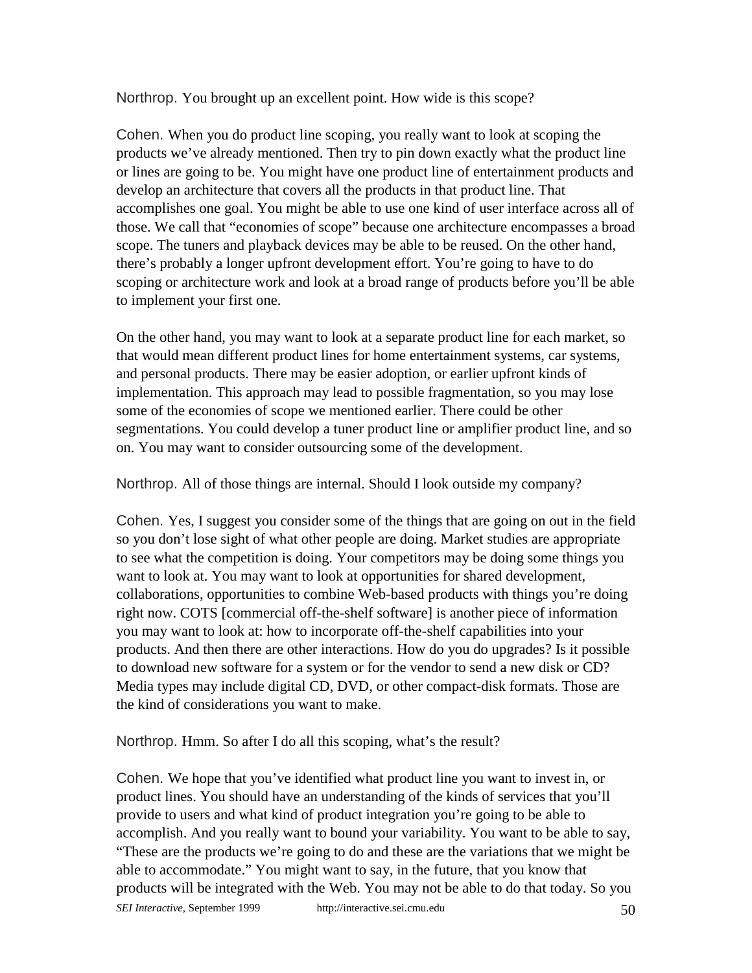Northrop. You brought up an excellent point. How wide is this scope?

Cohen. When you do product line scoping, you really want to look at scoping the products we've already mentioned. Then try to pin down exactly what the product line or lines are going to be. You might have one product line of entertainment products and develop an architecture that covers all the products in that product line. That accomplishes one goal. You might be able to use one kind of user interface across all of those. We call that "economies of scope" because one architecture encompasses a broad scope. The tuners and playback devices may be able to be reused. On the other hand, there's probably a longer upfront development effort. You're going to have to do scoping or architecture work and look at a broad range of products before you'll be able to implement your first one.

On the other hand, you may want to look at a separate product line for each market, so that would mean different product lines for home entertainment systems, car systems, and personal products. There may be easier adoption, or earlier upfront kinds of implementation. This approach may lead to possible fragmentation, so you may lose some of the economies of scope we mentioned earlier. There could be other segmentations. You could develop a tuner product line or amplifier product line, and so on. You may want to consider outsourcing some of the development.

Northrop. All of those things are internal. Should I look outside my company?

Cohen. Yes, I suggest you consider some of the things that are going on out in the field so you don't lose sight of what other people are doing. Market studies are appropriate to see what the competition is doing. Your competitors may be doing some things you want to look at. You may want to look at opportunities for shared development, collaborations, opportunities to combine Web-based products with things you're doing right now. COTS [commercial off-the-shelf software] is another piece of information you may want to look at: how to incorporate off-the-shelf capabilities into your products. And then there are other interactions. How do you do upgrades? Is it possible to download new software for a system or for the vendor to send a new disk or CD? Media types may include digital CD, DVD, or other compact-disk formats. Those are the kind of considerations you want to make.

Northrop. Hmm. So after I do all this scoping, what's the result?

*SEI Interactive*, September 1999 http://interactive.sei.cmu.edu 50 Cohen. We hope that you've identified what product line you want to invest in, or product lines. You should have an understanding of the kinds of services that you'll provide to users and what kind of product integration you're going to be able to accomplish. And you really want to bound your variability. You want to be able to say, "These are the products we're going to do and these are the variations that we might be able to accommodate." You might want to say, in the future, that you know that products will be integrated with the Web. You may not be able to do that today. So you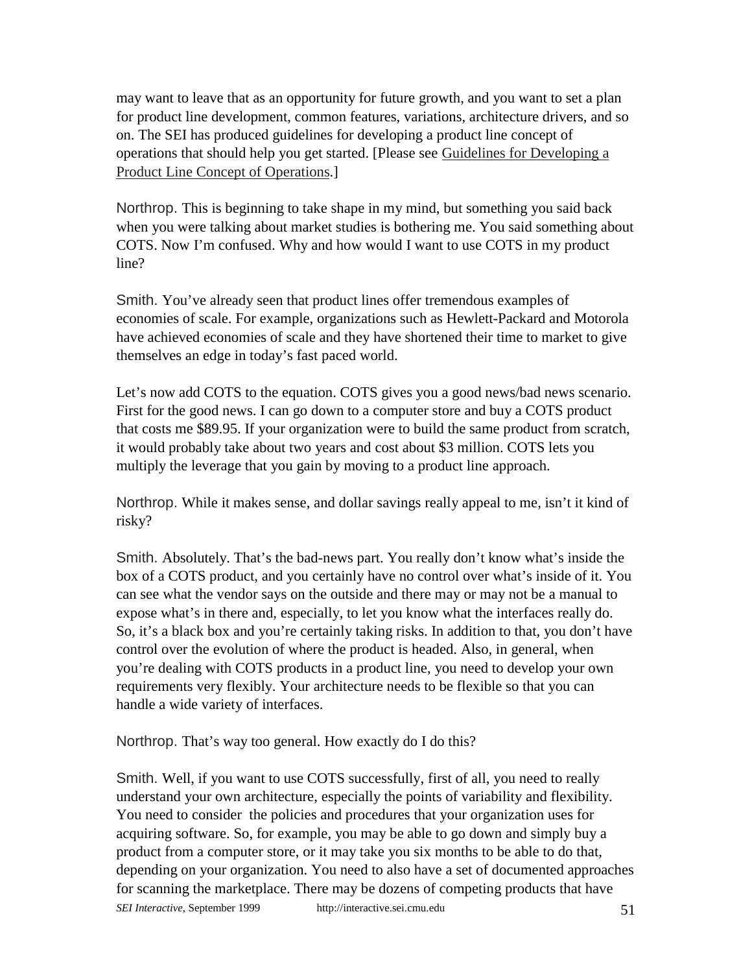may want to leave that as an opportunity for future growth, and you want to set a plan for product line development, common features, variations, architecture drivers, and so on. The SEI has produced guidelines for developing a product line concept of operations that should help you get started. [Please see Guidelines for Developing a Product Line Concept of Operations.]

Northrop. This is beginning to take shape in my mind, but something you said back when you were talking about market studies is bothering me. You said something about COTS. Now I'm confused. Why and how would I want to use COTS in my product line?

Smith. You've already seen that product lines offer tremendous examples of economies of scale. For example, organizations such as Hewlett-Packard and Motorola have achieved economies of scale and they have shortened their time to market to give themselves an edge in today's fast paced world.

Let's now add COTS to the equation. COTS gives you a good news/bad news scenario. First for the good news. I can go down to a computer store and buy a COTS product that costs me \$89.95. If your organization were to build the same product from scratch, it would probably take about two years and cost about \$3 million. COTS lets you multiply the leverage that you gain by moving to a product line approach.

Northrop. While it makes sense, and dollar savings really appeal to me, isn't it kind of risky?

Smith. Absolutely. That's the bad-news part. You really don't know what's inside the box of a COTS product, and you certainly have no control over what's inside of it. You can see what the vendor says on the outside and there may or may not be a manual to expose what's in there and, especially, to let you know what the interfaces really do. So, it's a black box and you're certainly taking risks. In addition to that, you don't have control over the evolution of where the product is headed. Also, in general, when you're dealing with COTS products in a product line, you need to develop your own requirements very flexibly. Your architecture needs to be flexible so that you can handle a wide variety of interfaces.

Northrop. That's way too general. How exactly do I do this?

*SEI Interactive*, September 1999 http://interactive.sei.cmu.edu 51 Smith. Well, if you want to use COTS successfully, first of all, you need to really understand your own architecture, especially the points of variability and flexibility. You need to consider the policies and procedures that your organization uses for acquiring software. So, for example, you may be able to go down and simply buy a product from a computer store, or it may take you six months to be able to do that, depending on your organization. You need to also have a set of documented approaches for scanning the marketplace. There may be dozens of competing products that have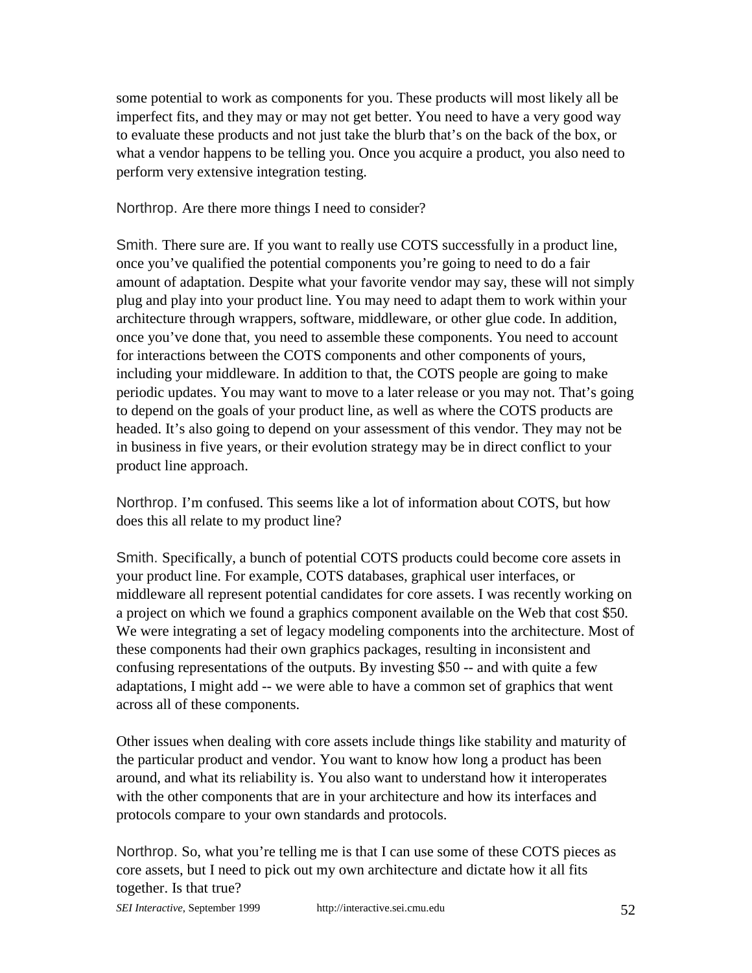some potential to work as components for you. These products will most likely all be imperfect fits, and they may or may not get better. You need to have a very good way to evaluate these products and not just take the blurb that's on the back of the box, or what a vendor happens to be telling you. Once you acquire a product, you also need to perform very extensive integration testing.

Northrop. Are there more things I need to consider?

Smith. There sure are. If you want to really use COTS successfully in a product line, once you've qualified the potential components you're going to need to do a fair amount of adaptation. Despite what your favorite vendor may say, these will not simply plug and play into your product line. You may need to adapt them to work within your architecture through wrappers, software, middleware, or other glue code. In addition, once you've done that, you need to assemble these components. You need to account for interactions between the COTS components and other components of yours, including your middleware. In addition to that, the COTS people are going to make periodic updates. You may want to move to a later release or you may not. That's going to depend on the goals of your product line, as well as where the COTS products are headed. It's also going to depend on your assessment of this vendor. They may not be in business in five years, or their evolution strategy may be in direct conflict to your product line approach.

Northrop. I'm confused. This seems like a lot of information about COTS, but how does this all relate to my product line?

Smith. Specifically, a bunch of potential COTS products could become core assets in your product line. For example, COTS databases, graphical user interfaces, or middleware all represent potential candidates for core assets. I was recently working on a project on which we found a graphics component available on the Web that cost \$50. We were integrating a set of legacy modeling components into the architecture. Most of these components had their own graphics packages, resulting in inconsistent and confusing representations of the outputs. By investing \$50 -- and with quite a few adaptations, I might add -- we were able to have a common set of graphics that went across all of these components.

Other issues when dealing with core assets include things like stability and maturity of the particular product and vendor. You want to know how long a product has been around, and what its reliability is. You also want to understand how it interoperates with the other components that are in your architecture and how its interfaces and protocols compare to your own standards and protocols.

Northrop. So, what you're telling me is that I can use some of these COTS pieces as core assets, but I need to pick out my own architecture and dictate how it all fits together. Is that true?

*SEI Interactive*, September 1999 http://interactive.sei.cmu.edu 52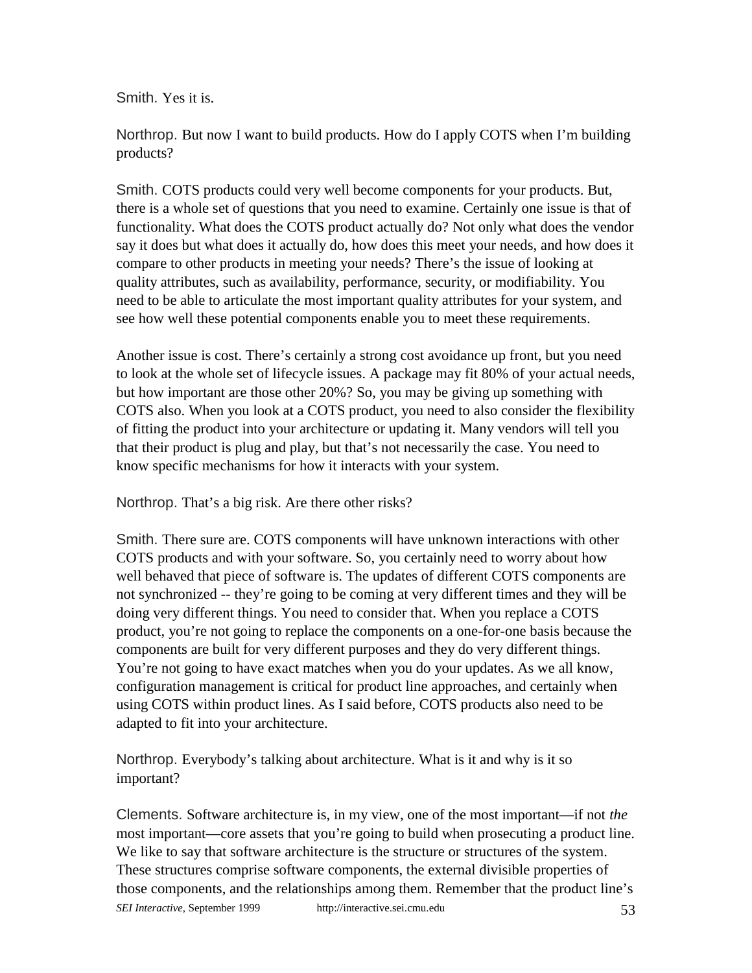Smith. Yes it is.

Northrop. But now I want to build products. How do I apply COTS when I'm building products?

Smith. COTS products could very well become components for your products. But, there is a whole set of questions that you need to examine. Certainly one issue is that of functionality. What does the COTS product actually do? Not only what does the vendor say it does but what does it actually do, how does this meet your needs, and how does it compare to other products in meeting your needs? There's the issue of looking at quality attributes, such as availability, performance, security, or modifiability. You need to be able to articulate the most important quality attributes for your system, and see how well these potential components enable you to meet these requirements.

Another issue is cost. There's certainly a strong cost avoidance up front, but you need to look at the whole set of lifecycle issues. A package may fit 80% of your actual needs, but how important are those other 20%? So, you may be giving up something with COTS also. When you look at a COTS product, you need to also consider the flexibility of fitting the product into your architecture or updating it. Many vendors will tell you that their product is plug and play, but that's not necessarily the case. You need to know specific mechanisms for how it interacts with your system.

Northrop. That's a big risk. Are there other risks?

Smith. There sure are. COTS components will have unknown interactions with other COTS products and with your software. So, you certainly need to worry about how well behaved that piece of software is. The updates of different COTS components are not synchronized -- they're going to be coming at very different times and they will be doing very different things. You need to consider that. When you replace a COTS product, you're not going to replace the components on a one-for-one basis because the components are built for very different purposes and they do very different things. You're not going to have exact matches when you do your updates. As we all know, configuration management is critical for product line approaches, and certainly when using COTS within product lines. As I said before, COTS products also need to be adapted to fit into your architecture.

Northrop. Everybody's talking about architecture. What is it and why is it so important?

*SEI Interactive*, September 1999 http://interactive.sei.cmu.edu 53 Clements. Software architecture is, in my view, one of the most important—if not *the* most important—core assets that you're going to build when prosecuting a product line. We like to say that software architecture is the structure or structures of the system. These structures comprise software components, the external divisible properties of those components, and the relationships among them. Remember that the product line's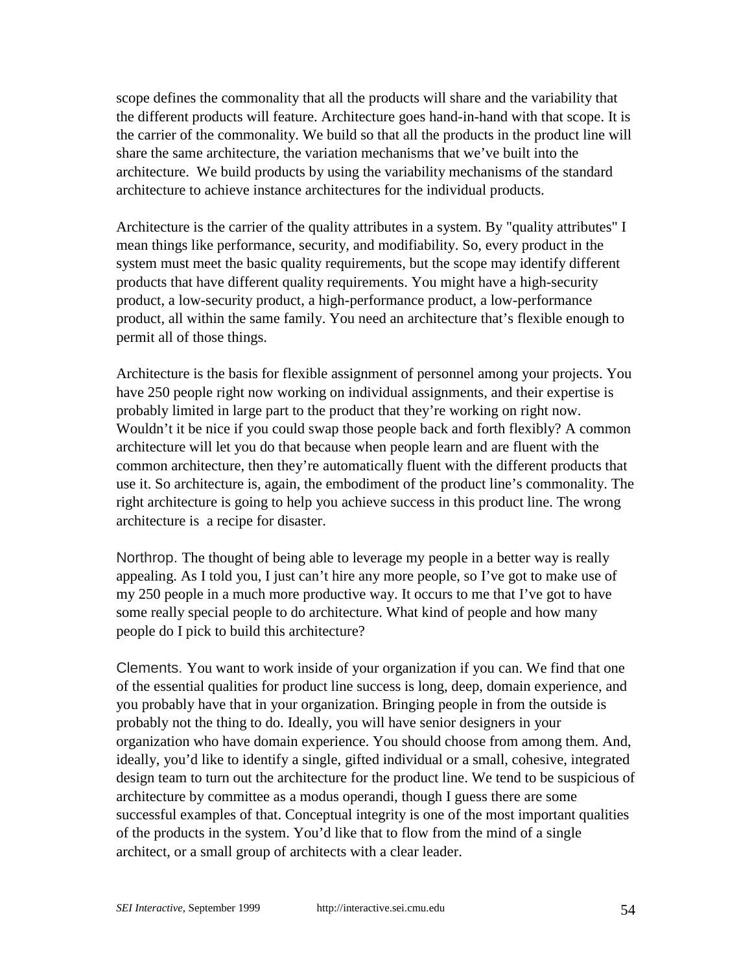scope defines the commonality that all the products will share and the variability that the different products will feature. Architecture goes hand-in-hand with that scope. It is the carrier of the commonality. We build so that all the products in the product line will share the same architecture, the variation mechanisms that we've built into the architecture. We build products by using the variability mechanisms of the standard architecture to achieve instance architectures for the individual products.

Architecture is the carrier of the quality attributes in a system. By "quality attributes" I mean things like performance, security, and modifiability. So, every product in the system must meet the basic quality requirements, but the scope may identify different products that have different quality requirements. You might have a high-security product, a low-security product, a high-performance product, a low-performance product, all within the same family. You need an architecture that's flexible enough to permit all of those things.

Architecture is the basis for flexible assignment of personnel among your projects. You have 250 people right now working on individual assignments, and their expertise is probably limited in large part to the product that they're working on right now. Wouldn't it be nice if you could swap those people back and forth flexibly? A common architecture will let you do that because when people learn and are fluent with the common architecture, then they're automatically fluent with the different products that use it. So architecture is, again, the embodiment of the product line's commonality. The right architecture is going to help you achieve success in this product line. The wrong architecture is a recipe for disaster.

Northrop. The thought of being able to leverage my people in a better way is really appealing. As I told you, I just can't hire any more people, so I've got to make use of my 250 people in a much more productive way. It occurs to me that I've got to have some really special people to do architecture. What kind of people and how many people do I pick to build this architecture?

Clements. You want to work inside of your organization if you can. We find that one of the essential qualities for product line success is long, deep, domain experience, and you probably have that in your organization. Bringing people in from the outside is probably not the thing to do. Ideally, you will have senior designers in your organization who have domain experience. You should choose from among them. And, ideally, you'd like to identify a single, gifted individual or a small, cohesive, integrated design team to turn out the architecture for the product line. We tend to be suspicious of architecture by committee as a modus operandi, though I guess there are some successful examples of that. Conceptual integrity is one of the most important qualities of the products in the system. You'd like that to flow from the mind of a single architect, or a small group of architects with a clear leader.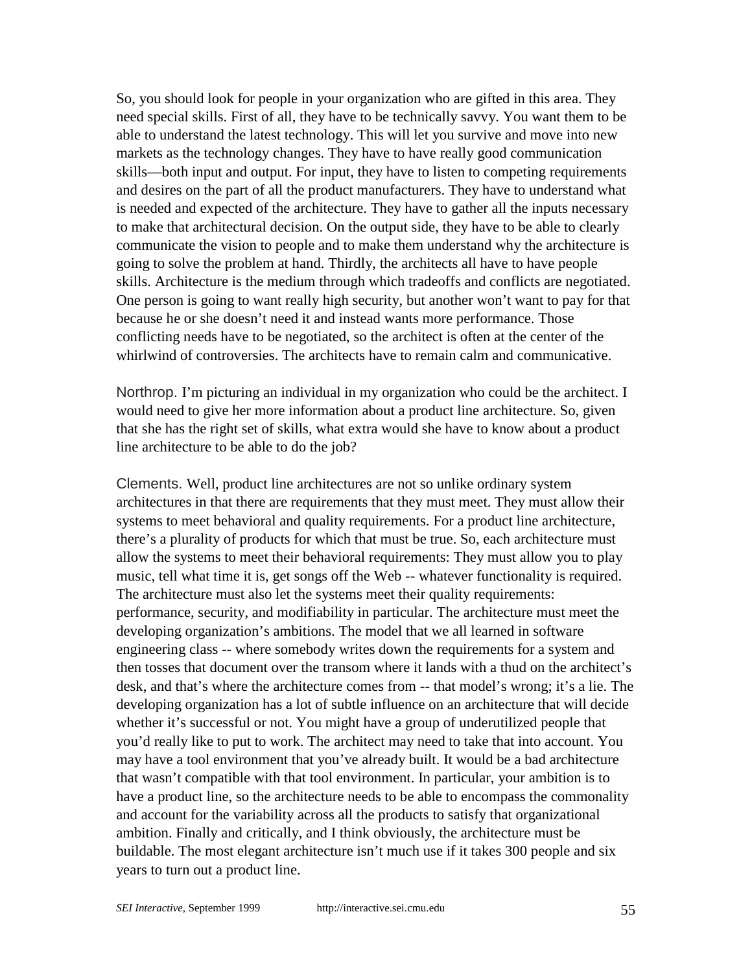So, you should look for people in your organization who are gifted in this area. They need special skills. First of all, they have to be technically savvy. You want them to be able to understand the latest technology. This will let you survive and move into new markets as the technology changes. They have to have really good communication skills—both input and output. For input, they have to listen to competing requirements and desires on the part of all the product manufacturers. They have to understand what is needed and expected of the architecture. They have to gather all the inputs necessary to make that architectural decision. On the output side, they have to be able to clearly communicate the vision to people and to make them understand why the architecture is going to solve the problem at hand. Thirdly, the architects all have to have people skills. Architecture is the medium through which tradeoffs and conflicts are negotiated. One person is going to want really high security, but another won't want to pay for that because he or she doesn't need it and instead wants more performance. Those conflicting needs have to be negotiated, so the architect is often at the center of the whirlwind of controversies. The architects have to remain calm and communicative.

Northrop. I'm picturing an individual in my organization who could be the architect. I would need to give her more information about a product line architecture. So, given that she has the right set of skills, what extra would she have to know about a product line architecture to be able to do the job?

Clements. Well, product line architectures are not so unlike ordinary system architectures in that there are requirements that they must meet. They must allow their systems to meet behavioral and quality requirements. For a product line architecture, there's a plurality of products for which that must be true. So, each architecture must allow the systems to meet their behavioral requirements: They must allow you to play music, tell what time it is, get songs off the Web -- whatever functionality is required. The architecture must also let the systems meet their quality requirements: performance, security, and modifiability in particular. The architecture must meet the developing organization's ambitions. The model that we all learned in software engineering class -- where somebody writes down the requirements for a system and then tosses that document over the transom where it lands with a thud on the architect's desk, and that's where the architecture comes from -- that model's wrong; it's a lie. The developing organization has a lot of subtle influence on an architecture that will decide whether it's successful or not. You might have a group of underutilized people that you'd really like to put to work. The architect may need to take that into account. You may have a tool environment that you've already built. It would be a bad architecture that wasn't compatible with that tool environment. In particular, your ambition is to have a product line, so the architecture needs to be able to encompass the commonality and account for the variability across all the products to satisfy that organizational ambition. Finally and critically, and I think obviously, the architecture must be buildable. The most elegant architecture isn't much use if it takes 300 people and six years to turn out a product line.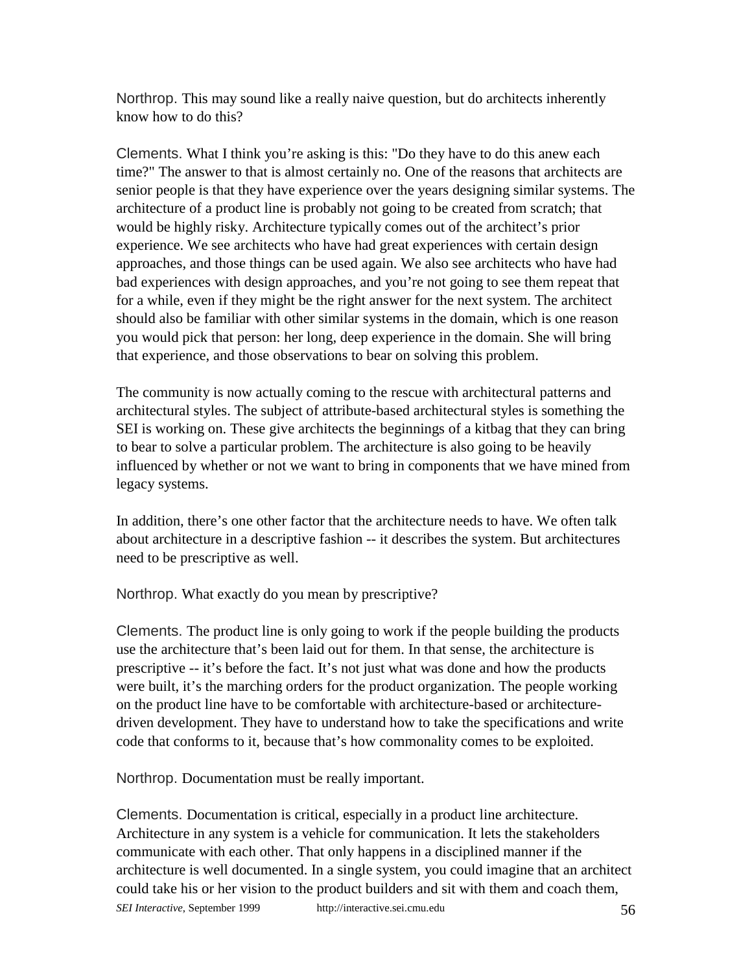Northrop. This may sound like a really naive question, but do architects inherently know how to do this?

Clements. What I think you're asking is this: "Do they have to do this anew each time?" The answer to that is almost certainly no. One of the reasons that architects are senior people is that they have experience over the years designing similar systems. The architecture of a product line is probably not going to be created from scratch; that would be highly risky. Architecture typically comes out of the architect's prior experience. We see architects who have had great experiences with certain design approaches, and those things can be used again. We also see architects who have had bad experiences with design approaches, and you're not going to see them repeat that for a while, even if they might be the right answer for the next system. The architect should also be familiar with other similar systems in the domain, which is one reason you would pick that person: her long, deep experience in the domain. She will bring that experience, and those observations to bear on solving this problem.

The community is now actually coming to the rescue with architectural patterns and architectural styles. The subject of attribute-based architectural styles is something the SEI is working on. These give architects the beginnings of a kitbag that they can bring to bear to solve a particular problem. The architecture is also going to be heavily influenced by whether or not we want to bring in components that we have mined from legacy systems.

In addition, there's one other factor that the architecture needs to have. We often talk about architecture in a descriptive fashion -- it describes the system. But architectures need to be prescriptive as well.

Northrop. What exactly do you mean by prescriptive?

Clements. The product line is only going to work if the people building the products use the architecture that's been laid out for them. In that sense, the architecture is prescriptive -- it's before the fact. It's not just what was done and how the products were built, it's the marching orders for the product organization. The people working on the product line have to be comfortable with architecture-based or architecturedriven development. They have to understand how to take the specifications and write code that conforms to it, because that's how commonality comes to be exploited.

Northrop. Documentation must be really important.

*SEI Interactive*, September 1999 http://interactive.sei.cmu.edu 56 Clements. Documentation is critical, especially in a product line architecture. Architecture in any system is a vehicle for communication. It lets the stakeholders communicate with each other. That only happens in a disciplined manner if the architecture is well documented. In a single system, you could imagine that an architect could take his or her vision to the product builders and sit with them and coach them,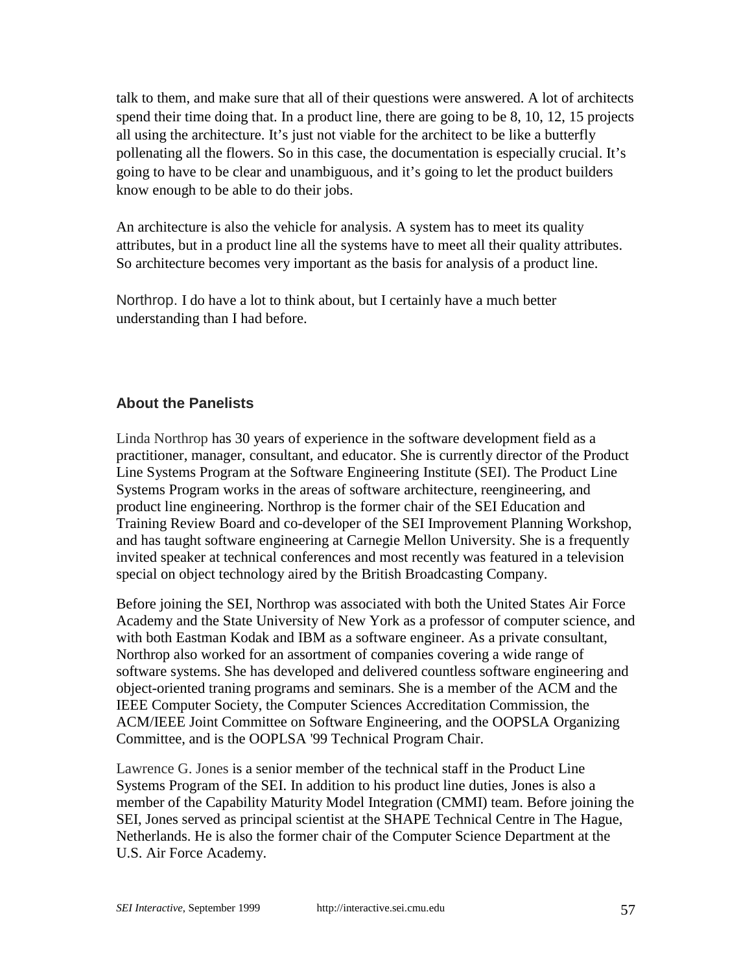talk to them, and make sure that all of their questions were answered. A lot of architects spend their time doing that. In a product line, there are going to be 8, 10, 12, 15 projects all using the architecture. It's just not viable for the architect to be like a butterfly pollenating all the flowers. So in this case, the documentation is especially crucial. It's going to have to be clear and unambiguous, and it's going to let the product builders know enough to be able to do their jobs.

An architecture is also the vehicle for analysis. A system has to meet its quality attributes, but in a product line all the systems have to meet all their quality attributes. So architecture becomes very important as the basis for analysis of a product line.

Northrop. I do have a lot to think about, but I certainly have a much better understanding than I had before.

#### **About the Panelists**

Linda Northrop has 30 years of experience in the software development field as a practitioner, manager, consultant, and educator. She is currently director of the Product Line Systems Program at the Software Engineering Institute (SEI). The Product Line Systems Program works in the areas of software architecture, reengineering, and product line engineering. Northrop is the former chair of the SEI Education and Training Review Board and co-developer of the SEI Improvement Planning Workshop, and has taught software engineering at Carnegie Mellon University. She is a frequently invited speaker at technical conferences and most recently was featured in a television special on object technology aired by the British Broadcasting Company.

Before joining the SEI, Northrop was associated with both the United States Air Force Academy and the State University of New York as a professor of computer science, and with both Eastman Kodak and IBM as a software engineer. As a private consultant, Northrop also worked for an assortment of companies covering a wide range of software systems. She has developed and delivered countless software engineering and object-oriented traning programs and seminars. She is a member of the ACM and the IEEE Computer Society, the Computer Sciences Accreditation Commission, the ACM/IEEE Joint Committee on Software Engineering, and the OOPSLA Organizing Committee, and is the OOPLSA '99 Technical Program Chair.

Lawrence G. Jones is a senior member of the technical staff in the Product Line Systems Program of the SEI. In addition to his product line duties, Jones is also a member of the Capability Maturity Model Integration (CMMI) team. Before joining the SEI, Jones served as principal scientist at the SHAPE Technical Centre in The Hague, Netherlands. He is also the former chair of the Computer Science Department at the U.S. Air Force Academy.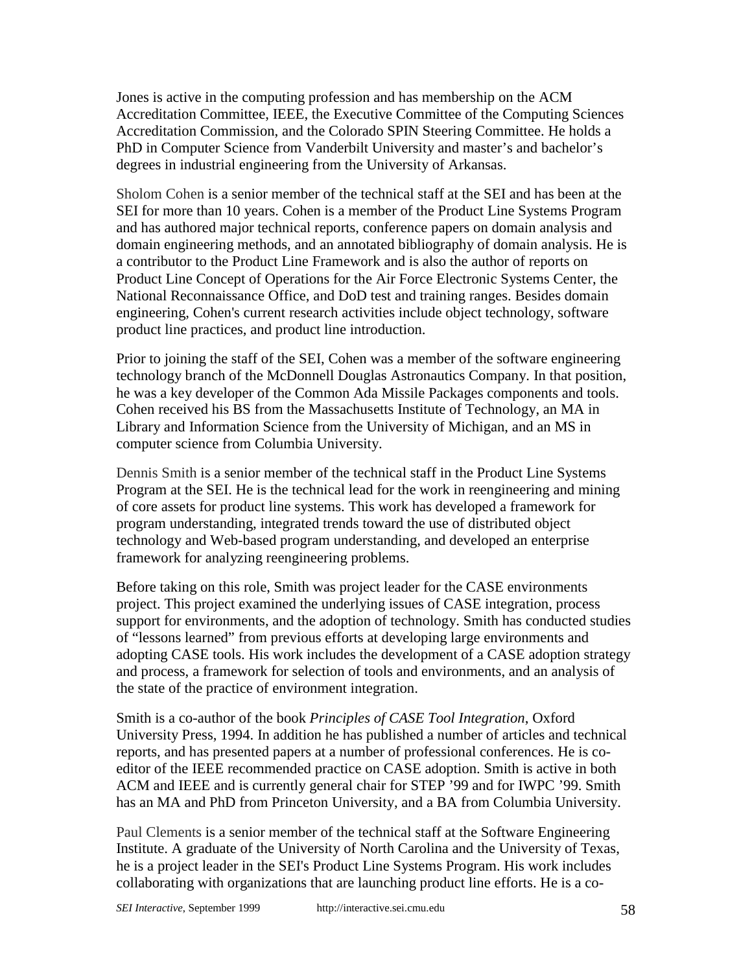Jones is active in the computing profession and has membership on the ACM Accreditation Committee, IEEE, the Executive Committee of the Computing Sciences Accreditation Commission, and the Colorado SPIN Steering Committee. He holds a PhD in Computer Science from Vanderbilt University and master's and bachelor's degrees in industrial engineering from the University of Arkansas.

Sholom Cohen is a senior member of the technical staff at the SEI and has been at the SEI for more than 10 years. Cohen is a member of the Product Line Systems Program and has authored major technical reports, conference papers on domain analysis and domain engineering methods, and an annotated bibliography of domain analysis. He is a contributor to the Product Line Framework and is also the author of reports on Product Line Concept of Operations for the Air Force Electronic Systems Center, the National Reconnaissance Office, and DoD test and training ranges. Besides domain engineering, Cohen's current research activities include object technology, software product line practices, and product line introduction.

Prior to joining the staff of the SEI, Cohen was a member of the software engineering technology branch of the McDonnell Douglas Astronautics Company. In that position, he was a key developer of the Common Ada Missile Packages components and tools. Cohen received his BS from the Massachusetts Institute of Technology, an MA in Library and Information Science from the University of Michigan, and an MS in computer science from Columbia University.

Dennis Smith is a senior member of the technical staff in the Product Line Systems Program at the SEI. He is the technical lead for the work in reengineering and mining of core assets for product line systems. This work has developed a framework for program understanding, integrated trends toward the use of distributed object technology and Web-based program understanding, and developed an enterprise framework for analyzing reengineering problems.

Before taking on this role, Smith was project leader for the CASE environments project. This project examined the underlying issues of CASE integration, process support for environments, and the adoption of technology. Smith has conducted studies of "lessons learned" from previous efforts at developing large environments and adopting CASE tools. His work includes the development of a CASE adoption strategy and process, a framework for selection of tools and environments, and an analysis of the state of the practice of environment integration.

Smith is a co-author of the book *Principles of CASE Tool Integration*, Oxford University Press, 1994. In addition he has published a number of articles and technical reports, and has presented papers at a number of professional conferences. He is coeditor of the IEEE recommended practice on CASE adoption. Smith is active in both ACM and IEEE and is currently general chair for STEP '99 and for IWPC '99. Smith has an MA and PhD from Princeton University, and a BA from Columbia University.

Paul Clements is a senior member of the technical staff at the Software Engineering Institute. A graduate of the University of North Carolina and the University of Texas, he is a project leader in the SEI's Product Line Systems Program. His work includes collaborating with organizations that are launching product line efforts. He is a co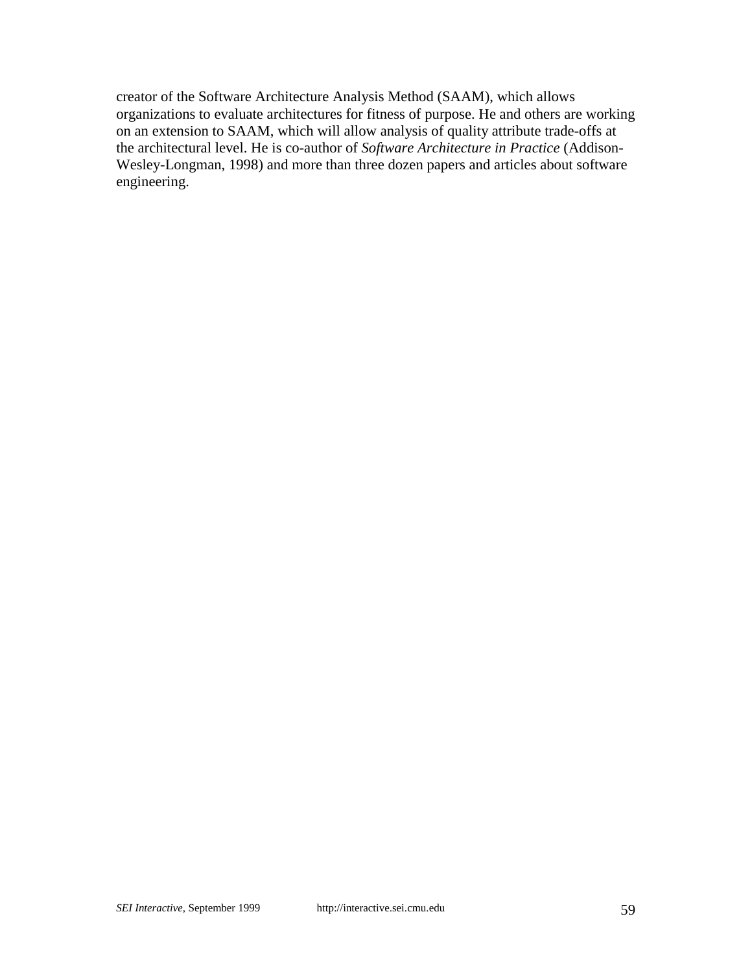creator of the Software Architecture Analysis Method (SAAM), which allows organizations to evaluate architectures for fitness of purpose. He and others are working on an extension to SAAM, which will allow analysis of quality attribute trade-offs at the architectural level. He is co-author of *Software Architecture in Practice* (Addison-Wesley-Longman, 1998) and more than three dozen papers and articles about software engineering.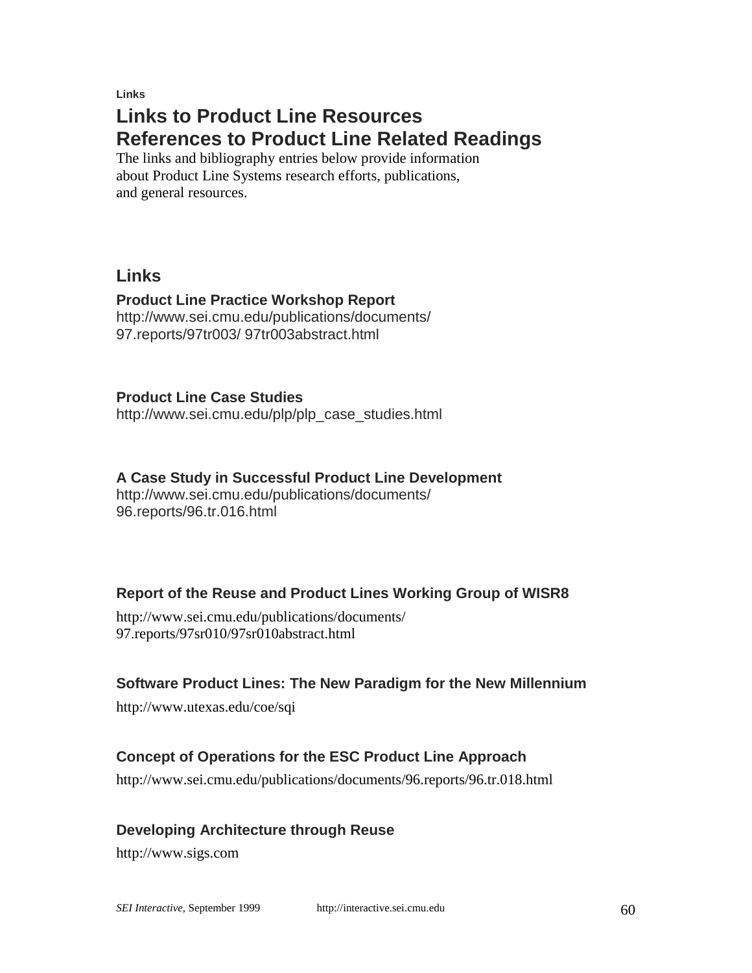**Links**

# **Links to Product Line Resources References to Product Line Related Readings**

The links and bibliography entries below provide information about Product Line Systems research efforts, publications, and general resources.

## **Links**

### **Product Line Practice Workshop Report**

http://www.sei.cmu.edu/publications/documents/ 97.reports/97tr003/ 97tr003abstract.html

#### **Product Line Case Studies** http://www.sei.cmu.edu/plp/plp\_case\_studies.html

### **A Case Study in Successful Product Line Development**

http://www.sei.cmu.edu/publications/documents/ 96.reports/96.tr.016.html

### **Report of the Reuse and Product Lines Working Group of WISR8**

http://www.sei.cmu.edu/publications/documents/ 97.reports/97sr010/97sr010abstract.html

### **Software Product Lines: The New Paradigm for the New Millennium**

http://www.utexas.edu/coe/sqi

### **Concept of Operations for the ESC Product Line Approach**

http://www.sei.cmu.edu/publications/documents/96.reports/96.tr.018.html

### **Developing Architecture through Reuse**

http://www.sigs.com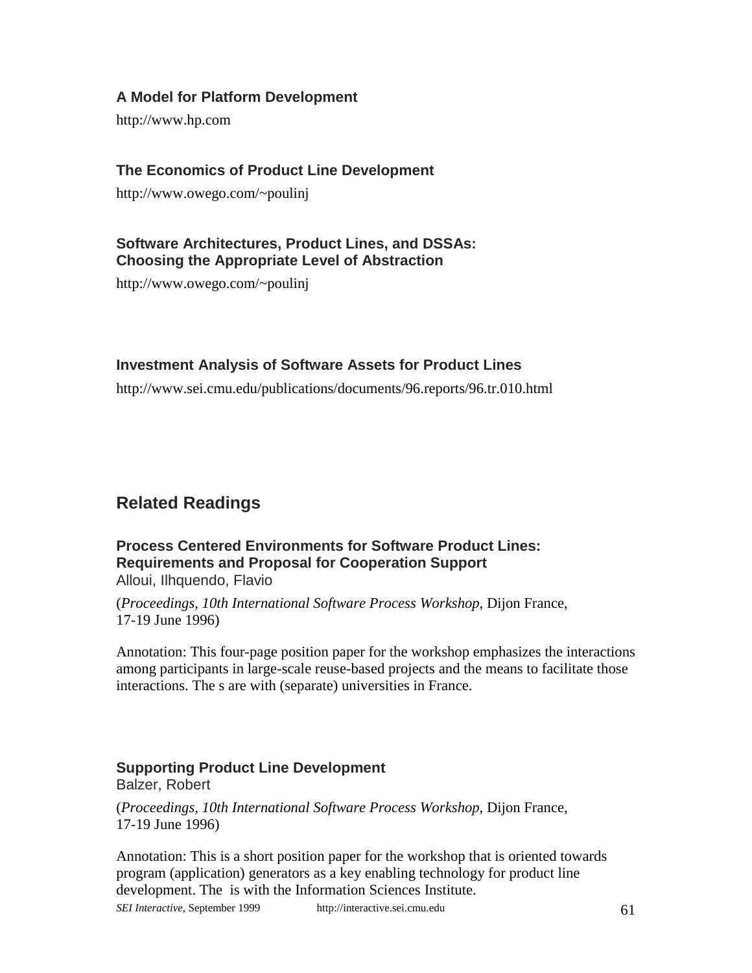### **A Model for Platform Development**

http://www.hp.com

### **The Economics of Product Line Development**

http://www.owego.com/~poulinj

### **Software Architectures, Product Lines, and DSSAs: Choosing the Appropriate Level of Abstraction**

http://www.owego.com/~poulinj

### **Investment Analysis of Software Assets for Product Lines**

http://www.sei.cmu.edu/publications/documents/96.reports/96.tr.010.html

# **Related Readings**

**Process Centered Environments for Software Product Lines: Requirements and Proposal for Cooperation Support** Alloui, Ilhquendo, Flavio

(*Proceedings, 10th International Software Process Workshop*, Dijon France, 17-19 June 1996)

Annotation: This four-page position paper for the workshop emphasizes the interactions among participants in large-scale reuse-based projects and the means to facilitate those interactions. The s are with (separate) universities in France.

### **Supporting Product Line Development**

Balzer, Robert

(*Proceedings, 10th International Software Process Workshop*, Dijon France, 17-19 June 1996)

*SEI Interactive*, September 1999 http://interactive.sei.cmu.edu 61 Annotation: This is a short position paper for the workshop that is oriented towards program (application) generators as a key enabling technology for product line development. The is with the Information Sciences Institute.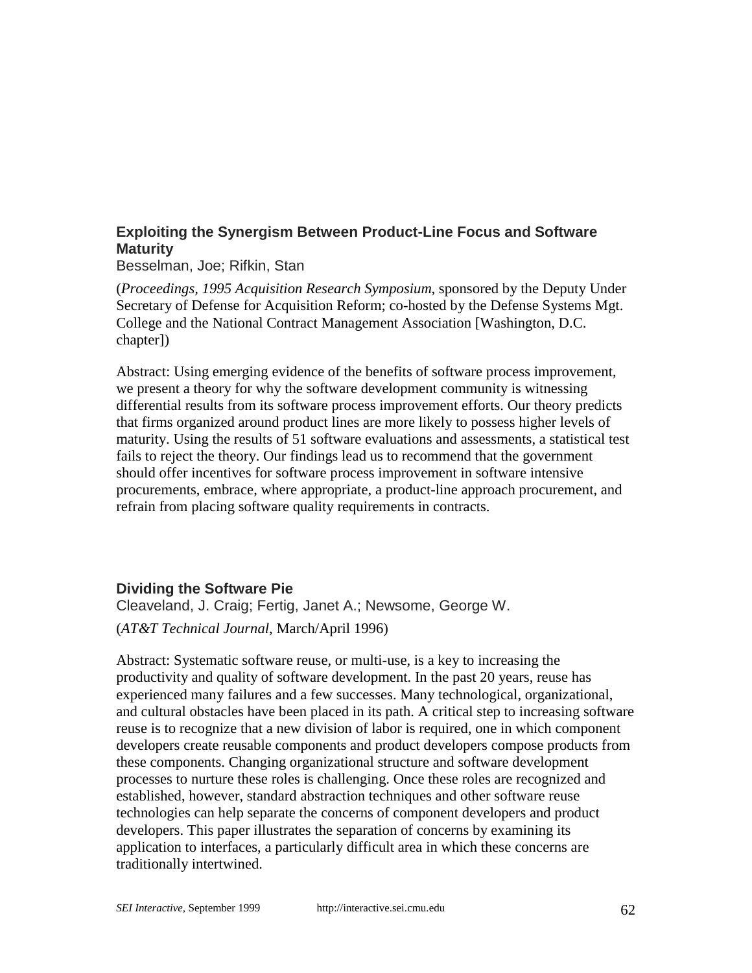### **Exploiting the Synergism Between Product-Line Focus and Software Maturity**

Besselman, Joe; Rifkin, Stan

(*Proceedings, 1995 Acquisition Research Symposium*, sponsored by the Deputy Under Secretary of Defense for Acquisition Reform; co-hosted by the Defense Systems Mgt. College and the National Contract Management Association [Washington, D.C. chapter])

Abstract: Using emerging evidence of the benefits of software process improvement, we present a theory for why the software development community is witnessing differential results from its software process improvement efforts. Our theory predicts that firms organized around product lines are more likely to possess higher levels of maturity. Using the results of 51 software evaluations and assessments, a statistical test fails to reject the theory. Our findings lead us to recommend that the government should offer incentives for software process improvement in software intensive procurements, embrace, where appropriate, a product-line approach procurement, and refrain from placing software quality requirements in contracts.

### **Dividing the Software Pie**

Cleaveland, J. Craig; Fertig, Janet A.; Newsome, George W.

(*AT&T Technical Journal*, March/April 1996)

Abstract: Systematic software reuse, or multi-use, is a key to increasing the productivity and quality of software development. In the past 20 years, reuse has experienced many failures and a few successes. Many technological, organizational, and cultural obstacles have been placed in its path. A critical step to increasing software reuse is to recognize that a new division of labor is required, one in which component developers create reusable components and product developers compose products from these components. Changing organizational structure and software development processes to nurture these roles is challenging. Once these roles are recognized and established, however, standard abstraction techniques and other software reuse technologies can help separate the concerns of component developers and product developers. This paper illustrates the separation of concerns by examining its application to interfaces, a particularly difficult area in which these concerns are traditionally intertwined.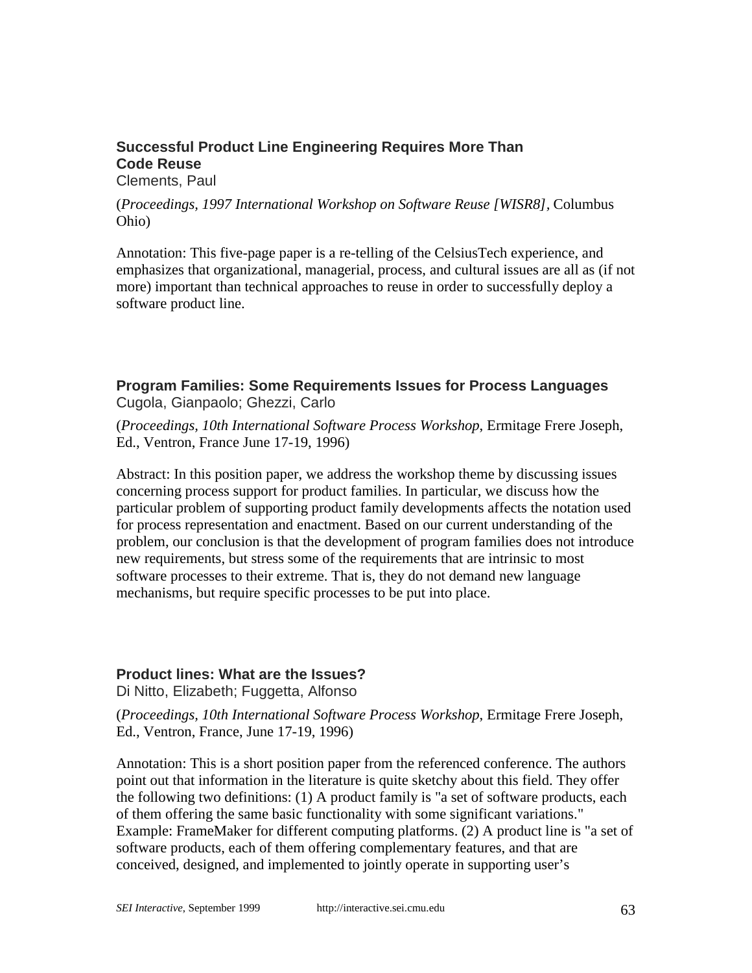### **Successful Product Line Engineering Requires More Than Code Reuse**

Clements, Paul

#### (*Proceedings, 1997 International Workshop on Software Reuse [WISR8],* Columbus Ohio)

Annotation: This five-page paper is a re-telling of the CelsiusTech experience, and emphasizes that organizational, managerial, process, and cultural issues are all as (if not more) important than technical approaches to reuse in order to successfully deploy a software product line.

#### **Program Families: Some Requirements Issues for Process Languages** Cugola, Gianpaolo; Ghezzi, Carlo

(*Proceedings, 10th International Software Process Workshop*, Ermitage Frere Joseph, Ed., Ventron, France June 17-19, 1996)

Abstract: In this position paper, we address the workshop theme by discussing issues concerning process support for product families. In particular, we discuss how the particular problem of supporting product family developments affects the notation used for process representation and enactment. Based on our current understanding of the problem, our conclusion is that the development of program families does not introduce new requirements, but stress some of the requirements that are intrinsic to most software processes to their extreme. That is, they do not demand new language mechanisms, but require specific processes to be put into place.

### **Product lines: What are the Issues?**

Di Nitto, Elizabeth; Fuggetta, Alfonso

(*Proceedings, 10th International Software Process Workshop*, Ermitage Frere Joseph, Ed., Ventron, France, June 17-19, 1996)

Annotation: This is a short position paper from the referenced conference. The authors point out that information in the literature is quite sketchy about this field. They offer the following two definitions: (1) A product family is "a set of software products, each of them offering the same basic functionality with some significant variations." Example: FrameMaker for different computing platforms. (2) A product line is "a set of software products, each of them offering complementary features, and that are conceived, designed, and implemented to jointly operate in supporting user's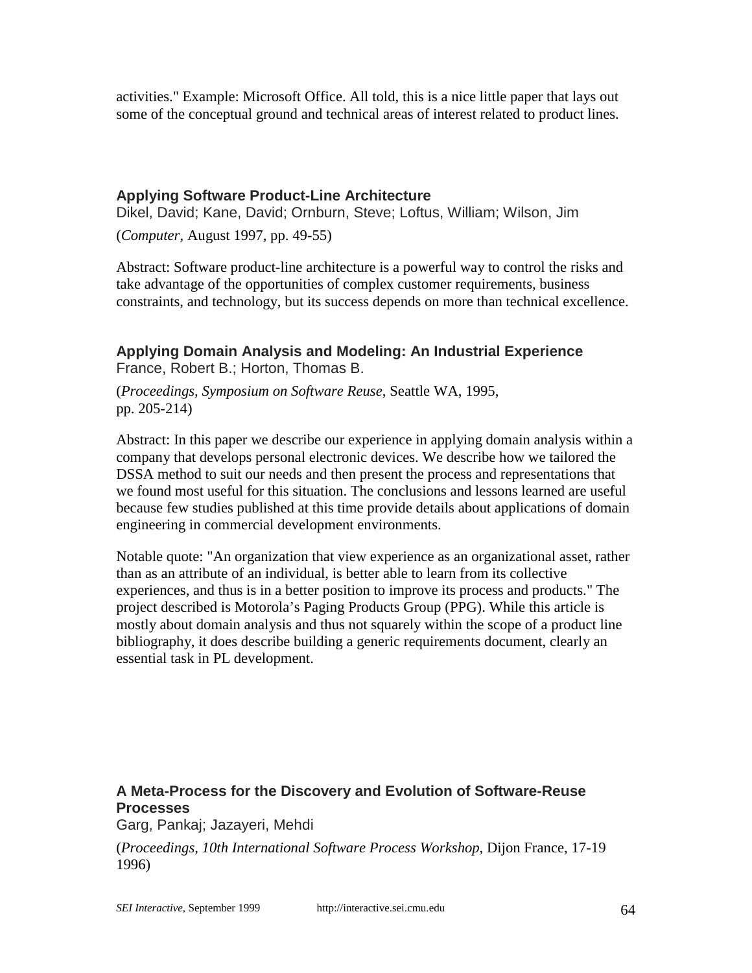activities." Example: Microsoft Office. All told, this is a nice little paper that lays out some of the conceptual ground and technical areas of interest related to product lines.

### **Applying Software Product-Line Architecture**

Dikel, David; Kane, David; Ornburn, Steve; Loftus, William; Wilson, Jim

(*Computer*, August 1997, pp. 49-55)

Abstract: Software product-line architecture is a powerful way to control the risks and take advantage of the opportunities of complex customer requirements, business constraints, and technology, but its success depends on more than technical excellence.

**Applying Domain Analysis and Modeling: An Industrial Experience** France, Robert B.; Horton, Thomas B.

(*Proceedings, Symposium on Software Reuse*, Seattle WA, 1995, pp. 205-214)

Abstract: In this paper we describe our experience in applying domain analysis within a company that develops personal electronic devices. We describe how we tailored the DSSA method to suit our needs and then present the process and representations that we found most useful for this situation. The conclusions and lessons learned are useful because few studies published at this time provide details about applications of domain engineering in commercial development environments.

Notable quote: "An organization that view experience as an organizational asset, rather than as an attribute of an individual, is better able to learn from its collective experiences, and thus is in a better position to improve its process and products." The project described is Motorola's Paging Products Group (PPG). While this article is mostly about domain analysis and thus not squarely within the scope of a product line bibliography, it does describe building a generic requirements document, clearly an essential task in PL development.

### **A Meta-Process for the Discovery and Evolution of Software-Reuse Processes**

Garg, Pankaj; Jazayeri, Mehdi

(*Proceedings, 10th International Software Process Workshop*, Dijon France, 17-19 1996)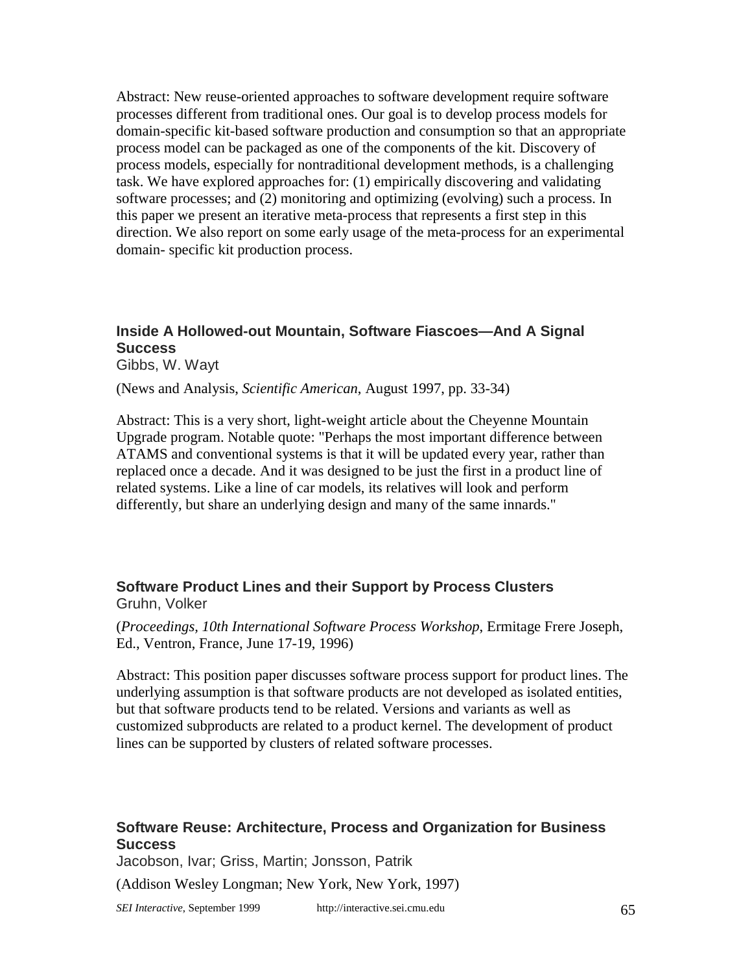Abstract: New reuse-oriented approaches to software development require software processes different from traditional ones. Our goal is to develop process models for domain-specific kit-based software production and consumption so that an appropriate process model can be packaged as one of the components of the kit. Discovery of process models, especially for nontraditional development methods, is a challenging task. We have explored approaches for: (1) empirically discovering and validating software processes; and (2) monitoring and optimizing (evolving) such a process. In this paper we present an iterative meta-process that represents a first step in this direction. We also report on some early usage of the meta-process for an experimental domain- specific kit production process.

### **Inside A Hollowed-out Mountain, Software Fiascoes—And A Signal Success**

Gibbs, W. Wayt

(News and Analysis, *Scientific American*, August 1997, pp. 33-34)

Abstract: This is a very short, light-weight article about the Cheyenne Mountain Upgrade program. Notable quote: "Perhaps the most important difference between ATAMS and conventional systems is that it will be updated every year, rather than replaced once a decade. And it was designed to be just the first in a product line of related systems. Like a line of car models, its relatives will look and perform differently, but share an underlying design and many of the same innards."

#### **Software Product Lines and their Support by Process Clusters** Gruhn, Volker

(*Proceedings, 10th International Software Process Workshop*, Ermitage Frere Joseph, Ed., Ventron, France, June 17-19, 1996)

Abstract: This position paper discusses software process support for product lines. The underlying assumption is that software products are not developed as isolated entities, but that software products tend to be related. Versions and variants as well as customized subproducts are related to a product kernel. The development of product lines can be supported by clusters of related software processes.

### **Software Reuse: Architecture, Process and Organization for Business Success**

Jacobson, Ivar; Griss, Martin; Jonsson, Patrik

(Addison Wesley Longman; New York, New York, 1997)

*SEI Interactive*, September 1999 http://interactive.sei.cmu.edu 65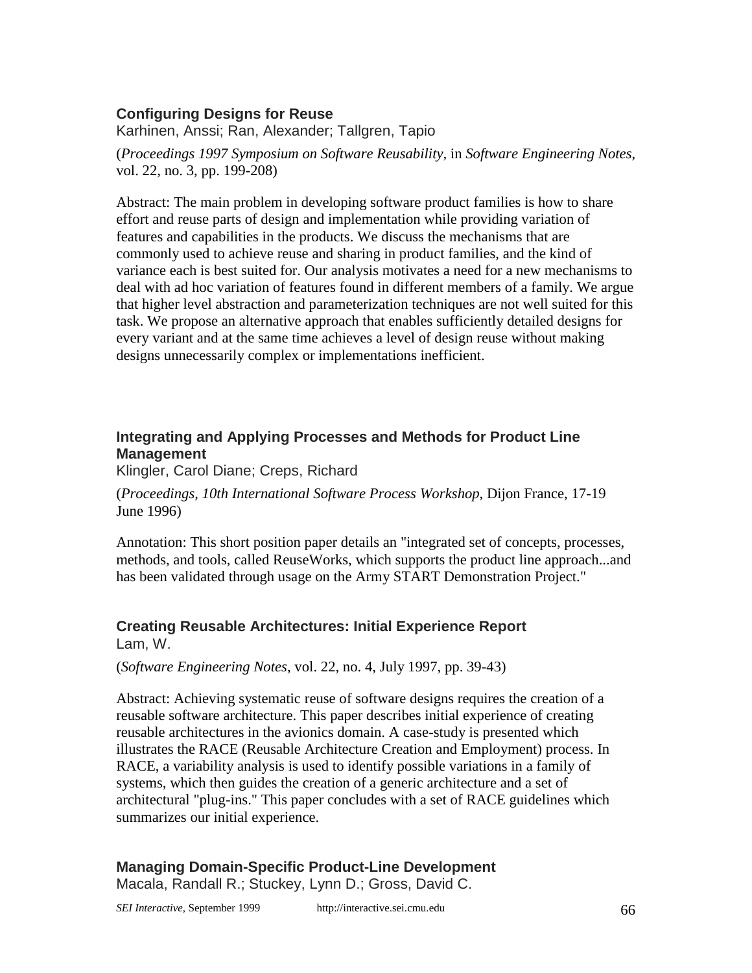### **Configuring Designs for Reuse**

Karhinen, Anssi; Ran, Alexander; Tallgren, Tapio

(*Proceedings 1997 Symposium on Software Reusability*, in *Software Engineering Notes*, vol. 22, no. 3, pp. 199-208)

Abstract: The main problem in developing software product families is how to share effort and reuse parts of design and implementation while providing variation of features and capabilities in the products. We discuss the mechanisms that are commonly used to achieve reuse and sharing in product families, and the kind of variance each is best suited for. Our analysis motivates a need for a new mechanisms to deal with ad hoc variation of features found in different members of a family. We argue that higher level abstraction and parameterization techniques are not well suited for this task. We propose an alternative approach that enables sufficiently detailed designs for every variant and at the same time achieves a level of design reuse without making designs unnecessarily complex or implementations inefficient.

### **Integrating and Applying Processes and Methods for Product Line Management**

Klingler, Carol Diane; Creps, Richard

(*Proceedings, 10th International Software Process Workshop*, Dijon France, 17-19 June 1996)

Annotation: This short position paper details an "integrated set of concepts, processes, methods, and tools, called ReuseWorks, which supports the product line approach...and has been validated through usage on the Army START Demonstration Project."

#### **Creating Reusable Architectures: Initial Experience Report** Lam, W.

(*Software Engineering Notes*, vol. 22, no. 4, July 1997, pp. 39-43)

Abstract: Achieving systematic reuse of software designs requires the creation of a reusable software architecture. This paper describes initial experience of creating reusable architectures in the avionics domain. A case-study is presented which illustrates the RACE (Reusable Architecture Creation and Employment) process. In RACE, a variability analysis is used to identify possible variations in a family of systems, which then guides the creation of a generic architecture and a set of architectural "plug-ins." This paper concludes with a set of RACE guidelines which summarizes our initial experience.

# **Managing Domain-Specific Product-Line Development**

Macala, Randall R.; Stuckey, Lynn D.; Gross, David C.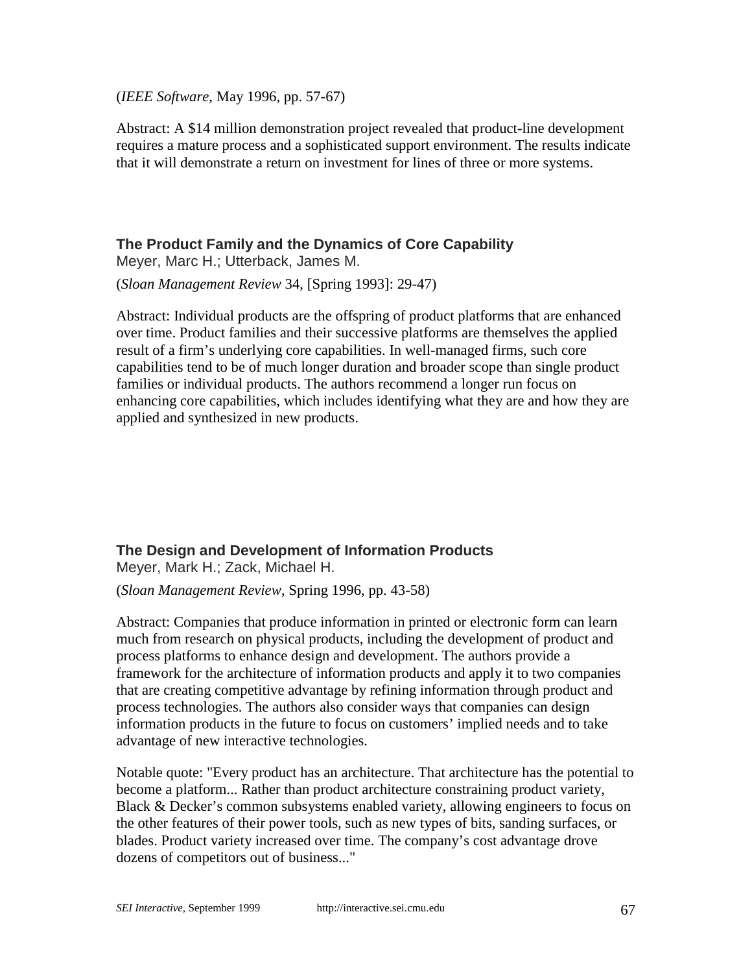(*IEEE Software*, May 1996, pp. 57-67)

Abstract: A \$14 million demonstration project revealed that product-line development requires a mature process and a sophisticated support environment. The results indicate that it will demonstrate a return on investment for lines of three or more systems.

### **The Product Family and the Dynamics of Core Capability**

Meyer, Marc H.; Utterback, James M.

(*Sloan Management Review* 34, [Spring 1993]: 29-47)

Abstract: Individual products are the offspring of product platforms that are enhanced over time. Product families and their successive platforms are themselves the applied result of a firm's underlying core capabilities. In well-managed firms, such core capabilities tend to be of much longer duration and broader scope than single product families or individual products. The authors recommend a longer run focus on enhancing core capabilities, which includes identifying what they are and how they are applied and synthesized in new products.

**The Design and Development of Information Products** Meyer, Mark H.; Zack, Michael H.

(*Sloan Management Review*, Spring 1996, pp. 43-58)

Abstract: Companies that produce information in printed or electronic form can learn much from research on physical products, including the development of product and process platforms to enhance design and development. The authors provide a framework for the architecture of information products and apply it to two companies that are creating competitive advantage by refining information through product and process technologies. The authors also consider ways that companies can design information products in the future to focus on customers' implied needs and to take advantage of new interactive technologies.

Notable quote: "Every product has an architecture. That architecture has the potential to become a platform... Rather than product architecture constraining product variety, Black & Decker's common subsystems enabled variety, allowing engineers to focus on the other features of their power tools, such as new types of bits, sanding surfaces, or blades. Product variety increased over time. The company's cost advantage drove dozens of competitors out of business..."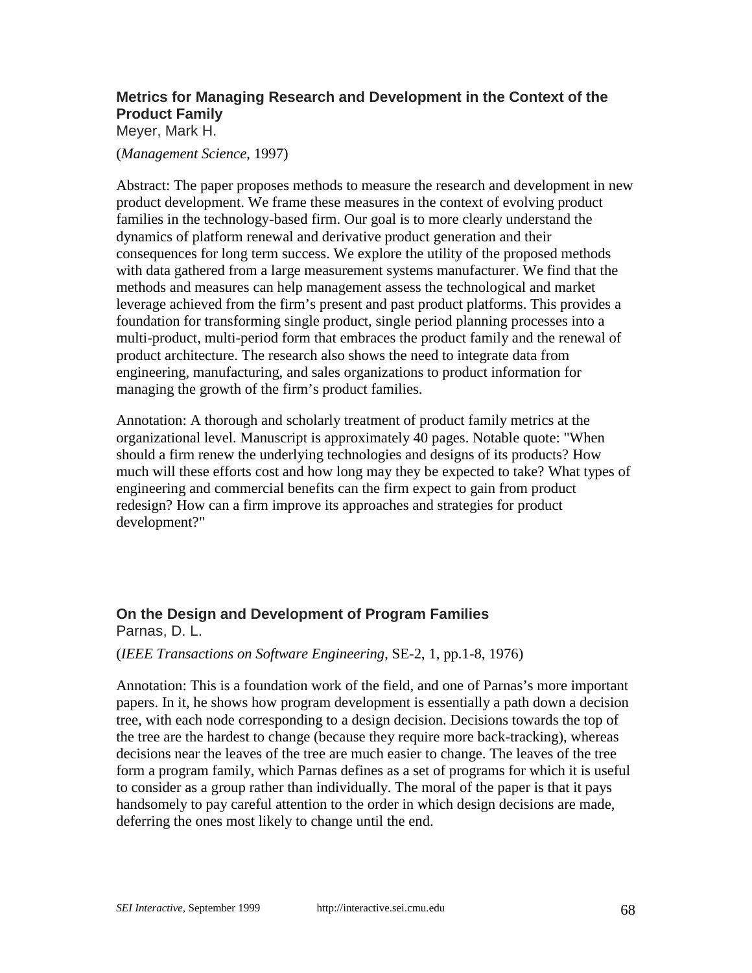### **Metrics for Managing Research and Development in the Context of the Product Family**

Meyer, Mark H.

(*Management Science*, 1997)

Abstract: The paper proposes methods to measure the research and development in new product development. We frame these measures in the context of evolving product families in the technology-based firm. Our goal is to more clearly understand the dynamics of platform renewal and derivative product generation and their consequences for long term success. We explore the utility of the proposed methods with data gathered from a large measurement systems manufacturer. We find that the methods and measures can help management assess the technological and market leverage achieved from the firm's present and past product platforms. This provides a foundation for transforming single product, single period planning processes into a multi-product, multi-period form that embraces the product family and the renewal of product architecture. The research also shows the need to integrate data from engineering, manufacturing, and sales organizations to product information for managing the growth of the firm's product families.

Annotation: A thorough and scholarly treatment of product family metrics at the organizational level. Manuscript is approximately 40 pages. Notable quote: "When should a firm renew the underlying technologies and designs of its products? How much will these efforts cost and how long may they be expected to take? What types of engineering and commercial benefits can the firm expect to gain from product redesign? How can a firm improve its approaches and strategies for product development?"

#### **On the Design and Development of Program Families** Parnas, D. L.

#### (*IEEE Transactions on Software Engineering*, SE-2, 1, pp.1-8, 1976)

Annotation: This is a foundation work of the field, and one of Parnas's more important papers. In it, he shows how program development is essentially a path down a decision tree, with each node corresponding to a design decision. Decisions towards the top of the tree are the hardest to change (because they require more back-tracking), whereas decisions near the leaves of the tree are much easier to change. The leaves of the tree form a program family, which Parnas defines as a set of programs for which it is useful to consider as a group rather than individually. The moral of the paper is that it pays handsomely to pay careful attention to the order in which design decisions are made, deferring the ones most likely to change until the end.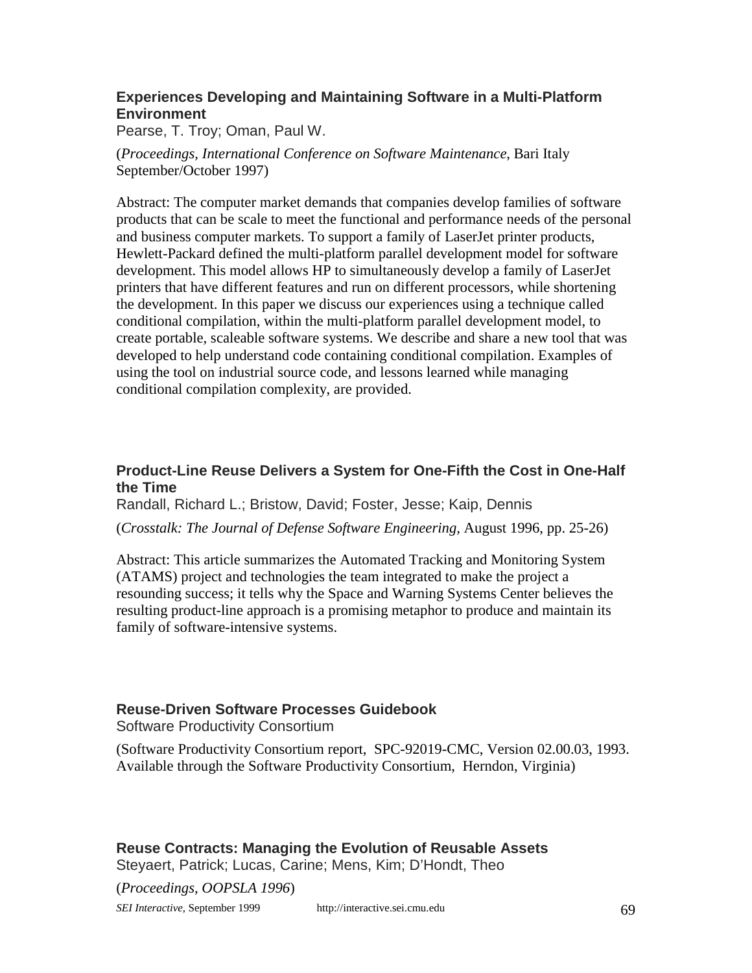### **Experiences Developing and Maintaining Software in a Multi-Platform Environment**

Pearse, T. Troy; Oman, Paul W.

(*Proceedings, International Conference on Software Maintenance*, Bari Italy September/October 1997)

Abstract: The computer market demands that companies develop families of software products that can be scale to meet the functional and performance needs of the personal and business computer markets. To support a family of LaserJet printer products, Hewlett-Packard defined the multi-platform parallel development model for software development. This model allows HP to simultaneously develop a family of LaserJet printers that have different features and run on different processors, while shortening the development. In this paper we discuss our experiences using a technique called conditional compilation, within the multi-platform parallel development model, to create portable, scaleable software systems. We describe and share a new tool that was developed to help understand code containing conditional compilation. Examples of using the tool on industrial source code, and lessons learned while managing conditional compilation complexity, are provided.

### **Product-Line Reuse Delivers a System for One-Fifth the Cost in One-Half the Time**

Randall, Richard L.; Bristow, David; Foster, Jesse; Kaip, Dennis

(*Crosstalk: The Journal of Defense Software Engineering,* August 1996, pp. 25-26)

Abstract: This article summarizes the Automated Tracking and Monitoring System (ATAMS) project and technologies the team integrated to make the project a resounding success; it tells why the Space and Warning Systems Center believes the resulting product-line approach is a promising metaphor to produce and maintain its family of software-intensive systems.

### **Reuse-Driven Software Processes Guidebook**

Software Productivity Consortium

(Software Productivity Consortium report, SPC-92019-CMC, Version 02.00.03, 1993. Available through the Software Productivity Consortium, Herndon, Virginia)

**Reuse Contracts: Managing the Evolution of Reusable Assets** Steyaert, Patrick; Lucas, Carine; Mens, Kim; D'Hondt, Theo

*SEI Interactive*, September 1999 http://interactive.sei.cmu.edu 69 (*Proceedings, OOPSLA 1996*)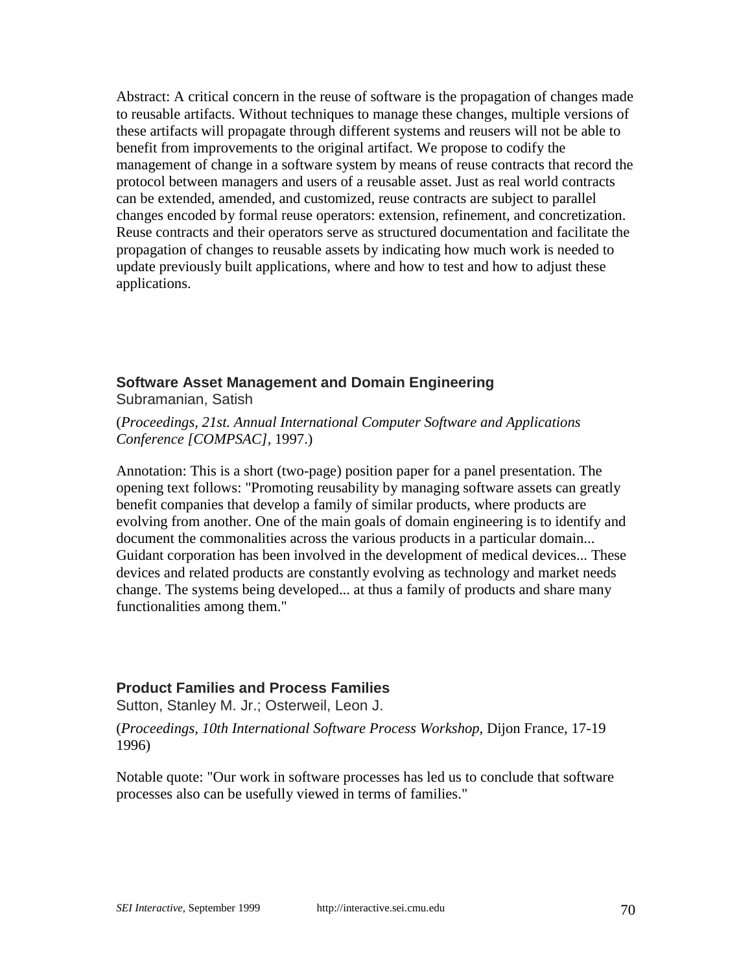Abstract: A critical concern in the reuse of software is the propagation of changes made to reusable artifacts. Without techniques to manage these changes, multiple versions of these artifacts will propagate through different systems and reusers will not be able to benefit from improvements to the original artifact. We propose to codify the management of change in a software system by means of reuse contracts that record the protocol between managers and users of a reusable asset. Just as real world contracts can be extended, amended, and customized, reuse contracts are subject to parallel changes encoded by formal reuse operators: extension, refinement, and concretization. Reuse contracts and their operators serve as structured documentation and facilitate the propagation of changes to reusable assets by indicating how much work is needed to update previously built applications, where and how to test and how to adjust these applications.

#### **Software Asset Management and Domain Engineering**

Subramanian, Satish

#### (*Proceedings, 21st. Annual International Computer Software and Applications Conference [COMPSAC],* 1997.)

Annotation: This is a short (two-page) position paper for a panel presentation. The opening text follows: "Promoting reusability by managing software assets can greatly benefit companies that develop a family of similar products, where products are evolving from another. One of the main goals of domain engineering is to identify and document the commonalities across the various products in a particular domain... Guidant corporation has been involved in the development of medical devices... These devices and related products are constantly evolving as technology and market needs change. The systems being developed... at thus a family of products and share many functionalities among them."

#### **Product Families and Process Families**

Sutton, Stanley M. Jr.; Osterweil, Leon J.

(*Proceedings, 10th International Software Process Workshop*, Dijon France, 17-19 1996)

Notable quote: "Our work in software processes has led us to conclude that software processes also can be usefully viewed in terms of families."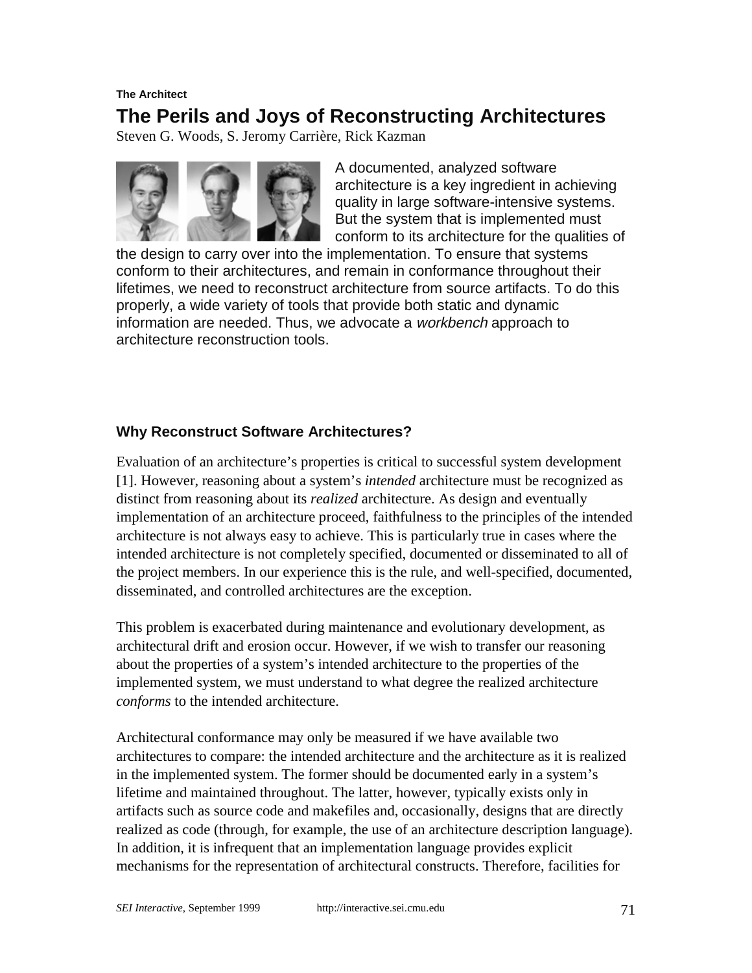# **The Architect The Perils and Joys of Reconstructing Architectures**

Steven G. Woods, S. Jeromy Carrière, Rick Kazman



A documented, analyzed software architecture is a key ingredient in achieving quality in large software-intensive systems. But the system that is implemented must conform to its architecture for the qualities of

the design to carry over into the implementation. To ensure that systems conform to their architectures, and remain in conformance throughout their lifetimes, we need to reconstruct architecture from source artifacts. To do this properly, a wide variety of tools that provide both static and dynamic information are needed. Thus, we advocate a workbench approach to architecture reconstruction tools.

### **Why Reconstruct Software Architectures?**

Evaluation of an architecture's properties is critical to successful system development [1]. However, reasoning about a system's *intended* architecture must be recognized as distinct from reasoning about its *realized* architecture. As design and eventually implementation of an architecture proceed, faithfulness to the principles of the intended architecture is not always easy to achieve. This is particularly true in cases where the intended architecture is not completely specified, documented or disseminated to all of the project members. In our experience this is the rule, and well-specified, documented, disseminated, and controlled architectures are the exception.

This problem is exacerbated during maintenance and evolutionary development, as architectural drift and erosion occur. However, if we wish to transfer our reasoning about the properties of a system's intended architecture to the properties of the implemented system, we must understand to what degree the realized architecture *conforms* to the intended architecture.

Architectural conformance may only be measured if we have available two architectures to compare: the intended architecture and the architecture as it is realized in the implemented system. The former should be documented early in a system's lifetime and maintained throughout. The latter, however, typically exists only in artifacts such as source code and makefiles and, occasionally, designs that are directly realized as code (through, for example, the use of an architecture description language). In addition, it is infrequent that an implementation language provides explicit mechanisms for the representation of architectural constructs. Therefore, facilities for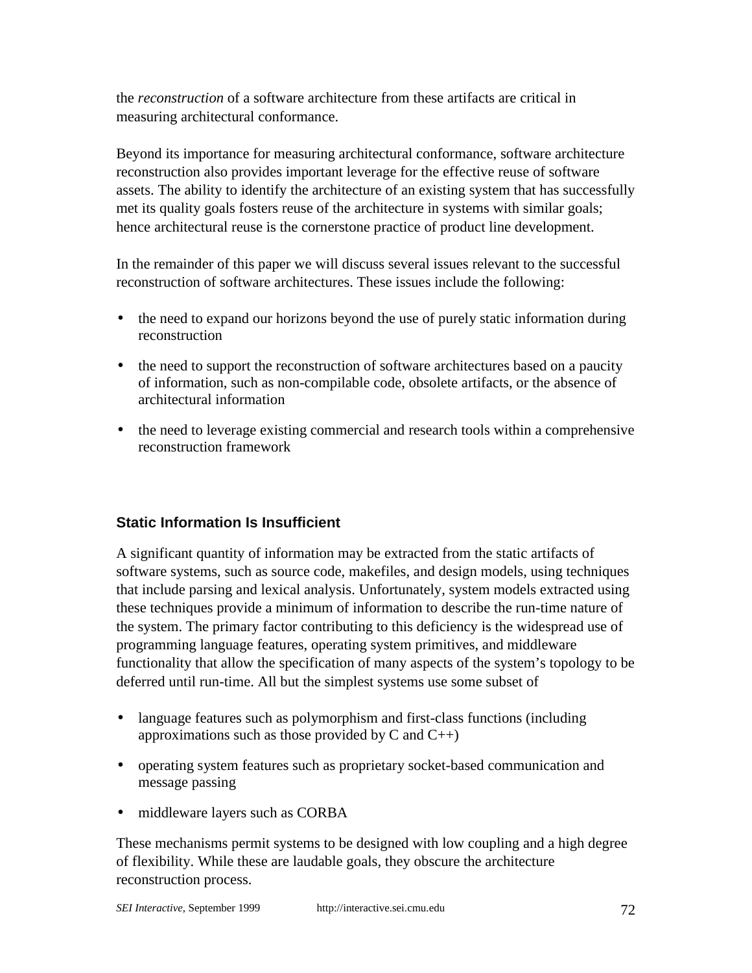the *reconstruction* of a software architecture from these artifacts are critical in measuring architectural conformance.

Beyond its importance for measuring architectural conformance, software architecture reconstruction also provides important leverage for the effective reuse of software assets. The ability to identify the architecture of an existing system that has successfully met its quality goals fosters reuse of the architecture in systems with similar goals; hence architectural reuse is the cornerstone practice of product line development.

In the remainder of this paper we will discuss several issues relevant to the successful reconstruction of software architectures. These issues include the following:

- the need to expand our horizons beyond the use of purely static information during reconstruction
- the need to support the reconstruction of software architectures based on a paucity of information, such as non-compilable code, obsolete artifacts, or the absence of architectural information
- the need to leverage existing commercial and research tools within a comprehensive reconstruction framework

### **Static Information Is Insufficient**

A significant quantity of information may be extracted from the static artifacts of software systems, such as source code, makefiles, and design models, using techniques that include parsing and lexical analysis. Unfortunately, system models extracted using these techniques provide a minimum of information to describe the run-time nature of the system. The primary factor contributing to this deficiency is the widespread use of programming language features, operating system primitives, and middleware functionality that allow the specification of many aspects of the system's topology to be deferred until run-time. All but the simplest systems use some subset of

- language features such as polymorphism and first-class functions (including approximations such as those provided by  $C$  and  $C_{++}$ )
- operating system features such as proprietary socket-based communication and message passing
- middleware layers such as CORBA

These mechanisms permit systems to be designed with low coupling and a high degree of flexibility. While these are laudable goals, they obscure the architecture reconstruction process.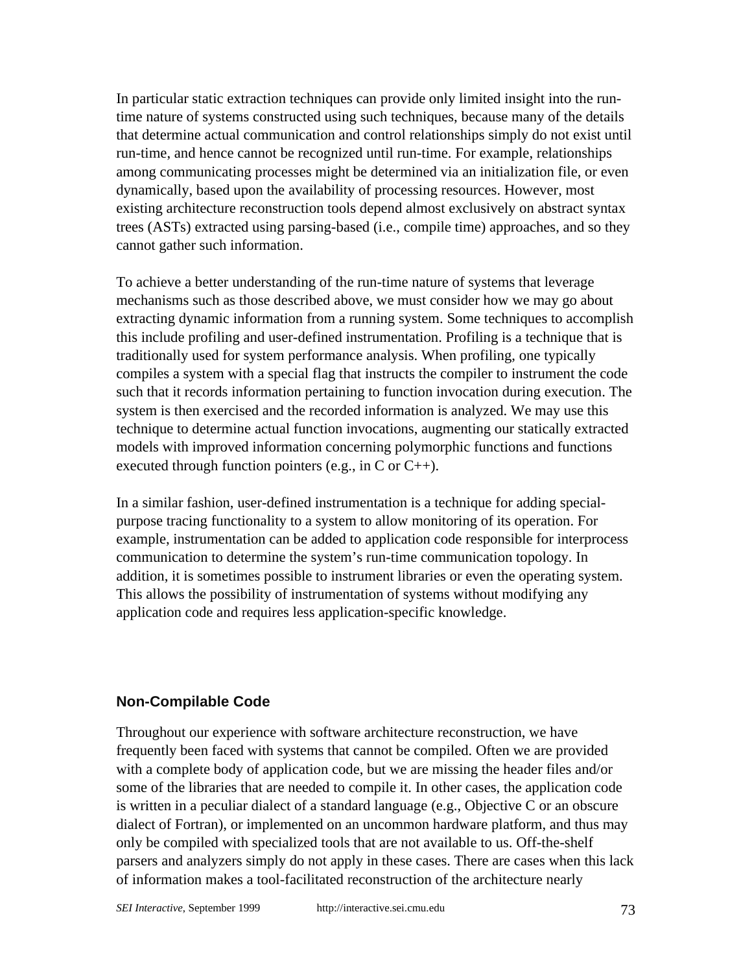In particular static extraction techniques can provide only limited insight into the runtime nature of systems constructed using such techniques, because many of the details that determine actual communication and control relationships simply do not exist until run-time, and hence cannot be recognized until run-time. For example, relationships among communicating processes might be determined via an initialization file, or even dynamically, based upon the availability of processing resources. However, most existing architecture reconstruction tools depend almost exclusively on abstract syntax trees (ASTs) extracted using parsing-based (i.e., compile time) approaches, and so they cannot gather such information.

To achieve a better understanding of the run-time nature of systems that leverage mechanisms such as those described above, we must consider how we may go about extracting dynamic information from a running system. Some techniques to accomplish this include profiling and user-defined instrumentation. Profiling is a technique that is traditionally used for system performance analysis. When profiling, one typically compiles a system with a special flag that instructs the compiler to instrument the code such that it records information pertaining to function invocation during execution. The system is then exercised and the recorded information is analyzed. We may use this technique to determine actual function invocations, augmenting our statically extracted models with improved information concerning polymorphic functions and functions executed through function pointers (e.g., in C or  $C_{++}$ ).

In a similar fashion, user-defined instrumentation is a technique for adding specialpurpose tracing functionality to a system to allow monitoring of its operation. For example, instrumentation can be added to application code responsible for interprocess communication to determine the system's run-time communication topology. In addition, it is sometimes possible to instrument libraries or even the operating system. This allows the possibility of instrumentation of systems without modifying any application code and requires less application-specific knowledge.

#### **Non-Compilable Code**

Throughout our experience with software architecture reconstruction, we have frequently been faced with systems that cannot be compiled. Often we are provided with a complete body of application code, but we are missing the header files and/or some of the libraries that are needed to compile it. In other cases, the application code is written in a peculiar dialect of a standard language (e.g., Objective C or an obscure dialect of Fortran), or implemented on an uncommon hardware platform, and thus may only be compiled with specialized tools that are not available to us. Off-the-shelf parsers and analyzers simply do not apply in these cases. There are cases when this lack of information makes a tool-facilitated reconstruction of the architecture nearly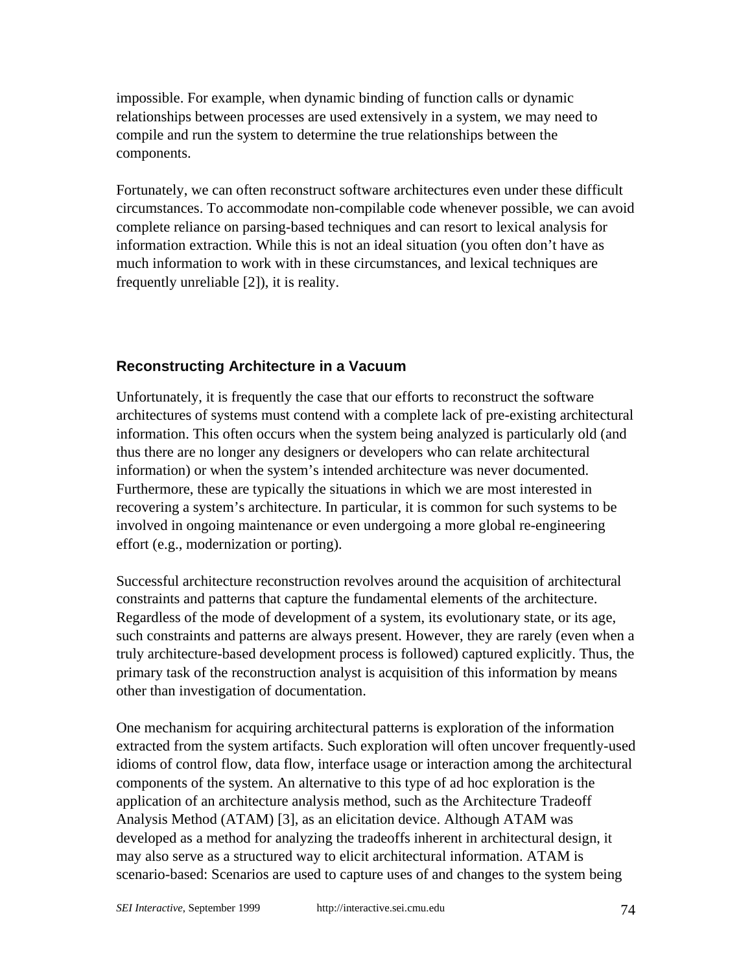impossible. For example, when dynamic binding of function calls or dynamic relationships between processes are used extensively in a system, we may need to compile and run the system to determine the true relationships between the components.

Fortunately, we can often reconstruct software architectures even under these difficult circumstances. To accommodate non-compilable code whenever possible, we can avoid complete reliance on parsing-based techniques and can resort to lexical analysis for information extraction. While this is not an ideal situation (you often don't have as much information to work with in these circumstances, and lexical techniques are frequently unreliable [2]), it is reality.

#### **Reconstructing Architecture in a Vacuum**

Unfortunately, it is frequently the case that our efforts to reconstruct the software architectures of systems must contend with a complete lack of pre-existing architectural information. This often occurs when the system being analyzed is particularly old (and thus there are no longer any designers or developers who can relate architectural information) or when the system's intended architecture was never documented. Furthermore, these are typically the situations in which we are most interested in recovering a system's architecture. In particular, it is common for such systems to be involved in ongoing maintenance or even undergoing a more global re-engineering effort (e.g., modernization or porting).

Successful architecture reconstruction revolves around the acquisition of architectural constraints and patterns that capture the fundamental elements of the architecture. Regardless of the mode of development of a system, its evolutionary state, or its age, such constraints and patterns are always present. However, they are rarely (even when a truly architecture-based development process is followed) captured explicitly. Thus, the primary task of the reconstruction analyst is acquisition of this information by means other than investigation of documentation.

One mechanism for acquiring architectural patterns is exploration of the information extracted from the system artifacts. Such exploration will often uncover frequently-used idioms of control flow, data flow, interface usage or interaction among the architectural components of the system. An alternative to this type of ad hoc exploration is the application of an architecture analysis method, such as the Architecture Tradeoff Analysis Method (ATAM) [3], as an elicitation device. Although ATAM was developed as a method for analyzing the tradeoffs inherent in architectural design, it may also serve as a structured way to elicit architectural information. ATAM is scenario-based: Scenarios are used to capture uses of and changes to the system being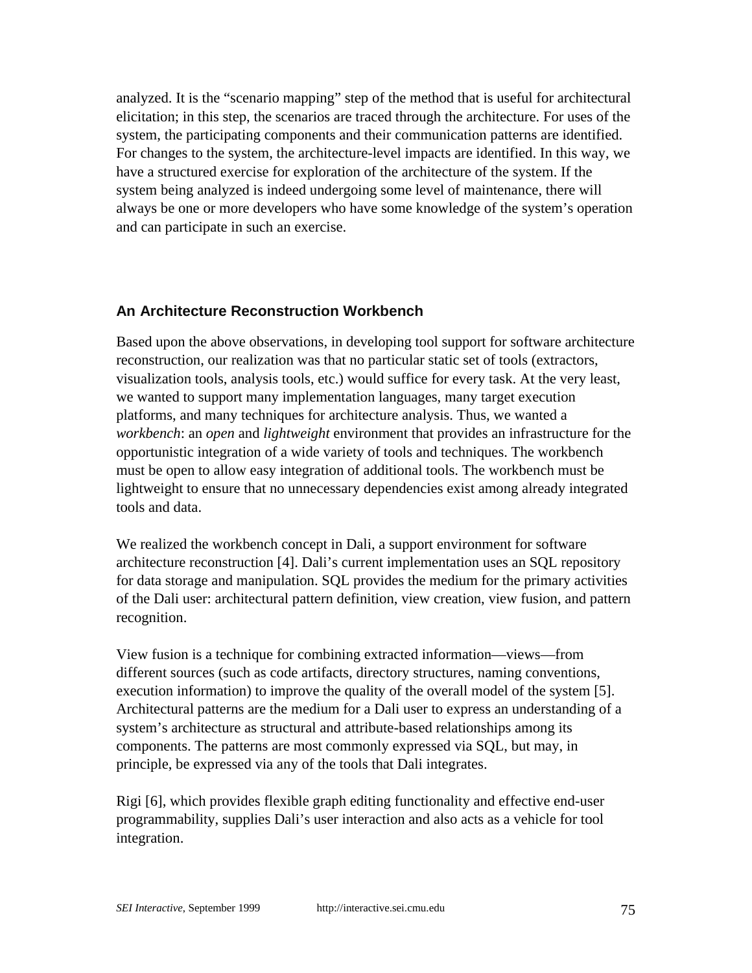analyzed. It is the "scenario mapping" step of the method that is useful for architectural elicitation; in this step, the scenarios are traced through the architecture. For uses of the system, the participating components and their communication patterns are identified. For changes to the system, the architecture-level impacts are identified. In this way, we have a structured exercise for exploration of the architecture of the system. If the system being analyzed is indeed undergoing some level of maintenance, there will always be one or more developers who have some knowledge of the system's operation and can participate in such an exercise.

#### **An Architecture Reconstruction Workbench**

Based upon the above observations, in developing tool support for software architecture reconstruction, our realization was that no particular static set of tools (extractors, visualization tools, analysis tools, etc.) would suffice for every task. At the very least, we wanted to support many implementation languages, many target execution platforms, and many techniques for architecture analysis. Thus, we wanted a *workbench*: an *open* and *lightweight* environment that provides an infrastructure for the opportunistic integration of a wide variety of tools and techniques. The workbench must be open to allow easy integration of additional tools. The workbench must be lightweight to ensure that no unnecessary dependencies exist among already integrated tools and data.

We realized the workbench concept in Dali, a support environment for software architecture reconstruction [4]. Dali's current implementation uses an SQL repository for data storage and manipulation. SQL provides the medium for the primary activities of the Dali user: architectural pattern definition, view creation, view fusion, and pattern recognition.

View fusion is a technique for combining extracted information—views—from different sources (such as code artifacts, directory structures, naming conventions, execution information) to improve the quality of the overall model of the system [5]. Architectural patterns are the medium for a Dali user to express an understanding of a system's architecture as structural and attribute-based relationships among its components. The patterns are most commonly expressed via SQL, but may, in principle, be expressed via any of the tools that Dali integrates.

Rigi [6], which provides flexible graph editing functionality and effective end-user programmability, supplies Dali's user interaction and also acts as a vehicle for tool integration.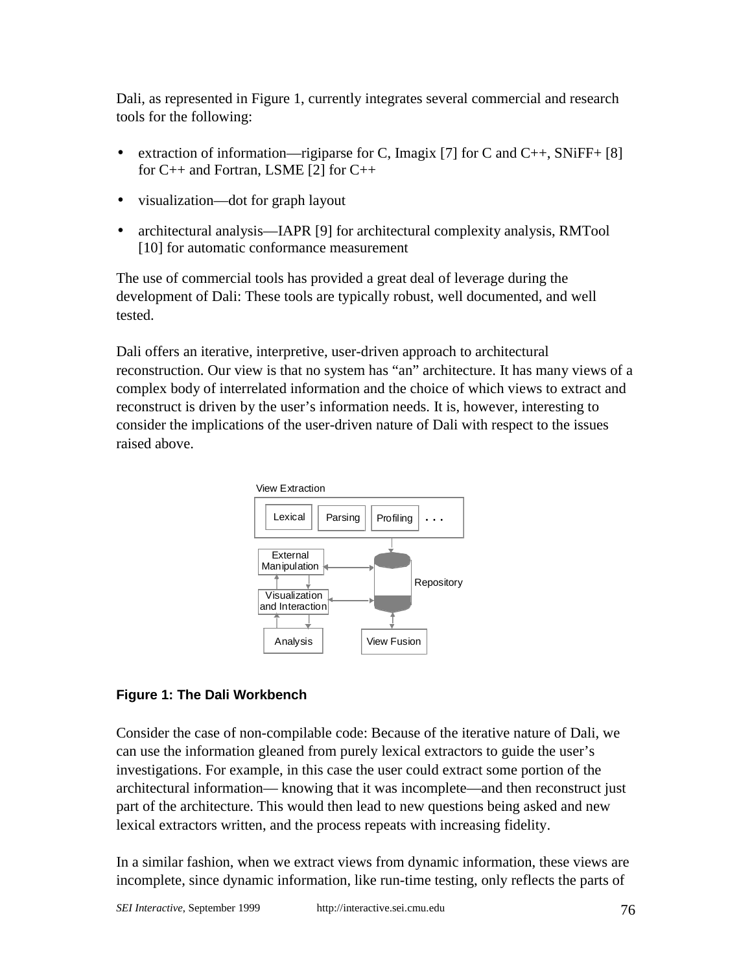Dali, as represented in Figure 1, currently integrates several commercial and research tools for the following:

- extraction of information—rigiparse for C, Imagix [7] for C and  $C_{++}$ , SNiFF+ [8] for C++ and Fortran, LSME [2] for C++
- visualization—dot for graph layout
- architectural analysis—IAPR [9] for architectural complexity analysis, RMTool [10] for automatic conformance measurement

The use of commercial tools has provided a great deal of leverage during the development of Dali: These tools are typically robust, well documented, and well tested.

Dali offers an iterative, interpretive, user-driven approach to architectural reconstruction. Our view is that no system has "an" architecture. It has many views of a complex body of interrelated information and the choice of which views to extract and reconstruct is driven by the user's information needs. It is, however, interesting to consider the implications of the user-driven nature of Dali with respect to the issues raised above.



### **Figure 1: The Dali Workbench**

Consider the case of non-compilable code: Because of the iterative nature of Dali, we can use the information gleaned from purely lexical extractors to guide the user's investigations. For example, in this case the user could extract some portion of the architectural information— knowing that it was incomplete—and then reconstruct just part of the architecture. This would then lead to new questions being asked and new lexical extractors written, and the process repeats with increasing fidelity.

In a similar fashion, when we extract views from dynamic information, these views are incomplete, since dynamic information, like run-time testing, only reflects the parts of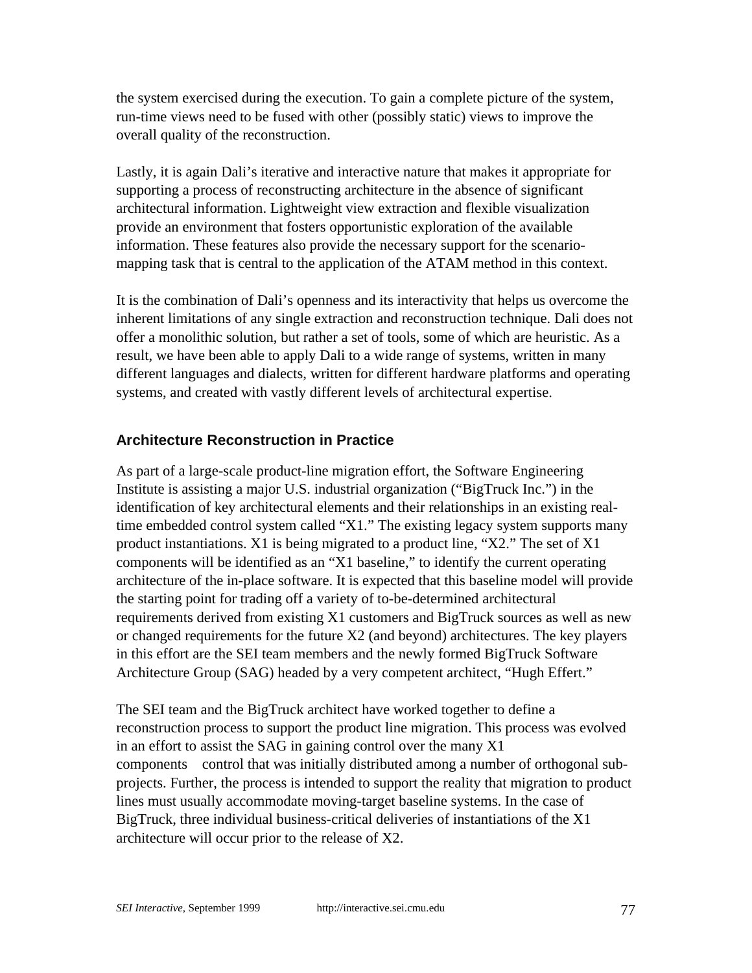the system exercised during the execution. To gain a complete picture of the system, run-time views need to be fused with other (possibly static) views to improve the overall quality of the reconstruction.

Lastly, it is again Dali's iterative and interactive nature that makes it appropriate for supporting a process of reconstructing architecture in the absence of significant architectural information. Lightweight view extraction and flexible visualization provide an environment that fosters opportunistic exploration of the available information. These features also provide the necessary support for the scenariomapping task that is central to the application of the ATAM method in this context.

It is the combination of Dali's openness and its interactivity that helps us overcome the inherent limitations of any single extraction and reconstruction technique. Dali does not offer a monolithic solution, but rather a set of tools, some of which are heuristic. As a result, we have been able to apply Dali to a wide range of systems, written in many different languages and dialects, written for different hardware platforms and operating systems, and created with vastly different levels of architectural expertise.

#### **Architecture Reconstruction in Practice**

As part of a large-scale product-line migration effort, the Software Engineering Institute is assisting a major U.S. industrial organization ("BigTruck Inc.") in the identification of key architectural elements and their relationships in an existing realtime embedded control system called "X1." The existing legacy system supports many product instantiations. X1 is being migrated to a product line, "X2." The set of X1 components will be identified as an "X1 baseline," to identify the current operating architecture of the in-place software. It is expected that this baseline model will provide the starting point for trading off a variety of to-be-determined architectural requirements derived from existing X1 customers and BigTruck sources as well as new or changed requirements for the future X2 (and beyond) architectures. The key players in this effort are the SEI team members and the newly formed BigTruck Software Architecture Group (SAG) headed by a very competent architect, "Hugh Effert."

The SEI team and the BigTruck architect have worked together to define a reconstruction process to support the product line migration. This process was evolved in an effort to assist the SAG in gaining control over the many X1 components—control that was initially distributed among a number of orthogonal subprojects. Further, the process is intended to support the reality that migration to product lines must usually accommodate moving-target baseline systems. In the case of BigTruck, three individual business-critical deliveries of instantiations of the X1 architecture will occur prior to the release of X2.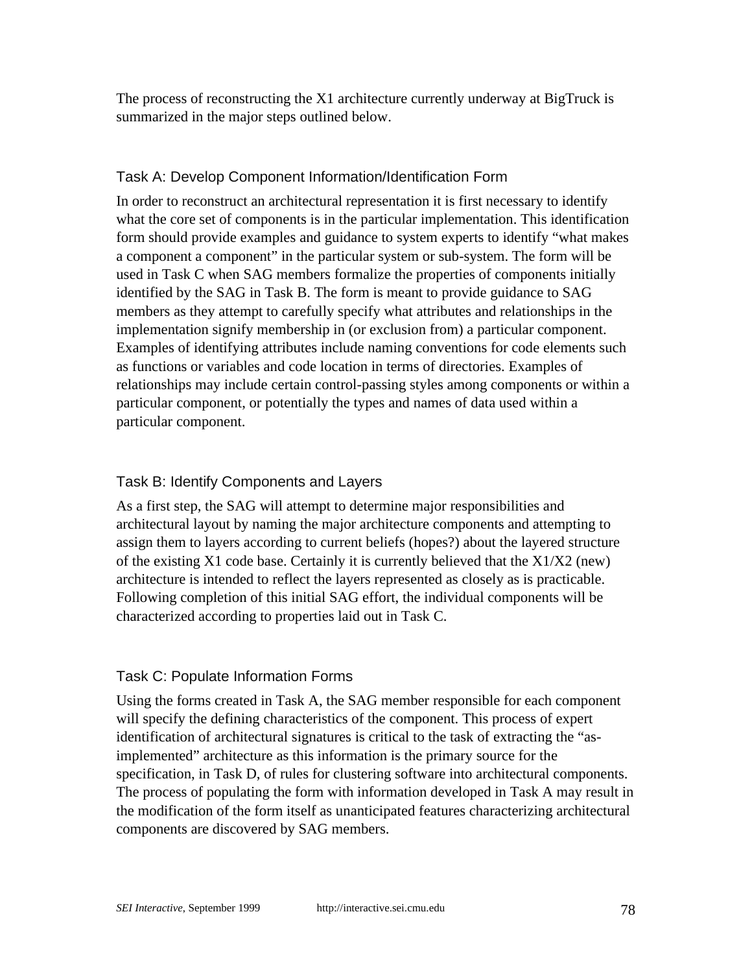The process of reconstructing the X1 architecture currently underway at BigTruck is summarized in the major steps outlined below.

#### Task A: Develop Component Information/Identification Form

In order to reconstruct an architectural representation it is first necessary to identify what the core set of components is in the particular implementation. This identification form should provide examples and guidance to system experts to identify "what makes a component a component" in the particular system or sub-system. The form will be used in Task C when SAG members formalize the properties of components initially identified by the SAG in Task B. The form is meant to provide guidance to SAG members as they attempt to carefully specify what attributes and relationships in the implementation signify membership in (or exclusion from) a particular component. Examples of identifying attributes include naming conventions for code elements such as functions or variables and code location in terms of directories. Examples of relationships may include certain control-passing styles among components or within a particular component, or potentially the types and names of data used within a particular component.

#### Task B: Identify Components and Layers

As a first step, the SAG will attempt to determine major responsibilities and architectural layout by naming the major architecture components and attempting to assign them to layers according to current beliefs (hopes?) about the layered structure of the existing X1 code base. Certainly it is currently believed that the X1/X2 (new) architecture is intended to reflect the layers represented as closely as is practicable. Following completion of this initial SAG effort, the individual components will be characterized according to properties laid out in Task C.

#### Task C: Populate Information Forms

Using the forms created in Task A, the SAG member responsible for each component will specify the defining characteristics of the component. This process of expert identification of architectural signatures is critical to the task of extracting the "asimplemented" architecture as this information is the primary source for the specification, in Task D, of rules for clustering software into architectural components. The process of populating the form with information developed in Task A may result in the modification of the form itself as unanticipated features characterizing architectural components are discovered by SAG members.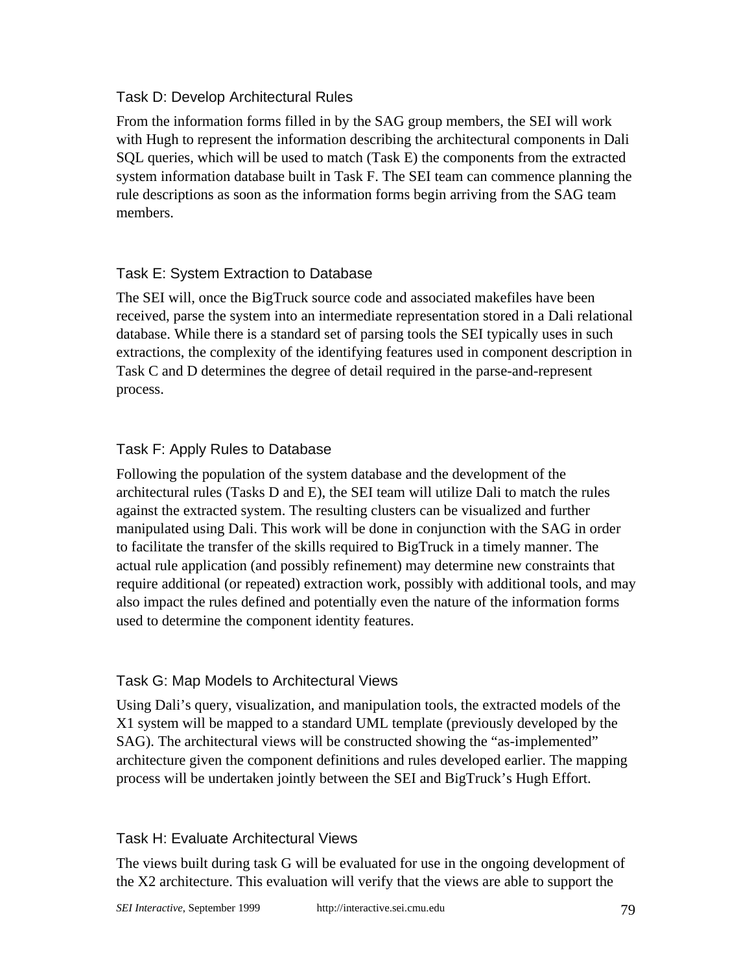#### Task D: Develop Architectural Rules

From the information forms filled in by the SAG group members, the SEI will work with Hugh to represent the information describing the architectural components in Dali SQL queries, which will be used to match (Task E) the components from the extracted system information database built in Task F. The SEI team can commence planning the rule descriptions as soon as the information forms begin arriving from the SAG team members.

### Task E: System Extraction to Database

The SEI will, once the BigTruck source code and associated makefiles have been received, parse the system into an intermediate representation stored in a Dali relational database. While there is a standard set of parsing tools the SEI typically uses in such extractions, the complexity of the identifying features used in component description in Task C and D determines the degree of detail required in the parse-and-represent process.

### Task F: Apply Rules to Database

Following the population of the system database and the development of the architectural rules (Tasks D and E), the SEI team will utilize Dali to match the rules against the extracted system. The resulting clusters can be visualized and further manipulated using Dali. This work will be done in conjunction with the SAG in order to facilitate the transfer of the skills required to BigTruck in a timely manner. The actual rule application (and possibly refinement) may determine new constraints that require additional (or repeated) extraction work, possibly with additional tools, and may also impact the rules defined and potentially even the nature of the information forms used to determine the component identity features.

### Task G: Map Models to Architectural Views

Using Dali's query, visualization, and manipulation tools, the extracted models of the X1 system will be mapped to a standard UML template (previously developed by the SAG). The architectural views will be constructed showing the "as-implemented" architecture given the component definitions and rules developed earlier. The mapping process will be undertaken jointly between the SEI and BigTruck's Hugh Effort.

### Task H: Evaluate Architectural Views

The views built during task G will be evaluated for use in the ongoing development of the X2 architecture. This evaluation will verify that the views are able to support the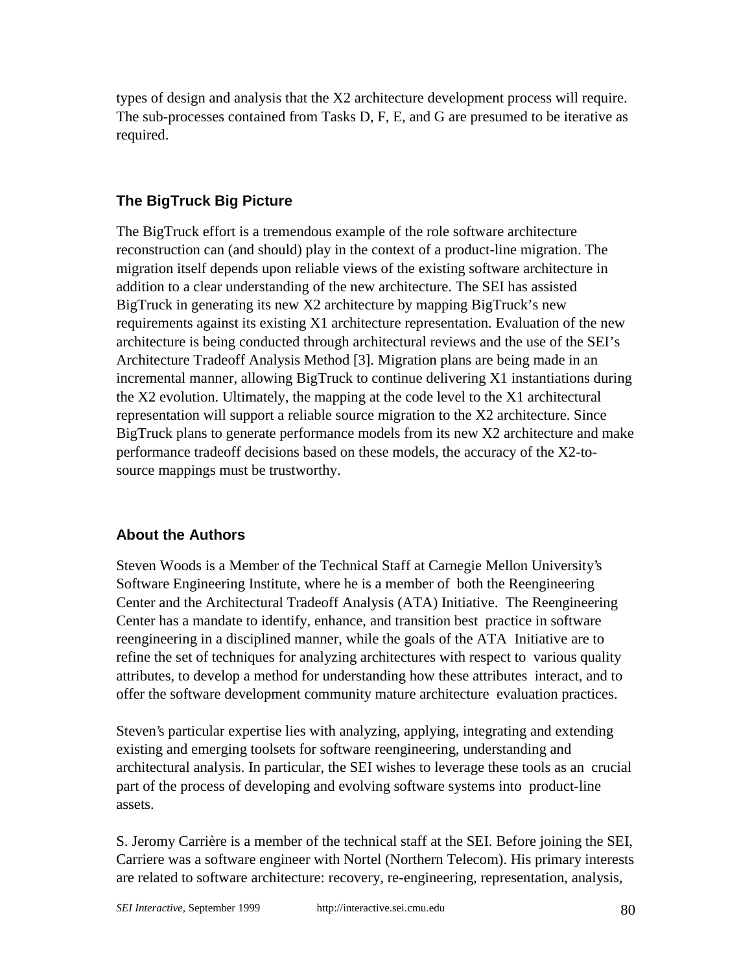types of design and analysis that the X2 architecture development process will require. The sub-processes contained from Tasks D, F, E, and G are presumed to be iterative as required.

### **The BigTruck Big Picture**

The BigTruck effort is a tremendous example of the role software architecture reconstruction can (and should) play in the context of a product-line migration. The migration itself depends upon reliable views of the existing software architecture in addition to a clear understanding of the new architecture. The SEI has assisted BigTruck in generating its new X2 architecture by mapping BigTruck's new requirements against its existing X1 architecture representation. Evaluation of the new architecture is being conducted through architectural reviews and the use of the SEI's Architecture Tradeoff Analysis Method [3]. Migration plans are being made in an incremental manner, allowing BigTruck to continue delivering X1 instantiations during the X2 evolution. Ultimately, the mapping at the code level to the X1 architectural representation will support a reliable source migration to the X2 architecture. Since BigTruck plans to generate performance models from its new X2 architecture and make performance tradeoff decisions based on these models, the accuracy of the X2-tosource mappings must be trustworthy.

#### **About the Authors**

Steven Woods is a Member of the Technical Staff at Carnegie Mellon University's Software Engineering Institute, where he is a member of both the Reengineering Center and the Architectural Tradeoff Analysis (ATA) Initiative. The Reengineering Center has a mandate to identify, enhance, and transition best practice in software reengineering in a disciplined manner, while the goals of the ATA Initiative are to refine the set of techniques for analyzing architectures with respect to various quality attributes, to develop a method for understanding how these attributes interact, and to offer the software development community mature architecture evaluation practices.

Steven's particular expertise lies with analyzing, applying, integrating and extending existing and emerging toolsets for software reengineering, understanding and architectural analysis. In particular, the SEI wishes to leverage these tools as an crucial part of the process of developing and evolving software systems into product-line assets.

S. Jeromy Carrière is a member of the technical staff at the SEI. Before joining the SEI, Carriere was a software engineer with Nortel (Northern Telecom). His primary interests are related to software architecture: recovery, re-engineering, representation, analysis,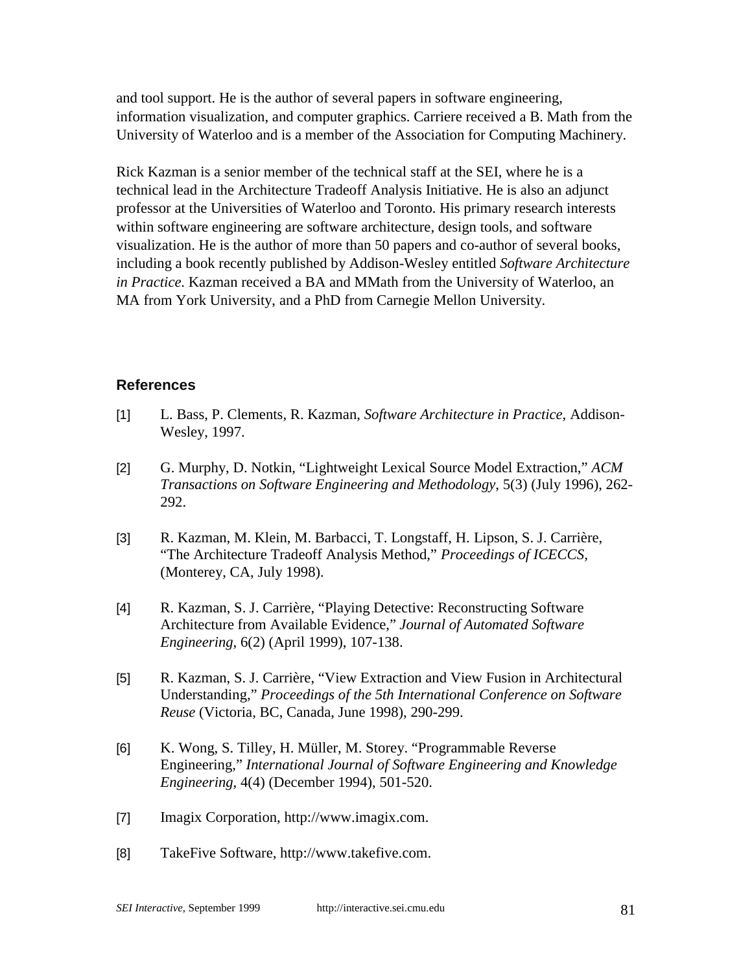and tool support. He is the author of several papers in software engineering, information visualization, and computer graphics. Carriere received a B. Math from the University of Waterloo and is a member of the Association for Computing Machinery.

Rick Kazman is a senior member of the technical staff at the SEI, where he is a technical lead in the Architecture Tradeoff Analysis Initiative. He is also an adjunct professor at the Universities of Waterloo and Toronto. His primary research interests within software engineering are software architecture, design tools, and software visualization. He is the author of more than 50 papers and co-author of several books, including a book recently published by Addison-Wesley entitled *Software Architecture in Practice*. Kazman received a BA and MMath from the University of Waterloo, an MA from York University, and a PhD from Carnegie Mellon University.

#### **References**

- [1] L. Bass, P. Clements, R. Kazman, *Software Architecture in Practice*, Addison-Wesley, 1997.
- [2] G. Murphy, D. Notkin, "Lightweight Lexical Source Model Extraction," *ACM Transactions on Software Engineering and Methodology*, 5(3) (July 1996), 262- 292.
- [3] R. Kazman, M. Klein, M. Barbacci, T. Longstaff, H. Lipson, S. J. Carrière, "The Architecture Tradeoff Analysis Method," *Proceedings of ICECCS,* (Monterey, CA, July 1998).
- [4] R. Kazman, S. J. Carrière, "Playing Detective: Reconstructing Software Architecture from Available Evidence," *Journal of Automated Software Engineering*, 6(2) (April 1999), 107-138.
- [5] R. Kazman, S. J. Carrière, "View Extraction and View Fusion in Architectural Understanding," *Proceedings of the 5th International Conference on Software Reuse* (Victoria, BC, Canada, June 1998), 290-299.
- [6] K. Wong, S. Tilley, H. Müller, M. Storey. "Programmable Reverse Engineering," *International Journal of Software Engineering and Knowledge Engineering*, 4(4) (December 1994), 501-520.
- [7] Imagix Corporation, http://www.imagix.com.
- [8] TakeFive Software, http://www.takefive.com.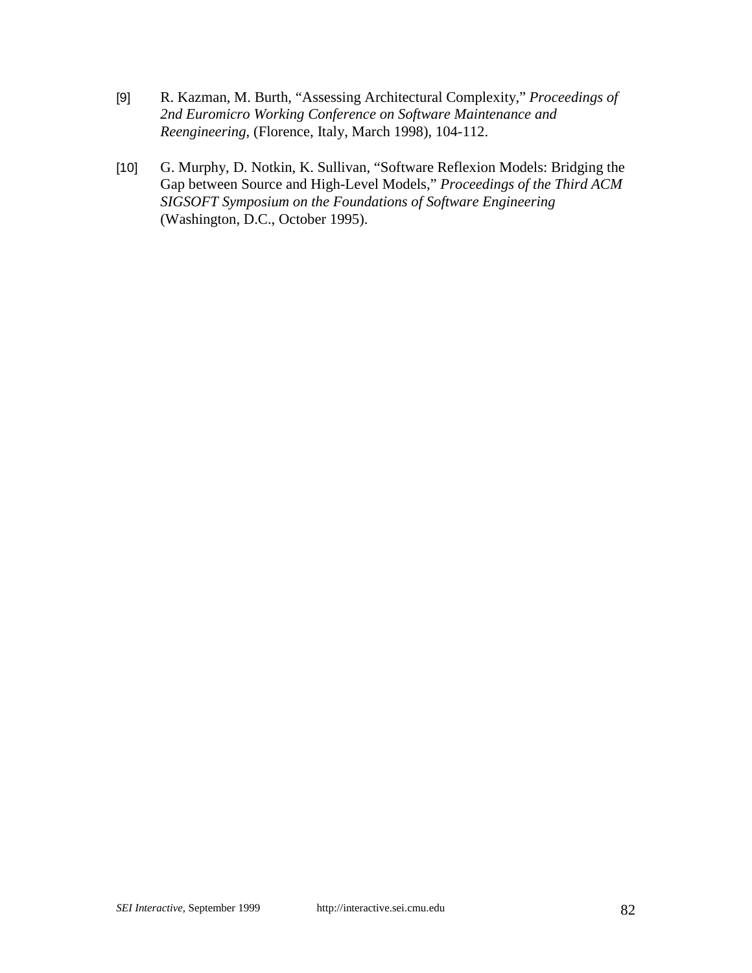- [9] R. Kazman, M. Burth, "Assessing Architectural Complexity," *Proceedings of 2nd Euromicro Working Conference on Software Maintenance and Reengineering*, (Florence, Italy, March 1998), 104-112.
- [10] G. Murphy, D. Notkin, K. Sullivan, "Software Reflexion Models: Bridging the Gap between Source and High-Level Models," *Proceedings of the Third ACM SIGSOFT Symposium on the Foundations of Software Engineering* (Washington, D.C., October 1995).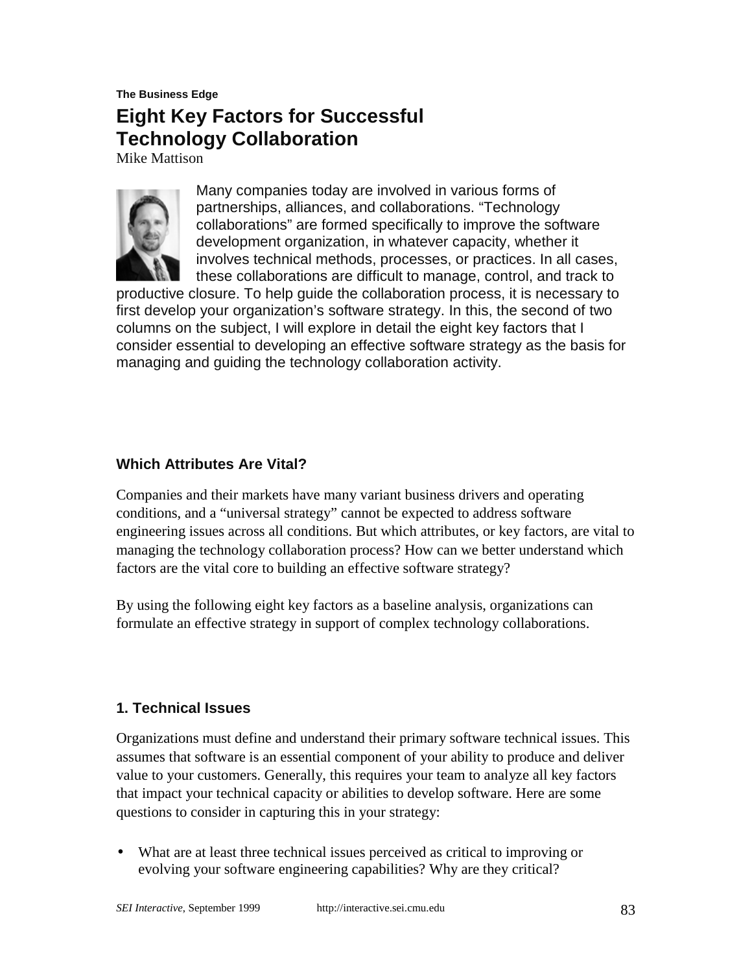# **The Business Edge Eight Key Factors for Successful Technology Collaboration**

Mike Mattison



Many companies today are involved in various forms of partnerships, alliances, and collaborations. "Technology collaborations" are formed specifically to improve the software development organization, in whatever capacity, whether it involves technical methods, processes, or practices. In all cases, these collaborations are difficult to manage, control, and track to

productive closure. To help guide the collaboration process, it is necessary to first develop your organization's software strategy. In this, the second of two columns on the subject, I will explore in detail the eight key factors that I consider essential to developing an effective software strategy as the basis for managing and guiding the technology collaboration activity.

#### **Which Attributes Are Vital?**

Companies and their markets have many variant business drivers and operating conditions, and a "universal strategy" cannot be expected to address software engineering issues across all conditions. But which attributes, or key factors, are vital to managing the technology collaboration process? How can we better understand which factors are the vital core to building an effective software strategy?

By using the following eight key factors as a baseline analysis, organizations can formulate an effective strategy in support of complex technology collaborations.

### **1. Technical Issues**

Organizations must define and understand their primary software technical issues. This assumes that software is an essential component of your ability to produce and deliver value to your customers. Generally, this requires your team to analyze all key factors that impact your technical capacity or abilities to develop software. Here are some questions to consider in capturing this in your strategy:

• What are at least three technical issues perceived as critical to improving or evolving your software engineering capabilities? Why are they critical?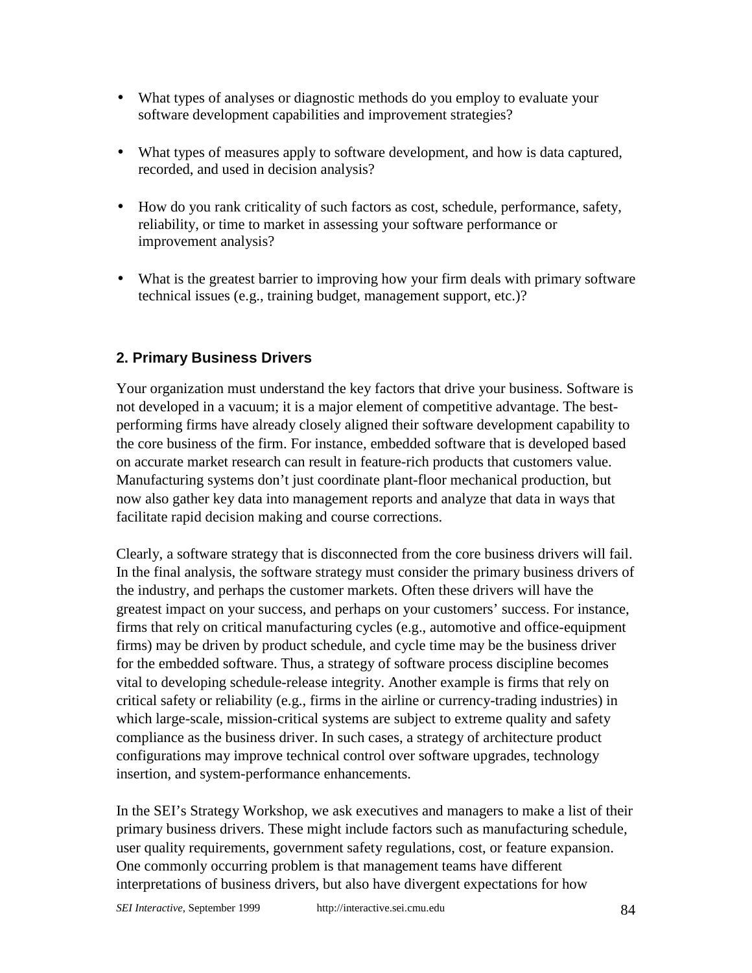- What types of analyses or diagnostic methods do you employ to evaluate your software development capabilities and improvement strategies?
- What types of measures apply to software development, and how is data captured, recorded, and used in decision analysis?
- How do you rank criticality of such factors as cost, schedule, performance, safety, reliability, or time to market in assessing your software performance or improvement analysis?
- What is the greatest barrier to improving how your firm deals with primary software technical issues (e.g., training budget, management support, etc.)?

# **2. Primary Business Drivers**

Your organization must understand the key factors that drive your business. Software is not developed in a vacuum; it is a major element of competitive advantage. The bestperforming firms have already closely aligned their software development capability to the core business of the firm. For instance, embedded software that is developed based on accurate market research can result in feature-rich products that customers value. Manufacturing systems don't just coordinate plant-floor mechanical production, but now also gather key data into management reports and analyze that data in ways that facilitate rapid decision making and course corrections.

Clearly, a software strategy that is disconnected from the core business drivers will fail. In the final analysis, the software strategy must consider the primary business drivers of the industry, and perhaps the customer markets. Often these drivers will have the greatest impact on your success, and perhaps on your customers' success. For instance, firms that rely on critical manufacturing cycles (e.g., automotive and office-equipment firms) may be driven by product schedule, and cycle time may be the business driver for the embedded software. Thus, a strategy of software process discipline becomes vital to developing schedule-release integrity. Another example is firms that rely on critical safety or reliability (e.g., firms in the airline or currency-trading industries) in which large-scale, mission-critical systems are subject to extreme quality and safety compliance as the business driver. In such cases, a strategy of architecture product configurations may improve technical control over software upgrades, technology insertion, and system-performance enhancements.

In the SEI's Strategy Workshop, we ask executives and managers to make a list of their primary business drivers. These might include factors such as manufacturing schedule, user quality requirements, government safety regulations, cost, or feature expansion. One commonly occurring problem is that management teams have different interpretations of business drivers, but also have divergent expectations for how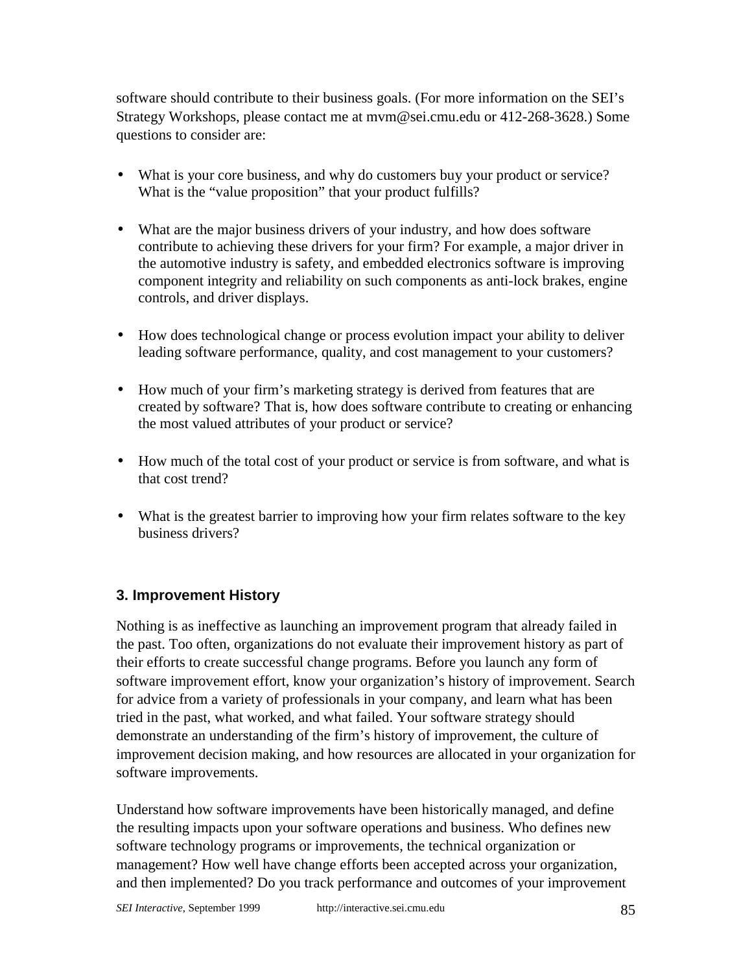software should contribute to their business goals. (For more information on the SEI's Strategy Workshops, please contact me at mvm@sei.cmu.edu or 412-268-3628.) Some questions to consider are:

- What is your core business, and why do customers buy your product or service? What is the "value proposition" that your product fulfills?
- What are the major business drivers of your industry, and how does software contribute to achieving these drivers for your firm? For example, a major driver in the automotive industry is safety, and embedded electronics software is improving component integrity and reliability on such components as anti-lock brakes, engine controls, and driver displays.
- How does technological change or process evolution impact your ability to deliver leading software performance, quality, and cost management to your customers?
- How much of your firm's marketing strategy is derived from features that are created by software? That is, how does software contribute to creating or enhancing the most valued attributes of your product or service?
- How much of the total cost of your product or service is from software, and what is that cost trend?
- What is the greatest barrier to improving how your firm relates software to the key business drivers?

### **3. Improvement History**

Nothing is as ineffective as launching an improvement program that already failed in the past. Too often, organizations do not evaluate their improvement history as part of their efforts to create successful change programs. Before you launch any form of software improvement effort, know your organization's history of improvement. Search for advice from a variety of professionals in your company, and learn what has been tried in the past, what worked, and what failed. Your software strategy should demonstrate an understanding of the firm's history of improvement, the culture of improvement decision making, and how resources are allocated in your organization for software improvements.

Understand how software improvements have been historically managed, and define the resulting impacts upon your software operations and business. Who defines new software technology programs or improvements, the technical organization or management? How well have change efforts been accepted across your organization, and then implemented? Do you track performance and outcomes of your improvement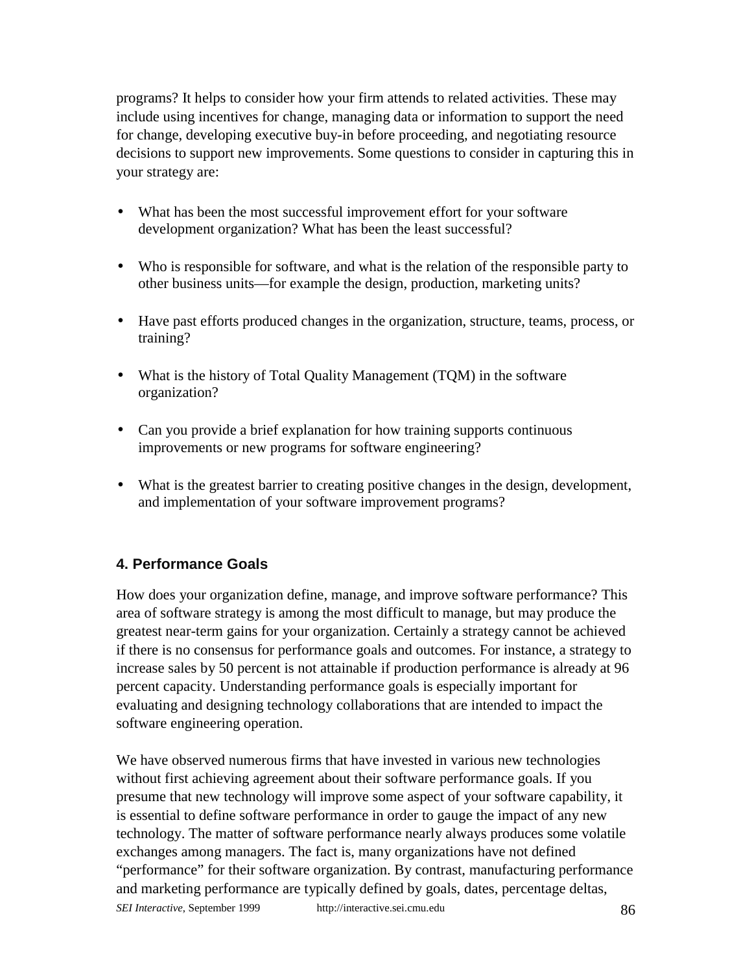programs? It helps to consider how your firm attends to related activities. These may include using incentives for change, managing data or information to support the need for change, developing executive buy-in before proceeding, and negotiating resource decisions to support new improvements. Some questions to consider in capturing this in your strategy are:

- What has been the most successful improvement effort for your software development organization? What has been the least successful?
- Who is responsible for software, and what is the relation of the responsible party to other business units—for example the design, production, marketing units?
- Have past efforts produced changes in the organization, structure, teams, process, or training?
- What is the history of Total Quality Management (TQM) in the software organization?
- Can you provide a brief explanation for how training supports continuous improvements or new programs for software engineering?
- What is the greatest barrier to creating positive changes in the design, development, and implementation of your software improvement programs?

### **4. Performance Goals**

How does your organization define, manage, and improve software performance? This area of software strategy is among the most difficult to manage, but may produce the greatest near-term gains for your organization. Certainly a strategy cannot be achieved if there is no consensus for performance goals and outcomes. For instance, a strategy to increase sales by 50 percent is not attainable if production performance is already at 96 percent capacity. Understanding performance goals is especially important for evaluating and designing technology collaborations that are intended to impact the software engineering operation.

*SEI Interactive*, September 1999 http://interactive.sei.cmu.edu 86 We have observed numerous firms that have invested in various new technologies without first achieving agreement about their software performance goals. If you presume that new technology will improve some aspect of your software capability, it is essential to define software performance in order to gauge the impact of any new technology. The matter of software performance nearly always produces some volatile exchanges among managers. The fact is, many organizations have not defined "performance" for their software organization. By contrast, manufacturing performance and marketing performance are typically defined by goals, dates, percentage deltas,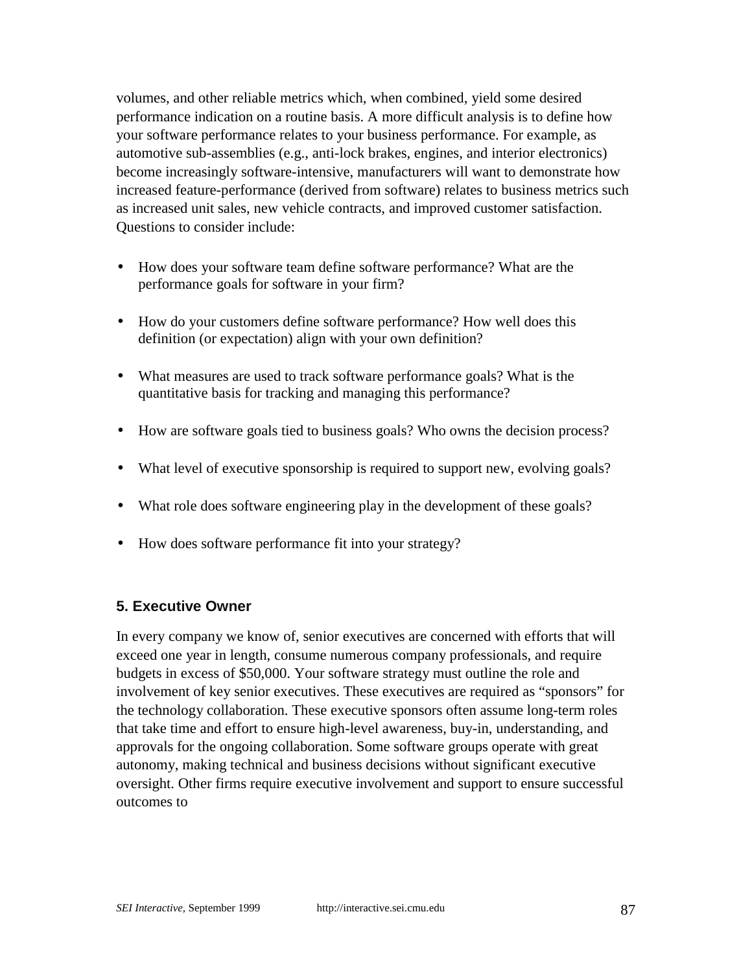volumes, and other reliable metrics which, when combined, yield some desired performance indication on a routine basis. A more difficult analysis is to define how your software performance relates to your business performance. For example, as automotive sub-assemblies (e.g., anti-lock brakes, engines, and interior electronics) become increasingly software-intensive, manufacturers will want to demonstrate how increased feature-performance (derived from software) relates to business metrics such as increased unit sales, new vehicle contracts, and improved customer satisfaction. Questions to consider include:

- How does your software team define software performance? What are the performance goals for software in your firm?
- How do your customers define software performance? How well does this definition (or expectation) align with your own definition?
- What measures are used to track software performance goals? What is the quantitative basis for tracking and managing this performance?
- How are software goals tied to business goals? Who owns the decision process?
- What level of executive sponsorship is required to support new, evolving goals?
- What role does software engineering play in the development of these goals?
- How does software performance fit into your strategy?

#### **5. Executive Owner**

In every company we know of, senior executives are concerned with efforts that will exceed one year in length, consume numerous company professionals, and require budgets in excess of \$50,000. Your software strategy must outline the role and involvement of key senior executives. These executives are required as "sponsors" for the technology collaboration. These executive sponsors often assume long-term roles that take time and effort to ensure high-level awareness, buy-in, understanding, and approvals for the ongoing collaboration. Some software groups operate with great autonomy, making technical and business decisions without significant executive oversight. Other firms require executive involvement and support to ensure successful outcomes to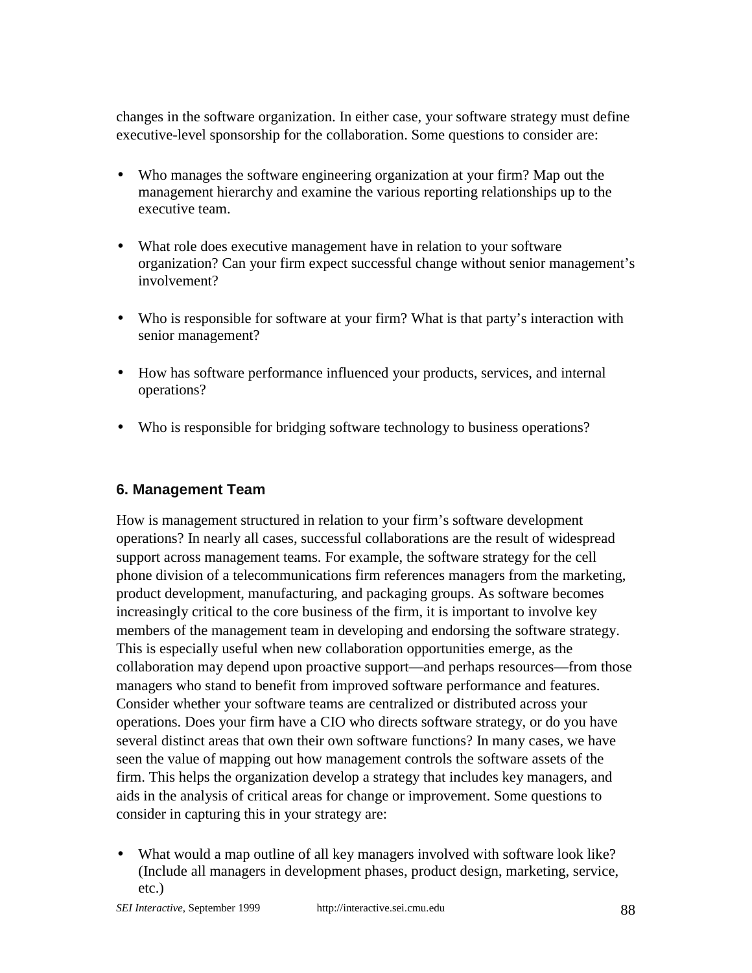changes in the software organization. In either case, your software strategy must define executive-level sponsorship for the collaboration. Some questions to consider are:

- Who manages the software engineering organization at your firm? Map out the management hierarchy and examine the various reporting relationships up to the executive team.
- What role does executive management have in relation to your software organization? Can your firm expect successful change without senior management's involvement?
- Who is responsible for software at your firm? What is that party's interaction with senior management?
- How has software performance influenced your products, services, and internal operations?
- Who is responsible for bridging software technology to business operations?

#### **6. Management Team**

How is management structured in relation to your firm's software development operations? In nearly all cases, successful collaborations are the result of widespread support across management teams. For example, the software strategy for the cell phone division of a telecommunications firm references managers from the marketing, product development, manufacturing, and packaging groups. As software becomes increasingly critical to the core business of the firm, it is important to involve key members of the management team in developing and endorsing the software strategy. This is especially useful when new collaboration opportunities emerge, as the collaboration may depend upon proactive support—and perhaps resources—from those managers who stand to benefit from improved software performance and features. Consider whether your software teams are centralized or distributed across your operations. Does your firm have a CIO who directs software strategy, or do you have several distinct areas that own their own software functions? In many cases, we have seen the value of mapping out how management controls the software assets of the firm. This helps the organization develop a strategy that includes key managers, and aids in the analysis of critical areas for change or improvement. Some questions to consider in capturing this in your strategy are:

• What would a map outline of all key managers involved with software look like? (Include all managers in development phases, product design, marketing, service, etc.)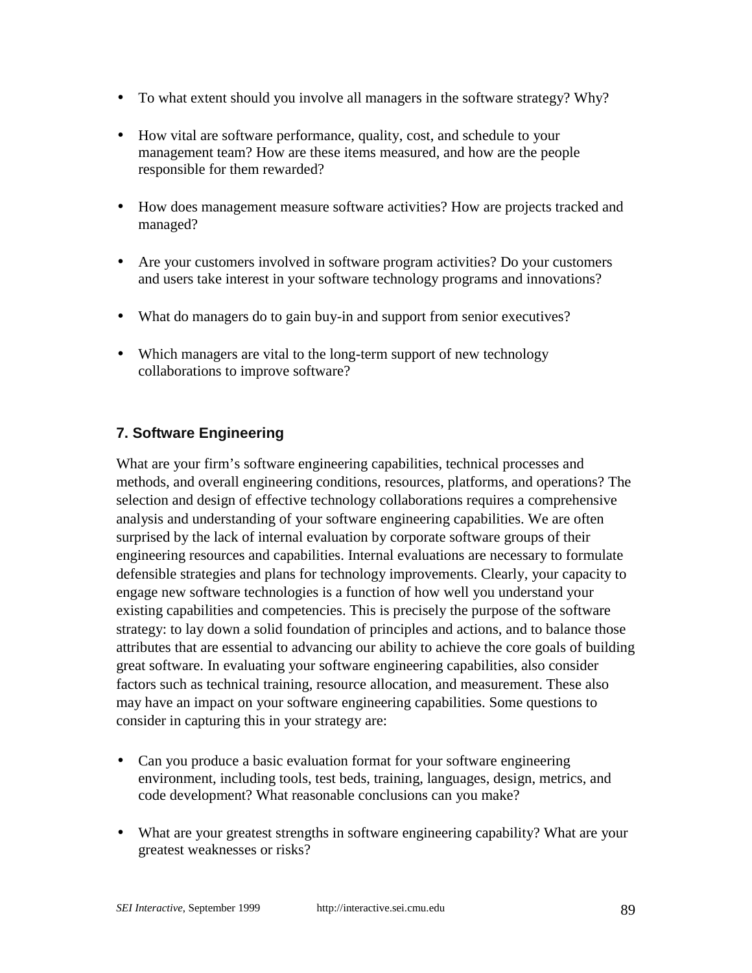- To what extent should you involve all managers in the software strategy? Why?
- How vital are software performance, quality, cost, and schedule to your management team? How are these items measured, and how are the people responsible for them rewarded?
- How does management measure software activities? How are projects tracked and managed?
- Are your customers involved in software program activities? Do your customers and users take interest in your software technology programs and innovations?
- What do managers do to gain buy-in and support from senior executives?
- Which managers are vital to the long-term support of new technology collaborations to improve software?

#### **7. Software Engineering**

What are your firm's software engineering capabilities, technical processes and methods, and overall engineering conditions, resources, platforms, and operations? The selection and design of effective technology collaborations requires a comprehensive analysis and understanding of your software engineering capabilities. We are often surprised by the lack of internal evaluation by corporate software groups of their engineering resources and capabilities. Internal evaluations are necessary to formulate defensible strategies and plans for technology improvements. Clearly, your capacity to engage new software technologies is a function of how well you understand your existing capabilities and competencies. This is precisely the purpose of the software strategy: to lay down a solid foundation of principles and actions, and to balance those attributes that are essential to advancing our ability to achieve the core goals of building great software. In evaluating your software engineering capabilities, also consider factors such as technical training, resource allocation, and measurement. These also may have an impact on your software engineering capabilities. Some questions to consider in capturing this in your strategy are:

- Can you produce a basic evaluation format for your software engineering environment, including tools, test beds, training, languages, design, metrics, and code development? What reasonable conclusions can you make?
- What are your greatest strengths in software engineering capability? What are your greatest weaknesses or risks?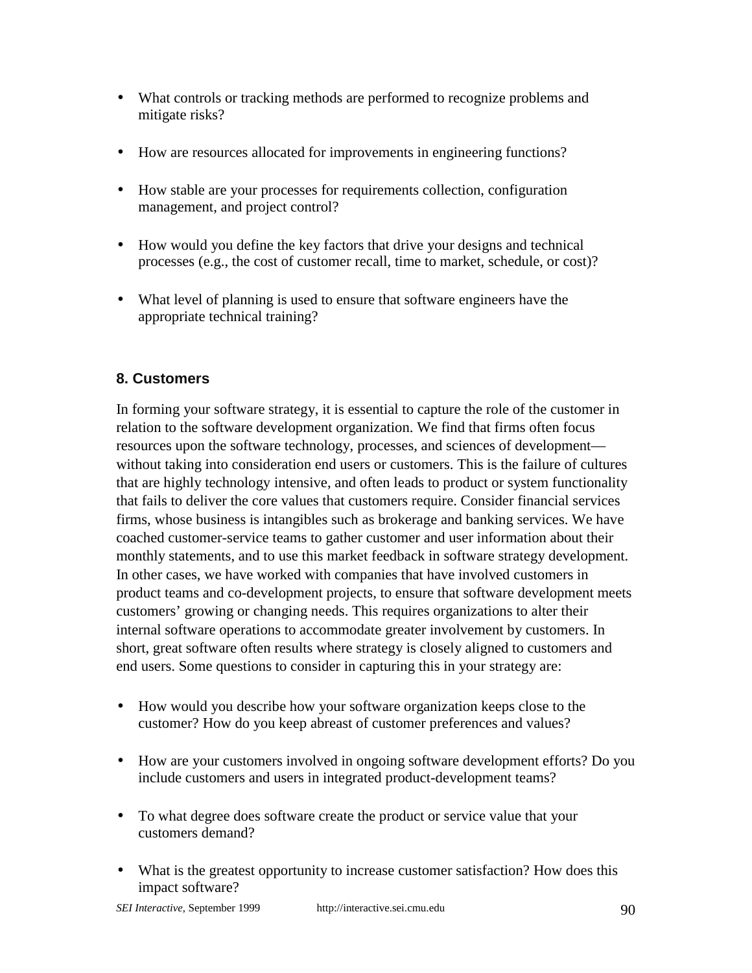- What controls or tracking methods are performed to recognize problems and mitigate risks?
- How are resources allocated for improvements in engineering functions?
- How stable are your processes for requirements collection, configuration management, and project control?
- How would you define the key factors that drive your designs and technical processes (e.g., the cost of customer recall, time to market, schedule, or cost)?
- What level of planning is used to ensure that software engineers have the appropriate technical training?

### **8. Customers**

In forming your software strategy, it is essential to capture the role of the customer in relation to the software development organization. We find that firms often focus resources upon the software technology, processes, and sciences of development without taking into consideration end users or customers. This is the failure of cultures that are highly technology intensive, and often leads to product or system functionality that fails to deliver the core values that customers require. Consider financial services firms, whose business is intangibles such as brokerage and banking services. We have coached customer-service teams to gather customer and user information about their monthly statements, and to use this market feedback in software strategy development. In other cases, we have worked with companies that have involved customers in product teams and co-development projects, to ensure that software development meets customers' growing or changing needs. This requires organizations to alter their internal software operations to accommodate greater involvement by customers. In short, great software often results where strategy is closely aligned to customers and end users. Some questions to consider in capturing this in your strategy are:

- How would you describe how your software organization keeps close to the customer? How do you keep abreast of customer preferences and values?
- How are your customers involved in ongoing software development efforts? Do you include customers and users in integrated product-development teams?
- To what degree does software create the product or service value that your customers demand?
- What is the greatest opportunity to increase customer satisfaction? How does this impact software?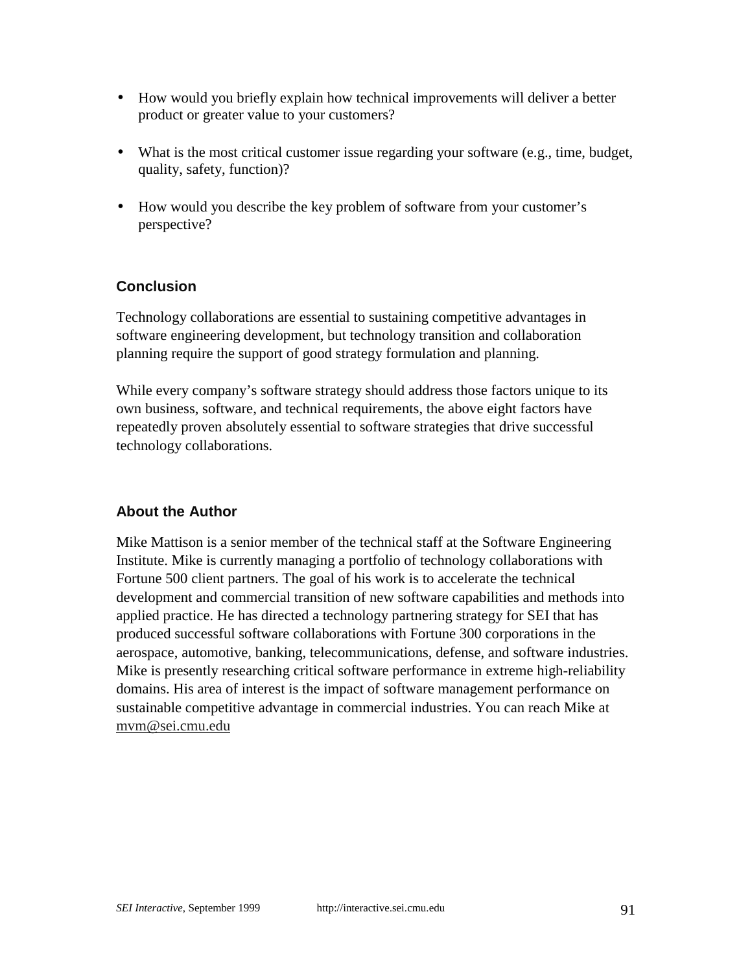- How would you briefly explain how technical improvements will deliver a better product or greater value to your customers?
- What is the most critical customer issue regarding your software (e.g., time, budget, quality, safety, function)?
- How would you describe the key problem of software from your customer's perspective?

# **Conclusion**

Technology collaborations are essential to sustaining competitive advantages in software engineering development, but technology transition and collaboration planning require the support of good strategy formulation and planning.

While every company's software strategy should address those factors unique to its own business, software, and technical requirements, the above eight factors have repeatedly proven absolutely essential to software strategies that drive successful technology collaborations.

### **About the Author**

Mike Mattison is a senior member of the technical staff at the Software Engineering Institute. Mike is currently managing a portfolio of technology collaborations with Fortune 500 client partners. The goal of his work is to accelerate the technical development and commercial transition of new software capabilities and methods into applied practice. He has directed a technology partnering strategy for SEI that has produced successful software collaborations with Fortune 300 corporations in the aerospace, automotive, banking, telecommunications, defense, and software industries. Mike is presently researching critical software performance in extreme high-reliability domains. His area of interest is the impact of software management performance on sustainable competitive advantage in commercial industries. You can reach Mike at mvm@sei.cmu.edu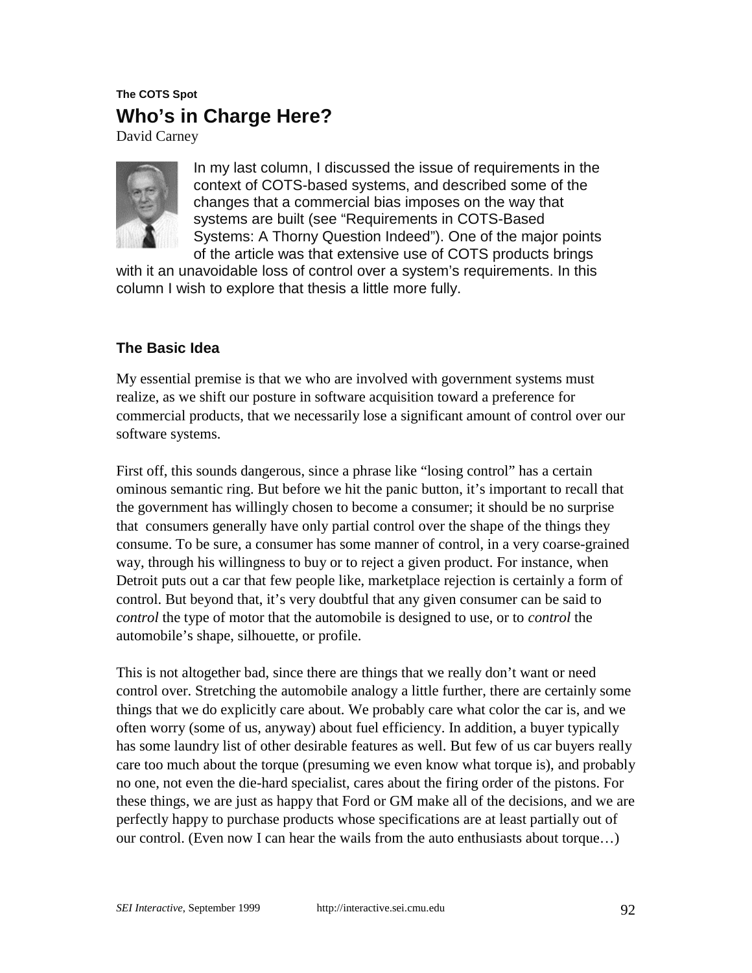# **The COTS Spot Who's in Charge Here?** David Carney



In my last column, I discussed the issue of requirements in the context of COTS-based systems, and described some of the changes that a commercial bias imposes on the way that systems are built (see "Requirements in COTS-Based Systems: A Thorny Question Indeed"). One of the major points of the article was that extensive use of COTS products brings

with it an unavoidable loss of control over a system's requirements. In this column I wish to explore that thesis a little more fully.

### **The Basic Idea**

My essential premise is that we who are involved with government systems must realize, as we shift our posture in software acquisition toward a preference for commercial products, that we necessarily lose a significant amount of control over our software systems.

First off, this sounds dangerous, since a phrase like "losing control" has a certain ominous semantic ring. But before we hit the panic button, it's important to recall that the government has willingly chosen to become a consumer; it should be no surprise that consumers generally have only partial control over the shape of the things they consume. To be sure, a consumer has some manner of control, in a very coarse-grained way, through his willingness to buy or to reject a given product. For instance, when Detroit puts out a car that few people like, marketplace rejection is certainly a form of control. But beyond that, it's very doubtful that any given consumer can be said to *control* the type of motor that the automobile is designed to use, or to *control* the automobile's shape, silhouette, or profile.

This is not altogether bad, since there are things that we really don't want or need control over. Stretching the automobile analogy a little further, there are certainly some things that we do explicitly care about. We probably care what color the car is, and we often worry (some of us, anyway) about fuel efficiency. In addition, a buyer typically has some laundry list of other desirable features as well. But few of us car buyers really care too much about the torque (presuming we even know what torque is), and probably no one, not even the die-hard specialist, cares about the firing order of the pistons. For these things, we are just as happy that Ford or GM make all of the decisions, and we are perfectly happy to purchase products whose specifications are at least partially out of our control. (Even now I can hear the wails from the auto enthusiasts about torque…)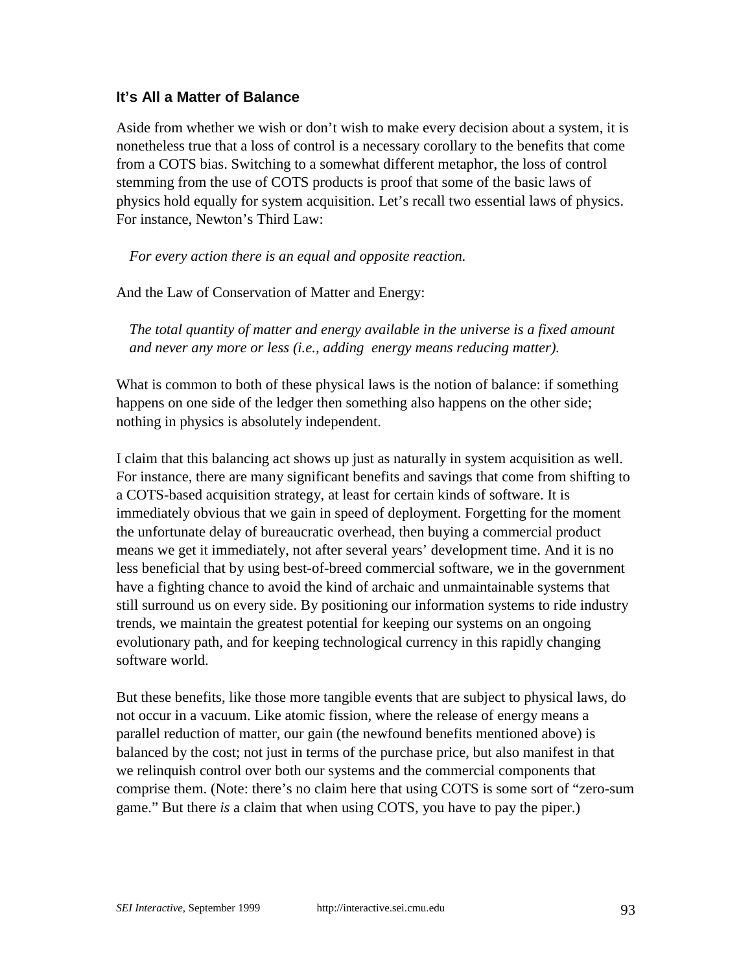#### **It's All a Matter of Balance**

Aside from whether we wish or don't wish to make every decision about a system, it is nonetheless true that a loss of control is a necessary corollary to the benefits that come from a COTS bias. Switching to a somewhat different metaphor, the loss of control stemming from the use of COTS products is proof that some of the basic laws of physics hold equally for system acquisition. Let's recall two essential laws of physics. For instance, Newton's Third Law:

*For every action there is an equal and opposite reaction.*

And the Law of Conservation of Matter and Energy:

*The total quantity of matter and energy available in the universe is a fixed amount and never any more or less (i.e., adding energy means reducing matter).*

What is common to both of these physical laws is the notion of balance: if something happens on one side of the ledger then something also happens on the other side; nothing in physics is absolutely independent.

I claim that this balancing act shows up just as naturally in system acquisition as well. For instance, there are many significant benefits and savings that come from shifting to a COTS-based acquisition strategy, at least for certain kinds of software. It is immediately obvious that we gain in speed of deployment. Forgetting for the moment the unfortunate delay of bureaucratic overhead, then buying a commercial product means we get it immediately, not after several years' development time. And it is no less beneficial that by using best-of-breed commercial software, we in the government have a fighting chance to avoid the kind of archaic and unmaintainable systems that still surround us on every side. By positioning our information systems to ride industry trends, we maintain the greatest potential for keeping our systems on an ongoing evolutionary path, and for keeping technological currency in this rapidly changing software world.

But these benefits, like those more tangible events that are subject to physical laws, do not occur in a vacuum. Like atomic fission, where the release of energy means a parallel reduction of matter, our gain (the newfound benefits mentioned above) is balanced by the cost; not just in terms of the purchase price, but also manifest in that we relinquish control over both our systems and the commercial components that comprise them. (Note: there's no claim here that using COTS is some sort of "zero-sum game." But there *is* a claim that when using COTS, you have to pay the piper.)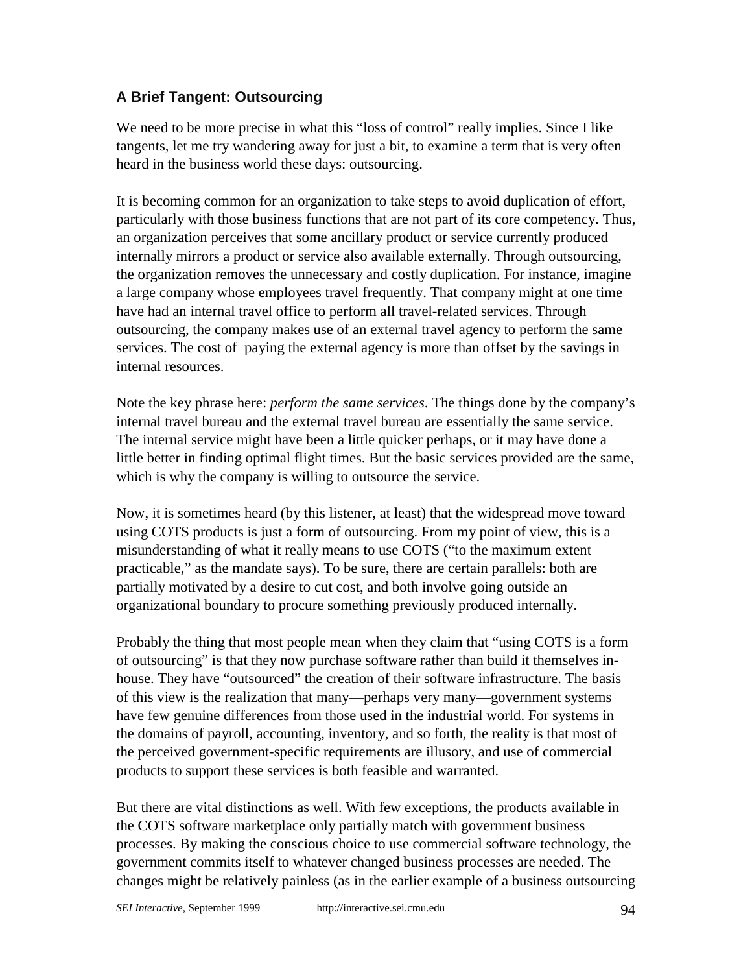### **A Brief Tangent: Outsourcing**

We need to be more precise in what this "loss of control" really implies. Since I like tangents, let me try wandering away for just a bit, to examine a term that is very often heard in the business world these days: outsourcing.

It is becoming common for an organization to take steps to avoid duplication of effort, particularly with those business functions that are not part of its core competency. Thus, an organization perceives that some ancillary product or service currently produced internally mirrors a product or service also available externally. Through outsourcing, the organization removes the unnecessary and costly duplication. For instance, imagine a large company whose employees travel frequently. That company might at one time have had an internal travel office to perform all travel-related services. Through outsourcing, the company makes use of an external travel agency to perform the same services. The cost of paying the external agency is more than offset by the savings in internal resources.

Note the key phrase here: *perform the same services*. The things done by the company's internal travel bureau and the external travel bureau are essentially the same service. The internal service might have been a little quicker perhaps, or it may have done a little better in finding optimal flight times. But the basic services provided are the same, which is why the company is willing to outsource the service.

Now, it is sometimes heard (by this listener, at least) that the widespread move toward using COTS products is just a form of outsourcing. From my point of view, this is a misunderstanding of what it really means to use COTS ("to the maximum extent practicable," as the mandate says). To be sure, there are certain parallels: both are partially motivated by a desire to cut cost, and both involve going outside an organizational boundary to procure something previously produced internally.

Probably the thing that most people mean when they claim that "using COTS is a form of outsourcing" is that they now purchase software rather than build it themselves inhouse. They have "outsourced" the creation of their software infrastructure. The basis of this view is the realization that many—perhaps very many—government systems have few genuine differences from those used in the industrial world. For systems in the domains of payroll, accounting, inventory, and so forth, the reality is that most of the perceived government-specific requirements are illusory, and use of commercial products to support these services is both feasible and warranted.

But there are vital distinctions as well. With few exceptions, the products available in the COTS software marketplace only partially match with government business processes. By making the conscious choice to use commercial software technology, the government commits itself to whatever changed business processes are needed. The changes might be relatively painless (as in the earlier example of a business outsourcing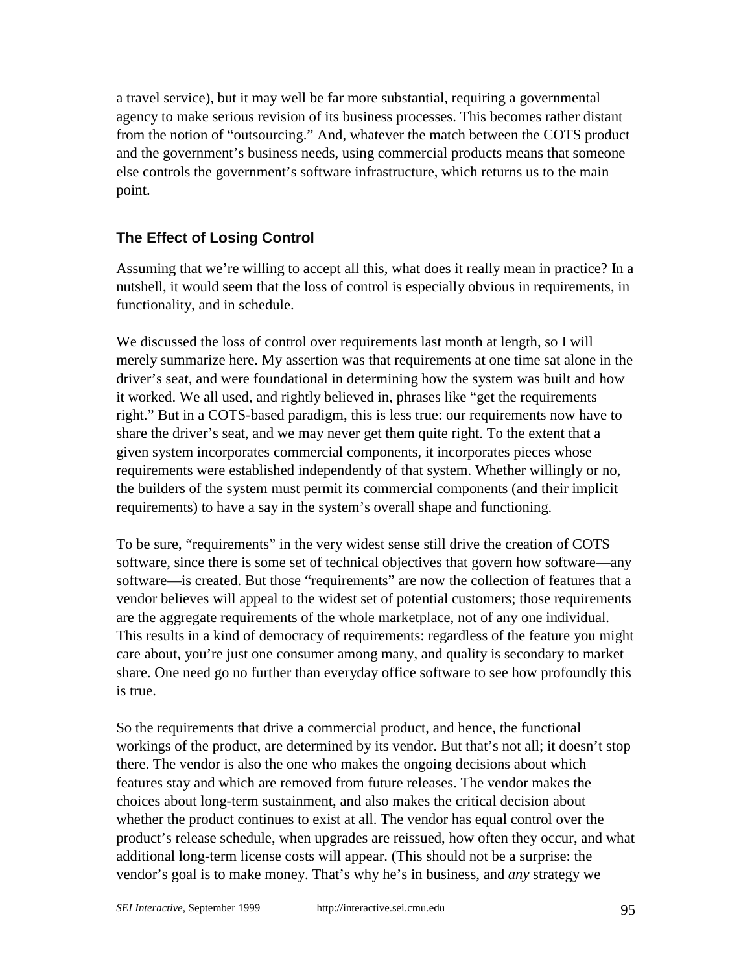a travel service), but it may well be far more substantial, requiring a governmental agency to make serious revision of its business processes. This becomes rather distant from the notion of "outsourcing." And, whatever the match between the COTS product and the government's business needs, using commercial products means that someone else controls the government's software infrastructure, which returns us to the main point.

#### **The Effect of Losing Control**

Assuming that we're willing to accept all this, what does it really mean in practice? In a nutshell, it would seem that the loss of control is especially obvious in requirements, in functionality, and in schedule.

We discussed the loss of control over requirements last month at length, so I will merely summarize here. My assertion was that requirements at one time sat alone in the driver's seat, and were foundational in determining how the system was built and how it worked. We all used, and rightly believed in, phrases like "get the requirements right." But in a COTS-based paradigm, this is less true: our requirements now have to share the driver's seat, and we may never get them quite right. To the extent that a given system incorporates commercial components, it incorporates pieces whose requirements were established independently of that system. Whether willingly or no, the builders of the system must permit its commercial components (and their implicit requirements) to have a say in the system's overall shape and functioning.

To be sure, "requirements" in the very widest sense still drive the creation of COTS software, since there is some set of technical objectives that govern how software—any software—is created. But those "requirements" are now the collection of features that a vendor believes will appeal to the widest set of potential customers; those requirements are the aggregate requirements of the whole marketplace, not of any one individual. This results in a kind of democracy of requirements: regardless of the feature you might care about, you're just one consumer among many, and quality is secondary to market share. One need go no further than everyday office software to see how profoundly this is true.

So the requirements that drive a commercial product, and hence, the functional workings of the product, are determined by its vendor. But that's not all; it doesn't stop there. The vendor is also the one who makes the ongoing decisions about which features stay and which are removed from future releases. The vendor makes the choices about long-term sustainment, and also makes the critical decision about whether the product continues to exist at all. The vendor has equal control over the product's release schedule, when upgrades are reissued, how often they occur, and what additional long-term license costs will appear. (This should not be a surprise: the vendor's goal is to make money. That's why he's in business, and *any* strategy we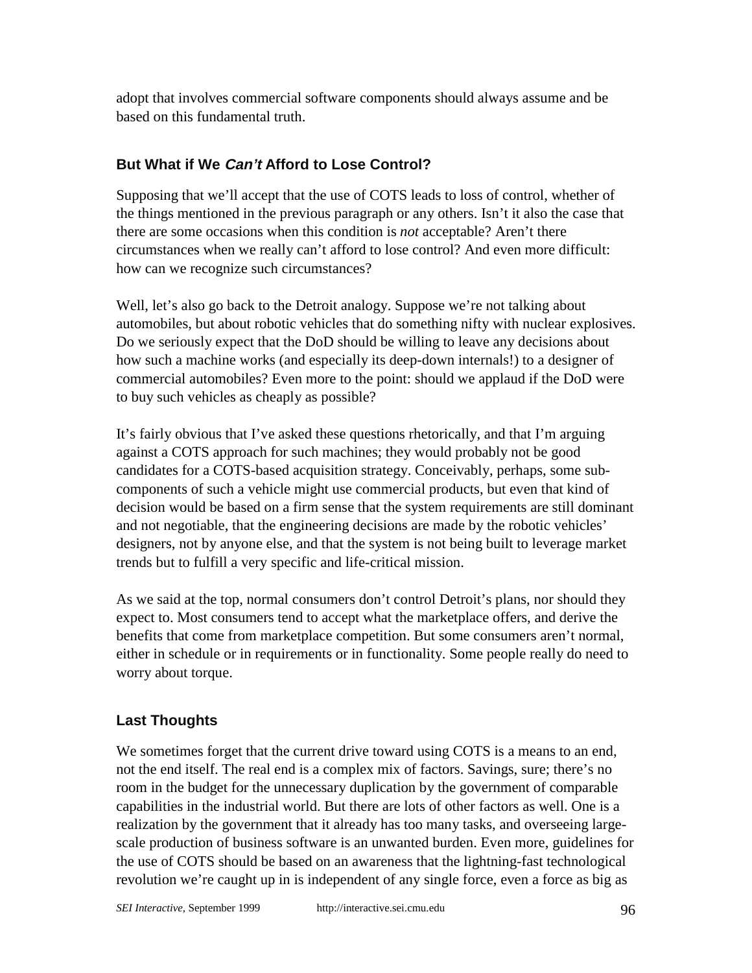adopt that involves commercial software components should always assume and be based on this fundamental truth.

### **But What if We Can't Afford to Lose Control?**

Supposing that we'll accept that the use of COTS leads to loss of control, whether of the things mentioned in the previous paragraph or any others. Isn't it also the case that there are some occasions when this condition is *not* acceptable? Aren't there circumstances when we really can't afford to lose control? And even more difficult: how can we recognize such circumstances?

Well, let's also go back to the Detroit analogy. Suppose we're not talking about automobiles, but about robotic vehicles that do something nifty with nuclear explosives. Do we seriously expect that the DoD should be willing to leave any decisions about how such a machine works (and especially its deep-down internals!) to a designer of commercial automobiles? Even more to the point: should we applaud if the DoD were to buy such vehicles as cheaply as possible?

It's fairly obvious that I've asked these questions rhetorically, and that I'm arguing against a COTS approach for such machines; they would probably not be good candidates for a COTS-based acquisition strategy. Conceivably, perhaps, some subcomponents of such a vehicle might use commercial products, but even that kind of decision would be based on a firm sense that the system requirements are still dominant and not negotiable, that the engineering decisions are made by the robotic vehicles' designers, not by anyone else, and that the system is not being built to leverage market trends but to fulfill a very specific and life-critical mission.

As we said at the top, normal consumers don't control Detroit's plans, nor should they expect to. Most consumers tend to accept what the marketplace offers, and derive the benefits that come from marketplace competition. But some consumers aren't normal, either in schedule or in requirements or in functionality. Some people really do need to worry about torque.

### **Last Thoughts**

We sometimes forget that the current drive toward using COTS is a means to an end, not the end itself. The real end is a complex mix of factors. Savings, sure; there's no room in the budget for the unnecessary duplication by the government of comparable capabilities in the industrial world. But there are lots of other factors as well. One is a realization by the government that it already has too many tasks, and overseeing largescale production of business software is an unwanted burden. Even more, guidelines for the use of COTS should be based on an awareness that the lightning-fast technological revolution we're caught up in is independent of any single force, even a force as big as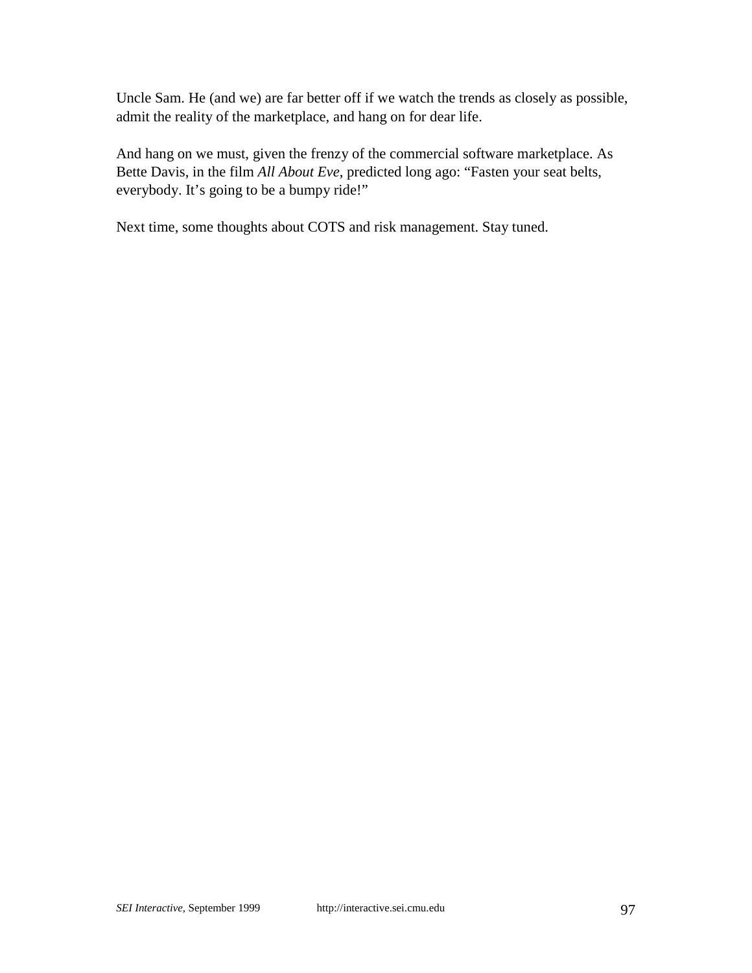Uncle Sam. He (and we) are far better off if we watch the trends as closely as possible, admit the reality of the marketplace, and hang on for dear life.

And hang on we must, given the frenzy of the commercial software marketplace. As Bette Davis, in the film *All About Eve*, predicted long ago: "Fasten your seat belts, everybody. It's going to be a bumpy ride!"

Next time, some thoughts about COTS and risk management. Stay tuned.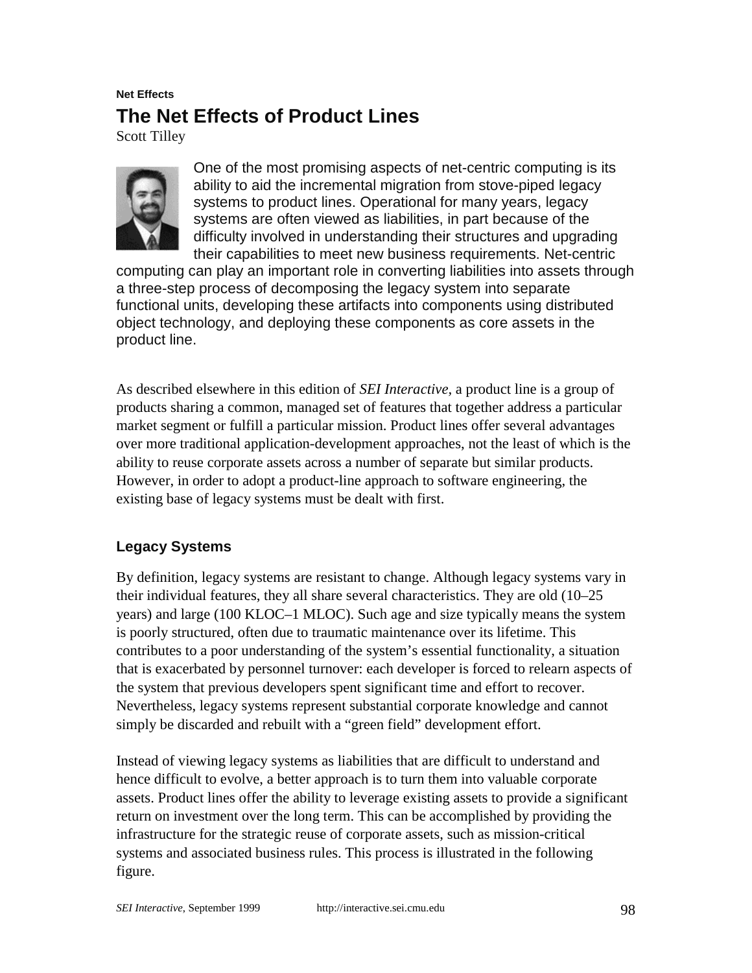# **Net Effects The Net Effects of Product Lines**

Scott Tilley



One of the most promising aspects of net-centric computing is its ability to aid the incremental migration from stove-piped legacy systems to product lines. Operational for many years, legacy systems are often viewed as liabilities, in part because of the difficulty involved in understanding their structures and upgrading their capabilities to meet new business requirements. Net-centric

computing can play an important role in converting liabilities into assets through a three-step process of decomposing the legacy system into separate functional units, developing these artifacts into components using distributed object technology, and deploying these components as core assets in the product line.

As described elsewhere in this edition of *SEI Interactive,* a product line is a group of products sharing a common, managed set of features that together address a particular market segment or fulfill a particular mission. Product lines offer several advantages over more traditional application-development approaches, not the least of which is the ability to reuse corporate assets across a number of separate but similar products. However, in order to adopt a product-line approach to software engineering, the existing base of legacy systems must be dealt with first.

# **Legacy Systems**

By definition, legacy systems are resistant to change. Although legacy systems vary in their individual features, they all share several characteristics. They are old (10–25 years) and large (100 KLOC–1 MLOC). Such age and size typically means the system is poorly structured, often due to traumatic maintenance over its lifetime. This contributes to a poor understanding of the system's essential functionality, a situation that is exacerbated by personnel turnover: each developer is forced to relearn aspects of the system that previous developers spent significant time and effort to recover. Nevertheless, legacy systems represent substantial corporate knowledge and cannot simply be discarded and rebuilt with a "green field" development effort.

Instead of viewing legacy systems as liabilities that are difficult to understand and hence difficult to evolve, a better approach is to turn them into valuable corporate assets. Product lines offer the ability to leverage existing assets to provide a significant return on investment over the long term. This can be accomplished by providing the infrastructure for the strategic reuse of corporate assets, such as mission-critical systems and associated business rules. This process is illustrated in the following figure.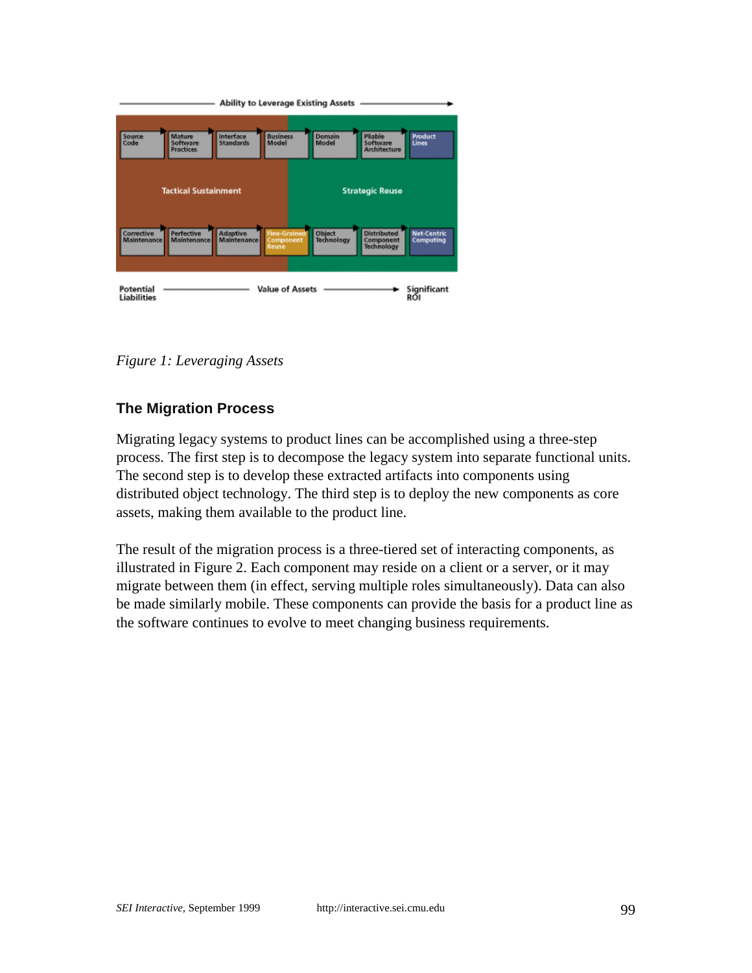| Ability to Leverage Existing Assets                                                                                   |                                                                                                                                                     |
|-----------------------------------------------------------------------------------------------------------------------|-----------------------------------------------------------------------------------------------------------------------------------------------------|
| Interface<br><b>Business</b><br>Mature<br>Source<br>Code<br>Software<br><b>Standards</b><br>Model<br><b>Practices</b> | Product<br>Pliable<br>Domain<br>Model<br>Software<br><b>Lines</b><br><b>Architecture</b>                                                            |
| <b>Tactical Sustainment</b>                                                                                           | <b>Strategic Reuse</b>                                                                                                                              |
| Corrective<br><b>Perfective</b><br><b>Adaptive</b><br><b>Maintenance</b><br>Maintenance<br>Maintenance<br>Reuse       | Fine-Grained<br><b>Object</b><br><b>Distributed</b><br><b>Net-Centric</b><br><b>Technology</b><br>Component<br>Component<br>Computing<br>Technology |
| <b>Value of Assets</b><br>Potential<br>Significant<br><b>Liabilities</b><br>RÓI                                       |                                                                                                                                                     |

*Figure 1: Leveraging Assets*

### **The Migration Process**

Migrating legacy systems to product lines can be accomplished using a three-step process. The first step is to decompose the legacy system into separate functional units. The second step is to develop these extracted artifacts into components using distributed object technology. The third step is to deploy the new components as core assets, making them available to the product line.

The result of the migration process is a three-tiered set of interacting components, as illustrated in Figure 2. Each component may reside on a client or a server, or it may migrate between them (in effect, serving multiple roles simultaneously). Data can also be made similarly mobile. These components can provide the basis for a product line as the software continues to evolve to meet changing business requirements.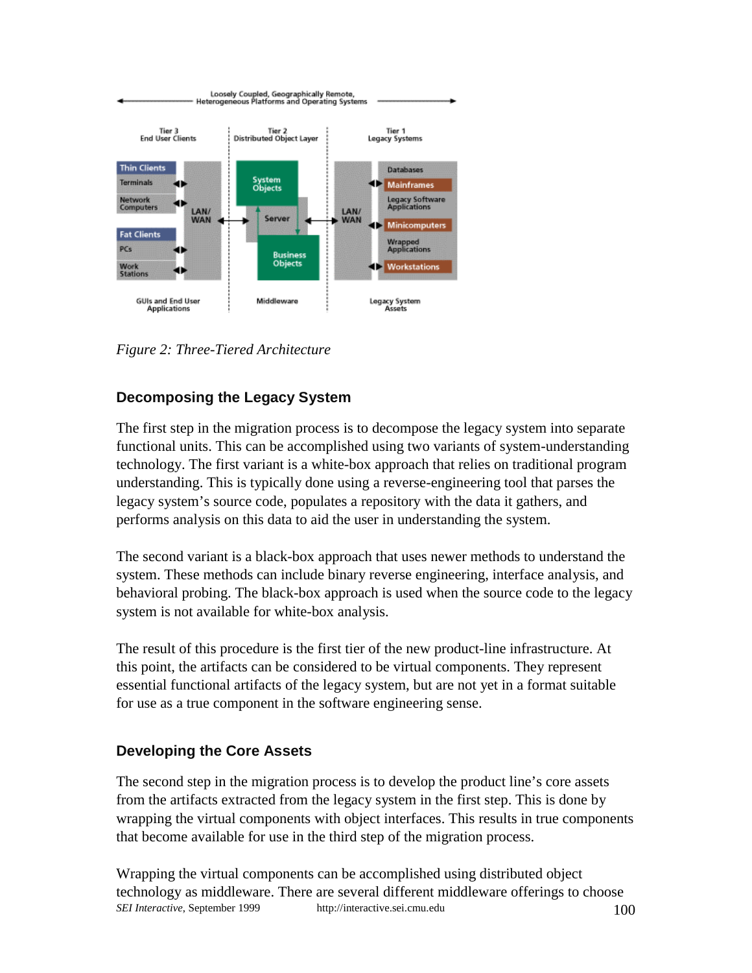

*Figure 2: Three-Tiered Architecture*

# **Decomposing the Legacy System**

The first step in the migration process is to decompose the legacy system into separate functional units. This can be accomplished using two variants of system-understanding technology. The first variant is a white-box approach that relies on traditional program understanding. This is typically done using a reverse-engineering tool that parses the legacy system's source code, populates a repository with the data it gathers, and performs analysis on this data to aid the user in understanding the system.

The second variant is a black-box approach that uses newer methods to understand the system. These methods can include binary reverse engineering, interface analysis, and behavioral probing. The black-box approach is used when the source code to the legacy system is not available for white-box analysis.

The result of this procedure is the first tier of the new product-line infrastructure. At this point, the artifacts can be considered to be virtual components. They represent essential functional artifacts of the legacy system, but are not yet in a format suitable for use as a true component in the software engineering sense.

### **Developing the Core Assets**

The second step in the migration process is to develop the product line's core assets from the artifacts extracted from the legacy system in the first step. This is done by wrapping the virtual components with object interfaces. This results in true components that become available for use in the third step of the migration process.

*SEI Interactive*, September 1999 http://interactive.sei.cmu.edu 100 Wrapping the virtual components can be accomplished using distributed object technology as middleware. There are several different middleware offerings to choose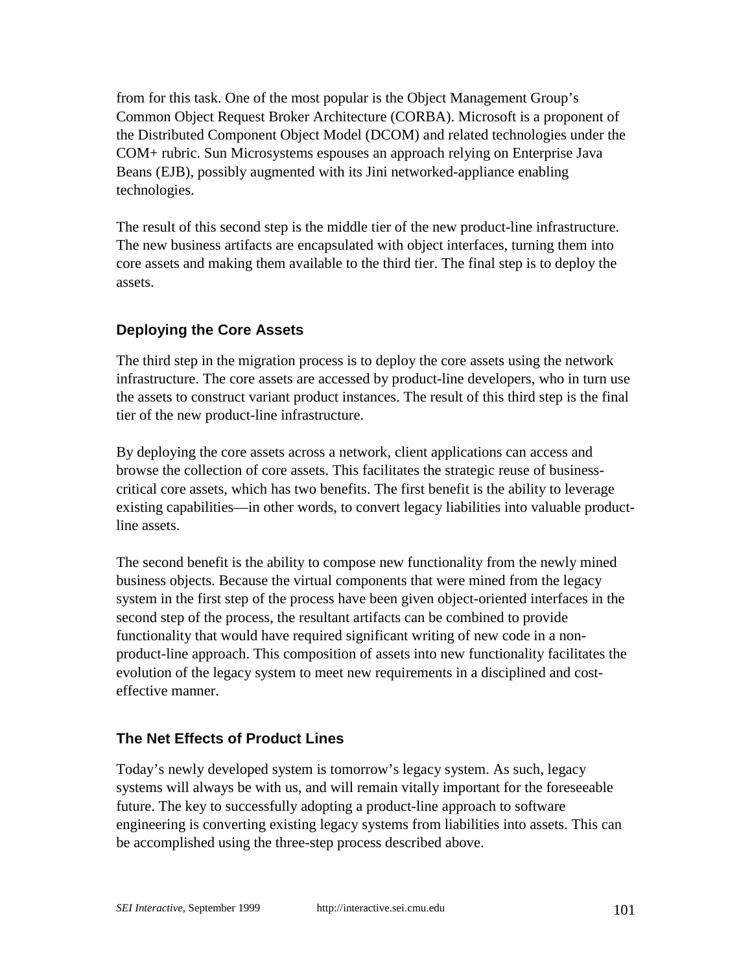from for this task. One of the most popular is the Object Management Group's Common Object Request Broker Architecture (CORBA). Microsoft is a proponent of the Distributed Component Object Model (DCOM) and related technologies under the COM+ rubric. Sun Microsystems espouses an approach relying on Enterprise Java Beans (EJB), possibly augmented with its Jini networked-appliance enabling technologies.

The result of this second step is the middle tier of the new product-line infrastructure. The new business artifacts are encapsulated with object interfaces, turning them into core assets and making them available to the third tier. The final step is to deploy the assets.

### **Deploying the Core Assets**

The third step in the migration process is to deploy the core assets using the network infrastructure. The core assets are accessed by product-line developers, who in turn use the assets to construct variant product instances. The result of this third step is the final tier of the new product-line infrastructure.

By deploying the core assets across a network, client applications can access and browse the collection of core assets. This facilitates the strategic reuse of businesscritical core assets, which has two benefits. The first benefit is the ability to leverage existing capabilities—in other words, to convert legacy liabilities into valuable productline assets.

The second benefit is the ability to compose new functionality from the newly mined business objects. Because the virtual components that were mined from the legacy system in the first step of the process have been given object-oriented interfaces in the second step of the process, the resultant artifacts can be combined to provide functionality that would have required significant writing of new code in a nonproduct-line approach. This composition of assets into new functionality facilitates the evolution of the legacy system to meet new requirements in a disciplined and costeffective manner.

#### **The Net Effects of Product Lines**

Today's newly developed system is tomorrow's legacy system. As such, legacy systems will always be with us, and will remain vitally important for the foreseeable future. The key to successfully adopting a product-line approach to software engineering is converting existing legacy systems from liabilities into assets. This can be accomplished using the three-step process described above.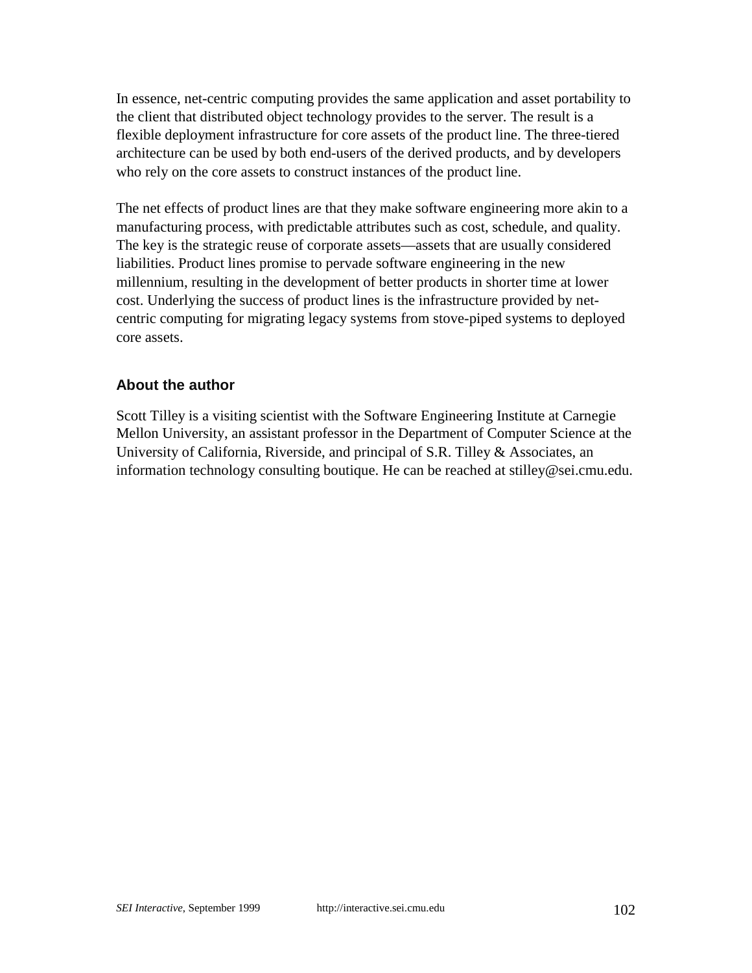In essence, net-centric computing provides the same application and asset portability to the client that distributed object technology provides to the server. The result is a flexible deployment infrastructure for core assets of the product line. The three-tiered architecture can be used by both end-users of the derived products, and by developers who rely on the core assets to construct instances of the product line.

The net effects of product lines are that they make software engineering more akin to a manufacturing process, with predictable attributes such as cost, schedule, and quality. The key is the strategic reuse of corporate assets—assets that are usually considered liabilities. Product lines promise to pervade software engineering in the new millennium, resulting in the development of better products in shorter time at lower cost. Underlying the success of product lines is the infrastructure provided by netcentric computing for migrating legacy systems from stove-piped systems to deployed core assets.

#### **About the author**

Scott Tilley is a visiting scientist with the Software Engineering Institute at Carnegie Mellon University, an assistant professor in the Department of Computer Science at the University of California, Riverside, and principal of S.R. Tilley & Associates, an information technology consulting boutique. He can be reached at stilley@sei.cmu.edu.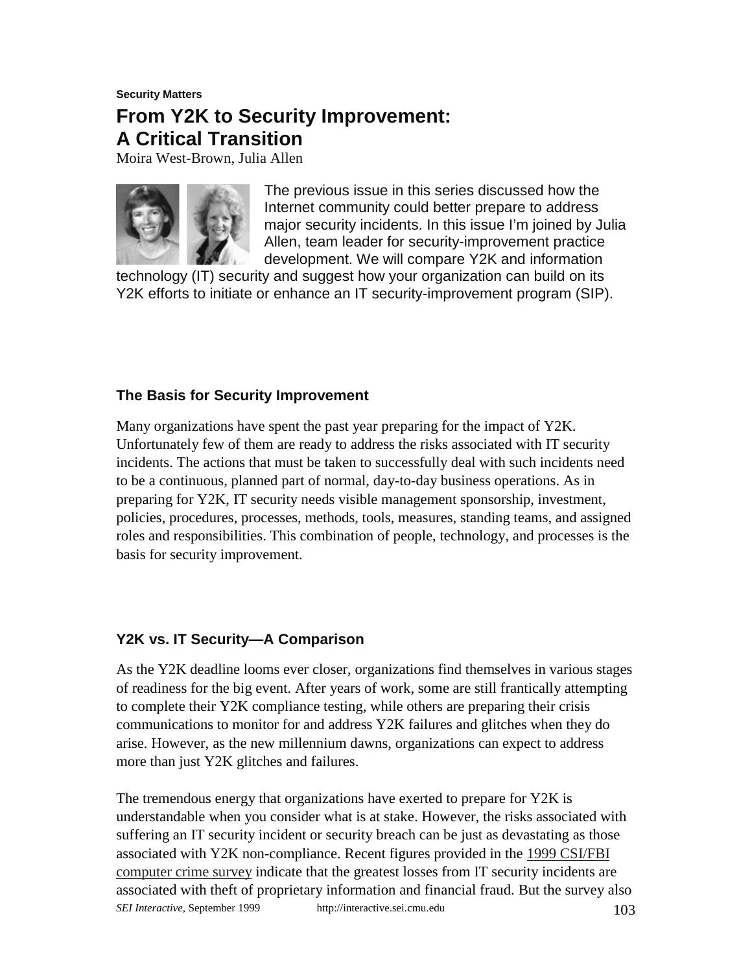# **Security Matters From Y2K to Security Improvement: A Critical Transition**

Moira West-Brown, Julia Allen



The previous issue in this series discussed how the Internet community could better prepare to address major security incidents. In this issue I'm joined by Julia Allen, team leader for security-improvement practice development. We will compare Y2K and information

technology (IT) security and suggest how your organization can build on its Y2K efforts to initiate or enhance an IT security-improvement program (SIP).

#### **The Basis for Security Improvement**

Many organizations have spent the past year preparing for the impact of Y2K. Unfortunately few of them are ready to address the risks associated with IT security incidents. The actions that must be taken to successfully deal with such incidents need to be a continuous, planned part of normal, day-to-day business operations. As in preparing for Y2K, IT security needs visible management sponsorship, investment, policies, procedures, processes, methods, tools, measures, standing teams, and assigned roles and responsibilities. This combination of people, technology, and processes is the basis for security improvement.

#### **Y2K vs. IT Security—A Comparison**

As the Y2K deadline looms ever closer, organizations find themselves in various stages of readiness for the big event. After years of work, some are still frantically attempting to complete their Y2K compliance testing, while others are preparing their crisis communications to monitor for and address Y2K failures and glitches when they do arise. However, as the new millennium dawns, organizations can expect to address more than just Y2K glitches and failures.

*SEI Interactive*, September 1999 http://interactive.sei.cmu.edu 103 The tremendous energy that organizations have exerted to prepare for Y2K is understandable when you consider what is at stake. However, the risks associated with suffering an IT security incident or security breach can be just as devastating as those associated with Y2K non-compliance. Recent figures provided in the 1999 CSI/FBI computer crime survey indicate that the greatest losses from IT security incidents are associated with theft of proprietary information and financial fraud. But the survey also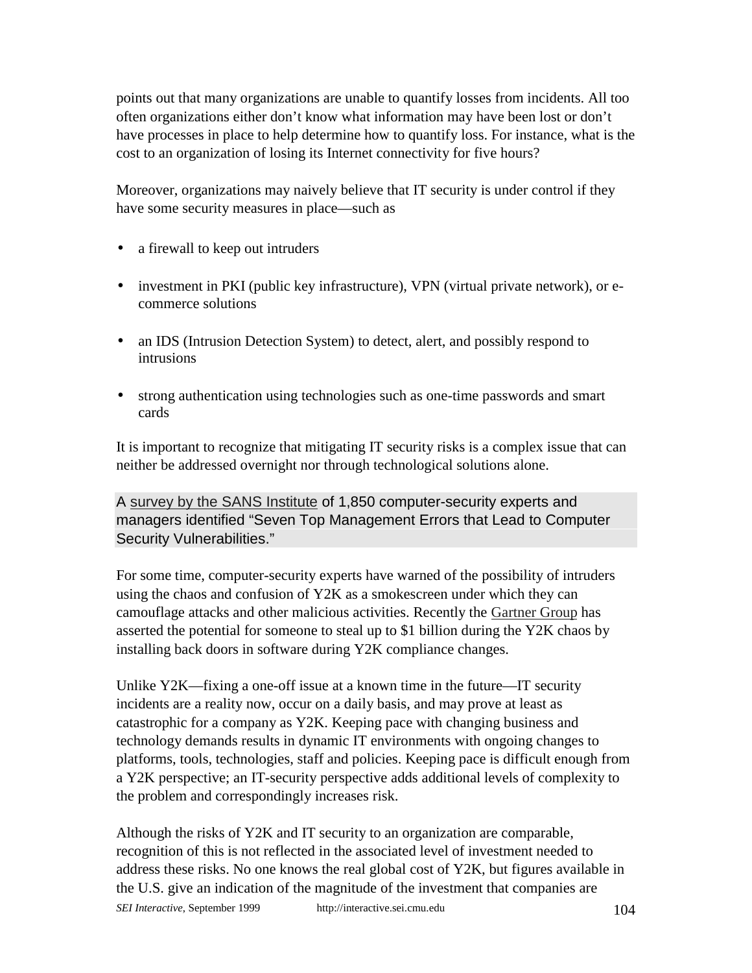points out that many organizations are unable to quantify losses from incidents. All too often organizations either don't know what information may have been lost or don't have processes in place to help determine how to quantify loss. For instance, what is the cost to an organization of losing its Internet connectivity for five hours?

Moreover, organizations may naively believe that IT security is under control if they have some security measures in place—such as

- a firewall to keep out intruders
- investment in PKI (public key infrastructure), VPN (virtual private network), or ecommerce solutions
- an IDS (Intrusion Detection System) to detect, alert, and possibly respond to intrusions
- strong authentication using technologies such as one-time passwords and smart cards

It is important to recognize that mitigating IT security risks is a complex issue that can neither be addressed overnight nor through technological solutions alone.

A survey by the SANS Institute of 1,850 computer-security experts and managers identified "Seven Top Management Errors that Lead to Computer Security Vulnerabilities."

For some time, computer-security experts have warned of the possibility of intruders using the chaos and confusion of Y2K as a smokescreen under which they can camouflage attacks and other malicious activities. Recently the Gartner Group has asserted the potential for someone to steal up to \$1 billion during the Y2K chaos by installing back doors in software during Y2K compliance changes.

Unlike Y2K—fixing a one-off issue at a known time in the future—IT security incidents are a reality now, occur on a daily basis, and may prove at least as catastrophic for a company as Y2K. Keeping pace with changing business and technology demands results in dynamic IT environments with ongoing changes to platforms, tools, technologies, staff and policies. Keeping pace is difficult enough from a Y2K perspective; an IT-security perspective adds additional levels of complexity to the problem and correspondingly increases risk.

*SEI Interactive*, September 1999 http://interactive.sei.cmu.edu 104 Although the risks of Y2K and IT security to an organization are comparable, recognition of this is not reflected in the associated level of investment needed to address these risks. No one knows the real global cost of Y2K, but figures available in the U.S. give an indication of the magnitude of the investment that companies are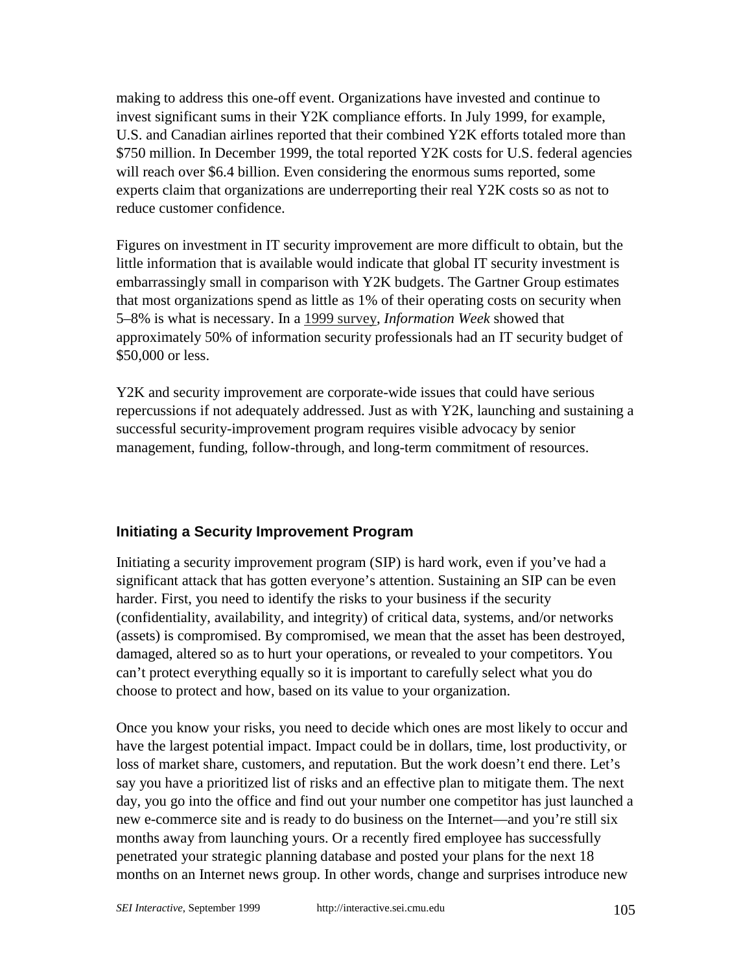making to address this one-off event. Organizations have invested and continue to invest significant sums in their Y2K compliance efforts. In July 1999, for example, U.S. and Canadian airlines reported that their combined Y2K efforts totaled more than \$750 million. In December 1999, the total reported Y2K costs for U.S. federal agencies will reach over \$6.4 billion. Even considering the enormous sums reported, some experts claim that organizations are underreporting their real Y2K costs so as not to reduce customer confidence.

Figures on investment in IT security improvement are more difficult to obtain, but the little information that is available would indicate that global IT security investment is embarrassingly small in comparison with Y2K budgets. The Gartner Group estimates that most organizations spend as little as 1% of their operating costs on security when 5–8% is what is necessary. In a 1999 survey, *Information Week* showed that approximately 50% of information security professionals had an IT security budget of \$50,000 or less.

Y2K and security improvement are corporate-wide issues that could have serious repercussions if not adequately addressed. Just as with Y2K, launching and sustaining a successful security-improvement program requires visible advocacy by senior management, funding, follow-through, and long-term commitment of resources.

#### **Initiating a Security Improvement Program**

Initiating a security improvement program (SIP) is hard work, even if you've had a significant attack that has gotten everyone's attention. Sustaining an SIP can be even harder. First, you need to identify the risks to your business if the security (confidentiality, availability, and integrity) of critical data, systems, and/or networks (assets) is compromised. By compromised, we mean that the asset has been destroyed, damaged, altered so as to hurt your operations, or revealed to your competitors. You can't protect everything equally so it is important to carefully select what you do choose to protect and how, based on its value to your organization.

Once you know your risks, you need to decide which ones are most likely to occur and have the largest potential impact. Impact could be in dollars, time, lost productivity, or loss of market share, customers, and reputation. But the work doesn't end there. Let's say you have a prioritized list of risks and an effective plan to mitigate them. The next day, you go into the office and find out your number one competitor has just launched a new e-commerce site and is ready to do business on the Internet—and you're still six months away from launching yours. Or a recently fired employee has successfully penetrated your strategic planning database and posted your plans for the next 18 months on an Internet news group. In other words, change and surprises introduce new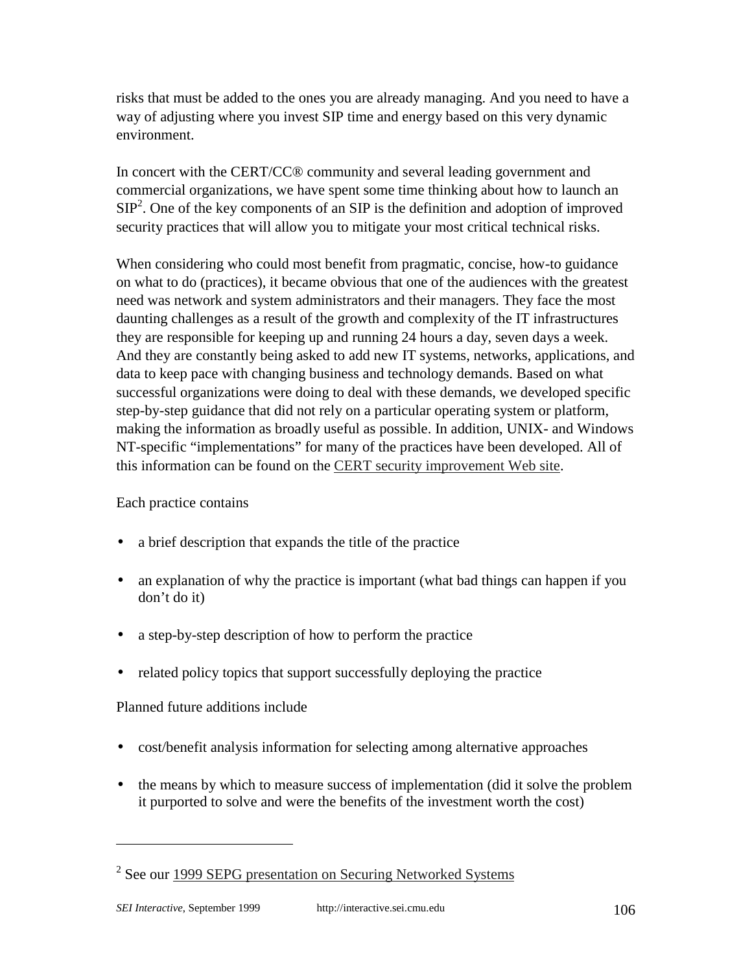risks that must be added to the ones you are already managing. And you need to have a way of adjusting where you invest SIP time and energy based on this very dynamic environment.

In concert with the CERT/CC® community and several leading government and commercial organizations, we have spent some time thinking about how to launch an  $SIP<sup>2</sup>$ . One of the key components of an SIP is the definition and adoption of improved security practices that will allow you to mitigate your most critical technical risks.

When considering who could most benefit from pragmatic, concise, how-to guidance on what to do (practices), it became obvious that one of the audiences with the greatest need was network and system administrators and their managers. They face the most daunting challenges as a result of the growth and complexity of the IT infrastructures they are responsible for keeping up and running 24 hours a day, seven days a week. And they are constantly being asked to add new IT systems, networks, applications, and data to keep pace with changing business and technology demands. Based on what successful organizations were doing to deal with these demands, we developed specific step-by-step guidance that did not rely on a particular operating system or platform, making the information as broadly useful as possible. In addition, UNIX- and Windows NT-specific "implementations" for many of the practices have been developed. All of this information can be found on the CERT security improvement Web site.

Each practice contains

- a brief description that expands the title of the practice
- an explanation of why the practice is important (what bad things can happen if you don't do it)
- a step-by-step description of how to perform the practice
- related policy topics that support successfully deploying the practice

Planned future additions include

- cost/benefit analysis information for selecting among alternative approaches
- the means by which to measure success of implementation (did it solve the problem it purported to solve and were the benefits of the investment worth the cost)

 $\overline{a}$ 

<sup>&</sup>lt;sup>2</sup> See our 1999 SEPG presentation on Securing Networked Systems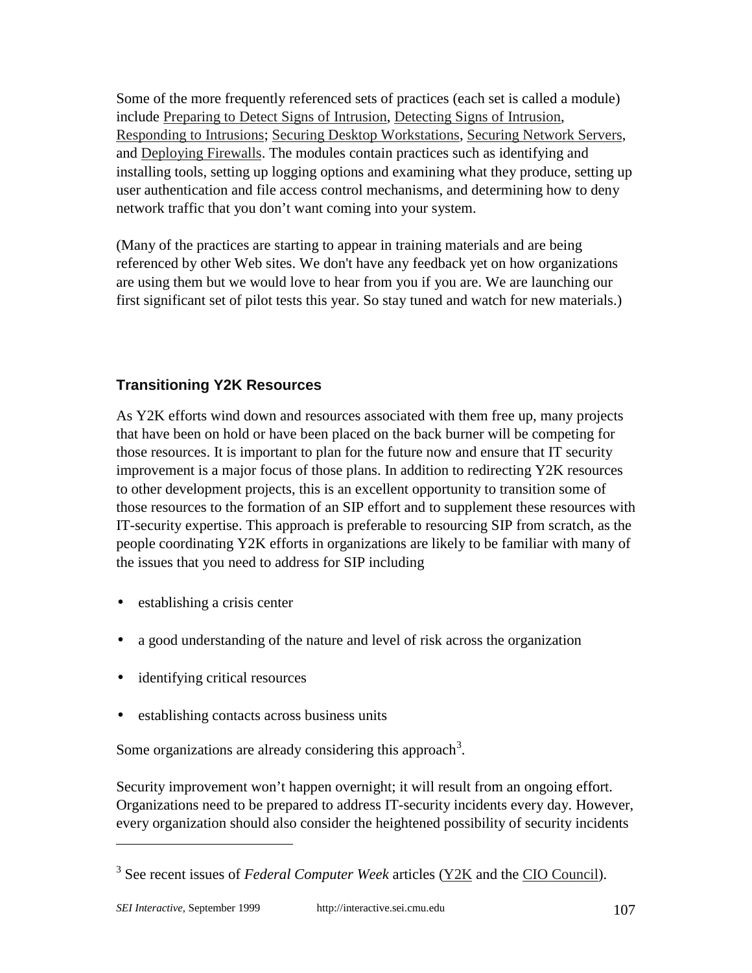Some of the more frequently referenced sets of practices (each set is called a module) include Preparing to Detect Signs of Intrusion, Detecting Signs of Intrusion, Responding to Intrusions; Securing Desktop Workstations, Securing Network Servers, and Deploying Firewalls. The modules contain practices such as identifying and installing tools, setting up logging options and examining what they produce, setting up user authentication and file access control mechanisms, and determining how to deny network traffic that you don't want coming into your system.

(Many of the practices are starting to appear in training materials and are being referenced by other Web sites. We don't have any feedback yet on how organizations are using them but we would love to hear from you if you are. We are launching our first significant set of pilot tests this year. So stay tuned and watch for new materials.)

#### **Transitioning Y2K Resources**

As Y2K efforts wind down and resources associated with them free up, many projects that have been on hold or have been placed on the back burner will be competing for those resources. It is important to plan for the future now and ensure that IT security improvement is a major focus of those plans. In addition to redirecting Y2K resources to other development projects, this is an excellent opportunity to transition some of those resources to the formation of an SIP effort and to supplement these resources with IT-security expertise. This approach is preferable to resourcing SIP from scratch, as the people coordinating Y2K efforts in organizations are likely to be familiar with many of the issues that you need to address for SIP including

- establishing a crisis center
- a good understanding of the nature and level of risk across the organization
- identifying critical resources

 $\overline{a}$ 

• establishing contacts across business units

Some organizations are already considering this approach<sup>3</sup>.

Security improvement won't happen overnight; it will result from an ongoing effort. Organizations need to be prepared to address IT-security incidents every day. However, every organization should also consider the heightened possibility of security incidents

<sup>&</sup>lt;sup>3</sup> See recent issues of *Federal Computer Week* articles (Y2K and the CIO Council).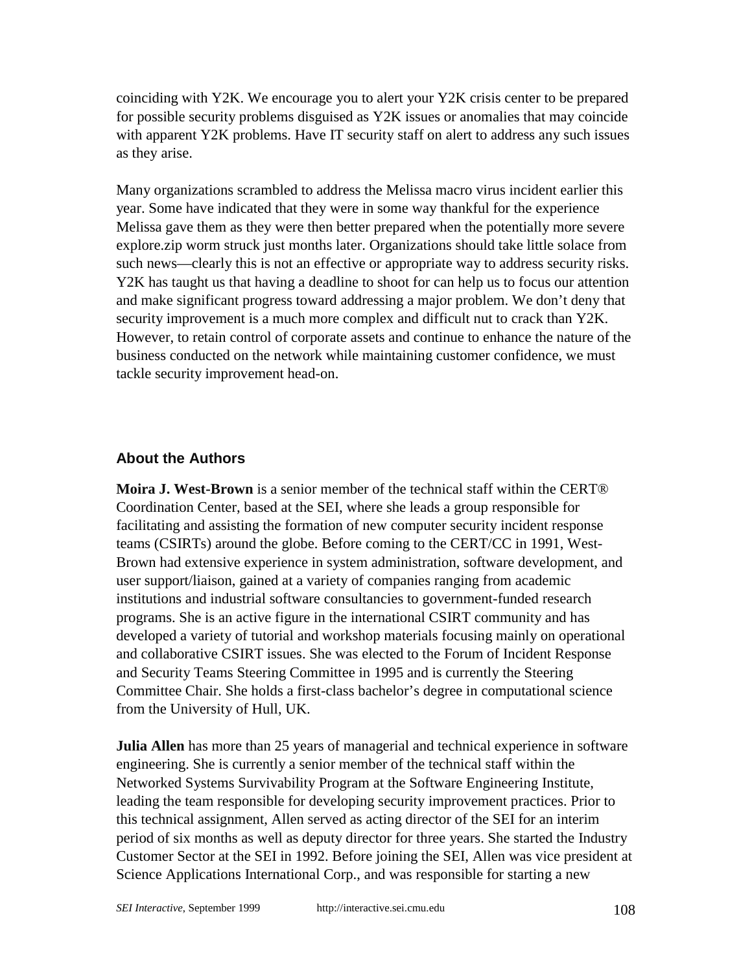coinciding with Y2K. We encourage you to alert your Y2K crisis center to be prepared for possible security problems disguised as Y2K issues or anomalies that may coincide with apparent Y2K problems. Have IT security staff on alert to address any such issues as they arise.

Many organizations scrambled to address the Melissa macro virus incident earlier this year. Some have indicated that they were in some way thankful for the experience Melissa gave them as they were then better prepared when the potentially more severe explore.zip worm struck just months later. Organizations should take little solace from such news—clearly this is not an effective or appropriate way to address security risks. Y2K has taught us that having a deadline to shoot for can help us to focus our attention and make significant progress toward addressing a major problem. We don't deny that security improvement is a much more complex and difficult nut to crack than Y2K. However, to retain control of corporate assets and continue to enhance the nature of the business conducted on the network while maintaining customer confidence, we must tackle security improvement head-on.

#### **About the Authors**

**Moira J. West-Brown** is a senior member of the technical staff within the CERT® Coordination Center, based at the SEI, where she leads a group responsible for facilitating and assisting the formation of new computer security incident response teams (CSIRTs) around the globe. Before coming to the CERT/CC in 1991, West-Brown had extensive experience in system administration, software development, and user support/liaison, gained at a variety of companies ranging from academic institutions and industrial software consultancies to government-funded research programs. She is an active figure in the international CSIRT community and has developed a variety of tutorial and workshop materials focusing mainly on operational and collaborative CSIRT issues. She was elected to the Forum of Incident Response and Security Teams Steering Committee in 1995 and is currently the Steering Committee Chair. She holds a first-class bachelor's degree in computational science from the University of Hull, UK.

**Julia Allen** has more than 25 years of managerial and technical experience in software engineering. She is currently a senior member of the technical staff within the Networked Systems Survivability Program at the Software Engineering Institute, leading the team responsible for developing security improvement practices. Prior to this technical assignment, Allen served as acting director of the SEI for an interim period of six months as well as deputy director for three years. She started the Industry Customer Sector at the SEI in 1992. Before joining the SEI, Allen was vice president at Science Applications International Corp., and was responsible for starting a new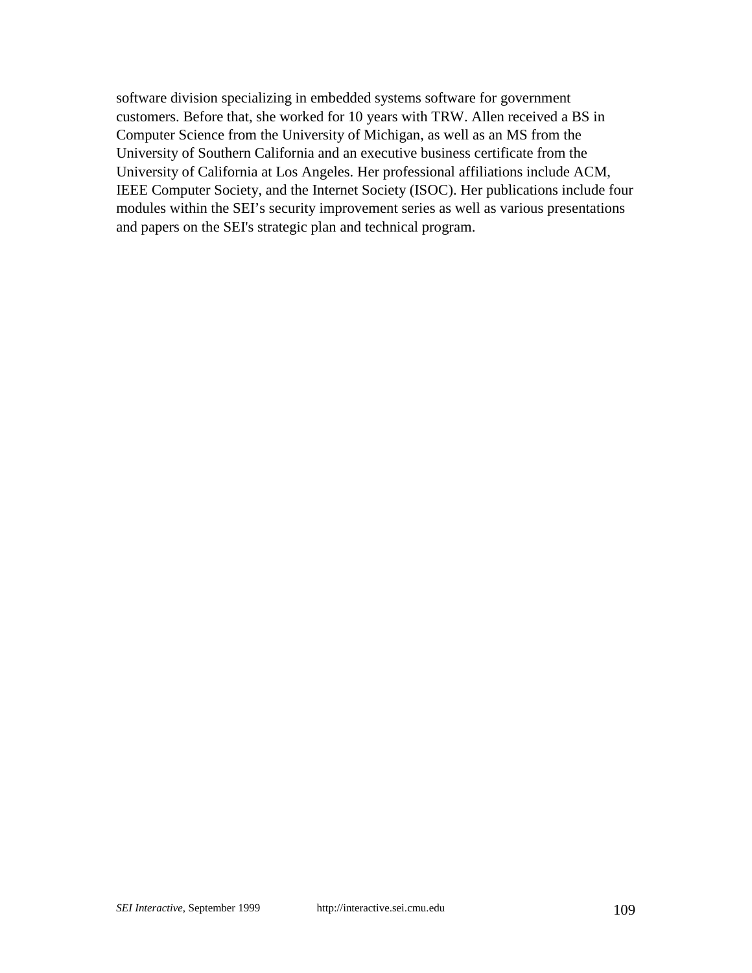software division specializing in embedded systems software for government customers. Before that, she worked for 10 years with TRW. Allen received a BS in Computer Science from the University of Michigan, as well as an MS from the University of Southern California and an executive business certificate from the University of California at Los Angeles. Her professional affiliations include ACM, IEEE Computer Society, and the Internet Society (ISOC). Her publications include four modules within the SEI's security improvement series as well as various presentations and papers on the SEI's strategic plan and technical program.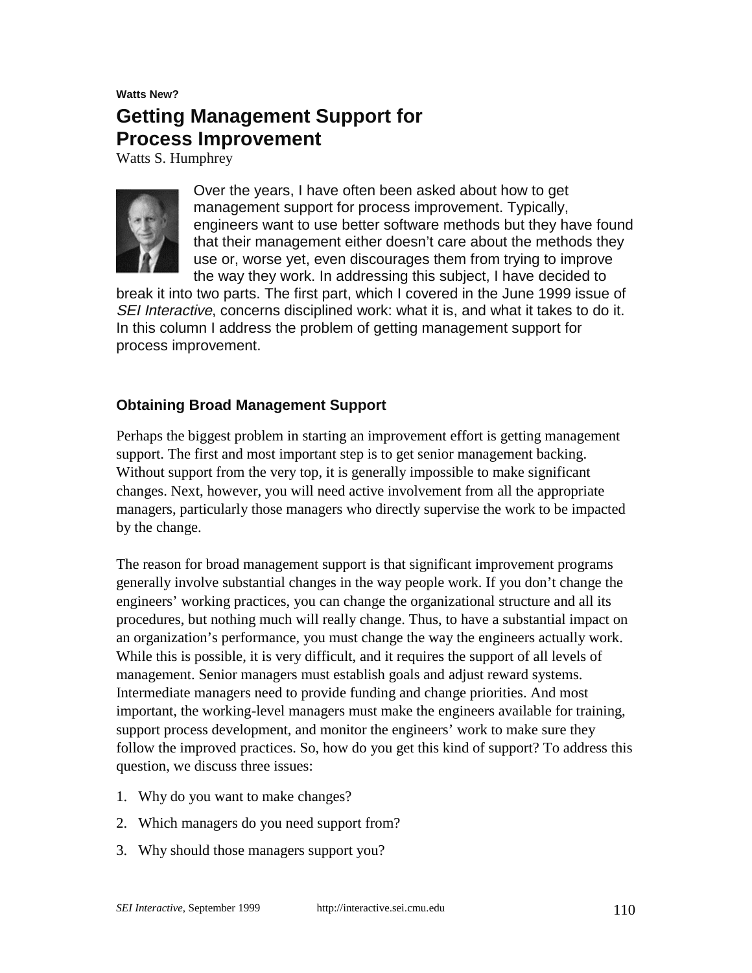# **Watts New? Getting Management Support for Process Improvement**

Watts S. Humphrey



Over the years, I have often been asked about how to get management support for process improvement. Typically, engineers want to use better software methods but they have found that their management either doesn't care about the methods they use or, worse yet, even discourages them from trying to improve the way they work. In addressing this subject, I have decided to

break it into two parts. The first part, which I covered in the June 1999 issue of SEI Interactive, concerns disciplined work: what it is, and what it takes to do it. In this column I address the problem of getting management support for process improvement.

# **Obtaining Broad Management Support**

Perhaps the biggest problem in starting an improvement effort is getting management support. The first and most important step is to get senior management backing. Without support from the very top, it is generally impossible to make significant changes. Next, however, you will need active involvement from all the appropriate managers, particularly those managers who directly supervise the work to be impacted by the change.

The reason for broad management support is that significant improvement programs generally involve substantial changes in the way people work. If you don't change the engineers' working practices, you can change the organizational structure and all its procedures, but nothing much will really change. Thus, to have a substantial impact on an organization's performance, you must change the way the engineers actually work. While this is possible, it is very difficult, and it requires the support of all levels of management. Senior managers must establish goals and adjust reward systems. Intermediate managers need to provide funding and change priorities. And most important, the working-level managers must make the engineers available for training, support process development, and monitor the engineers' work to make sure they follow the improved practices. So, how do you get this kind of support? To address this question, we discuss three issues:

- 1. Why do you want to make changes?
- 2. Which managers do you need support from?
- 3. Why should those managers support you?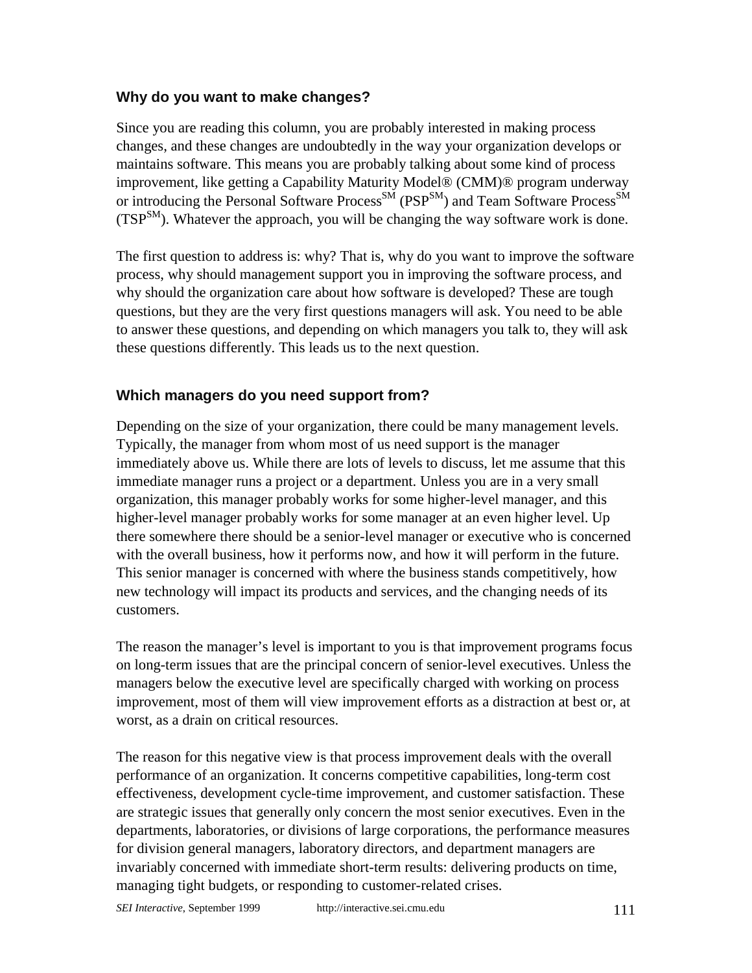## **Why do you want to make changes?**

Since you are reading this column, you are probably interested in making process changes, and these changes are undoubtedly in the way your organization develops or maintains software. This means you are probably talking about some kind of process improvement, like getting a Capability Maturity Model® (CMM)® program underway or introducing the Personal Software Process<sup>SM</sup> (PSP<sup>SM</sup>) and Team Software Process<sup>SM</sup>  $(TSP<sup>SM</sup>)$ . Whatever the approach, you will be changing the way software work is done.

The first question to address is: why? That is, why do you want to improve the software process, why should management support you in improving the software process, and why should the organization care about how software is developed? These are tough questions, but they are the very first questions managers will ask. You need to be able to answer these questions, and depending on which managers you talk to, they will ask these questions differently. This leads us to the next question.

# **Which managers do you need support from?**

Depending on the size of your organization, there could be many management levels. Typically, the manager from whom most of us need support is the manager immediately above us. While there are lots of levels to discuss, let me assume that this immediate manager runs a project or a department. Unless you are in a very small organization, this manager probably works for some higher-level manager, and this higher-level manager probably works for some manager at an even higher level. Up there somewhere there should be a senior-level manager or executive who is concerned with the overall business, how it performs now, and how it will perform in the future. This senior manager is concerned with where the business stands competitively, how new technology will impact its products and services, and the changing needs of its customers.

The reason the manager's level is important to you is that improvement programs focus on long-term issues that are the principal concern of senior-level executives. Unless the managers below the executive level are specifically charged with working on process improvement, most of them will view improvement efforts as a distraction at best or, at worst, as a drain on critical resources.

The reason for this negative view is that process improvement deals with the overall performance of an organization. It concerns competitive capabilities, long-term cost effectiveness, development cycle-time improvement, and customer satisfaction. These are strategic issues that generally only concern the most senior executives. Even in the departments, laboratories, or divisions of large corporations, the performance measures for division general managers, laboratory directors, and department managers are invariably concerned with immediate short-term results: delivering products on time, managing tight budgets, or responding to customer-related crises.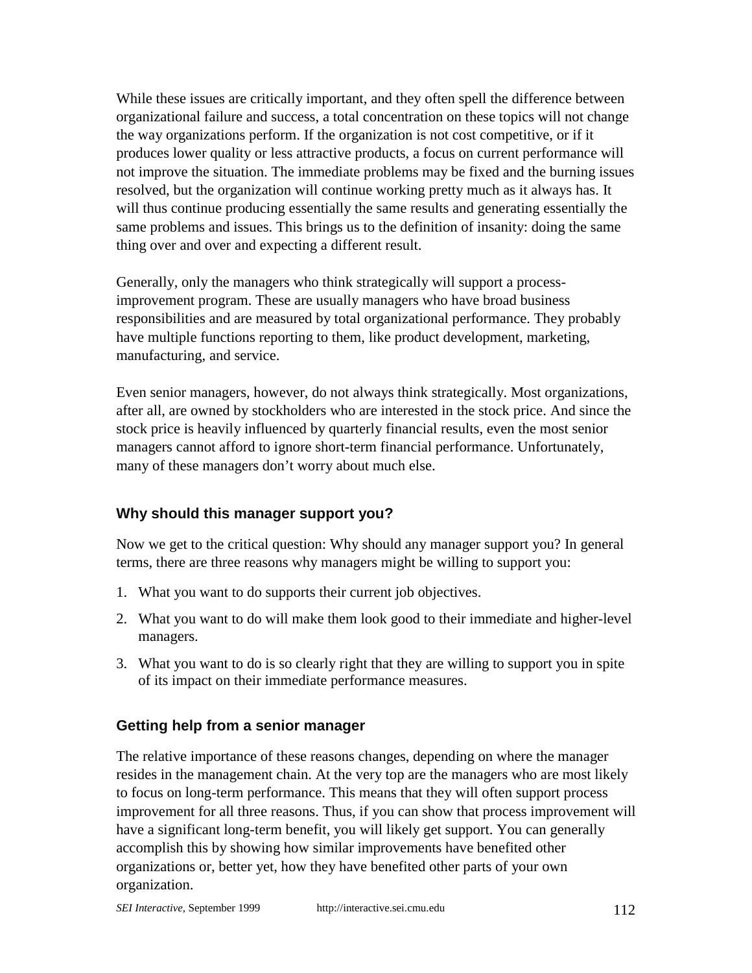While these issues are critically important, and they often spell the difference between organizational failure and success, a total concentration on these topics will not change the way organizations perform. If the organization is not cost competitive, or if it produces lower quality or less attractive products, a focus on current performance will not improve the situation. The immediate problems may be fixed and the burning issues resolved, but the organization will continue working pretty much as it always has. It will thus continue producing essentially the same results and generating essentially the same problems and issues. This brings us to the definition of insanity: doing the same thing over and over and expecting a different result.

Generally, only the managers who think strategically will support a processimprovement program. These are usually managers who have broad business responsibilities and are measured by total organizational performance. They probably have multiple functions reporting to them, like product development, marketing, manufacturing, and service.

Even senior managers, however, do not always think strategically. Most organizations, after all, are owned by stockholders who are interested in the stock price. And since the stock price is heavily influenced by quarterly financial results, even the most senior managers cannot afford to ignore short-term financial performance. Unfortunately, many of these managers don't worry about much else.

# **Why should this manager support you?**

Now we get to the critical question: Why should any manager support you? In general terms, there are three reasons why managers might be willing to support you:

- 1. What you want to do supports their current job objectives.
- 2. What you want to do will make them look good to their immediate and higher-level managers.
- 3. What you want to do is so clearly right that they are willing to support you in spite of its impact on their immediate performance measures.

# **Getting help from a senior manager**

The relative importance of these reasons changes, depending on where the manager resides in the management chain. At the very top are the managers who are most likely to focus on long-term performance. This means that they will often support process improvement for all three reasons. Thus, if you can show that process improvement will have a significant long-term benefit, you will likely get support. You can generally accomplish this by showing how similar improvements have benefited other organizations or, better yet, how they have benefited other parts of your own organization.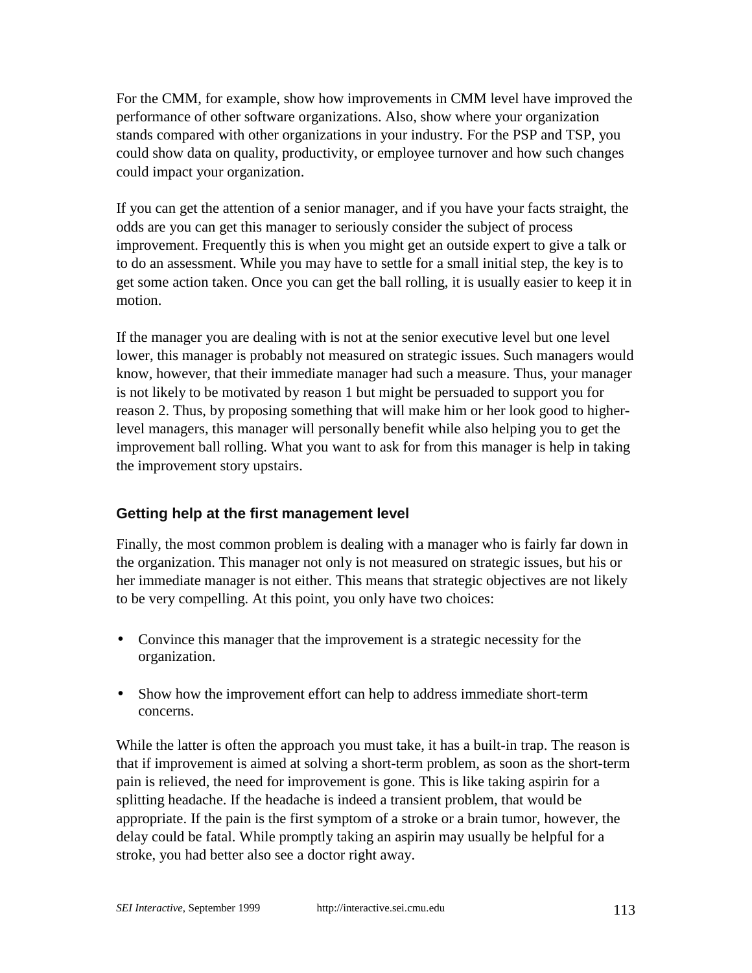For the CMM, for example, show how improvements in CMM level have improved the performance of other software organizations. Also, show where your organization stands compared with other organizations in your industry. For the PSP and TSP, you could show data on quality, productivity, or employee turnover and how such changes could impact your organization.

If you can get the attention of a senior manager, and if you have your facts straight, the odds are you can get this manager to seriously consider the subject of process improvement. Frequently this is when you might get an outside expert to give a talk or to do an assessment. While you may have to settle for a small initial step, the key is to get some action taken. Once you can get the ball rolling, it is usually easier to keep it in motion.

If the manager you are dealing with is not at the senior executive level but one level lower, this manager is probably not measured on strategic issues. Such managers would know, however, that their immediate manager had such a measure. Thus, your manager is not likely to be motivated by reason 1 but might be persuaded to support you for reason 2. Thus, by proposing something that will make him or her look good to higherlevel managers, this manager will personally benefit while also helping you to get the improvement ball rolling. What you want to ask for from this manager is help in taking the improvement story upstairs.

### **Getting help at the first management level**

Finally, the most common problem is dealing with a manager who is fairly far down in the organization. This manager not only is not measured on strategic issues, but his or her immediate manager is not either. This means that strategic objectives are not likely to be very compelling. At this point, you only have two choices:

- Convince this manager that the improvement is a strategic necessity for the organization.
- Show how the improvement effort can help to address immediate short-term concerns.

While the latter is often the approach you must take, it has a built-in trap. The reason is that if improvement is aimed at solving a short-term problem, as soon as the short-term pain is relieved, the need for improvement is gone. This is like taking aspirin for a splitting headache. If the headache is indeed a transient problem, that would be appropriate. If the pain is the first symptom of a stroke or a brain tumor, however, the delay could be fatal. While promptly taking an aspirin may usually be helpful for a stroke, you had better also see a doctor right away.